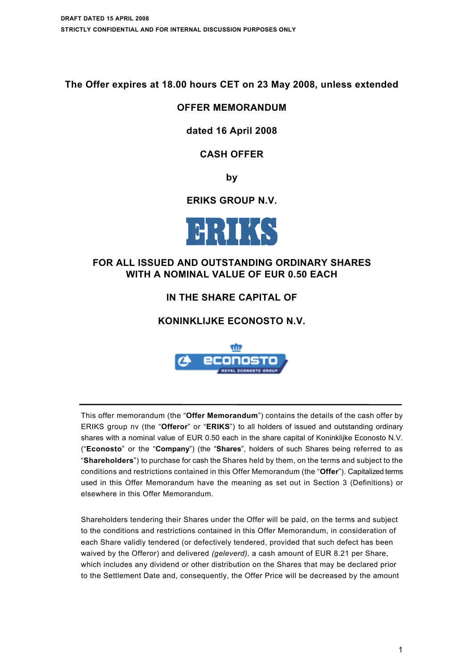**The Offer expires at 18.00 hours CET on 23 May 2008, unless extended**

# **OFFER MEMORANDUM**

# **dated 16 April 2008**

# **CASH OFFER**

**by**

# **ERIKS GROUP N.V.**



# **FOR ALL ISSUED AND OUTSTANDING ORDINARY SHARES WITH A NOMINAL VALUE OF EUR 0.50 EACH**

# **IN THE SHARE CAPITAL OF**

# **KONINKLIJKE ECONOSTO N.V.**



This offer memorandum (the "**Offer Memorandum**") contains the details of the cash offer by ERIKS group nv (the "**Offeror**" or "**ERIKS**") to all holders of issued and outstanding ordinary shares with a nominal value of EUR 0.50 each in the share capital of Koninklijke Econosto N.V. ("**Econosto**" or the "**Company**") (the "**Shares**", holders of such Shares being referred to as "**Shareholders**") to purchase for cash the Shares held by them, on the terms and subject to the conditions and restrictions contained in this Offer Memorandum (the "**Offer**"). Capitalized terms used in this Offer Memorandum have the meaning as set out in Section 3 (Definitions) or elsewhere in this Offer Memorandum.

Shareholders tendering their Shares under the Offer will be paid, on the terms and subject to the conditions and restrictions contained in this Offer Memorandum, in consideration of each Share validly tendered (or defectively tendered, provided that such defect has been waived by the Offeror) and delivered *(geleverd),* a cash amount of EUR 8.21 per Share, which includes any dividend or other distribution on the Shares that may be declared prior to the Settlement Date and, consequently, the Offer Price will be decreased by the amount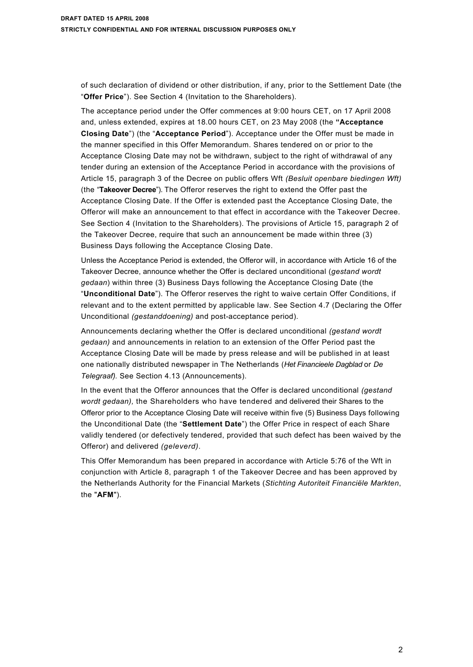of such declaration of dividend or other distribution, if any, prior to the Settlement Date (the "**Offer Price**"). See Section 4 (Invitation to the Shareholders).

The acceptance period under the Offer commences at 9:00 hours CET, on 17 April 2008 and, unless extended, expires at 18.00 hours CET, on 23 May 2008 (the **"Acceptance Closing Date**") (the "**Acceptance Period**"). Acceptance under the Offer must be made in the manner specified in this Offer Memorandum. Shares tendered on or prior to the Acceptance Closing Date may not be withdrawn, subject to the right of withdrawal of any tender during an extension of the Acceptance Period in accordance with the provisions of Article 15, paragraph 3 of the Decree on public offers Wft *(Besluit openbare biedingen Wft)*  (the "**Takeover Decree**"). The Offeror reserves the right to extend the Offer past the Acceptance Closing Date. If the Offer is extended past the Acceptance Closing Date, the Offeror will make an announcement to that effect in accordance with the Takeover Decree. See Section 4 (Invitation to the Shareholders). The provisions of Article 15, paragraph 2 of the Takeover Decree, require that such an announcement be made within three (3) Business Days following the Acceptance Closing Date.

Unless the Acceptance Period is extended, the Offeror will, in accordance with Article 16 of the Takeover Decree, announce whether the Offer is declared unconditional (*gestand wordt gedaan*) within three (3) Business Days following the Acceptance Closing Date (the "**Unconditional Date**"). The Offeror reserves the right to waive certain Offer Conditions, if relevant and to the extent permitted by applicable law. See Section 4.7 (Declaring the Offer Unconditional *(gestanddoening)* and post-acceptance period).

Announcements declaring whether the Offer is declared unconditional *(gestand wordt gedaan)* and announcements in relation to an extension of the Offer Period past the Acceptance Closing Date will be made by press release and will be published in at least one nationally distributed newspaper in The Netherlands (*Het Financieele Dagblad* or *De Telegraaf).* See Section 4.13 (Announcements).

In the event that the Offeror announces that the Offer is declared unconditional *(gestand wordt gedaan),* the Shareholders who have tendered and delivered their Shares to the Offeror prior to the Acceptance Closing Date will receive within five (5) Business Days following the Unconditional Date (the "**Settlement Date**") the Offer Price in respect of each Share validly tendered (or defectively tendered, provided that such defect has been waived by the Offeror) and delivered *(geleverd).*

This Offer Memorandum has been prepared in accordance with Article 5:76 of the Wft in conjunction with Article 8, paragraph 1 of the Takeover Decree and has been approved by the Netherlands Authority for the Financial Markets (*Stichting Autoriteit Financiële Markten*, the "**AFM**").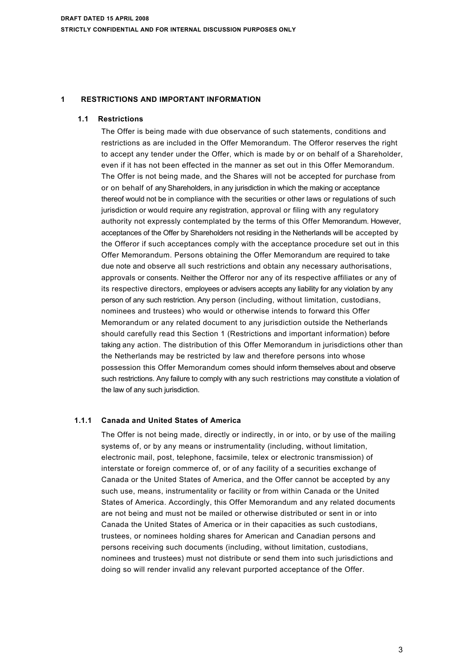# **1 RESTRICTIONS AND IMPORTANT INFORMATION**

### **1.1 Restrictions**

The Offer is being made with due observance of such statements, conditions and restrictions as are included in the Offer Memorandum. The Offeror reserves the right to accept any tender under the Offer, which is made by or on behalf of a Shareholder, even if it has not been effected in the manner as set out in this Offer Memorandum. The Offer is not being made, and the Shares will not be accepted for purchase from or on behalf of any Shareholders, in any jurisdiction in which the making or acceptance thereof would not be in compliance with the securities or other laws or regulations of such jurisdiction or would require any registration, approval or filing with any regulatory authority not expressly contemplated by the terms of this Offer Memorandum. However, acceptances of the Offer by Shareholders not residing in the Netherlands will be accepted by the Offeror if such acceptances comply with the acceptance procedure set out in this Offer Memorandum. Persons obtaining the Offer Memorandum are required to take due note and observe all such restrictions and obtain any necessary authorisations, approvals or consents. Neither the Offeror nor any of its respective affiliates or any of its respective directors, employees or advisers accepts any liability for any violation by any person of any such restriction. Any person (including, without limitation, custodians, nominees and trustees) who would or otherwise intends to forward this Offer Memorandum or any related document to any jurisdiction outside the Netherlands should carefully read this Section 1 (Restrictions and important information) before taking any action. The distribution of this Offer Memorandum in jurisdictions other than the Netherlands may be restricted by law and therefore persons into whose possession this Offer Memorandum comes should inform themselves about and observe such restrictions. Any failure to comply with any such restrictions may constitute a violation of the law of any such jurisdiction.

# **1.1.1 Canada and United States of America**

The Offer is not being made, directly or indirectly, in or into, or by use of the mailing systems of, or by any means or instrumentality (including, without limitation, electronic mail, post, telephone, facsimile, telex or electronic transmission) of interstate or foreign commerce of, or of any facility of a securities exchange of Canada or the United States of America, and the Offer cannot be accepted by any such use, means, instrumentality or facility or from within Canada or the United States of America. Accordingly, this Offer Memorandum and any related documents are not being and must not be mailed or otherwise distributed or sent in or into Canada the United States of America or in their capacities as such custodians, trustees, or nominees holding shares for American and Canadian persons and persons receiving such documents (including, without limitation, custodians, nominees and trustees) must not distribute or send them into such jurisdictions and doing so will render invalid any relevant purported acceptance of the Offer.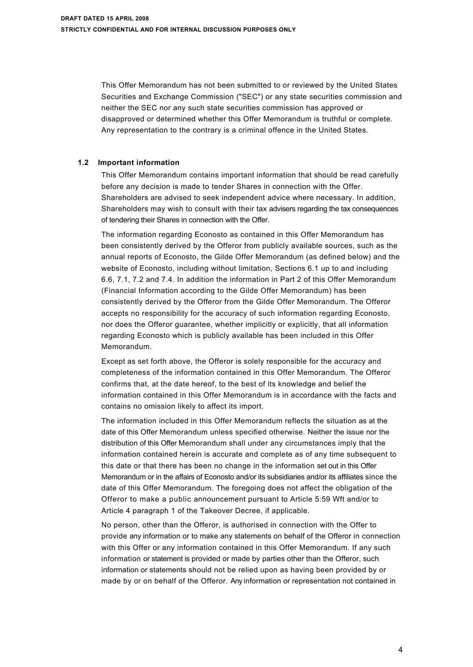This Offer Memorandum has not been submitted to or reviewed by the United States Securities and Exchange Commission ("SEC") or any state securities commission and neither the SEC nor any such state securities commission has approved or disapproved or determined whether this Offer Memorandum is truthful or complete. Any representation to the contrary is a criminal offence in the United States.

### **1.2 Important information**

This Offer Memorandum contains important information that should be read carefully before any decision is made to tender Shares in connection with the Offer. Shareholders are advised to seek independent advice where necessary. In addition, Shareholders may wish to consult with their tax advisers regarding the tax consequences of tendering their Shares in connection with the Offer.

The information regarding Econosto as contained in this Offer Memorandum has been consistently derived by the Offeror from publicly available sources, such as the annual reports of Econosto, the Gilde Offer Memorandum (as defined below) and the website of Econosto, including without limitation, Sections 6.1 up to and including 6.6, 7.1, 7.2 and 7.4. In addition the information in Part 2 of this Offer Memorandum (Financial Information according to the Gilde Offer Memorandum) has been consistently derived by the Offeror from the Gilde Offer Memorandum. The Offeror accepts no responsibility for the accuracy of such information regarding Econosto, nor does the Offeror guarantee, whether implicitly or explicitly, that all information regarding Econosto which is publicly available has been included in this Offer Memorandum.

Except as set forth above, the Offeror is solely responsible for the accuracy and completeness of the information contained in this Offer Memorandum. The Offeror confirms that, at the date hereof, to the best of its knowledge and belief the information contained in this Offer Memorandum is in accordance with the facts and contains no omission likely to affect its import.

The information included in this Offer Memorandum reflects the situation as at the date of this Offer Memorandum unless specified otherwise. Neither the issue nor the distribution of this Offer Memorandum shall under any circumstances imply that the information contained herein is accurate and complete as of any time subsequent to this date or that there has been no change in the information set out in this Offer Memorandum or in the affairs of Econosto and/or its subsidiaries and/or its affiliates since the date of this Offer Memorandum. The foregoing does not affect the obligation of the Offeror to make a public announcement pursuant to Article 5:59 Wft and/or to Article 4 paragraph 1 of the Takeover Decree, if applicable.

No person, other than the Offeror, is authorised in connection with the Offer to provide any information or to make any statements on behalf of the Offeror in connection with this Offer or any information contained in this Offer Memorandum. If any such information or statement is provided or made by parties other than the Offeror, such information or statements should not be relied upon as having been provided by or made by or on behalf of the Offeror. Any information or representation not contained in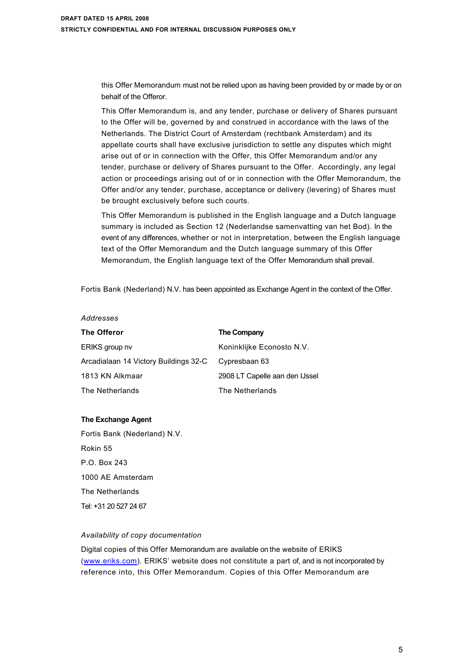this Offer Memorandum must not be relied upon as having been provided by or made by or on behalf of the Offeror.

This Offer Memorandum is, and any tender, purchase or delivery of Shares pursuant to the Offer will be, governed by and construed in accordance with the laws of the Netherlands. The District Court of Amsterdam (rechtbank Amsterdam) and its appellate courts shall have exclusive jurisdiction to settle any disputes which might arise out of or in connection with the Offer, this Offer Memorandum and/or any tender, purchase or delivery of Shares pursuant to the Offer. Accordingly, any legal action or proceedings arising out of or in connection with the Offer Memorandum, the Offer and/or any tender, purchase, acceptance or delivery (levering) of Shares must be brought exclusively before such courts.

This Offer Memorandum is published in the English language and a Dutch language summary is included as Section 12 (Nederlandse samenvatting van het Bod). In the event of any differences, whether or not in interpretation, between the English language text of the Offer Memorandum and the Dutch language summary of this Offer Memorandum, the English language text of the Offer Memorandum shall prevail.

Fortis Bank (Nederland) N.V. has been appointed as Exchange Agent in the context of the Offer.

#### *Addresses*

| The Offeror                           | The Company                    |
|---------------------------------------|--------------------------------|
| ERIKS group nv                        | Koninklijke Econosto N.V.      |
| Arcadialaan 14 Victory Buildings 32-C | Cypresbaan 63                  |
| 1813 KN Alkmaar                       | 2908 LT Capelle aan den IJssel |
| The Netherlands                       | The Netherlands                |

#### **The Exchange Agent**

Fortis Bank (Nederland) N.V. Rokin 55 P.O. Box 243 1000 AE Amsterdam The Netherlands Tel: +31 20 527 24 67

### *Availability of copy documentation*

Digital copies of this Offer Memorandum are available on the website of ERIKS [\(www.eriks.com](www.eriks.com)). ERIKS' website does not constitute a part of, and is not incorporated by reference into, this Offer Memorandum. Copies of this Offer Memorandum are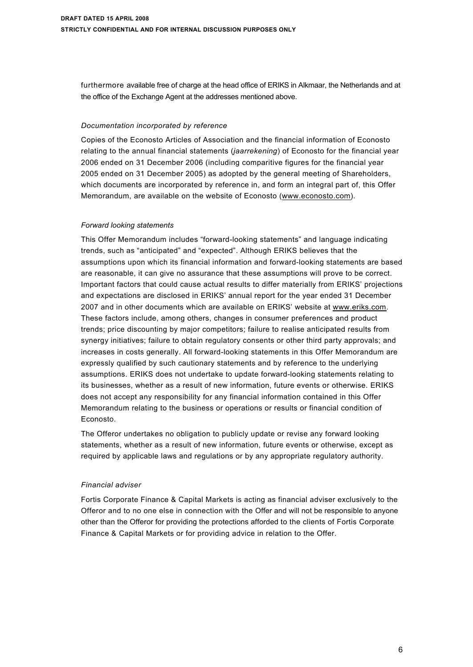furthermore available free of charge at the head office of ERIKS in Alkmaar, the Netherlands and at the office of the Exchange Agent at the addresses mentioned above.

### *Documentation incorporated by reference*

Copies of the Econosto Articles of Association and the financial information of Econosto relating to the annual financial statements (*jaarrekening*) of Econosto for the financial year 2006 ended on 31 December 2006 (including comparitive figures for the financial year 2005 ended on 31 December 2005) as adopted by the general meeting of Shareholders, which documents are incorporated by reference in, and form an integral part of, this Offer Memorandum, are available on the website of Econosto (<www.econosto.com>).

## *Forward looking statements*

This Offer Memorandum includes "forward-looking statements" and language indicating trends, such as "anticipated" and "expected". Although ERIKS believes that the assumptions upon which its financial information and forward-looking statements are based are reasonable, it can give no assurance that these assumptions will prove to be correct. Important factors that could cause actual results to differ materially from ERIKS' projections and expectations are disclosed in ERIKS' annual report for the year ended 31 December 2007 and in other documents which are available on ERIKS' website at <www.eriks.com>. These factors include, among others, changes in consumer preferences and product trends; price discounting by major competitors; failure to realise anticipated results from synergy initiatives; failure to obtain regulatory consents or other third party approvals; and increases in costs generally. All forward-looking statements in this Offer Memorandum are expressly qualified by such cautionary statements and by reference to the underlying assumptions. ERIKS does not undertake to update forward-looking statements relating to its businesses, whether as a result of new information, future events or otherwise. ERIKS does not accept any responsibility for any financial information contained in this Offer Memorandum relating to the business or operations or results or financial condition of Econosto.

The Offeror undertakes no obligation to publicly update or revise any forward looking statements, whether as a result of new information, future events or otherwise, except as required by applicable laws and regulations or by any appropriate regulatory authority.

# *Financial adviser*

Fortis Corporate Finance & Capital Markets is acting as financial adviser exclusively to the Offeror and to no one else in connection with the Offer and will not be responsible to anyone other than the Offeror for providing the protections afforded to the clients of Fortis Corporate Finance & Capital Markets or for providing advice in relation to the Offer.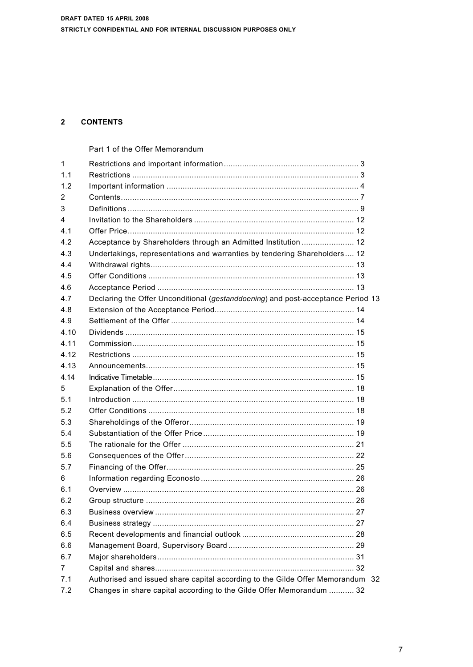# 2 CONTENTS

|                | Part 1 of the Offer Memorandum                                                   |
|----------------|----------------------------------------------------------------------------------|
| 1              |                                                                                  |
| 1.1            |                                                                                  |
| 1.2            |                                                                                  |
| 2              |                                                                                  |
| 3              |                                                                                  |
| 4              |                                                                                  |
| 4.1            |                                                                                  |
| 4.2            | Acceptance by Shareholders through an Admitted Institution  12                   |
| 4.3            | Undertakings, representations and warranties by tendering Shareholders 12        |
| 4.4            |                                                                                  |
| 4.5            |                                                                                  |
| 4.6            |                                                                                  |
| 4.7            | Declaring the Offer Unconditional (gestanddoening) and post-acceptance Period 13 |
| 4.8            |                                                                                  |
| 4.9            |                                                                                  |
| 4.10           |                                                                                  |
| 4.11           | Commission……………………………………………………………………………………… 15                                   |
| 4 1 2          |                                                                                  |
| 4.13           |                                                                                  |
| 4.14           |                                                                                  |
| 5              |                                                                                  |
| 5.1            |                                                                                  |
| 5.2            |                                                                                  |
| 5.3            |                                                                                  |
| 5.4            |                                                                                  |
| 5.5            |                                                                                  |
| 5.6            |                                                                                  |
| 5.7            |                                                                                  |
| 6              |                                                                                  |
| 6.1            |                                                                                  |
| 6.2            |                                                                                  |
| 6.3            |                                                                                  |
| 6.4            |                                                                                  |
| 6.5            |                                                                                  |
| 6.6            |                                                                                  |
| 6.7            |                                                                                  |
| $\overline{7}$ |                                                                                  |
| 7.1            | Authorised and issued share capital according to the Gilde Offer Memorandum 32   |
| 7.2            | Changes in share capital according to the Gilde Offer Memorandum  32             |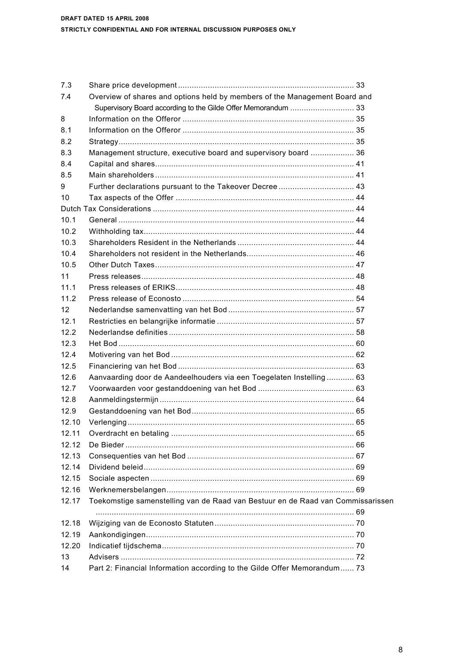| 7.3   |                                                                                 |  |
|-------|---------------------------------------------------------------------------------|--|
| 7.4   | Overview of shares and options held by members of the Management Board and      |  |
|       |                                                                                 |  |
| 8     |                                                                                 |  |
| 8.1   |                                                                                 |  |
| 8.2   |                                                                                 |  |
| 8.3   | Management structure, executive board and supervisory board  36                 |  |
| 8.4   |                                                                                 |  |
| 8.5   |                                                                                 |  |
| 9     | Further declarations pursuant to the Takeover Decree  43                        |  |
| 10    |                                                                                 |  |
|       |                                                                                 |  |
| 10.1  |                                                                                 |  |
| 10.2  |                                                                                 |  |
| 10.3  |                                                                                 |  |
| 10.4  |                                                                                 |  |
| 10.5  |                                                                                 |  |
| 11    |                                                                                 |  |
| 11.1  |                                                                                 |  |
| 11.2  |                                                                                 |  |
| 12    |                                                                                 |  |
| 12.1  |                                                                                 |  |
| 12.2  |                                                                                 |  |
| 12.3  |                                                                                 |  |
| 12.4  |                                                                                 |  |
| 12.5  |                                                                                 |  |
| 12.6  | Aanvaarding door de Aandeelhouders via een Toegelaten Instelling 63             |  |
| 12.7  |                                                                                 |  |
| 12.8  |                                                                                 |  |
| 12.9  |                                                                                 |  |
| 12.10 |                                                                                 |  |
| 12.11 |                                                                                 |  |
| 12.12 |                                                                                 |  |
| 12.13 |                                                                                 |  |
| 12.14 |                                                                                 |  |
| 12.15 |                                                                                 |  |
| 12.16 |                                                                                 |  |
| 12.17 | Toekomstige samenstelling van de Raad van Bestuur en de Raad van Commissarissen |  |
|       |                                                                                 |  |
| 12.18 |                                                                                 |  |
| 12.19 |                                                                                 |  |
| 12.20 |                                                                                 |  |
| 13    |                                                                                 |  |
| 14    | Part 2: Financial Information according to the Gilde Offer Memorandum 73        |  |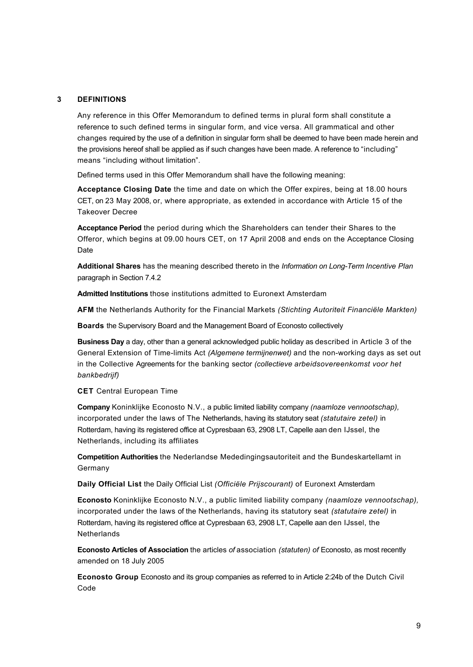## **3 DEFINITIONS**

Any reference in this Offer Memorandum to defined terms in plural form shall constitute a reference to such defined terms in singular form, and vice versa. All grammatical and other changes required by the use of a definition in singular form shall be deemed to have been made herein and the provisions hereof shall be applied as if such changes have been made. A reference to "including" means "including without limitation".

Defined terms used in this Offer Memorandum shall have the following meaning:

**Acceptance Closing Date** the time and date on which the Offer expires, being at 18.00 hours CET, on 23 May 2008, or, where appropriate, as extended in accordance with Article 15 of the Takeover Decree

**Acceptance Period** the period during which the Shareholders can tender their Shares to the Offeror, which begins at 09.00 hours CET, on 17 April 2008 and ends on the Acceptance Closing Date

**Additional Shares** has the meaning described thereto in the *Information on Long-Term Incentive Plan*  paragraph in Section 7.4.2

**Admitted Institutions** those institutions admitted to Euronext Amsterdam

**AFM** the Netherlands Authority for the Financial Markets *(Stichting Autoriteit Financiële Markten)*

**Boards** the Supervisory Board and the Management Board of Econosto collectively

**Business Day** a day, other than a general acknowledged public holiday as described in Article 3 of the General Extension of Time-limits Act *(Algemene termijnenwet)* and the non-working days as set out in the Collective Agreements for the banking sector *(collectieve arbeidsovereenkomst voor het bankbedrijf)*

**CET** Central European Time

**Company** Koninklijke Econosto N.V., a public limited liability company *(naamloze vennootschap),*  incorporated under the laws of The Netherlands, having its statutory seat *(statutaire zetel)* in Rotterdam, having its registered office at Cypresbaan 63, 2908 LT, Capelle aan den IJssel, the Netherlands, including its affiliates

**Competition Authorities** the Nederlandse Mededingingsautoriteit and the Bundeskartellamt in Germany

**Daily Official List** the Daily Official List *(Officiële Prijscourant)* of Euronext Amsterdam

**Econosto** Koninklijke Econosto N.V., a public limited liability company *(naamloze vennootschap),*  incorporated under the laws of the Netherlands, having its statutory seat *(statutaire zetel)* in Rotterdam, having its registered office at Cypresbaan 63, 2908 LT, Capelle aan den IJssel, the **Netherlands** 

**Econosto Articles of Association** the articles *of* association *(statuten) of* Econosto, as most recently amended on 18 July 2005

**Econosto Group** Econosto and its group companies as referred to in Article 2:24b of the Dutch Civil Code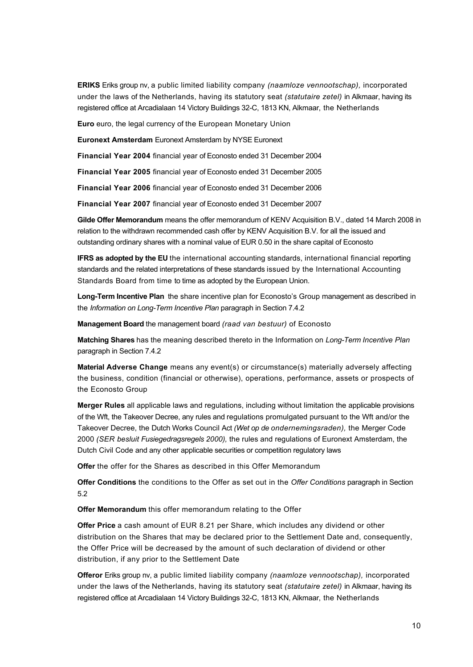**ERIKS** Eriks group nv, a public limited liability company *(naamloze vennootschap),* incorporated under the laws of the Netherlands, having its statutory seat *(statutaire zetel)* in Alkmaar, having its registered office at Arcadialaan 14 Victory Buildings 32-C, 1813 KN, Alkmaar, the Netherlands

**Euro** euro, the legal currency of the European Monetary Union

**Euronext Amsterdam** Euronext Amsterdam by NYSE Euronext

**Financial Year 2004** financial year of Econosto ended 31 December 2004

**Financial Year 2005** financial year of Econosto ended 31 December 2005

**Financial Year 2006** financial year of Econosto ended 31 December 2006

**Financial Year 2007** financial year of Econosto ended 31 December 2007

**Gilde Offer Memorandum** means the offer memorandum of KENV Acquisition B.V., dated 14 March 2008 in relation to the withdrawn recommended cash offer by KENV Acquisition B.V. for all the issued and outstanding ordinary shares with a nominal value of EUR 0.50 in the share capital of Econosto

**IFRS as adopted by the EU** the international accounting standards, international financial reporting standards and the related interpretations of these standards issued by the International Accounting Standards Board from time to time as adopted by the European Union.

**Long-Term Incentive Plan** the share incentive plan for Econosto's Group management as described in the *Information on Long-Term Incentive Plan* paragraph in Section 7.4.2

**Management Board** the management board *(raad van bestuur)* of Econosto

**Matching Shares** has the meaning described thereto in the Information on *Long-Term Incentive Plan*  paragraph in Section 7.4.2

**Material Adverse Change** means any event(s) or circumstance(s) materially adversely affecting the business, condition (financial or otherwise), operations, performance, assets or prospects of the Econosto Group

**Merger Rules** all applicable laws and regulations, including without limitation the applicable provisions of the Wft, the Takeover Decree, any rules and regulations promulgated pursuant to the Wft and/or the Takeover Decree, the Dutch Works Council Act *(Wet op de ondernemingsraden),* the Merger Code 2000 *(SER besluit Fusiegedragsregels 2000),* the rules and regulations of Euronext Amsterdam, the Dutch Civil Code and any other applicable securities or competition regulatory laws

**Offer** the offer for the Shares as described in this Offer Memorandum

**Offer Conditions** the conditions to the Offer as set out in the *Offer Conditions* paragraph in Section 5.2

**Offer Memorandum** this offer memorandum relating to the Offer

**Offer Price** a cash amount of EUR 8.21 per Share, which includes any dividend or other distribution on the Shares that may be declared prior to the Settlement Date and, consequently, the Offer Price will be decreased by the amount of such declaration of dividend or other distribution, if any prior to the Settlement Date

**Offeror** Eriks group nv, a public limited liability company *(naamloze vennootschap),* incorporated under the laws of the Netherlands, having its statutory seat *(statutaire zetel)* in Alkmaar, having its registered office at Arcadialaan 14 Victory Buildings 32-C, 1813 KN, Alkmaar, the Netherlands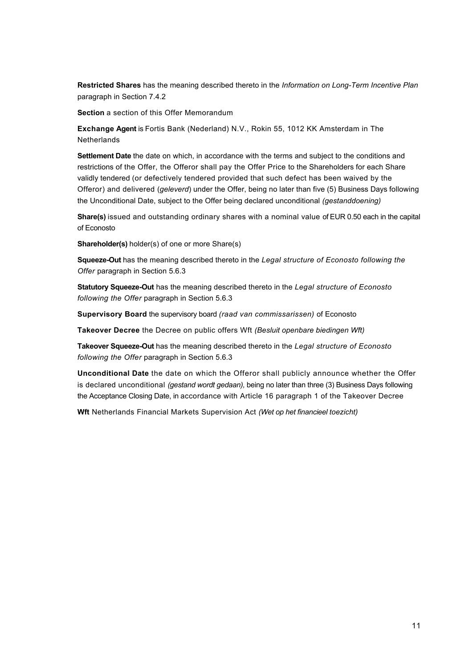**Restricted Shares** has the meaning described thereto in the *Information on Long-Term Incentive Plan*  paragraph in Section 7.4.2

**Section** a section of this Offer Memorandum

**Exchange Agent** is Fortis Bank (Nederland) N.V., Rokin 55, 1012 KK Amsterdam in The **Netherlands** 

**Settlement Date** the date on which, in accordance with the terms and subject to the conditions and restrictions of the Offer, the Offeror shall pay the Offer Price to the Shareholders for each Share validly tendered (or defectively tendered provided that such defect has been waived by the Offeror) and delivered (*geleverd*) under the Offer, being no later than five (5) Business Days following the Unconditional Date, subject to the Offer being declared unconditional *(gestanddoening)*

**Share(s)** issued and outstanding ordinary shares with a nominal value of EUR 0.50 each in the capital of Econosto

**Shareholder(s)** holder(s) of one or more Share(s)

**Squeeze-Out** has the meaning described thereto in the *Legal structure of Econosto following the Offer* paragraph in Section 5.6.3

**Statutory Squeeze-Out** has the meaning described thereto in the *Legal structure of Econosto following the Offer* paragraph in Section 5.6.3

**Supervisory Board** the supervisory board *(raad van commissarissen)* of Econosto

**Takeover Decree** the Decree on public offers Wft *(Besluit openbare biedingen Wft)*

**Takeover Squeeze-Out** has the meaning described thereto in the *Legal structure of Econosto following the Offer* paragraph in Section 5.6.3

**Unconditional Date** the date on which the Offeror shall publicly announce whether the Offer is declared unconditional *(gestand wordt gedaan),* being no later than three (3) Business Days following the Acceptance Closing Date, in accordance with Article 16 paragraph 1 of the Takeover Decree

**Wft** Netherlands Financial Markets Supervision Act *(Wet op het financieel toezicht)*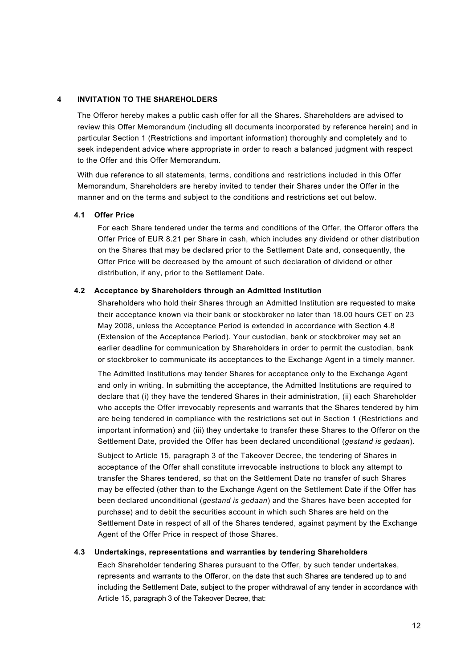# **4 INVITATION TO THE SHAREHOLDERS**

The Offeror hereby makes a public cash offer for all the Shares. Shareholders are advised to review this Offer Memorandum (including all documents incorporated by reference herein) and in particular Section 1 (Restrictions and important information) thoroughly and completely and to seek independent advice where appropriate in order to reach a balanced judgment with respect to the Offer and this Offer Memorandum.

With due reference to all statements, terms, conditions and restrictions included in this Offer Memorandum, Shareholders are hereby invited to tender their Shares under the Offer in the manner and on the terms and subject to the conditions and restrictions set out below.

### **4.1 Offer Price**

For each Share tendered under the terms and conditions of the Offer, the Offeror offers the Offer Price of EUR 8.21 per Share in cash, which includes any dividend or other distribution on the Shares that may be declared prior to the Settlement Date and, consequently, the Offer Price will be decreased by the amount of such declaration of dividend or other distribution, if any, prior to the Settlement Date.

#### **4.2 Acceptance by Shareholders through an Admitted Institution**

Shareholders who hold their Shares through an Admitted Institution are requested to make their acceptance known via their bank or stockbroker no later than 18.00 hours CET on 23 May 2008, unless the Acceptance Period is extended in accordance with Section 4.8 (Extension of the Acceptance Period). Your custodian, bank or stockbroker may set an earlier deadline for communication by Shareholders in order to permit the custodian, bank or stockbroker to communicate its acceptances to the Exchange Agent in a timely manner.

The Admitted Institutions may tender Shares for acceptance only to the Exchange Agent and only in writing. In submitting the acceptance, the Admitted Institutions are required to declare that (i) they have the tendered Shares in their administration, (ii) each Shareholder who accepts the Offer irrevocably represents and warrants that the Shares tendered by him are being tendered in compliance with the restrictions set out in Section 1 (Restrictions and important information) and (iii) they undertake to transfer these Shares to the Offeror on the Settlement Date, provided the Offer has been declared unconditional (*gestand is gedaan*).

Subject to Article 15, paragraph 3 of the Takeover Decree, the tendering of Shares in acceptance of the Offer shall constitute irrevocable instructions to block any attempt to transfer the Shares tendered, so that on the Settlement Date no transfer of such Shares may be effected (other than to the Exchange Agent on the Settlement Date if the Offer has been declared unconditional (*gestand is gedaan*) and the Shares have been accepted for purchase) and to debit the securities account in which such Shares are held on the Settlement Date in respect of all of the Shares tendered, against payment by the Exchange Agent of the Offer Price in respect of those Shares.

# **4.3 Undertakings, representations and warranties by tendering Shareholders**

Each Shareholder tendering Shares pursuant to the Offer, by such tender undertakes, represents and warrants to the Offeror, on the date that such Shares are tendered up to and including the Settlement Date, subject to the proper withdrawal of any tender in accordance with Article 15, paragraph 3 of the Takeover Decree, that: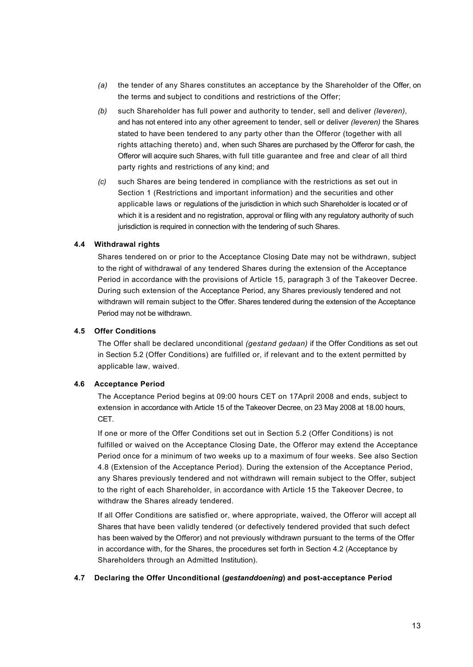- *(a)* the tender of any Shares constitutes an acceptance by the Shareholder of the Offer, on the terms and subject to conditions and restrictions of the Offer;
- *(b)* such Shareholder has full power and authority to tender, sell and deliver *(leveren),*  and has not entered into any other agreement to tender, sell or deliver *(leveren)* the Shares stated to have been tendered to any party other than the Offeror (together with all rights attaching thereto) and, when such Shares are purchased by the Offeror for cash, the Offeror will acquire such Shares, with full title guarantee and free and clear of all third party rights and restrictions of any kind; and
- *(c)* such Shares are being tendered in compliance with the restrictions as set out in Section 1 (Restrictions and important information) and the securities and other applicable laws or regulations of the jurisdiction in which such Shareholder is located or of which it is a resident and no registration, approval or filing with any regulatory authority of such jurisdiction is required in connection with the tendering of such Shares.

## **4.4 Withdrawal rights**

Shares tendered on or prior to the Acceptance Closing Date may not be withdrawn, subject to the right of withdrawal of any tendered Shares during the extension of the Acceptance Period in accordance with the provisions of Article 15, paragraph 3 of the Takeover Decree. During such extension of the Acceptance Period, any Shares previously tendered and not withdrawn will remain subject to the Offer. Shares tendered during the extension of the Acceptance Period may not be withdrawn.

#### **4.5 Offer Conditions**

The Offer shall be declared unconditional *(gestand gedaan)* if the Offer Conditions as set out in Section 5.2 (Offer Conditions) are fulfilled or, if relevant and to the extent permitted by applicable law, waived.

#### **4.6 Acceptance Period**

The Acceptance Period begins at 09:00 hours CET on 17April 2008 and ends, subject to extension in accordance with Article 15 of the Takeover Decree, on 23 May 2008 at 18.00 hours, CET.

If one or more of the Offer Conditions set out in Section 5.2 (Offer Conditions) is not fulfilled or waived on the Acceptance Closing Date, the Offeror may extend the Acceptance Period once for a minimum of two weeks up to a maximum of four weeks. See also Section 4.8 (Extension of the Acceptance Period). During the extension of the Acceptance Period, any Shares previously tendered and not withdrawn will remain subject to the Offer, subject to the right of each Shareholder, in accordance with Article 15 the Takeover Decree, to withdraw the Shares already tendered.

If all Offer Conditions are satisfied or, where appropriate, waived, the Offeror will accept all Shares that have been validly tendered (or defectively tendered provided that such defect has been waived by the Offeror) and not previously withdrawn pursuant to the terms of the Offer in accordance with, for the Shares, the procedures set forth in Section 4.2 (Acceptance by Shareholders through an Admitted Institution).

### **4.7 Declaring the Offer Unconditional (***gestanddoening***) and post-acceptance Period**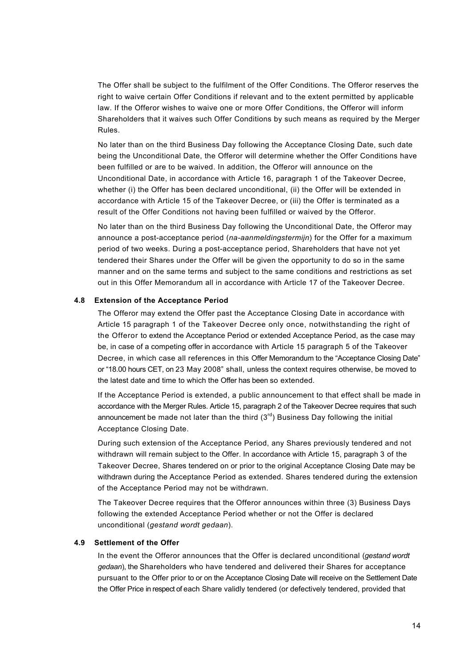The Offer shall be subject to the fulfilment of the Offer Conditions. The Offeror reserves the right to waive certain Offer Conditions if relevant and to the extent permitted by applicable law. If the Offeror wishes to waive one or more Offer Conditions, the Offeror will inform Shareholders that it waives such Offer Conditions by such means as required by the Merger Rules.

No later than on the third Business Day following the Acceptance Closing Date, such date being the Unconditional Date, the Offeror will determine whether the Offer Conditions have been fulfilled or are to be waived. In addition, the Offeror will announce on the Unconditional Date, in accordance with Article 16, paragraph 1 of the Takeover Decree, whether (i) the Offer has been declared unconditional, (ii) the Offer will be extended in accordance with Article 15 of the Takeover Decree, or (iii) the Offer is terminated as a result of the Offer Conditions not having been fulfilled or waived by the Offeror.

No later than on the third Business Day following the Unconditional Date, the Offeror may announce a post-acceptance period (*na-aanmeldingstermijn*) for the Offer for a maximum period of two weeks. During a post-acceptance period, Shareholders that have not yet tendered their Shares under the Offer will be given the opportunity to do so in the same manner and on the same terms and subject to the same conditions and restrictions as set out in this Offer Memorandum all in accordance with Article 17 of the Takeover Decree.

#### **4.8 Extension of the Acceptance Period**

The Offeror may extend the Offer past the Acceptance Closing Date in accordance with Article 15 paragraph 1 of the Takeover Decree only once, notwithstanding the right of the Offeror to extend the Acceptance Period or extended Acceptance Period, as the case may be, in case of a competing offer in accordance with Article 15 paragraph 5 of the Takeover Decree, in which case all references in this Offer Memorandum to the "Acceptance Closing Date" or "18.00 hours CET, on 23 May 2008" shall, unless the context requires otherwise, be moved to the latest date and time to which the Offer has been so extended.

If the Acceptance Period is extended, a public announcement to that effect shall be made in accordance with the Merger Rules. Article 15, paragraph 2 of the Takeover Decree requires that such announcement be made not later than the third  $(3<sup>rd</sup>)$  Business Day following the initial Acceptance Closing Date.

During such extension of the Acceptance Period, any Shares previously tendered and not withdrawn will remain subject to the Offer. In accordance with Article 15, paragraph 3 of the Takeover Decree, Shares tendered on or prior to the original Acceptance Closing Date may be withdrawn during the Acceptance Period as extended. Shares tendered during the extension of the Acceptance Period may not be withdrawn.

The Takeover Decree requires that the Offeror announces within three (3) Business Days following the extended Acceptance Period whether or not the Offer is declared unconditional (*gestand wordt gedaan*).

### **4.9 Settlement of the Offer**

In the event the Offeror announces that the Offer is declared unconditional (*gestand wordt gedaan*), the Shareholders who have tendered and delivered their Shares for acceptance pursuant to the Offer prior to or on the Acceptance Closing Date will receive on the Settlement Date the Offer Price in respect of each Share validly tendered (or defectively tendered, provided that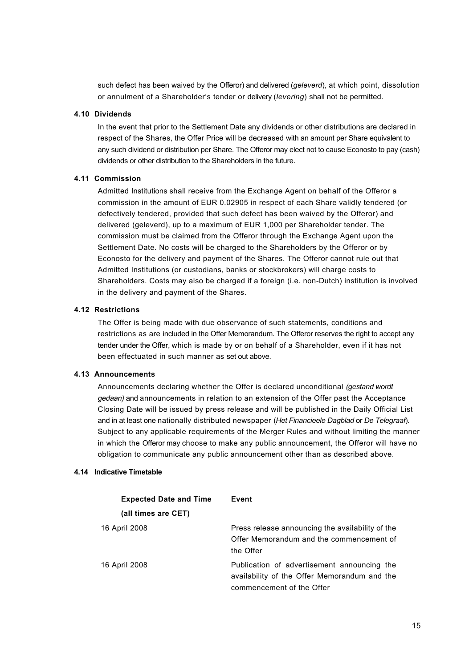such defect has been waived by the Offeror) and delivered (*geleverd*), at which point, dissolution or annulment of a Shareholder's tender or delivery (*levering*) shall not be permitted.

### **4.10 Dividends**

In the event that prior to the Settlement Date any dividends or other distributions are declared in respect of the Shares, the Offer Price will be decreased with an amount per Share equivalent to any such dividend or distribution per Share. The Offeror may elect not to cause Econosto to pay (cash) dividends or other distribution to the Shareholders in the future.

## **4.11 Commission**

Admitted Institutions shall receive from the Exchange Agent on behalf of the Offeror a commission in the amount of EUR 0.02905 in respect of each Share validly tendered (or defectively tendered, provided that such defect has been waived by the Offeror) and delivered (geleverd), up to a maximum of EUR 1,000 per Shareholder tender. The commission must be claimed from the Offeror through the Exchange Agent upon the Settlement Date. No costs will be charged to the Shareholders by the Offeror or by Econosto for the delivery and payment of the Shares. The Offeror cannot rule out that Admitted Institutions (or custodians, banks or stockbrokers) will charge costs to Shareholders. Costs may also be charged if a foreign (i.e. non-Dutch) institution is involved in the delivery and payment of the Shares.

## **4.12 Restrictions**

The Offer is being made with due observance of such statements, conditions and restrictions as are included in the Offer Memorandum. The Offeror reserves the right to accept any tender under the Offer, which is made by or on behalf of a Shareholder, even if it has not been effectuated in such manner as set out above.

### **4.13 Announcements**

Announcements declaring whether the Offer is declared unconditional *(gestand wordt gedaan)* and announcements in relation to an extension of the Offer past the Acceptance Closing Date will be issued by press release and will be published in the Daily Official List and in at least one nationally distributed newspaper (*Het Financieele Dagblad* or *De Telegraaf*)*.*  Subject to any applicable requirements of the Merger Rules and without limiting the manner in which the Offeror may choose to make any public announcement, the Offeror will have no obligation to communicate any public announcement other than as described above.

### **4.14 Indicative Timetable**

| <b>Expected Date and Time</b> | Event                                                                                                                    |
|-------------------------------|--------------------------------------------------------------------------------------------------------------------------|
| (all times are CET)           |                                                                                                                          |
| 16 April 2008                 | Press release announcing the availability of the<br>Offer Memorandum and the commencement of<br>the Offer                |
| 16 April 2008                 | Publication of advertisement announcing the<br>availability of the Offer Memorandum and the<br>commencement of the Offer |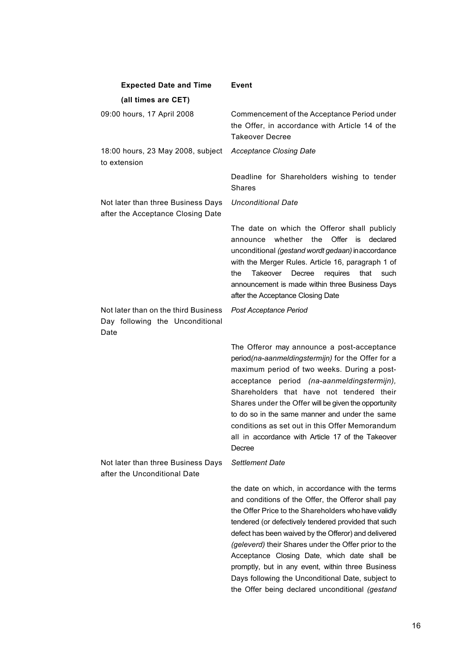| <b>Expected Date and Time</b>                                                   | <b>Event</b>                                                                                                                                                                                                                                                                                                                                                                                                                                                                                                                                       |
|---------------------------------------------------------------------------------|----------------------------------------------------------------------------------------------------------------------------------------------------------------------------------------------------------------------------------------------------------------------------------------------------------------------------------------------------------------------------------------------------------------------------------------------------------------------------------------------------------------------------------------------------|
| (all times are CET)                                                             |                                                                                                                                                                                                                                                                                                                                                                                                                                                                                                                                                    |
| 09:00 hours, 17 April 2008                                                      | Commencement of the Acceptance Period under<br>the Offer, in accordance with Article 14 of the<br><b>Takeover Decree</b>                                                                                                                                                                                                                                                                                                                                                                                                                           |
| 18:00 hours, 23 May 2008, subject<br>to extension                               | <b>Acceptance Closing Date</b>                                                                                                                                                                                                                                                                                                                                                                                                                                                                                                                     |
|                                                                                 | Deadline for Shareholders wishing to tender<br><b>Shares</b>                                                                                                                                                                                                                                                                                                                                                                                                                                                                                       |
| Not later than three Business Days<br>after the Acceptance Closing Date         | <b>Unconditional Date</b>                                                                                                                                                                                                                                                                                                                                                                                                                                                                                                                          |
|                                                                                 | The date on which the Offeror shall publicly<br>whether the<br>Offer<br>is declared<br>announce<br>unconditional (gestand wordt gedaan) in accordance<br>with the Merger Rules. Article 16, paragraph 1 of<br>that<br>the<br>Takeover<br>Decree<br>requires<br>such<br>announcement is made within three Business Days<br>after the Acceptance Closing Date                                                                                                                                                                                        |
| Not later than on the third Business<br>Day following the Unconditional<br>Date | Post Acceptance Period                                                                                                                                                                                                                                                                                                                                                                                                                                                                                                                             |
|                                                                                 | The Offeror may announce a post-acceptance<br>period(na-aanmeldingstermijn) for the Offer for a<br>maximum period of two weeks. During a post-<br>acceptance period (na-aanmeldingstermijn),<br>Shareholders that have not tendered their<br>Shares under the Offer will be given the opportunity<br>to do so in the same manner and under the same<br>conditions as set out in this Offer Memorandum<br>all in accordance with Article 17 of the Takeover<br>Decree                                                                               |
| Not later than three Business Days<br>after the Unconditional Date              | <b>Settlement Date</b>                                                                                                                                                                                                                                                                                                                                                                                                                                                                                                                             |
|                                                                                 | the date on which, in accordance with the terms<br>and conditions of the Offer, the Offeror shall pay<br>the Offer Price to the Shareholders who have validly<br>tendered (or defectively tendered provided that such<br>defect has been waived by the Offeror) and delivered<br>(geleverd) their Shares under the Offer prior to the<br>Acceptance Closing Date, which date shall be<br>promptly, but in any event, within three Business<br>Days following the Unconditional Date, subject to<br>the Offer being declared unconditional (gestand |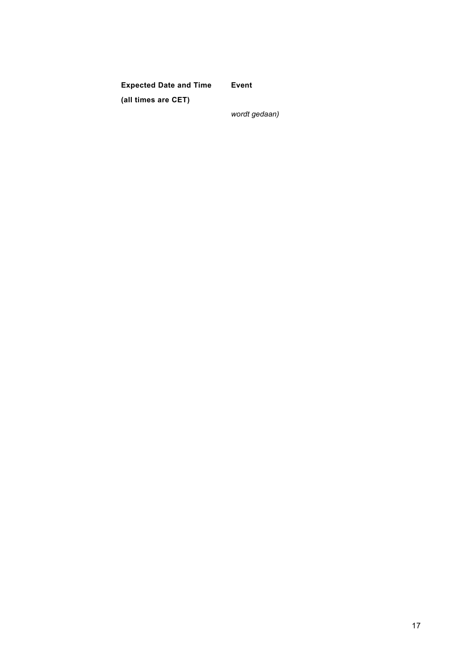**Expected Date and Time (all times are CET)**

**Event**

*wordt gedaan)*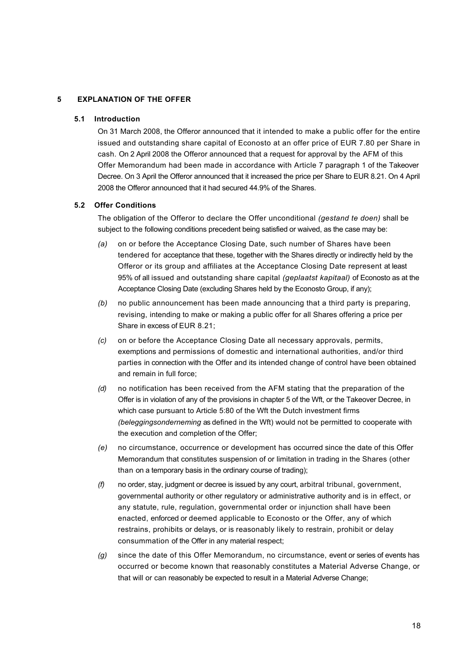# **5 EXPLANATION OF THE OFFER**

### **5.1 Introduction**

On 31 March 2008, the Offeror announced that it intended to make a public offer for the entire issued and outstanding share capital of Econosto at an offer price of EUR 7.80 per Share in cash. On 2 April 2008 the Offeror announced that a request for approval by the AFM of this Offer Memorandum had been made in accordance with Article 7 paragraph 1 of the Takeover Decree. On 3 April the Offeror announced that it increased the price per Share to EUR 8.21. On 4 April 2008 the Offeror announced that it had secured 44.9% of the Shares.

### **5.2 Offer Conditions**

The obligation of the Offeror to declare the Offer unconditional *(gestand te doen)* shall be subject to the following conditions precedent being satisfied or waived, as the case may be:

- *(a)* on or before the Acceptance Closing Date, such number of Shares have been tendered for acceptance that these, together with the Shares directly or indirectly held by the Offeror or its group and affiliates at the Acceptance Closing Date represent at least 95% of all issued and outstanding share capital *(geplaatst kapitaal)* of Econosto as at the Acceptance Closing Date (excluding Shares held by the Econosto Group, if any);
- *(b)* no public announcement has been made announcing that a third party is preparing, revising, intending to make or making a public offer for all Shares offering a price per Share in excess of EUR 8.21;
- *(c)* on or before the Acceptance Closing Date all necessary approvals, permits, exemptions and permissions of domestic and international authorities, and/or third parties in connection with the Offer and its intended change of control have been obtained and remain in full force;
- *(d)* no notification has been received from the AFM stating that the preparation of the Offer is in violation of any of the provisions in chapter 5 of the Wft, or the Takeover Decree, in which case pursuant to Article 5:80 of the Wft the Dutch investment firms *(beleggingsonderneming* as defined in the Wft) would not be permitted to cooperate with the execution and completion of the Offer;
- *(e)* no circumstance, occurrence or development has occurred since the date of this Offer Memorandum that constitutes suspension of or limitation in trading in the Shares (other than on a temporary basis in the ordinary course of trading);
- *(f)* no order, stay, judgment or decree is issued by any court, arbitral tribunal, government, governmental authority or other regulatory or administrative authority and is in effect, or any statute, rule, regulation, governmental order or injunction shall have been enacted, enforced or deemed applicable to Econosto or the Offer, any of which restrains, prohibits or delays, or is reasonably likely to restrain, prohibit or delay consummation of the Offer in any material respect;
- *(g)* since the date of this Offer Memorandum, no circumstance, event or series of events has occurred or become known that reasonably constitutes a Material Adverse Change, or that will or can reasonably be expected to result in a Material Adverse Change;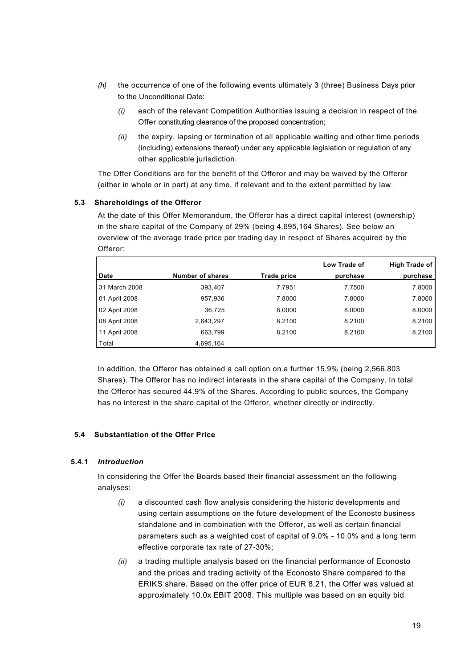- *(h)* the occurrence of one of the following events ultimately 3 (three) Business Days prior to the Unconditional Date:
	- *(i)* each of the relevant Competition Authorities issuing a decision in respect of the Offer constituting clearance of the proposed concentration;
	- *(ii)* the expiry, lapsing or termination of all applicable waiting and other time periods (including) extensions thereof) under any applicable legislation or regulation of any other applicable jurisdiction.

The Offer Conditions are for the benefit of the Offeror and may be waived by the Offeror (either in whole or in part) at any time, if relevant and to the extent permitted by law.

## **5.3 Shareholdings of the Offeror**

At the date of this Offer Memorandum, the Offeror has a direct capital interest (ownership) in the share capital of the Company of 29% (being 4,695,164 Shares). See below an overview of the average trade price per trading day in respect of Shares acquired by the Offeror:

|               |                         |             | Low Trade of | High Trade of |
|---------------|-------------------------|-------------|--------------|---------------|
| <b>Date</b>   | <b>Number of shares</b> | Trade price | purchase     | purchase      |
| 31 March 2008 | 393,407                 | 7.7951      | 7.7500       | 7.8000        |
| 01 April 2008 | 957,936                 | 7.8000      | 7.8000       | 7.8000        |
| 02 April 2008 | 36,725                  | 8.0000      | 8.0000       | 8.0000        |
| 08 April 2008 | 2,643,297               | 8.2100      | 8.2100       | 8.2100        |
| 11 April 2008 | 663,799                 | 8.2100      | 8.2100       | 8.2100        |
| Total         | 4,695,164               |             |              |               |

In addition, the Offeror has obtained a call option on a further 15.9% (being 2,566,803 Shares). The Offeror has no indirect interests in the share capital of the Company. In total the Offeror has secured 44.9% of the Shares. According to public sources, the Company has no interest in the share capital of the Offeror, whether directly or indirectly.

# **5.4 Substantiation of the Offer Price**

### **5.4.1** *Introduction*

In considering the Offer the Boards based their financial assessment on the following analyses:

- *(i)* a discounted cash flow analysis considering the historic developments and using certain assumptions on the future development of the Econosto business standalone and in combination with the Offeror, as well as certain financial parameters such as a weighted cost of capital of 9.0% - 10.0% and a long term effective corporate tax rate of 27-30%;
- *(ii)* a trading multiple analysis based on the financial performance of Econosto and the prices and trading activity of the Econosto Share compared to the ERIKS share. Based on the offer price of EUR 8.21, the Offer was valued at approximately 10.0x EBIT 2008. This multiple was based on an equity bid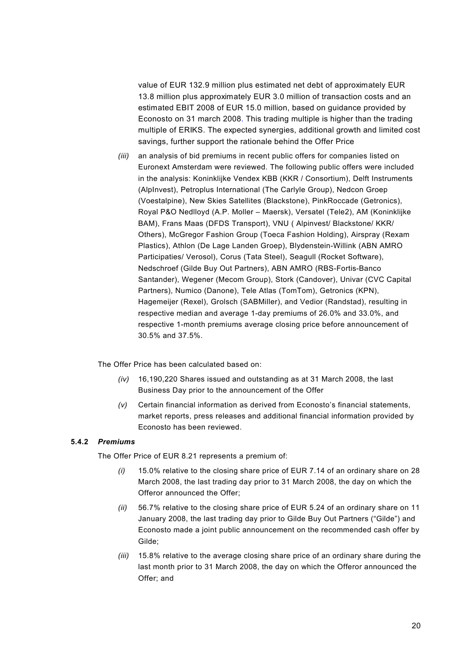value of EUR 132.9 million plus estimated net debt of approximately EUR 13.8 million plus approximately EUR 3.0 million of transaction costs and an estimated EBIT 2008 of EUR 15.0 million, based on guidance provided by Econosto on 31 march 2008. This trading multiple is higher than the trading multiple of ERIKS. The expected synergies, additional growth and limited cost savings, further support the rationale behind the Offer Price

*(iii)* an analysis of bid premiums in recent public offers for companies listed on Euronext Amsterdam were reviewed. The following public offers were included in the analysis: Koninklijke Vendex KBB (KKR / Consortium), Delft Instruments (AlpInvest), Petroplus International (The Carlyle Group), Nedcon Groep (Voestalpine), New Skies Satellites (Blackstone), PinkRoccade (Getronics), Royal P&O Nedlloyd (A.P. Moller – Maersk), Versatel (Tele2), AM (Koninklijke BAM), Frans Maas (DFDS Transport), VNU ( Alpinvest/ Blackstone/ KKR/ Others), McGregor Fashion Group (Toeca Fashion Holding), Airspray (Rexam Plastics), Athlon (De Lage Landen Groep), Blydenstein-Willink (ABN AMRO Participaties/ Verosol), Corus (Tata Steel), Seagull (Rocket Software), Nedschroef (Gilde Buy Out Partners), ABN AMRO (RBS-Fortis-Banco Santander), Wegener (Mecom Group), Stork (Candover), Univar (CVC Capital Partners), Numico (Danone), Tele Atlas (TomTom), Getronics (KPN), Hagemeijer (Rexel), Grolsch (SABMiller), and Vedior (Randstad), resulting in respective median and average 1-day premiums of 26.0% and 33.0%, and respective 1-month premiums average closing price before announcement of 30.5% and 37.5%.

The Offer Price has been calculated based on:

- *(iv)* 16,190,220 Shares issued and outstanding as at 31 March 2008, the last Business Day prior to the announcement of the Offer
- *(v)* Certain financial information as derived from Econosto's financial statements, market reports, press releases and additional financial information provided by Econosto has been reviewed.

# **5.4.2** *Premiums*

The Offer Price of EUR 8.21 represents a premium of:

- *(i)* 15.0% relative to the closing share price of EUR 7.14 of an ordinary share on 28 March 2008, the last trading day prior to 31 March 2008, the day on which the Offeror announced the Offer;
- *(ii)* 56.7% relative to the closing share price of EUR 5.24 of an ordinary share on 11 January 2008, the last trading day prior to Gilde Buy Out Partners ("Gilde") and Econosto made a joint public announcement on the recommended cash offer by Gilde;
- *(iii)* 15.8% relative to the average closing share price of an ordinary share during the last month prior to 31 March 2008, the day on which the Offeror announced the Offer; and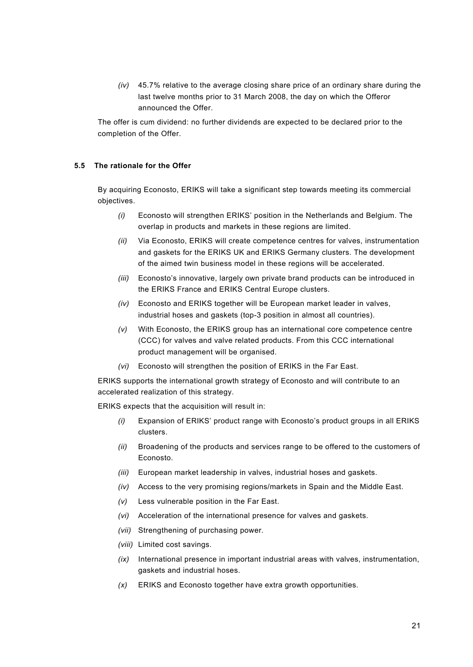*(iv)* 45.7% relative to the average closing share price of an ordinary share during the last twelve months prior to 31 March 2008, the day on which the Offeror announced the Offer.

The offer is cum dividend: no further dividends are expected to be declared prior to the completion of the Offer.

# **5.5 The rationale for the Offer**

By acquiring Econosto, ERIKS will take a significant step towards meeting its commercial objectives.

- *(i)* Econosto will strengthen ERIKS' position in the Netherlands and Belgium. The overlap in products and markets in these regions are limited.
- *(ii)* Via Econosto, ERIKS will create competence centres for valves, instrumentation and gaskets for the ERIKS UK and ERIKS Germany clusters. The development of the aimed twin business model in these regions will be accelerated.
- *(iii)* Econosto's innovative, largely own private brand products can be introduced in the ERIKS France and ERIKS Central Europe clusters.
- *(iv)* Econosto and ERIKS together will be European market leader in valves, industrial hoses and gaskets (top-3 position in almost all countries).
- *(v)* With Econosto, the ERIKS group has an international core competence centre (CCC) for valves and valve related products. From this CCC international product management will be organised.
- *(vi)* Econosto will strengthen the position of ERIKS in the Far East.

ERIKS supports the international growth strategy of Econosto and will contribute to an accelerated realization of this strategy.

ERIKS expects that the acquisition will result in:

- *(i)* Expansion of ERIKS' product range with Econosto's product groups in all ERIKS clusters.
- *(ii)* Broadening of the products and services range to be offered to the customers of Econosto.
- *(iii)* European market leadership in valves, industrial hoses and gaskets.
- *(iv)* Access to the very promising regions/markets in Spain and the Middle East.
- *(v)* Less vulnerable position in the Far East.
- *(vi)* Acceleration of the international presence for valves and gaskets.
- *(vii)* Strengthening of purchasing power.
- *(viii)* Limited cost savings.
- *(ix)* International presence in important industrial areas with valves, instrumentation, gaskets and industrial hoses.
- *(x)* ERIKS and Econosto together have extra growth opportunities.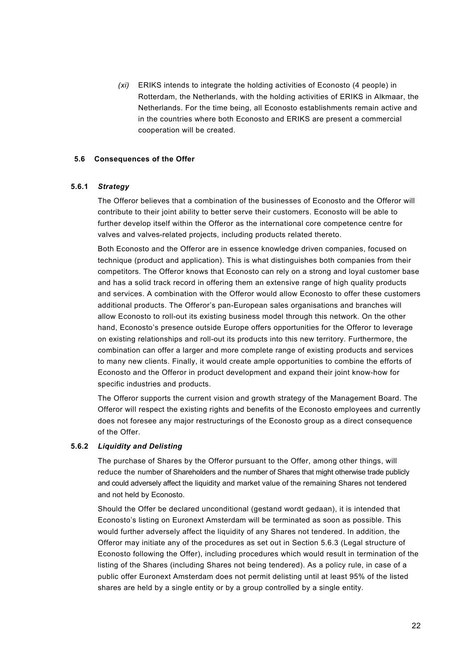*(xi)* ERIKS intends to integrate the holding activities of Econosto (4 people) in Rotterdam, the Netherlands, with the holding activities of ERIKS in Alkmaar, the Netherlands. For the time being, all Econosto establishments remain active and in the countries where both Econosto and ERIKS are present a commercial cooperation will be created.

### **5.6 Consequences of the Offer**

### **5.6.1** *Strategy*

The Offeror believes that a combination of the businesses of Econosto and the Offeror will contribute to their joint ability to better serve their customers. Econosto will be able to further develop itself within the Offeror as the international core competence centre for valves and valves-related projects, including products related thereto.

Both Econosto and the Offeror are in essence knowledge driven companies, focused on technique (product and application). This is what distinguishes both companies from their competitors. The Offeror knows that Econosto can rely on a strong and loyal customer base and has a solid track record in offering them an extensive range of high quality products and services. A combination with the Offeror would allow Econosto to offer these customers additional products. The Offeror's pan-European sales organisations and branches will allow Econosto to roll-out its existing business model through this network. On the other hand, Econosto's presence outside Europe offers opportunities for the Offeror to leverage on existing relationships and roll-out its products into this new territory. Furthermore, the combination can offer a larger and more complete range of existing products and services to many new clients. Finally, it would create ample opportunities to combine the efforts of Econosto and the Offeror in product development and expand their joint know-how for specific industries and products.

The Offeror supports the current vision and growth strategy of the Management Board. The Offeror will respect the existing rights and benefits of the Econosto employees and currently does not foresee any major restructurings of the Econosto group as a direct consequence of the Offer.

### **5.6.2** *Liquidity and Delisting*

The purchase of Shares by the Offeror pursuant to the Offer, among other things, will reduce the number of Shareholders and the number of Shares that might otherwise trade publicly and could adversely affect the liquidity and market value of the remaining Shares not tendered and not held by Econosto.

Should the Offer be declared unconditional (gestand wordt gedaan), it is intended that Econosto's listing on Euronext Amsterdam will be terminated as soon as possible. This would further adversely affect the liquidity of any Shares not tendered. In addition, the Offeror may initiate any of the procedures as set out in Section 5.6.3 (Legal structure of Econosto following the Offer), including procedures which would result in termination of the listing of the Shares (including Shares not being tendered). As a policy rule, in case of a public offer Euronext Amsterdam does not permit delisting until at least 95% of the listed shares are held by a single entity or by a group controlled by a single entity.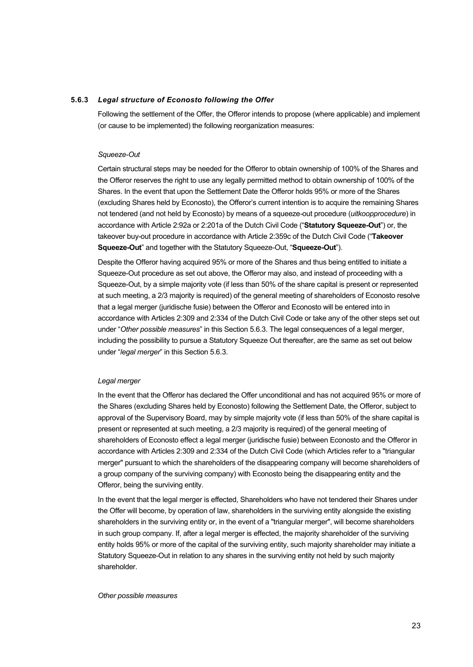#### **5.6.3** *Legal structure of Econosto following the Offer*

Following the settlement of the Offer, the Offeror intends to propose (where applicable) and implement (or cause to be implemented) the following reorganization measures:

#### *Squeeze-Out*

Certain structural steps may be needed for the Offeror to obtain ownership of 100% of the Shares and the Offeror reserves the right to use any legally permitted method to obtain ownership of 100% of the Shares. In the event that upon the Settlement Date the Offeror holds 95% or more of the Shares (excluding Shares held by Econosto), the Offeror's current intention is to acquire the remaining Shares not tendered (and not held by Econosto) by means of a squeeze-out procedure (*uitkoopprocedure*) in accordance with Article 2:92a or 2:201a of the Dutch Civil Code ("**Statutory Squeeze-Out**") or, the takeover buy-out procedure in accordance with Article 2:359c of the Dutch Civil Code ("**Takeover Squeeze-Out**" and together with the Statutory Squeeze-Out, "**Squeeze-Out**").

Despite the Offeror having acquired 95% or more of the Shares and thus being entitled to initiate a Squeeze-Out procedure as set out above, the Offeror may also, and instead of proceeding with a Squeeze-Out, by a simple majority vote (if less than 50% of the share capital is present or represented at such meeting, a 2/3 majority is required) of the general meeting of shareholders of Econosto resolve that a legal merger (juridische fusie) between the Offeror and Econosto will be entered into in accordance with Articles 2:309 and 2:334 of the Dutch Civil Code or take any of the other steps set out under "*Other possible measures*" in this Section 5.6.3. The legal consequences of a legal merger, including the possibility to pursue a Statutory Squeeze Out thereafter, are the same as set out below under "*legal merger*" in this Section 5.6.3.

#### *Legal merger*

In the event that the Offeror has declared the Offer unconditional and has not acquired 95% or more of the Shares (excluding Shares held by Econosto) following the Settlement Date, the Offeror, subject to approval of the Supervisory Board, may by simple majority vote (if less than 50% of the share capital is present or represented at such meeting, a 2/3 majority is required) of the general meeting of shareholders of Econosto effect a legal merger (juridische fusie) between Econosto and the Offeror in accordance with Articles 2:309 and 2:334 of the Dutch Civil Code (which Articles refer to a "triangular merger" pursuant to which the shareholders of the disappearing company will become shareholders of a group company of the surviving company) with Econosto being the disappearing entity and the Offeror, being the surviving entity.

In the event that the legal merger is effected, Shareholders who have not tendered their Shares under the Offer will become, by operation of law, shareholders in the surviving entity alongside the existing shareholders in the surviving entity or, in the event of a "triangular merger", will become shareholders in such group company. If, after a legal merger is effected, the majority shareholder of the surviving entity holds 95% or more of the capital of the surviving entity, such majority shareholder may initiate a Statutory Squeeze-Out in relation to any shares in the surviving entity not held by such majority shareholder.

#### *Other possible measures*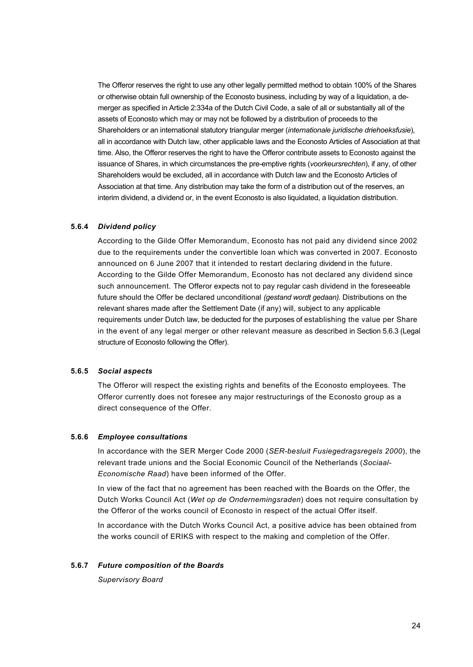The Offeror reserves the right to use any other legally permitted method to obtain 100% of the Shares or otherwise obtain full ownership of the Econosto business, including by way of a liquidation, a demerger as specified in Article 2:334a of the Dutch Civil Code, a sale of all or substantially all of the assets of Econosto which may or may not be followed by a distribution of proceeds to the Shareholders or an international statutory triangular merger (*internationale juridische driehoeksfusie*), all in accordance with Dutch law, other applicable laws and the Econosto Articles of Association at that time. Also, the Offeror reserves the right to have the Offeror contribute assets to Econosto against the issuance of Shares, in which circumstances the pre-emptive rights (*voorkeursrechten*), if any, of other Shareholders would be excluded, all in accordance with Dutch law and the Econosto Articles of Association at that time. Any distribution may take the form of a distribution out of the reserves, an interim dividend, a dividend or, in the event Econosto is also liquidated, a liquidation distribution.

### **5.6.4** *Dividend policy*

According to the Gilde Offer Memorandum, Econosto has not paid any dividend since 2002 due to the requirements under the convertible loan which was converted in 2007. Econosto announced on 6 June 2007 that it intended to restart declaring dividend in the future. According to the Gilde Offer Memorandum, Econosto has not declared any dividend since such announcement. The Offeror expects not to pay regular cash dividend in the foreseeable future should the Offer be declared unconditional *(gestand wordt gedaan).* Distributions on the relevant shares made after the Settlement Date (if any) will, subject to any applicable requirements under Dutch law, be deducted for the purposes of establishing the value per Share in the event of any legal merger or other relevant measure as described in Section 5.6.3 (Legal structure of Econosto following the Offer).

## **5.6.5** *Social aspects*

The Offeror will respect the existing rights and benefits of the Econosto employees. The Offeror currently does not foresee any major restructurings of the Econosto group as a direct consequence of the Offer.

### **5.6.6** *Employee consultations*

In accordance with the SER Merger Code 2000 (*SER-besluit Fusiegedragsregels 2000*), the relevant trade unions and the Social Economic Council of the Netherlands (*Sociaal-Economische Raad*) have been informed of the Offer.

In view of the fact that no agreement has been reached with the Boards on the Offer, the Dutch Works Council Act (*Wet op de Ondernemingsraden*) does not require consultation by the Offeror of the works council of Econosto in respect of the actual Offer itself.

In accordance with the Dutch Works Council Act, a positive advice has been obtained from the works council of ERIKS with respect to the making and completion of the Offer.

# **5.6.7** *Future composition of the Boards*

*Supervisory Board*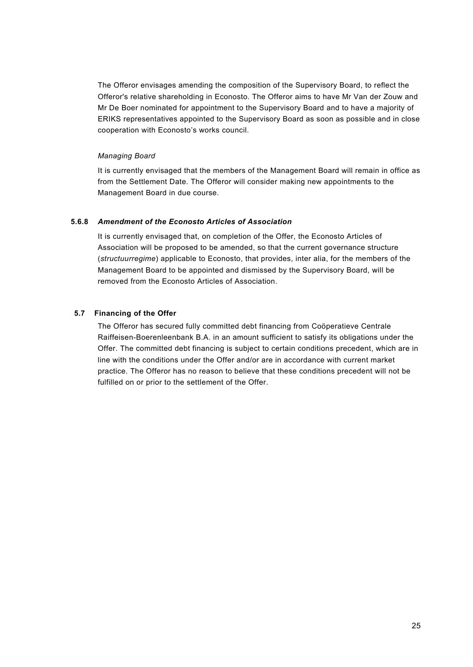The Offeror envisages amending the composition of the Supervisory Board, to reflect the Offeror's relative shareholding in Econosto. The Offeror aims to have Mr Van der Zouw and Mr De Boer nominated for appointment to the Supervisory Board and to have a majority of ERIKS representatives appointed to the Supervisory Board as soon as possible and in close cooperation with Econosto's works council.

## *Managing Board*

It is currently envisaged that the members of the Management Board will remain in office as from the Settlement Date. The Offeror will consider making new appointments to the Management Board in due course.

## **5.6.8** *Amendment of the Econosto Articles of Association*

It is currently envisaged that, on completion of the Offer, the Econosto Articles of Association will be proposed to be amended, so that the current governance structure (*structuurregime*) applicable to Econosto, that provides, inter alia, for the members of the Management Board to be appointed and dismissed by the Supervisory Board, will be removed from the Econosto Articles of Association.

## **5.7 Financing of the Offer**

The Offeror has secured fully committed debt financing from Coöperatieve Centrale Raiffeisen-Boerenleenbank B.A. in an amount sufficient to satisfy its obligations under the Offer. The committed debt financing is subject to certain conditions precedent, which are in line with the conditions under the Offer and/or are in accordance with current market practice. The Offeror has no reason to believe that these conditions precedent will not be fulfilled on or prior to the settlement of the Offer.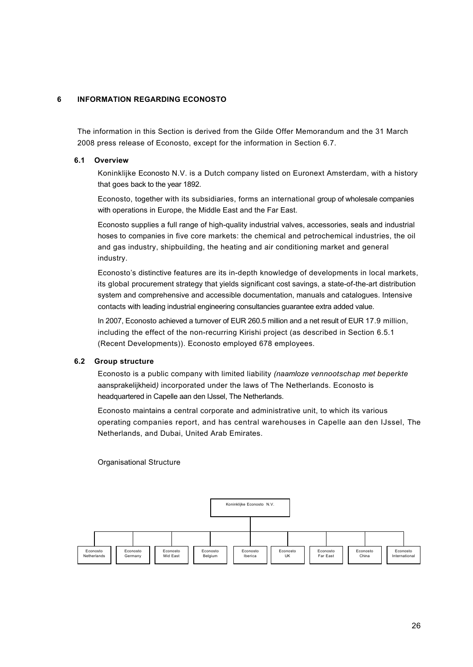# **6 INFORMATION REGARDING ECONOSTO**

The information in this Section is derived from the Gilde Offer Memorandum and the 31 March 2008 press release of Econosto, except for the information in Section 6.7.

### **6.1 Overview**

Koninklijke Econosto N.V. is a Dutch company listed on Euronext Amsterdam, with a history that goes back to the year 1892.

Econosto, together with its subsidiaries, forms an international group of wholesale companies with operations in Europe, the Middle East and the Far East.

Econosto supplies a full range of high-quality industrial valves, accessories, seals and industrial hoses to companies in five core markets: the chemical and petrochemical industries, the oil and gas industry, shipbuilding, the heating and air conditioning market and general industry.

Econosto's distinctive features are its in-depth knowledge of developments in local markets, its global procurement strategy that yields significant cost savings, a state-of-the-art distribution system and comprehensive and accessible documentation, manuals and catalogues. Intensive contacts with leading industrial engineering consultancies guarantee extra added value.

In 2007, Econosto achieved a turnover of EUR 260.5 million and a net result of EUR 17.9 million, including the effect of the non-recurring Kirishi project (as described in Section 6.5.1 (Recent Developments)). Econosto employed 678 employees.

#### **6.2 Group structure**

Econosto is a public company with limited liability *(naamloze vennootschap met beperkte*  aansprakelijkheid*)* incorporated under the laws of The Netherlands. Econosto is headquartered in Capelle aan den IJssel, The Netherlands.

Econosto maintains a central corporate and administrative unit, to which its various operating companies report, and has central warehouses in Capelle aan den IJssel, The Netherlands, and Dubai, United Arab Emirates.

Organisational Structure

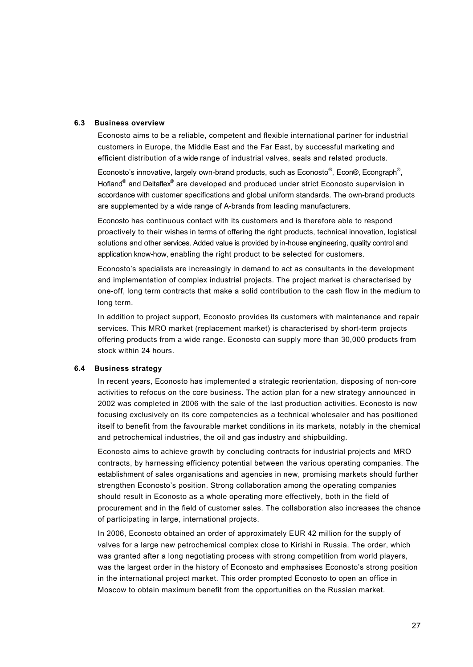### **6.3 Business overview**

Econosto aims to be a reliable, competent and flexible international partner for industrial customers in Europe, the Middle East and the Far East, by successful marketing and efficient distribution of a wide range of industrial valves, seals and related products.

Econosto's innovative, largely own-brand products, such as Econosto<sup>®</sup>, Econ®, Econgraph<sup>®</sup>, Hofland® and Deltaflex® are developed and produced under strict Econosto supervision in accordance with customer specifications and global uniform standards. The own-brand products are supplemented by a wide range of A-brands from leading manufacturers.

Econosto has continuous contact with its customers and is therefore able to respond proactively to their wishes in terms of offering the right products, technical innovation, logistical solutions and other services. Added value is provided by in-house engineering, quality control and application know-how, enabling the right product to be selected for customers.

Econosto's specialists are increasingly in demand to act as consultants in the development and implementation of complex industrial projects. The project market is characterised by one-off, long term contracts that make a solid contribution to the cash flow in the medium to long term.

In addition to project support, Econosto provides its customers with maintenance and repair services. This MRO market (replacement market) is characterised by short-term projects offering products from a wide range. Econosto can supply more than 30,000 products from stock within 24 hours.

#### **6.4 Business strategy**

In recent years, Econosto has implemented a strategic reorientation, disposing of non-core activities to refocus on the core business. The action plan for a new strategy announced in 2002 was completed in 2006 with the sale of the last production activities. Econosto is now focusing exclusively on its core competencies as a technical wholesaler and has positioned itself to benefit from the favourable market conditions in its markets, notably in the chemical and petrochemical industries, the oil and gas industry and shipbuilding.

Econosto aims to achieve growth by concluding contracts for industrial projects and MRO contracts, by harnessing efficiency potential between the various operating companies. The establishment of sales organisations and agencies in new, promising markets should further strengthen Econosto's position. Strong collaboration among the operating companies should result in Econosto as a whole operating more effectively, both in the field of procurement and in the field of customer sales. The collaboration also increases the chance of participating in large, international projects.

In 2006, Econosto obtained an order of approximately EUR 42 million for the supply of valves for a large new petrochemical complex close to Kirishi in Russia. The order, which was granted after a long negotiating process with strong competition from world players, was the largest order in the history of Econosto and emphasises Econosto's strong position in the international project market. This order prompted Econosto to open an office in Moscow to obtain maximum benefit from the opportunities on the Russian market.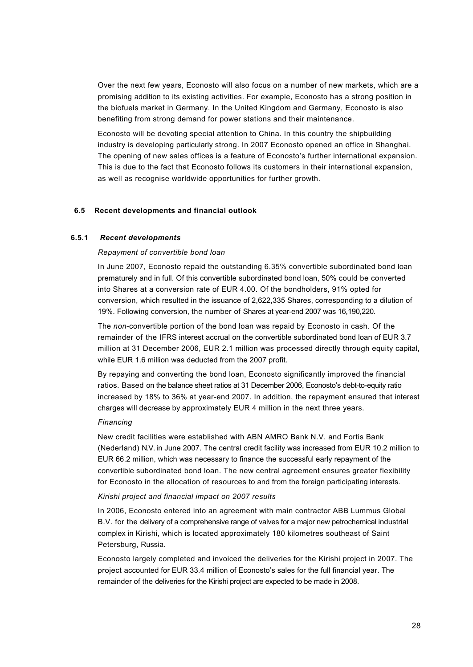Over the next few years, Econosto will also focus on a number of new markets, which are a promising addition to its existing activities. For example, Econosto has a strong position in the biofuels market in Germany. In the United Kingdom and Germany, Econosto is also benefiting from strong demand for power stations and their maintenance.

Econosto will be devoting special attention to China. In this country the shipbuilding industry is developing particularly strong. In 2007 Econosto opened an office in Shanghai. The opening of new sales offices is a feature of Econosto's further international expansion. This is due to the fact that Econosto follows its customers in their international expansion, as well as recognise worldwide opportunities for further growth.

### **6.5 Recent developments and financial outlook**

#### **6.5.1** *Recent developments*

#### *Repayment of convertible bond loan*

In June 2007, Econosto repaid the outstanding 6.35% convertible subordinated bond loan prematurely and in full. Of this convertible subordinated bond loan, 50% could be converted into Shares at a conversion rate of EUR 4.00. Of the bondholders, 91% opted for conversion, which resulted in the issuance of 2,622,335 Shares, corresponding to a dilution of 19%. Following conversion, the number of Shares at year-end 2007 was 16,190,220.

The *non*-convertible portion of the bond loan was repaid by Econosto in cash. Of the remainder of the IFRS interest accrual on the convertible subordinated bond loan of EUR 3.7 million at 31 December 2006, EUR 2.1 million was processed directly through equity capital, while EUR 1.6 million was deducted from the 2007 profit.

By repaying and converting the bond loan, Econosto significantly improved the financial ratios. Based on the balance sheet ratios at 31 December 2006, Econosto's debt-to-equity ratio increased by 18% to 36% at year-end 2007. In addition, the repayment ensured that interest charges will decrease by approximately EUR 4 million in the next three years.

#### *Financing*

New credit facilities were established with ABN AMRO Bank N.V. and Fortis Bank (Nederland) N.V. in June 2007. The central credit facility was increased from EUR 10.2 million to EUR 66.2 million, which was necessary to finance the successful early repayment of the convertible subordinated bond loan. The new central agreement ensures greater flexibility for Econosto in the allocation of resources to and from the foreign participating interests.

### *Kirishi project and financial impact on 2007 results*

In 2006, Econosto entered into an agreement with main contractor ABB Lummus Global B.V. for the delivery of a comprehensive range of valves for a major new petrochemical industrial complex in Kirishi, which is located approximately 180 kilometres southeast of Saint Petersburg, Russia.

Econosto largely completed and invoiced the deliveries for the Kirishi project in 2007. The project accounted for EUR 33.4 million of Econosto's sales for the full financial year. The remainder of the deliveries for the Kirishi project are expected to be made in 2008.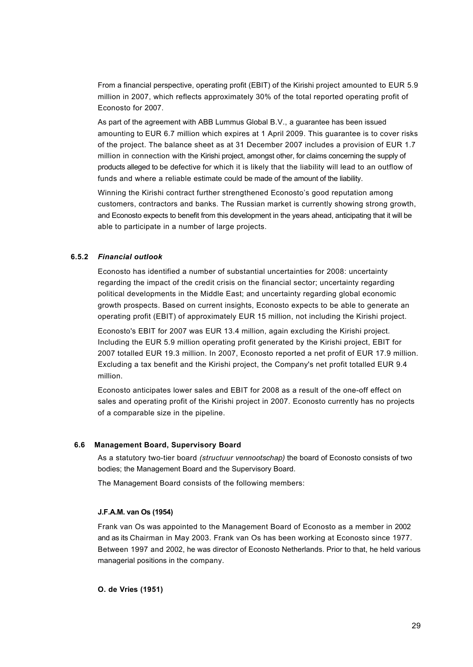From a financial perspective, operating profit (EBIT) of the Kirishi project amounted to EUR 5.9 million in 2007, which reflects approximately 30% of the total reported operating profit of Econosto for 2007.

As part of the agreement with ABB Lummus Global B.V., a guarantee has been issued amounting to EUR 6.7 million which expires at 1 April 2009. This guarantee is to cover risks of the project. The balance sheet as at 31 December 2007 includes a provision of EUR 1.7 million in connection with the Kirishi project, amongst other, for claims concerning the supply of products alleged to be defective for which it is likely that the liability will lead to an outflow of funds and where a reliable estimate could be made of the amount of the liability.

Winning the Kirishi contract further strengthened Econosto's good reputation among customers, contractors and banks. The Russian market is currently showing strong growth, and Econosto expects to benefit from this development in the years ahead, anticipating that it will be able to participate in a number of large projects.

# **6.5.2** *Financial outlook*

Econosto has identified a number of substantial uncertainties for 2008: uncertainty regarding the impact of the credit crisis on the financial sector; uncertainty regarding political developments in the Middle East; and uncertainty regarding global economic growth prospects. Based on current insights, Econosto expects to be able to generate an operating profit (EBIT) of approximately EUR 15 million, not including the Kirishi project.

Econosto's EBIT for 2007 was EUR 13.4 million, again excluding the Kirishi project. Including the EUR 5.9 million operating profit generated by the Kirishi project, EBIT for 2007 totalled EUR 19.3 million. In 2007, Econosto reported a net profit of EUR 17.9 million. Excluding a tax benefit and the Kirishi project, the Company's net profit totalled EUR 9.4 million.

Econosto anticipates lower sales and EBIT for 2008 as a result of the one-off effect on sales and operating profit of the Kirishi project in 2007. Econosto currently has no projects of a comparable size in the pipeline.

### **6.6 Management Board, Supervisory Board**

As a statutory two-tier board *(structuur vennootschap)* the board of Econosto consists of two bodies; the Management Board and the Supervisory Board.

The Management Board consists of the following members:

## **J.F.A.M. van Os (1954)**

Frank van Os was appointed to the Management Board of Econosto as a member in 2002 and as its Chairman in May 2003. Frank van Os has been working at Econosto since 1977. Between 1997 and 2002, he was director of Econosto Netherlands. Prior to that, he held various managerial positions in the company.

**O. de Vries (1951)**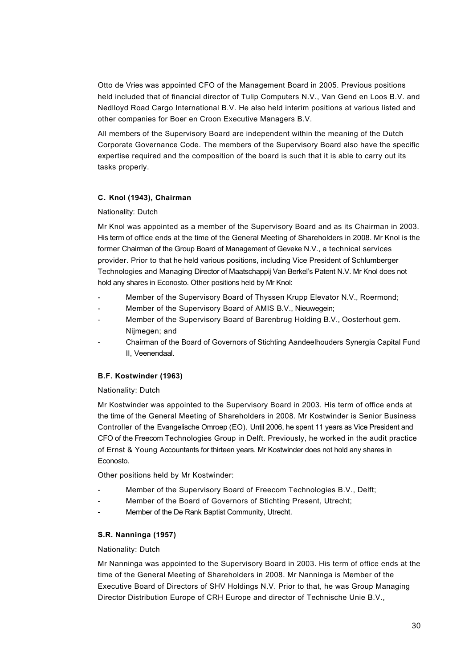Otto de Vries was appointed CFO of the Management Board in 2005. Previous positions held included that of financial director of Tulip Computers N.V., Van Gend en Loos B.V. and Nedlloyd Road Cargo International B.V. He also held interim positions at various listed and other companies for Boer en Croon Executive Managers B.V.

All members of the Supervisory Board are independent within the meaning of the Dutch Corporate Governance Code. The members of the Supervisory Board also have the specific expertise required and the composition of the board is such that it is able to carry out its tasks properly.

# **C. Knol (1943), Chairman**

## Nationality: Dutch

Mr Knol was appointed as a member of the Supervisory Board and as its Chairman in 2003. His term of office ends at the time of the General Meeting of Shareholders in 2008. Mr Knol is the former Chairman of the Group Board of Management of Geveke N.V., a technical services provider. Prior to that he held various positions, including Vice President of Schlumberger Technologies and Managing Director of Maatschappij Van Berkel's Patent N.V. Mr Knol does not hold any shares in Econosto. Other positions held by Mr Knol:

- Member of the Supervisory Board of Thyssen Krupp Elevator N.V., Roermond;
- Member of the Supervisory Board of AMIS B.V., Nieuwegein;
- Member of the Supervisory Board of Barenbrug Holding B.V., Oosterhout gem. Nijmegen; and
- Chairman of the Board of Governors of Stichting Aandeelhouders Synergia Capital Fund II, Veenendaal.

# **B.F. Kostwinder (1963)**

# Nationality: Dutch

Mr Kostwinder was appointed to the Supervisory Board in 2003. His term of office ends at the time of the General Meeting of Shareholders in 2008. Mr Kostwinder is Senior Business Controller of the Evangelische Omroep (EO). Until 2006, he spent 11 years as Vice President and CFO of the Freecom Technologies Group in Delft. Previously, he worked in the audit practice of Ernst & Young Accountants for thirteen years. Mr Kostwinder does not hold any shares in Econosto.

Other positions held by Mr Kostwinder:

- Member of the Supervisory Board of Freecom Technologies B.V., Delft;
- Member of the Board of Governors of Stichting Present, Utrecht;
- Member of the De Rank Baptist Community, Utrecht.

# **S.R. Nanninga (1957)**

# Nationality: Dutch

Mr Nanninga was appointed to the Supervisory Board in 2003. His term of office ends at the time of the General Meeting of Shareholders in 2008. Mr Nanninga is Member of the Executive Board of Directors of SHV Holdings N.V. Prior to that, he was Group Managing Director Distribution Europe of CRH Europe and director of Technische Unie B.V.,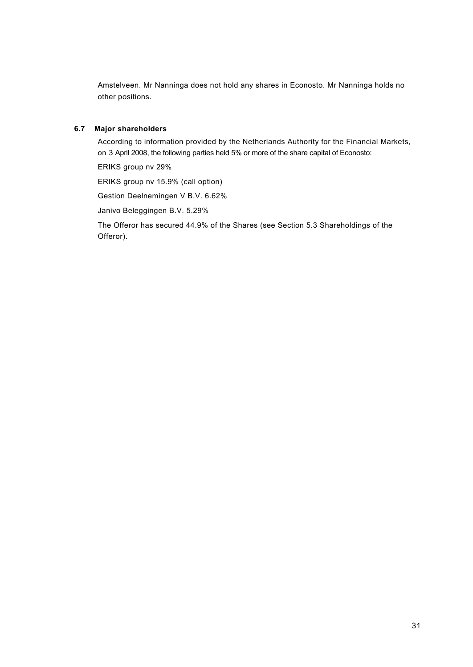Amstelveen. Mr Nanninga does not hold any shares in Econosto. Mr Nanninga holds no other positions.

# **6.7 Major shareholders**

According to information provided by the Netherlands Authority for the Financial Markets, on 3 April 2008, the following parties held 5% or more of the share capital of Econosto:

ERIKS group nv 29%

ERIKS group nv 15.9% (call option)

Gestion Deelnemingen V B.V. 6.62%

Janivo Beleggingen B.V. 5.29%

The Offeror has secured 44.9% of the Shares (see Section 5.3 Shareholdings of the Offeror).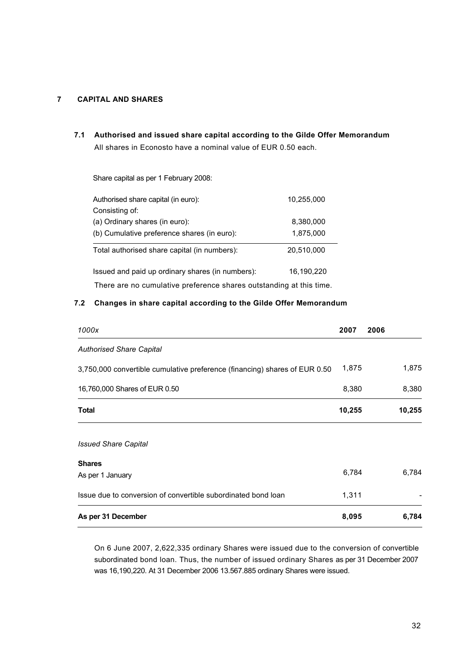# **7 CAPITAL AND SHARES**

**7.1 Authorised and issued share capital according to the Gilde Offer Memorandum** All shares in Econosto have a nominal value of EUR 0.50 each.

Share capital as per 1 February 2008:

| Authorised share capital (in euro):                                 | 10,255,000 |
|---------------------------------------------------------------------|------------|
| Consisting of:                                                      |            |
| (a) Ordinary shares (in euro):                                      | 8,380,000  |
| (b) Cumulative preference shares (in euro):                         | 1,875,000  |
| Total authorised share capital (in numbers):                        | 20,510,000 |
| Issued and paid up ordinary shares (in numbers):                    | 16,190,220 |
| There are no cumulative preference shares outstanding at this time. |            |

## **7.2 Changes in share capital according to the Gilde Offer Memorandum**

| 1000x                                                                      | 2007   | 2006   |
|----------------------------------------------------------------------------|--------|--------|
| <b>Authorised Share Capital</b>                                            |        |        |
| 3,750,000 convertible cumulative preference (financing) shares of EUR 0.50 | 1,875  | 1,875  |
| 16,760,000 Shares of EUR 0.50                                              | 8,380  | 8,380  |
| <b>Total</b>                                                               | 10,255 | 10,255 |
| <b>Issued Share Capital</b>                                                |        |        |
| <b>Shares</b>                                                              |        |        |
| As per 1 January                                                           | 6,784  | 6,784  |
| Issue due to conversion of convertible subordinated bond loan              | 1,311  |        |
| As per 31 December                                                         | 8,095  | 6,784  |

On 6 June 2007, 2,622,335 ordinary Shares were issued due to the conversion of convertible subordinated bond loan. Thus, the number of issued ordinary Shares as per 31 December 2007 was 16,190,220. At 31 December 2006 13.567.885 ordinary Shares were issued.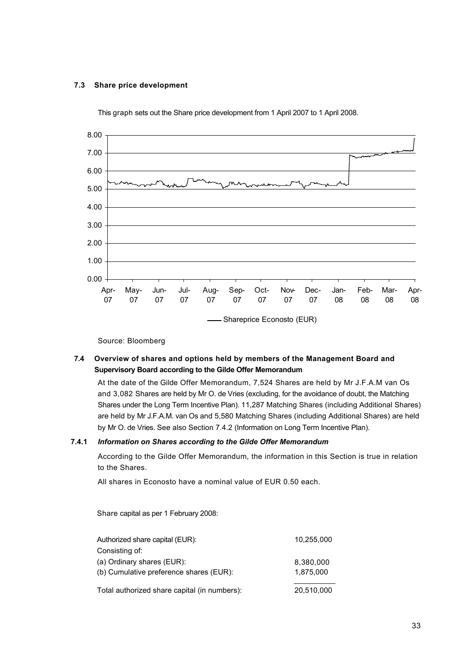## **7.3 Share price development**



This graph sets out the Share price development from 1 April 2007 to 1 April 2008.

Source: Bloomberg

# **7.4 Overview of shares and options held by members of the Management Board and Supervisory Board according to the Gilde Offer Memorandum**

At the date of the Gilde Offer Memorandum, 7,524 Shares are held by Mr J.F.A.M van Os and 3,082 Shares are held by Mr O. de Vries (excluding, for the avoidance of doubt, the Matching Shares under the Long Term Incentive Plan). 11,287 Matching Shares (including Additional Shares) are held by Mr J.F.A.M. van Os and 5,580 Matching Shares (including Additional Shares) are held by Mr O. de Vries. See also Section 7.4.2 (Information on Long Term Incentive Plan).

### **7.4.1** *Information on Shares according to the Gilde Offer Memorandum*

According to the Gilde Offer Memorandum, the information in this Section is true in relation to the Shares.

All shares in Econosto have a nominal value of EUR 0.50 each.

Share capital as per 1 February 2008:

| Total authorized share capital (in numbers): | 20,510,000 |
|----------------------------------------------|------------|
| (b) Cumulative preference shares (EUR):      | 1.875.000  |
| (a) Ordinary shares (EUR):                   | 8,380,000  |
| Consisting of:                               |            |
| Authorized share capital (EUR):              | 10,255,000 |
|                                              |            |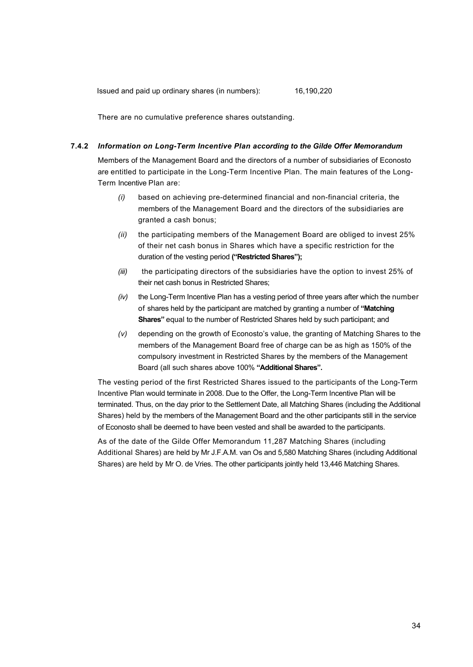There are no cumulative preference shares outstanding.

#### **7.4.2** *Information on Long-Term Incentive Plan according to the Gilde Offer Memorandum*

Members of the Management Board and the directors of a number of subsidiaries of Econosto are entitled to participate in the Long-Term Incentive Plan. The main features of the Long-Term Incentive Plan are:

- *(i)* based on achieving pre-determined financial and non-financial criteria, the members of the Management Board and the directors of the subsidiaries are granted a cash bonus;
- *(ii)* the participating members of the Management Board are obliged to invest 25% of their net cash bonus in Shares which have a specific restriction for the duration of the vesting period **("Restricted Shares");**
- *(iii)* the participating directors of the subsidiaries have the option to invest 25% of their net cash bonus in Restricted Shares;
- *(iv)* the Long-Term Incentive Plan has a vesting period of three years after which the number of shares held by the participant are matched by granting a number of **"Matching Shares"** equal to the number of Restricted Shares held by such participant; and
- *(v)* depending on the growth of Econosto's value, the granting of Matching Shares to the members of the Management Board free of charge can be as high as 150% of the compulsory investment in Restricted Shares by the members of the Management Board (all such shares above 100% **"Additional Shares".**

The vesting period of the first Restricted Shares issued to the participants of the Long-Term Incentive Plan would terminate in 2008. Due to the Offer, the Long-Term Incentive Plan will be terminated. Thus, on the day prior to the Settlement Date, all Matching Shares (including the Additional Shares) held by the members of the Management Board and the other participants still in the service of Econosto shall be deemed to have been vested and shall be awarded to the participants.

As of the date of the Gilde Offer Memorandum 11,287 Matching Shares (including Additional Shares) are held by Mr J.F.A.M. van Os and 5,580 Matching Shares (including Additional Shares) are held by Mr O. de Vries. The other participants jointly held 13,446 Matching Shares.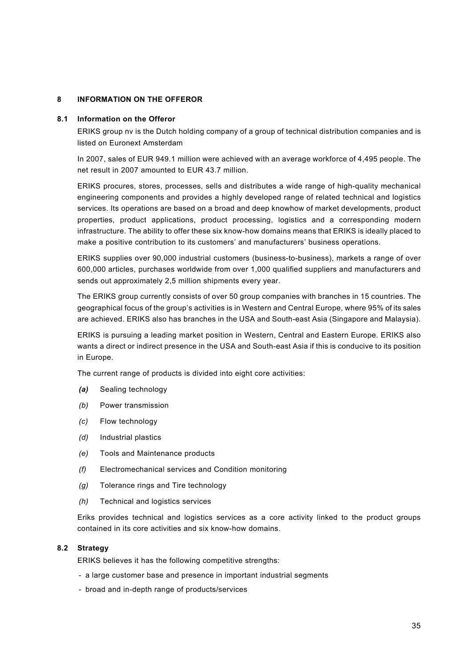# **8 INFORMATION ON THE OFFEROR**

### **8.1 Information on the Offeror**

ERIKS group nv is the Dutch holding company of a group of technical distribution companies and is listed on Euronext Amsterdam

In 2007, sales of EUR 949.1 million were achieved with an average workforce of 4,495 people. The net result in 2007 amounted to EUR 43.7 million.

ERIKS procures, stores, processes, sells and distributes a wide range of high-quality mechanical engineering components and provides a highly developed range of related technical and logistics services. Its operations are based on a broad and deep knowhow of market developments, product properties, product applications, product processing, logistics and a corresponding modern infrastructure. The ability to offer these six know-how domains means that ERIKS is ideally placed to make a positive contribution to its customers' and manufacturers' business operations.

ERIKS supplies over 90,000 industrial customers (business-to-business), markets a range of over 600,000 articles, purchases worldwide from over 1,000 qualified suppliers and manufacturers and sends out approximately 2,5 million shipments every year.

The ERIKS group currently consists of over 50 group companies with branches in 15 countries. The geographical focus of the group's activities is in Western and Central Europe, where 95% of its sales are achieved. ERIKS also has branches in the USA and South-east Asia (Singapore and Malaysia).

ERIKS is pursuing a leading market position in Western, Central and Eastern Europe. ERIKS also wants a direct or indirect presence in the USA and South-east Asia if this is conducive to its position in Europe.

The current range of products is divided into eight core activities:

- *(a)* Sealing technology
- *(b)* Power transmission
- *(c)* Flow technology
- *(d)* Industrial plastics
- *(e)* Tools and Maintenance products
- *(f)* Electromechanical services and Condition monitoring
- *(g)* Tolerance rings and Tire technology
- *(h)* Technical and logistics services

Eriks provides technical and logistics services as a core activity linked to the product groups contained in its core activities and six know-how domains.

#### **8.2 Strategy**

ERIKS believes it has the following competitive strengths:

- a large customer base and presence in important industrial segments
- broad and in-depth range of products/services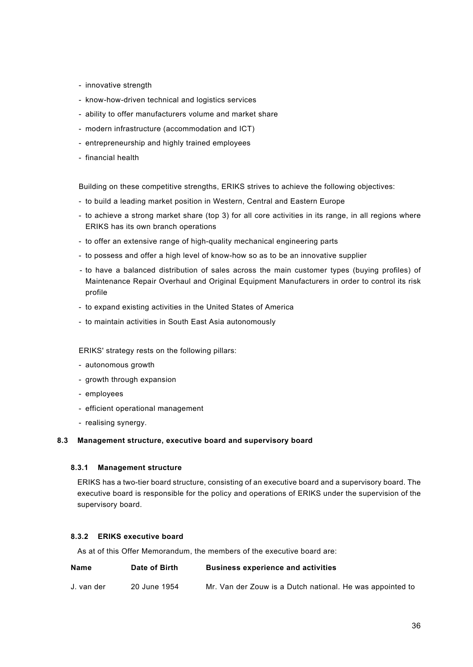- innovative strength
- know-how-driven technical and logistics services
- ability to offer manufacturers volume and market share
- modern infrastructure (accommodation and ICT)
- entrepreneurship and highly trained employees
- financial health

Building on these competitive strengths, ERIKS strives to achieve the following objectives:

- to build a leading market position in Western, Central and Eastern Europe
- to achieve a strong market share (top 3) for all core activities in its range, in all regions where ERIKS has its own branch operations
- to offer an extensive range of high-quality mechanical engineering parts
- to possess and offer a high level of know-how so as to be an innovative supplier
- to have a balanced distribution of sales across the main customer types (buying profiles) of Maintenance Repair Overhaul and Original Equipment Manufacturers in order to control its risk profile
- to expand existing activities in the United States of America
- to maintain activities in South East Asia autonomously

ERIKS' strategy rests on the following pillars:

- autonomous growth
- growth through expansion
- employees
- efficient operational management
- realising synergy.

### **8.3 Management structure, executive board and supervisory board**

### **8.3.1 Management structure**

ERIKS has a two-tier board structure, consisting of an executive board and a supervisory board. The executive board is responsible for the policy and operations of ERIKS under the supervision of the supervisory board.

## **8.3.2 ERIKS executive board**

As at of this Offer Memorandum, the members of the executive board are:

| <b>Name</b> | Date of Birth | <b>Business experience and activities</b>                 |
|-------------|---------------|-----------------------------------------------------------|
| J. van der  | 20 June 1954  | Mr. Van der Zouw is a Dutch national. He was appointed to |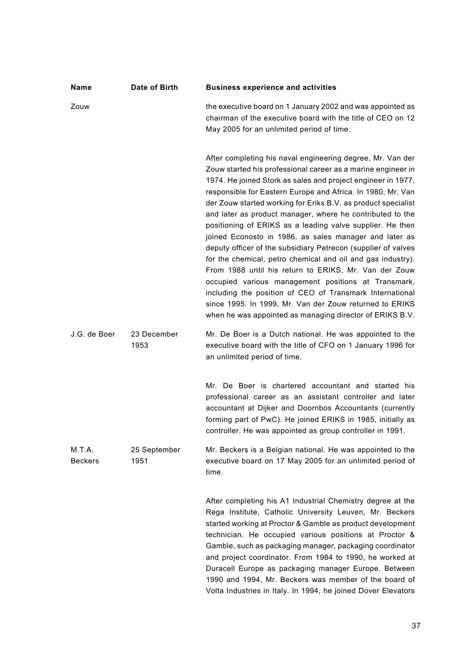| Name                     | Date of Birth        | <b>Business experience and activities</b>                                                                                                                                                                                                                                                                                                                                                                                                                                                                                                                                                                                                                                                                                                                                                                                                                                                                                                         |
|--------------------------|----------------------|---------------------------------------------------------------------------------------------------------------------------------------------------------------------------------------------------------------------------------------------------------------------------------------------------------------------------------------------------------------------------------------------------------------------------------------------------------------------------------------------------------------------------------------------------------------------------------------------------------------------------------------------------------------------------------------------------------------------------------------------------------------------------------------------------------------------------------------------------------------------------------------------------------------------------------------------------|
| Zouw                     |                      | the executive board on 1 January 2002 and was appointed as<br>chairman of the executive board with the title of CEO on 12<br>May 2005 for an unlimited period of time.                                                                                                                                                                                                                                                                                                                                                                                                                                                                                                                                                                                                                                                                                                                                                                            |
|                          |                      | After completing his naval engineering degree, Mr. Van der<br>Zouw started his professional career as a marine engineer in<br>1974. He joined Stork as sales and project engineer in 1977,<br>responsible for Eastern Europe and Africa. In 1980, Mr. Van<br>der Zouw started working for Eriks B.V. as product specialist<br>and later as product manager, where he contributed to the<br>positioning of ERIKS as a leading valve supplier. He then<br>joined Econosto in 1986, as sales manager and later as<br>deputy officer of the subsidiary Petrecon (supplier of valves<br>for the chemical, petro chemical and oil and gas industry).<br>From 1988 until his return to ERIKS, Mr. Van der Zouw<br>occupied various management positions at Transmark,<br>including the position of CEO of Transmark International<br>since 1995. In 1999, Mr. Van der Zouw returned to ERIKS<br>when he was appointed as managing director of ERIKS B.V. |
| J.G. de Boer             | 23 December<br>1953  | Mr. De Boer is a Dutch national. He was appointed to the<br>executive board with the title of CFO on 1 January 1996 for<br>an unlimited period of time.                                                                                                                                                                                                                                                                                                                                                                                                                                                                                                                                                                                                                                                                                                                                                                                           |
|                          |                      | Mr. De Boer is chartered accountant and started his<br>professional career as an assistant controller and later<br>accountant at Dijker and Doornbos Accountants (currently<br>forming part of PwC). He joined ERIKS in 1985, initially as<br>controller. He was appointed as group controller in 1991.                                                                                                                                                                                                                                                                                                                                                                                                                                                                                                                                                                                                                                           |
| M.T.A.<br><b>Beckers</b> | 25 September<br>1951 | Mr. Beckers is a Belgian national. He was appointed to the<br>executive board on 17 May 2005 for an unlimited period of<br>time.                                                                                                                                                                                                                                                                                                                                                                                                                                                                                                                                                                                                                                                                                                                                                                                                                  |
|                          |                      | After completing his A1 Industrial Chemistry degree at the<br>Rega Institute, Catholic University Leuven, Mr. Beckers<br>started working at Proctor & Gamble as product development<br>technician. He occupied various positions at Proctor &<br>Gamble, such as packaging manager, packaging coordinator<br>and project coordinator. From 1984 to 1990, he worked at<br>Duracell Europe as packaging manager Europe. Between<br>1990 and 1994, Mr. Beckers was member of the board of<br>Volta Industries in Italy. In 1994, he joined Dover Elevators                                                                                                                                                                                                                                                                                                                                                                                           |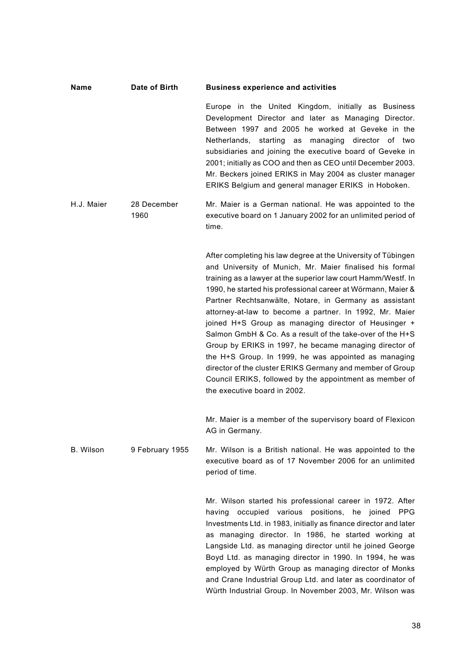### **Name Date of Birth Business experience and activities**

Europe in the United Kingdom, initially as Business Development Director and later as Managing Director. Between 1997 and 2005 he worked at Geveke in the Netherlands, starting as managing director of two subsidiaries and joining the executive board of Geveke in 2001; initially as COO and then as CEO until December 2003. Mr. Beckers joined ERIKS in May 2004 as cluster manager ERIKS Belgium and general manager ERIKS in Hoboken.

H.J. Maier 28 December 1960 Mr. Maier is a German national. He was appointed to the executive board on 1 January 2002 for an unlimited period of time.

> After completing his law degree at the University of Tübingen and University of Munich, Mr. Maier finalised his formal training as a lawyer at the superior law court Hamm/Westf. In 1990, he started his professional career at Wörmann, Maier & Partner Rechtsanwälte, Notare, in Germany as assistant attorney-at-law to become a partner. In 1992, Mr. Maier joined H+S Group as managing director of Heusinger + Salmon GmbH & Co. As a result of the take-over of the H+S Group by ERIKS in 1997, he became managing director of the H+S Group. In 1999, he was appointed as managing director of the cluster ERIKS Germany and member of Group Council ERIKS, followed by the appointment as member of the executive board in 2002.

> Mr. Maier is a member of the supervisory board of Flexicon AG in Germany.

B. Wilson 9 February 1955 Mr. Wilson is a British national. He was appointed to the executive board as of 17 November 2006 for an unlimited period of time.

> Mr. Wilson started his professional career in 1972. After having occupied various positions, he joined PPG Investments Ltd. in 1983, initially as finance director and later as managing director. In 1986, he started working at Langside Ltd. as managing director until he joined George Boyd Ltd. as managing director in 1990. In 1994, he was employed by Würth Group as managing director of Monks and Crane Industrial Group Ltd. and later as coordinator of Würth Industrial Group. In November 2003, Mr. Wilson was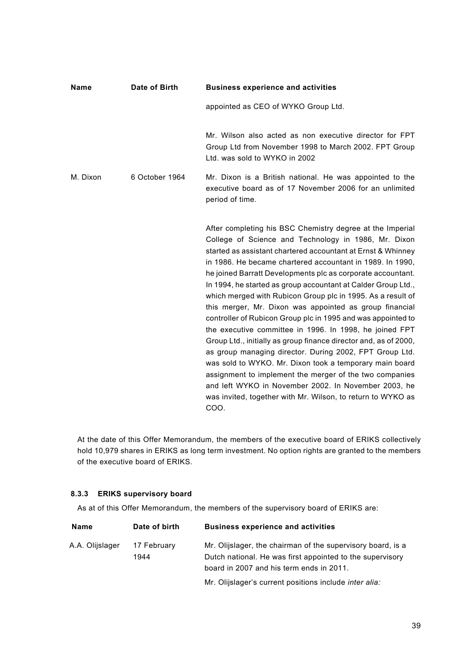| <b>Name</b> | <b>Business experience and activities</b> |                                                                                                                                                                                                                                                                                                                                                                                                                                                                                                                                                                                                                                                                                                                                                                                                                                                                                                                                                                                                                         |
|-------------|-------------------------------------------|-------------------------------------------------------------------------------------------------------------------------------------------------------------------------------------------------------------------------------------------------------------------------------------------------------------------------------------------------------------------------------------------------------------------------------------------------------------------------------------------------------------------------------------------------------------------------------------------------------------------------------------------------------------------------------------------------------------------------------------------------------------------------------------------------------------------------------------------------------------------------------------------------------------------------------------------------------------------------------------------------------------------------|
|             |                                           | appointed as CEO of WYKO Group Ltd.                                                                                                                                                                                                                                                                                                                                                                                                                                                                                                                                                                                                                                                                                                                                                                                                                                                                                                                                                                                     |
|             |                                           | Mr. Wilson also acted as non executive director for FPT<br>Group Ltd from November 1998 to March 2002. FPT Group<br>Ltd. was sold to WYKO in 2002                                                                                                                                                                                                                                                                                                                                                                                                                                                                                                                                                                                                                                                                                                                                                                                                                                                                       |
| M. Dixon    | 6 October 1964                            | Mr. Dixon is a British national. He was appointed to the<br>executive board as of 17 November 2006 for an unlimited<br>period of time.                                                                                                                                                                                                                                                                                                                                                                                                                                                                                                                                                                                                                                                                                                                                                                                                                                                                                  |
|             |                                           | After completing his BSC Chemistry degree at the Imperial<br>College of Science and Technology in 1986, Mr. Dixon<br>started as assistant chartered accountant at Ernst & Whinney<br>in 1986. He became chartered accountant in 1989. In 1990,<br>he joined Barratt Developments plc as corporate accountant.<br>In 1994, he started as group accountant at Calder Group Ltd.,<br>which merged with Rubicon Group plc in 1995. As a result of<br>this merger, Mr. Dixon was appointed as group financial<br>controller of Rubicon Group plc in 1995 and was appointed to<br>the executive committee in 1996. In 1998, he joined FPT<br>Group Ltd., initially as group finance director and, as of 2000,<br>as group managing director. During 2002, FPT Group Ltd.<br>was sold to WYKO. Mr. Dixon took a temporary main board<br>assignment to implement the merger of the two companies<br>and left WYKO in November 2002. In November 2003, he<br>was invited, together with Mr. Wilson, to return to WYKO as<br>COO. |

At the date of this Offer Memorandum, the members of the executive board of ERIKS collectively hold 10,979 shares in ERIKS as long term investment. No option rights are granted to the members of the executive board of ERIKS.

## **8.3.3 ERIKS supervisory board**

As at of this Offer Memorandum, the members of the supervisory board of ERIKS are:

| Date of birth       | <b>Business experience and activities</b>                                                                                |
|---------------------|--------------------------------------------------------------------------------------------------------------------------|
| 17 February<br>1944 | Mr. Olijslager, the chairman of the supervisory board, is a<br>Dutch national. He was first appointed to the supervisory |
|                     | board in 2007 and his term ends in 2011.<br>Mr. Olijslager's current positions include inter alia:                       |
|                     |                                                                                                                          |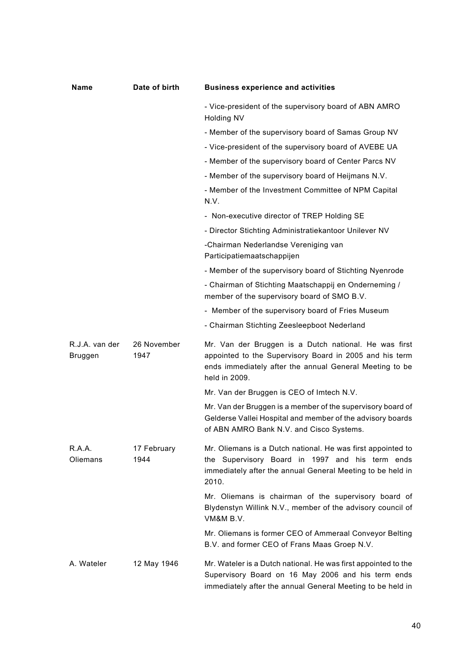| Name                      | Date of birth       | <b>Business experience and activities</b>                                                                                                                                                    |  |
|---------------------------|---------------------|----------------------------------------------------------------------------------------------------------------------------------------------------------------------------------------------|--|
|                           |                     | - Vice-president of the supervisory board of ABN AMRO<br>Holding NV                                                                                                                          |  |
|                           |                     | - Member of the supervisory board of Samas Group NV                                                                                                                                          |  |
|                           |                     | - Vice-president of the supervisory board of AVEBE UA                                                                                                                                        |  |
|                           |                     | - Member of the supervisory board of Center Parcs NV                                                                                                                                         |  |
|                           |                     | - Member of the supervisory board of Heijmans N.V.                                                                                                                                           |  |
|                           |                     | - Member of the Investment Committee of NPM Capital<br>N.V.                                                                                                                                  |  |
|                           |                     | - Non-executive director of TREP Holding SE                                                                                                                                                  |  |
|                           |                     | - Director Stichting Administratiekantoor Unilever NV                                                                                                                                        |  |
|                           |                     | -Chairman Nederlandse Vereniging van<br>Participatiemaatschappijen                                                                                                                           |  |
|                           |                     | - Member of the supervisory board of Stichting Nyenrode                                                                                                                                      |  |
|                           |                     | - Chairman of Stichting Maatschappij en Onderneming /<br>member of the supervisory board of SMO B.V.                                                                                         |  |
|                           |                     | - Member of the supervisory board of Fries Museum                                                                                                                                            |  |
|                           |                     | - Chairman Stichting Zeesleepboot Nederland                                                                                                                                                  |  |
| R.J.A. van der<br>Bruggen | 26 November<br>1947 | Mr. Van der Bruggen is a Dutch national. He was first<br>appointed to the Supervisory Board in 2005 and his term<br>ends immediately after the annual General Meeting to be<br>held in 2009. |  |
|                           |                     | Mr. Van der Bruggen is CEO of Imtech N.V.                                                                                                                                                    |  |
|                           |                     | Mr. Van der Bruggen is a member of the supervisory board of<br>Gelderse Vallei Hospital and member of the advisory boards<br>of ABN AMRO Bank N.V. and Cisco Systems.                        |  |
| R.A.A.<br>Oliemans        | 17 February<br>1944 | Mr. Oliemans is a Dutch national. He was first appointed to<br>the Supervisory Board in 1997 and his term ends<br>immediately after the annual General Meeting to be held in<br>2010.        |  |
|                           |                     | Mr. Oliemans is chairman of the supervisory board of<br>Blydenstyn Willink N.V., member of the advisory council of<br>VM&M B.V.                                                              |  |
|                           |                     | Mr. Oliemans is former CEO of Ammeraal Conveyor Belting<br>B.V. and former CEO of Frans Maas Groep N.V.                                                                                      |  |
| A. Wateler                | 12 May 1946         | Mr. Wateler is a Dutch national. He was first appointed to the<br>Supervisory Board on 16 May 2006 and his term ends<br>immediately after the annual General Meeting to be held in           |  |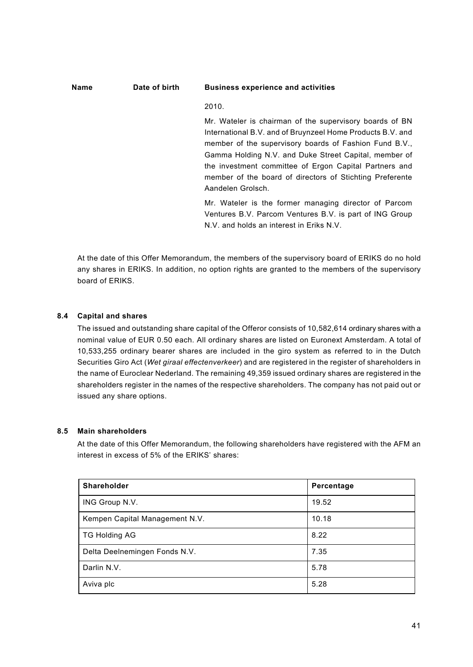## **Name Date of birth Business experience and activities**

### 2010.

Mr. Wateler is chairman of the supervisory boards of BN International B.V. and of Bruynzeel Home Products B.V. and member of the supervisory boards of Fashion Fund B.V., Gamma Holding N.V. and Duke Street Capital, member of the investment committee of Ergon Capital Partners and member of the board of directors of Stichting Preferente Aandelen Grolsch.

Mr. Wateler is the former managing director of Parcom Ventures B.V. Parcom Ventures B.V. is part of ING Group N.V. and holds an interest in Eriks N.V.

At the date of this Offer Memorandum, the members of the supervisory board of ERIKS do no hold any shares in ERIKS. In addition, no option rights are granted to the members of the supervisory board of ERIKS.

# **8.4 Capital and shares**

The issued and outstanding share capital of the Offeror consists of 10,582,614 ordinary shares with a nominal value of EUR 0.50 each. All ordinary shares are listed on Euronext Amsterdam. A total of 10,533,255 ordinary bearer shares are included in the giro system as referred to in the Dutch Securities Giro Act (*Wet giraal effectenverkeer*) and are registered in the register of shareholders in the name of Euroclear Nederland. The remaining 49,359 issued ordinary shares are registered in the shareholders register in the names of the respective shareholders. The company has not paid out or issued any share options.

## **8.5 Main shareholders**

At the date of this Offer Memorandum, the following shareholders have registered with the AFM an interest in excess of 5% of the ERIKS' shares:

| Shareholder                    | Percentage |
|--------------------------------|------------|
| ING Group N.V.                 | 19.52      |
| Kempen Capital Management N.V. | 10.18      |
| <b>TG Holding AG</b>           | 8.22       |
| Delta Deelnemingen Fonds N.V.  | 7.35       |
| Darlin N.V.                    | 5.78       |
| Aviva plc                      | 5.28       |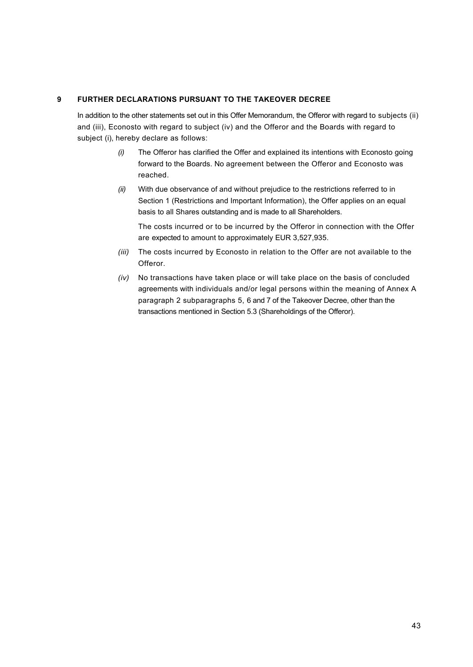## **9 FURTHER DECLARATIONS PURSUANT TO THE TAKEOVER DECREE**

In addition to the other statements set out in this Offer Memorandum, the Offeror with regard to subjects (ii) and (iii), Econosto with regard to subject (iv) and the Offeror and the Boards with regard to subject (i), hereby declare as follows:

- *(i)* The Offeror has clarified the Offer and explained its intentions with Econosto going forward to the Boards. No agreement between the Offeror and Econosto was reached.
- *(ii)* With due observance of and without prejudice to the restrictions referred to in Section 1 (Restrictions and Important Information), the Offer applies on an equal basis to all Shares outstanding and is made to all Shareholders.

The costs incurred or to be incurred by the Offeror in connection with the Offer are expected to amount to approximately EUR 3,527,935.

- *(iii)* The costs incurred by Econosto in relation to the Offer are not available to the Offeror.
- *(iv)* No transactions have taken place or will take place on the basis of concluded agreements with individuals and/or legal persons within the meaning of Annex A paragraph 2 subparagraphs 5, 6 and 7 of the Takeover Decree, other than the transactions mentioned in Section 5.3 (Shareholdings of the Offeror).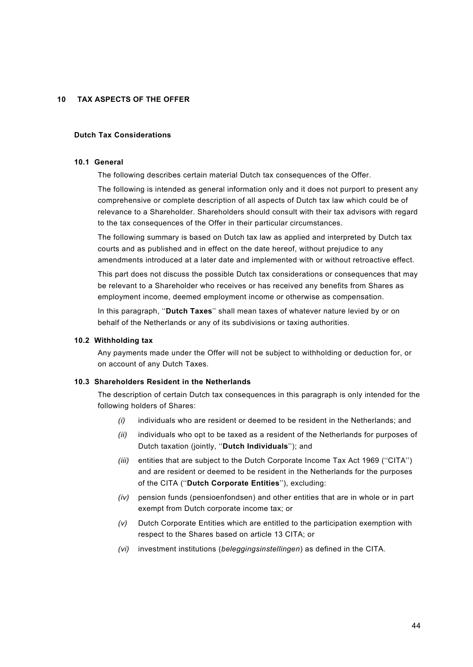## **10 TAX ASPECTS OF THE OFFER**

### **Dutch Tax Considerations**

#### **10.1 General**

The following describes certain material Dutch tax consequences of the Offer.

The following is intended as general information only and it does not purport to present any comprehensive or complete description of all aspects of Dutch tax law which could be of relevance to a Shareholder. Shareholders should consult with their tax advisors with regard to the tax consequences of the Offer in their particular circumstances.

The following summary is based on Dutch tax law as applied and interpreted by Dutch tax courts and as published and in effect on the date hereof, without prejudice to any amendments introduced at a later date and implemented with or without retroactive effect.

This part does not discuss the possible Dutch tax considerations or consequences that may be relevant to a Shareholder who receives or has received any benefits from Shares as employment income, deemed employment income or otherwise as compensation.

In this paragraph, ''**Dutch Taxes**'' shall mean taxes of whatever nature levied by or on behalf of the Netherlands or any of its subdivisions or taxing authorities.

### **10.2 Withholding tax**

Any payments made under the Offer will not be subject to withholding or deduction for, or on account of any Dutch Taxes.

### **10.3 Shareholders Resident in the Netherlands**

The description of certain Dutch tax consequences in this paragraph is only intended for the following holders of Shares:

- *(i)* individuals who are resident or deemed to be resident in the Netherlands; and
- *(ii)* individuals who opt to be taxed as a resident of the Netherlands for purposes of Dutch taxation (jointly, ''**Dutch Individuals**''); and
- *(iii)* entities that are subject to the Dutch Corporate Income Tax Act 1969 ("CITA") and are resident or deemed to be resident in the Netherlands for the purposes of the CITA (''**Dutch Corporate Entities**''), excluding:
- *(iv)* pension funds (pensioenfondsen) and other entities that are in whole or in part exempt from Dutch corporate income tax; or
- *(v)* Dutch Corporate Entities which are entitled to the participation exemption with respect to the Shares based on article 13 CITA; or
- *(vi)* investment institutions (*beleggingsinstellingen*) as defined in the CITA.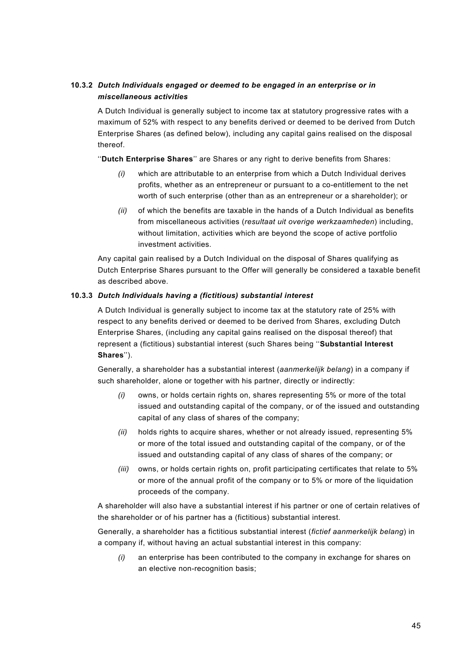# **10.3.2** *Dutch Individuals engaged or deemed to be engaged in an enterprise or in miscellaneous activities*

A Dutch Individual is generally subject to income tax at statutory progressive rates with a maximum of 52% with respect to any benefits derived or deemed to be derived from Dutch Enterprise Shares (as defined below), including any capital gains realised on the disposal thereof.

''**Dutch Enterprise Shares**'' are Shares or any right to derive benefits from Shares:

- *(i)* which are attributable to an enterprise from which a Dutch Individual derives profits, whether as an entrepreneur or pursuant to a co-entitlement to the net worth of such enterprise (other than as an entrepreneur or a shareholder); or
- *(ii)* of which the benefits are taxable in the hands of a Dutch Individual as benefits from miscellaneous activities (*resultaat uit overige werkzaamheden*) including, without limitation, activities which are beyond the scope of active portfolio investment activities.

Any capital gain realised by a Dutch Individual on the disposal of Shares qualifying as Dutch Enterprise Shares pursuant to the Offer will generally be considered a taxable benefit as described above.

## **10.3.3** *Dutch Individuals having a (fictitious) substantial interest*

A Dutch Individual is generally subject to income tax at the statutory rate of 25% with respect to any benefits derived or deemed to be derived from Shares, excluding Dutch Enterprise Shares, (including any capital gains realised on the disposal thereof) that represent a (fictitious) substantial interest (such Shares being ''**Substantial Interest Shares**'').

Generally, a shareholder has a substantial interest (*aanmerkelijk belang*) in a company if such shareholder, alone or together with his partner, directly or indirectly:

- *(i)* owns, or holds certain rights on, shares representing 5% or more of the total issued and outstanding capital of the company, or of the issued and outstanding capital of any class of shares of the company;
- *(ii)* holds rights to acquire shares, whether or not already issued, representing 5% or more of the total issued and outstanding capital of the company, or of the issued and outstanding capital of any class of shares of the company; or
- *(iii)* owns, or holds certain rights on, profit participating certificates that relate to 5% or more of the annual profit of the company or to 5% or more of the liquidation proceeds of the company.

A shareholder will also have a substantial interest if his partner or one of certain relatives of the shareholder or of his partner has a (fictitious) substantial interest.

Generally, a shareholder has a fictitious substantial interest (*fictief aanmerkelijk belang*) in a company if, without having an actual substantial interest in this company:

*(i)* an enterprise has been contributed to the company in exchange for shares on an elective non-recognition basis;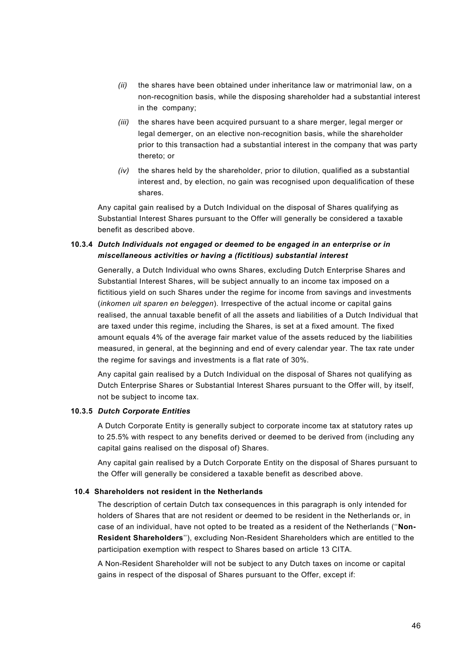- *(ii)* the shares have been obtained under inheritance law or matrimonial law, on a non-recognition basis, while the disposing shareholder had a substantial interest in the company;
- *(iii)* the shares have been acquired pursuant to a share merger, legal merger or legal demerger, on an elective non-recognition basis, while the shareholder prior to this transaction had a substantial interest in the company that was party thereto; or
- *(iv)* the shares held by the shareholder, prior to dilution, qualified as a substantial interest and, by election, no gain was recognised upon dequalification of these shares.

Any capital gain realised by a Dutch Individual on the disposal of Shares qualifying as Substantial Interest Shares pursuant to the Offer will generally be considered a taxable benefit as described above.

# **10.3.4** *Dutch Individuals not engaged or deemed to be engaged in an enterprise or in miscellaneous activities or having a (fictitious) substantial interest*

Generally, a Dutch Individual who owns Shares, excluding Dutch Enterprise Shares and Substantial Interest Shares, will be subject annually to an income tax imposed on a fictitious yield on such Shares under the regime for income from savings and investments (*inkomen uit sparen en beleggen*). Irrespective of the actual income or capital gains realised, the annual taxable benefit of all the assets and liabilities of a Dutch Individual that are taxed under this regime, including the Shares, is set at a fixed amount. The fixed amount equals 4% of the average fair market value of the assets reduced by the liabilities measured, in general, at the beginning and end of every calendar year. The tax rate under the regime for savings and investments is a flat rate of 30%.

Any capital gain realised by a Dutch Individual on the disposal of Shares not qualifying as Dutch Enterprise Shares or Substantial Interest Shares pursuant to the Offer will, by itself, not be subject to income tax.

## **10.3.5** *Dutch Corporate Entities*

A Dutch Corporate Entity is generally subject to corporate income tax at statutory rates up to 25.5% with respect to any benefits derived or deemed to be derived from (including any capital gains realised on the disposal of) Shares.

Any capital gain realised by a Dutch Corporate Entity on the disposal of Shares pursuant to the Offer will generally be considered a taxable benefit as described above.

### **10.4 Shareholders not resident in the Netherlands**

The description of certain Dutch tax consequences in this paragraph is only intended for holders of Shares that are not resident or deemed to be resident in the Netherlands or, in case of an individual, have not opted to be treated as a resident of the Netherlands (''**Non-Resident Shareholders**''), excluding Non-Resident Shareholders which are entitled to the participation exemption with respect to Shares based on article 13 CITA.

A Non-Resident Shareholder will not be subject to any Dutch taxes on income or capital gains in respect of the disposal of Shares pursuant to the Offer, except if: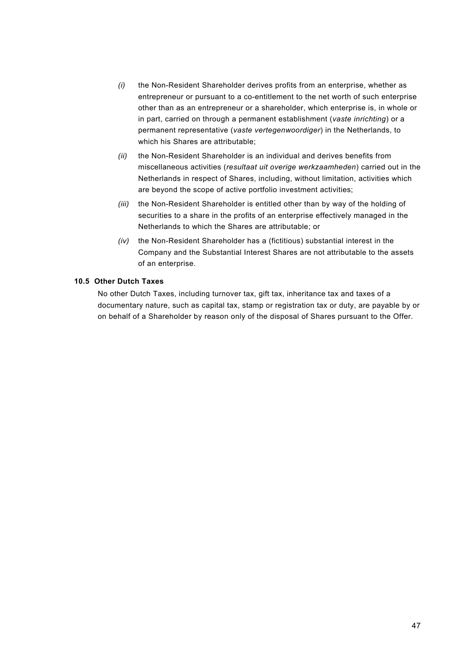- *(i)* the Non-Resident Shareholder derives profits from an enterprise, whether as entrepreneur or pursuant to a co-entitlement to the net worth of such enterprise other than as an entrepreneur or a shareholder, which enterprise is, in whole or in part, carried on through a permanent establishment (*vaste inrichting*) or a permanent representative (*vaste vertegenwoordiger*) in the Netherlands, to which his Shares are attributable;
- *(ii)* the Non-Resident Shareholder is an individual and derives benefits from miscellaneous activities (*resultaat uit overige werkzaamheden*) carried out in the Netherlands in respect of Shares, including, without limitation, activities which are beyond the scope of active portfolio investment activities;
- *(iii)* the Non-Resident Shareholder is entitled other than by way of the holding of securities to a share in the profits of an enterprise effectively managed in the Netherlands to which the Shares are attributable; or
- *(iv)* the Non-Resident Shareholder has a (fictitious) substantial interest in the Company and the Substantial Interest Shares are not attributable to the assets of an enterprise.

### **10.5 Other Dutch Taxes**

No other Dutch Taxes, including turnover tax, gift tax, inheritance tax and taxes of a documentary nature, such as capital tax, stamp or registration tax or duty, are payable by or on behalf of a Shareholder by reason only of the disposal of Shares pursuant to the Offer.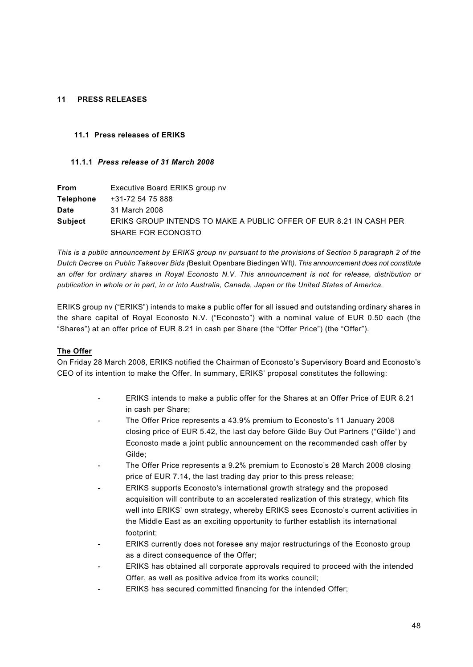## **11 PRESS RELEASES**

## **11.1 Press releases of ERIKS**

## **11.1.1** *Press release of 31 March 2008*

| <b>From</b>      | Executive Board ERIKS group nv                                     |
|------------------|--------------------------------------------------------------------|
| <b>Telephone</b> | +31-72 54 75 888                                                   |
| Date             | 31 March 2008                                                      |
| <b>Subject</b>   | ERIKS GROUP INTENDS TO MAKE A PUBLIC OFFER OF EUR 8.21 IN CASH PER |
|                  | SHARE FOR ECONOSTO                                                 |

*This is a public announcement by ERIKS group nv pursuant to the provisions of Section 5 paragraph 2 of the Dutch Decree on Public Takeover Bids (*Besluit Openbare Biedingen Wft*). This announcement does not constitute an offer for ordinary shares in Royal Econosto N.V. This announcement is not for release, distribution or publication in whole or in part, in or into Australia, Canada, Japan or the United States of America.*

ERIKS group nv ("ERIKS") intends to make a public offer for all issued and outstanding ordinary shares in the share capital of Royal Econosto N.V. ("Econosto") with a nominal value of EUR 0.50 each (the "Shares") at an offer price of EUR 8.21 in cash per Share (the "Offer Price") (the "Offer").

## **The Offer**

On Friday 28 March 2008, ERIKS notified the Chairman of Econosto's Supervisory Board and Econosto's CEO of its intention to make the Offer. In summary, ERIKS' proposal constitutes the following:

- ERIKS intends to make a public offer for the Shares at an Offer Price of EUR 8.21 in cash per Share;
- The Offer Price represents a 43.9% premium to Econosto's 11 January 2008 closing price of EUR 5.42, the last day before Gilde Buy Out Partners ("Gilde") and Econosto made a joint public announcement on the recommended cash offer by Gilde;
- The Offer Price represents a 9.2% premium to Econosto's 28 March 2008 closing price of EUR 7.14, the last trading day prior to this press release;
- ERIKS supports Econosto's international growth strategy and the proposed acquisition will contribute to an accelerated realization of this strategy, which fits well into ERIKS' own strategy, whereby ERIKS sees Econosto's current activities in the Middle East as an exciting opportunity to further establish its international footprint;
- ERIKS currently does not foresee any major restructurings of the Econosto group as a direct consequence of the Offer;
- ERIKS has obtained all corporate approvals required to proceed with the intended Offer, as well as positive advice from its works council;
- ERIKS has secured committed financing for the intended Offer;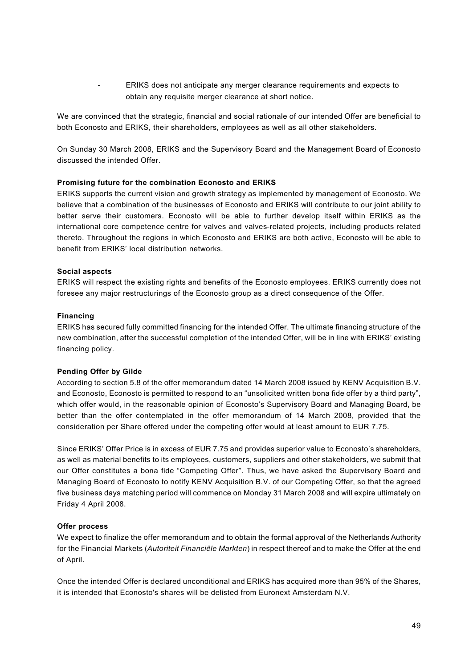- ERIKS does not anticipate any merger clearance requirements and expects to obtain any requisite merger clearance at short notice.

We are convinced that the strategic, financial and social rationale of our intended Offer are beneficial to both Econosto and ERIKS, their shareholders, employees as well as all other stakeholders.

On Sunday 30 March 2008, ERIKS and the Supervisory Board and the Management Board of Econosto discussed the intended Offer.

### **Promising future for the combination Econosto and ERIKS**

ERIKS supports the current vision and growth strategy as implemented by management of Econosto. We believe that a combination of the businesses of Econosto and ERIKS will contribute to our joint ability to better serve their customers. Econosto will be able to further develop itself within ERIKS as the international core competence centre for valves and valves-related projects, including products related thereto. Throughout the regions in which Econosto and ERIKS are both active, Econosto will be able to benefit from ERIKS' local distribution networks.

### **Social aspects**

ERIKS will respect the existing rights and benefits of the Econosto employees. ERIKS currently does not foresee any major restructurings of the Econosto group as a direct consequence of the Offer.

#### **Financing**

ERIKS has secured fully committed financing for the intended Offer. The ultimate financing structure of the new combination, after the successful completion of the intended Offer, will be in line with ERIKS' existing financing policy.

### **Pending Offer by Gilde**

According to section 5.8 of the offer memorandum dated 14 March 2008 issued by KENV Acquisition B.V. and Econosto, Econosto is permitted to respond to an "unsolicited written bona fide offer by a third party", which offer would, in the reasonable opinion of Econosto's Supervisory Board and Managing Board, be better than the offer contemplated in the offer memorandum of 14 March 2008, provided that the consideration per Share offered under the competing offer would at least amount to EUR 7.75.

Since ERIKS' Offer Price is in excess of EUR 7.75 and provides superior value to Econosto's shareholders, as well as material benefits to its employees, customers, suppliers and other stakeholders, we submit that our Offer constitutes a bona fide "Competing Offer". Thus, we have asked the Supervisory Board and Managing Board of Econosto to notify KENV Acquisition B.V. of our Competing Offer, so that the agreed five business days matching period will commence on Monday 31 March 2008 and will expire ultimately on Friday 4 April 2008.

### **Offer process**

We expect to finalize the offer memorandum and to obtain the formal approval of the Netherlands Authority for the Financial Markets (*Autoriteit Financiële Markten*) in respect thereof and to make the Offer at the end of April.

Once the intended Offer is declared unconditional and ERIKS has acquired more than 95% of the Shares, it is intended that Econosto's shares will be delisted from Euronext Amsterdam N.V.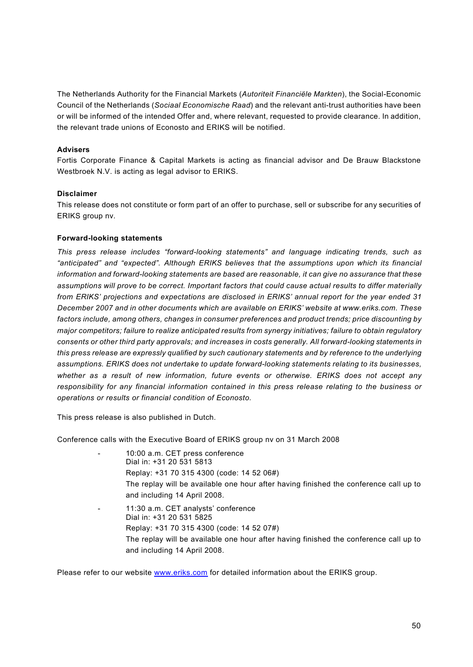The Netherlands Authority for the Financial Markets (*Autoriteit Financiële Markten*), the Social-Economic Council of the Netherlands (*Sociaal Economische Raad*) and the relevant anti-trust authorities have been or will be informed of the intended Offer and, where relevant, requested to provide clearance. In addition, the relevant trade unions of Econosto and ERIKS will be notified.

## **Advisers**

Fortis Corporate Finance & Capital Markets is acting as financial advisor and De Brauw Blackstone Westbroek N.V. is acting as legal advisor to ERIKS.

### **Disclaimer**

This release does not constitute or form part of an offer to purchase, sell or subscribe for any securities of ERIKS group nv.

### **Forward-looking statements**

*This press release includes "forward-looking statements" and language indicating trends, such as "anticipated" and "expected". Although ERIKS believes that the assumptions upon which its financial information and forward-looking statements are based are reasonable, it can give no assurance that these assumptions will prove to be correct. Important factors that could cause actual results to differ materially from ERIKS' projections and expectations are disclosed in ERIKS' annual report for the year ended 31 December 2007 and in other documents which are available on ERIKS' website at<www.eriks.com.>These factors include, among others, changes in consumer preferences and product trends; price discounting by major competitors; failure to realize anticipated results from synergy initiatives; failure to obtain regulatory consents or other third party approvals; and increases in costs generally. All forward-looking statements in this press release are expressly qualified by such cautionary statements and by reference to the underlying assumptions. ERIKS does not undertake to update forward-looking statements relating to its businesses, whether as a result of new information, future events or otherwise. ERIKS does not accept any responsibility for any financial information contained in this press release relating to the business or operations or results or financial condition of Econosto.*

This press release is also published in Dutch.

Conference calls with the Executive Board of ERIKS group nv on 31 March 2008

- 10:00 a.m. CET press conference Dial in: +31 20 531 5813 Replay: +31 70 315 4300 (code: 14 52 06#) The replay will be available one hour after having finished the conference call up to and including 14 April 2008.
- 11:30 a.m. CET analysts' conference Dial in: +31 20 531 5825 Replay: +31 70 315 4300 (code: 14 52 07#) The replay will be available one hour after having finished the conference call up to and including 14 April 2008.

Please refer to our website <www.eriks.com> for detailed information about the ERIKS group.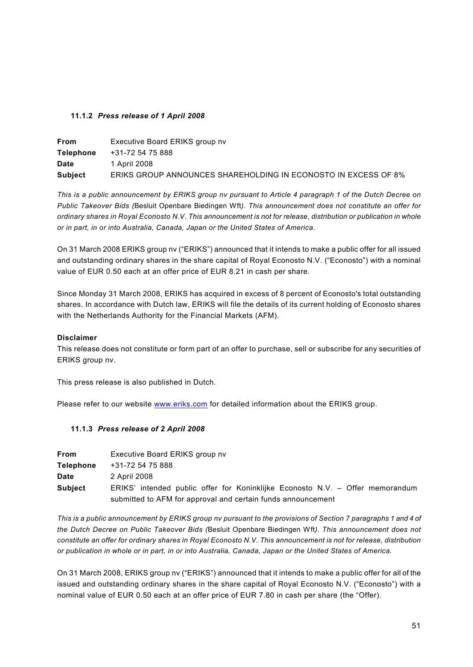## **11.1.2** *Press release of 1 April 2008*

| <b>From</b>      | Executive Board ERIKS group nv                                 |
|------------------|----------------------------------------------------------------|
| <b>Telephone</b> | +31-72 54 75 888                                               |
| <b>Date</b>      | 1 April 2008                                                   |
| <b>Subject</b>   | ERIKS GROUP ANNOUNCES SHAREHOLDING IN ECONOSTO IN EXCESS OF 8% |

*This is a public announcement by ERIKS group nv pursuant to Article 4 paragraph 1 of the Dutch Decree on Public Takeover Bids (*Besluit Openbare Biedingen Wft*). This announcement does not constitute an offer for ordinary shares in Royal Econosto N.V. This announcement is not for release, distribution or publication in whole or in part, in or into Australia, Canada, Japan or the United States of America.*

On 31 March 2008 ERIKS group nv ("ERIKS") announced that it intends to make a public offer for all issued and outstanding ordinary shares in the share capital of Royal Econosto N.V. ("Econosto") with a nominal value of EUR 0.50 each at an offer price of EUR 8.21 in cash per share.

Since Monday 31 March 2008, ERIKS has acquired in excess of 8 percent of Econosto's total outstanding shares. In accordance with Dutch law, ERIKS will file the details of its current holding of Econosto shares with the Netherlands Authority for the Financial Markets (AFM).

### **Disclaimer**

This release does not constitute or form part of an offer to purchase, sell or subscribe for any securities of ERIKS group nv.

This press release is also published in Dutch.

Please refer to our website <www.eriks.com> for detailed information about the ERIKS group.

## **11.1.3** *Press release of 2 April 2008*

| <b>From</b>      | Executive Board ERIKS group nv                                                |
|------------------|-------------------------------------------------------------------------------|
| <b>Telephone</b> | +31-72 54 75 888                                                              |
| Date             | 2 April 2008                                                                  |
| <b>Subject</b>   | ERIKS' intended public offer for Koninklijke Econosto N.V. – Offer memorandum |
|                  | submitted to AFM for approval and certain funds announcement                  |

*This is a public announcement by ERIKS group nv pursuant to the provisions of Section 7 paragraphs 1 and 4 of the Dutch Decree on Public Takeover Bids (*Besluit Openbare Biedingen Wft*). This announcement does not constitute an offer for ordinary shares in Royal Econosto N.V. This announcement is not for release, distribution or publication in whole or in part, in or into Australia, Canada, Japan or the United States of America.*

On 31 March 2008, ERIKS group nv ("ERIKS") announced that it intends to make a public offer for all of the issued and outstanding ordinary shares in the share capital of Royal Econosto N.V. ("Econosto") with a nominal value of EUR 0.50 each at an offer price of EUR 7.80 in cash per share (the "Offer).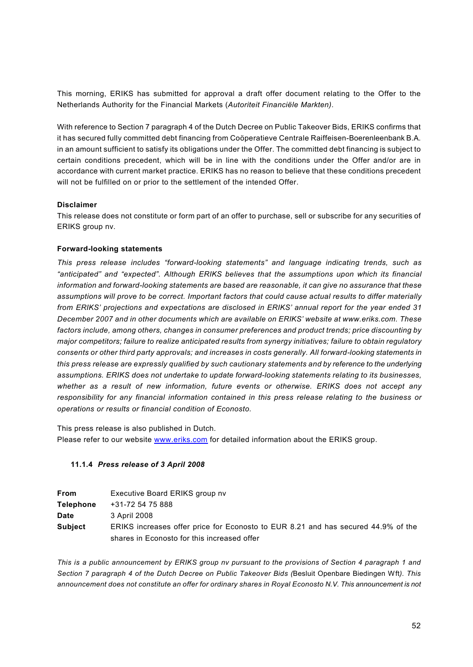This morning, ERIKS has submitted for approval a draft offer document relating to the Offer to the Netherlands Authority for the Financial Markets (*Autoriteit Financiële Markten)*.

With reference to Section 7 paragraph 4 of the Dutch Decree on Public Takeover Bids, ERIKS confirms that it has secured fully committed debt financing from Coöperatieve Centrale Raiffeisen-Boerenleenbank B.A. in an amount sufficient to satisfy its obligations under the Offer. The committed debt financing is subject to certain conditions precedent, which will be in line with the conditions under the Offer and/or are in accordance with current market practice. ERIKS has no reason to believe that these conditions precedent will not be fulfilled on or prior to the settlement of the intended Offer.

## **Disclaimer**

This release does not constitute or form part of an offer to purchase, sell or subscribe for any securities of ERIKS group nv.

### **Forward-looking statements**

*This press release includes "forward-looking statements" and language indicating trends, such as "anticipated" and "expected". Although ERIKS believes that the assumptions upon which its financial information and forward-looking statements are based are reasonable, it can give no assurance that these assumptions will prove to be correct. Important factors that could cause actual results to differ materially from ERIKS' projections and expectations are disclosed in ERIKS' annual report for the year ended 31 December 2007 and in other documents which are available on ERIKS' website at<www.eriks.com.>These factors include, among others, changes in consumer preferences and product trends; price discounting by major competitors; failure to realize anticipated results from synergy initiatives; failure to obtain regulatory consents or other third party approvals; and increases in costs generally. All forward-looking statements in this press release are expressly qualified by such cautionary statements and by reference to the underlying assumptions. ERIKS does not undertake to update forward-looking statements relating to its businesses, whether as a result of new information, future events or otherwise. ERIKS does not accept any responsibility for any financial information contained in this press release relating to the business or operations or results or financial condition of Econosto.*

This press release is also published in Dutch.

Please refer to our website <www.eriks.com> for detailed information about the ERIKS group.

## **11.1.4** *Press release of 3 April 2008*

| <b>From</b>      | Executive Board ERIKS group nv                                                    |
|------------------|-----------------------------------------------------------------------------------|
| <b>Telephone</b> | +31-72 54 75 888                                                                  |
| <b>Date</b>      | 3 April 2008                                                                      |
| <b>Subject</b>   | ERIKS increases offer price for Econosto to EUR 8.21 and has secured 44.9% of the |
|                  | shares in Econosto for this increased offer                                       |

*This is a public announcement by ERIKS group nv pursuant to the provisions of Section 4 paragraph 1 and Section 7 paragraph 4 of the Dutch Decree on Public Takeover Bids (*Besluit Openbare Biedingen Wft*). This announcement does not constitute an offer for ordinary shares in Royal Econosto N.V. This announcement is not*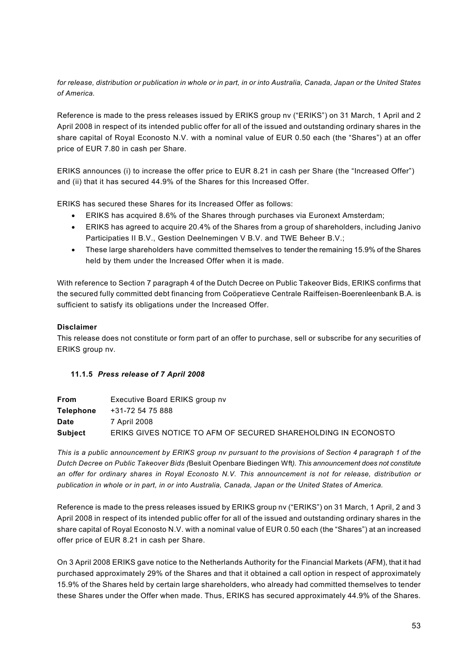*for release, distribution or publication in whole or in part, in or into Australia, Canada, Japan or the United States of America.*

Reference is made to the press releases issued by ERIKS group nv ("ERIKS") on 31 March, 1 April and 2 April 2008 in respect of its intended public offer for all of the issued and outstanding ordinary shares in the share capital of Royal Econosto N.V. with a nominal value of EUR 0.50 each (the "Shares") at an offer price of EUR 7.80 in cash per Share.

ERIKS announces (i) to increase the offer price to EUR 8.21 in cash per Share (the "Increased Offer") and (ii) that it has secured 44.9% of the Shares for this Increased Offer.

ERIKS has secured these Shares for its Increased Offer as follows:

- ERIKS has acquired 8.6% of the Shares through purchases via Euronext Amsterdam;
- · ERIKS has agreed to acquire 20.4% of the Shares from a group of shareholders, including Janivo Participaties II B.V., Gestion Deelnemingen V B.V. and TWE Beheer B.V.;
- · These large shareholders have committed themselves to tender the remaining 15.9% of the Shares held by them under the Increased Offer when it is made.

With reference to Section 7 paragraph 4 of the Dutch Decree on Public Takeover Bids, ERIKS confirms that the secured fully committed debt financing from Coöperatieve Centrale Raiffeisen-Boerenleenbank B.A. is sufficient to satisfy its obligations under the Increased Offer.

## **Disclaimer**

This release does not constitute or form part of an offer to purchase, sell or subscribe for any securities of ERIKS group nv.

## **11.1.5** *Press release of 7 April 2008*

| <b>From</b>      | Executive Board ERIKS group nv                                |
|------------------|---------------------------------------------------------------|
| <b>Telephone</b> | +31-72 54 75 888                                              |
| <b>Date</b>      | 7 April 2008                                                  |
| <b>Subject</b>   | ERIKS GIVES NOTICE TO AFM OF SECURED SHAREHOLDING IN ECONOSTO |

*This is a public announcement by ERIKS group nv pursuant to the provisions of Section 4 paragraph 1 of the Dutch Decree on Public Takeover Bids (*Besluit Openbare Biedingen Wft*). This announcement does not constitute an offer for ordinary shares in Royal Econosto N.V. This announcement is not for release, distribution or publication in whole or in part, in or into Australia, Canada, Japan or the United States of America.*

Reference is made to the press releases issued by ERIKS group nv ("ERIKS") on 31 March, 1 April, 2 and 3 April 2008 in respect of its intended public offer for all of the issued and outstanding ordinary shares in the share capital of Royal Econosto N.V. with a nominal value of EUR 0.50 each (the "Shares") at an increased offer price of EUR 8.21 in cash per Share.

On 3 April 2008 ERIKS gave notice to the Netherlands Authority for the Financial Markets (AFM), that it had purchased approximately 29% of the Shares and that it obtained a call option in respect of approximately 15.9% of the Shares held by certain large shareholders, who already had committed themselves to tender these Shares under the Offer when made. Thus, ERIKS has secured approximately 44.9% of the Shares.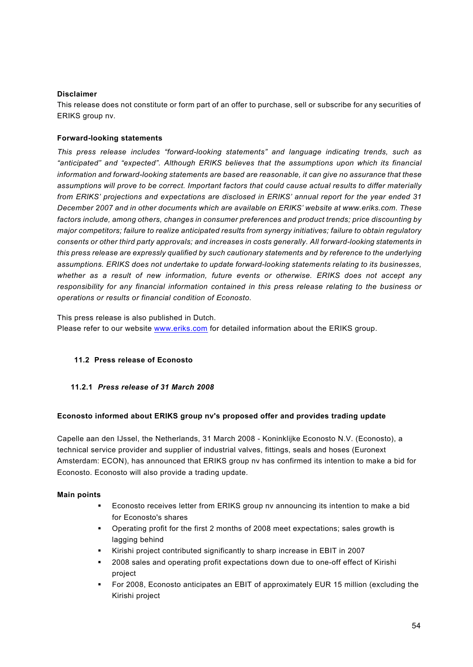## **Disclaimer**

This release does not constitute or form part of an offer to purchase, sell or subscribe for any securities of ERIKS group nv.

### **Forward-looking statements**

*This press release includes "forward-looking statements" and language indicating trends, such as "anticipated" and "expected". Although ERIKS believes that the assumptions upon which its financial information and forward-looking statements are based are reasonable, it can give no assurance that these assumptions will prove to be correct. Important factors that could cause actual results to differ materially from ERIKS' projections and expectations are disclosed in ERIKS' annual report for the year ended 31 December 2007 and in other documents which are available on ERIKS' website at<www.eriks.com.>These factors include, among others, changes in consumer preferences and product trends; price discounting by major competitors; failure to realize anticipated results from synergy initiatives; failure to obtain regulatory consents or other third party approvals; and increases in costs generally. All forward-looking statements in this press release are expressly qualified by such cautionary statements and by reference to the underlying assumptions. ERIKS does not undertake to update forward-looking statements relating to its businesses, whether as a result of new information, future events or otherwise. ERIKS does not accept any responsibility for any financial information contained in this press release relating to the business or operations or results or financial condition of Econosto.*

This press release is also published in Dutch.

Please refer to our website <www.eriks.com> for detailed information about the ERIKS group.

## **11.2 Press release of Econosto**

### **11.2.1** *Press release of 31 March 2008*

### **Econosto informed about ERIKS group nv's proposed offer and provides trading update**

Capelle aan den IJssel, the Netherlands, 31 March 2008 - Koninklijke Econosto N.V. (Econosto), a technical service provider and supplier of industrial valves, fittings, seals and hoses (Euronext Amsterdam: ECON), has announced that ERIKS group nv has confirmed its intention to make a bid for Econosto. Econosto will also provide a trading update.

### **Main points**

- § Econosto receives letter from ERIKS group nv announcing its intention to make a bid for Econosto's shares
- § Operating profit for the first 2 months of 2008 meet expectations; sales growth is lagging behind
- § Kirishi project contributed significantly to sharp increase in EBIT in 2007
- § 2008 sales and operating profit expectations down due to one-off effect of Kirishi project
- § For 2008, Econosto anticipates an EBIT of approximately EUR 15 million (excluding the Kirishi project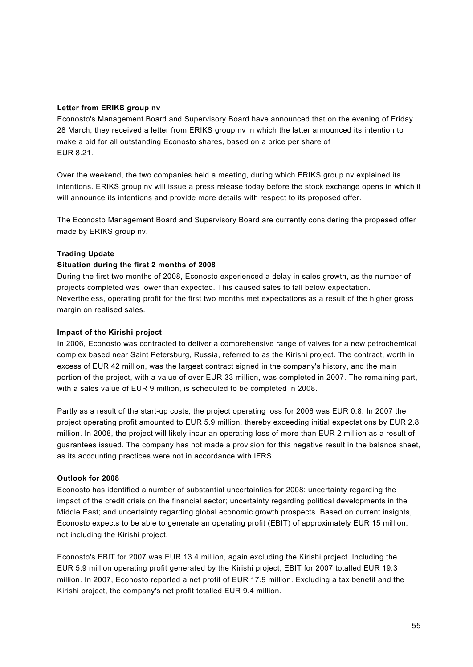### **Letter from ERIKS group nv**

Econosto's Management Board and Supervisory Board have announced that on the evening of Friday 28 March, they received a letter from ERIKS group nv in which the latter announced its intention to make a bid for all outstanding Econosto shares, based on a price per share of EUR 8.21.

Over the weekend, the two companies held a meeting, during which ERIKS group nv explained its intentions. ERIKS group nv will issue a press release today before the stock exchange opens in which it will announce its intentions and provide more details with respect to its proposed offer.

The Econosto Management Board and Supervisory Board are currently considering the propesed offer made by ERIKS group nv.

### **Trading Update**

### **Situation during the first 2 months of 2008**

During the first two months of 2008, Econosto experienced a delay in sales growth, as the number of projects completed was lower than expected. This caused sales to fall below expectation. Nevertheless, operating profit for the first two months met expectations as a result of the higher gross margin on realised sales.

#### **Impact of the Kirishi project**

In 2006, Econosto was contracted to deliver a comprehensive range of valves for a new petrochemical complex based near Saint Petersburg, Russia, referred to as the Kirishi project. The contract, worth in excess of EUR 42 million, was the largest contract signed in the company's history, and the main portion of the project, with a value of over EUR 33 million, was completed in 2007. The remaining part, with a sales value of EUR 9 million, is scheduled to be completed in 2008.

Partly as a result of the start-up costs, the project operating loss for 2006 was EUR 0.8. In 2007 the project operating profit amounted to EUR 5.9 million, thereby exceeding initial expectations by EUR 2.8 million. In 2008, the project will likely incur an operating loss of more than EUR 2 million as a result of guarantees issued. The company has not made a provision for this negative result in the balance sheet, as its accounting practices were not in accordance with IFRS.

### **Outlook for 2008**

Econosto has identified a number of substantial uncertainties for 2008: uncertainty regarding the impact of the credit crisis on the financial sector; uncertainty regarding political developments in the Middle East; and uncertainty regarding global economic growth prospects. Based on current insights, Econosto expects to be able to generate an operating profit (EBIT) of approximately EUR 15 million, not including the Kirishi project.

Econosto's EBIT for 2007 was EUR 13.4 million, again excluding the Kirishi project. Including the EUR 5.9 million operating profit generated by the Kirishi project, EBIT for 2007 totalled EUR 19.3 million. In 2007, Econosto reported a net profit of EUR 17.9 million. Excluding a tax benefit and the Kirishi project, the company's net profit totalled EUR 9.4 million.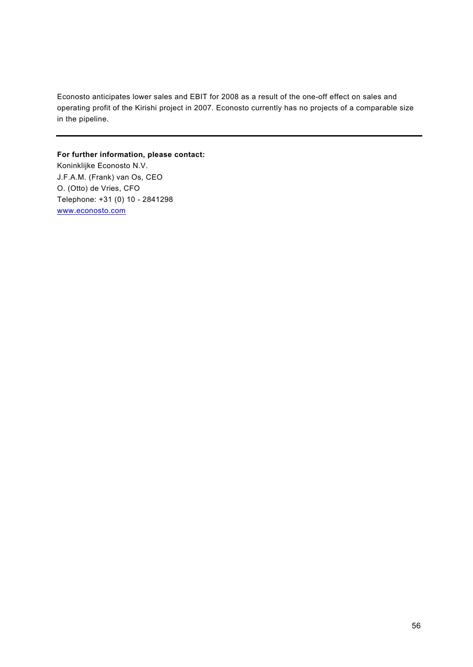Econosto anticipates lower sales and EBIT for 2008 as a result of the one-off effect on sales and operating profit of the Kirishi project in 2007. Econosto currently has no projects of a comparable size in the pipeline.

## **For further information, please contact:**

Koninklijke Econosto N.V. J.F.A.M. (Frank) van Os, CEO O. (Otto) de Vries, CFO Telephone: +31 (0) 10 - 2841298 <www.econosto.com>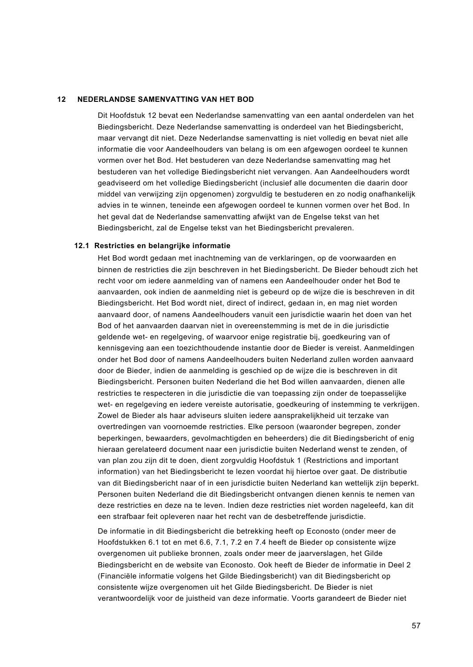### **12 NEDERLANDSE SAMENVATTING VAN HET BOD**

Dit Hoofdstuk 12 bevat een Nederlandse samenvatting van een aantal onderdelen van het Biedingsbericht. Deze Nederlandse samenvatting is onderdeel van het Biedingsbericht, maar vervangt dit niet. Deze Nederlandse samenvatting is niet volledig en bevat niet alle informatie die voor Aandeelhouders van belang is om een afgewogen oordeel te kunnen vormen over het Bod. Het bestuderen van deze Nederlandse samenvatting mag het bestuderen van het volledige Biedingsbericht niet vervangen. Aan Aandeelhouders wordt geadviseerd om het volledige Biedingsbericht (inclusief alle documenten die daarin door middel van verwijzing zijn opgenomen) zorgvuldig te bestuderen en zo nodig onafhankelijk advies in te winnen, teneinde een afgewogen oordeel te kunnen vormen over het Bod. In het geval dat de Nederlandse samenvatting afwijkt van de Engelse tekst van het Biedingsbericht, zal de Engelse tekst van het Biedingsbericht prevaleren.

### **12.1 Restricties en belangrijke informatie**

Het Bod wordt gedaan met inachtneming van de verklaringen, op de voorwaarden en binnen de restricties die zijn beschreven in het Biedingsbericht. De Bieder behoudt zich het recht voor om iedere aanmelding van of namens een Aandeelhouder onder het Bod te aanvaarden, ook indien de aanmelding niet is gebeurd op de wijze die is beschreven in dit Biedingsbericht. Het Bod wordt niet, direct of indirect, gedaan in, en mag niet worden aanvaard door, of namens Aandeelhouders vanuit een jurisdictie waarin het doen van het Bod of het aanvaarden daarvan niet in overeenstemming is met de in die jurisdictie geldende wet- en regelgeving, of waarvoor enige registratie bij, goedkeuring van of kennisgeving aan een toezichthoudende instantie door de Bieder is vereist. Aanmeldingen onder het Bod door of namens Aandeelhouders buiten Nederland zullen worden aanvaard door de Bieder, indien de aanmelding is geschied op de wijze die is beschreven in dit Biedingsbericht. Personen buiten Nederland die het Bod willen aanvaarden, dienen alle restricties te respecteren in die jurisdictie die van toepassing zijn onder de toepasselijke wet- en regelgeving en iedere vereiste autorisatie, goedkeuring of instemming te verkrijgen. Zowel de Bieder als haar adviseurs sluiten iedere aansprakelijkheid uit terzake van overtredingen van voornoemde restricties. Elke persoon (waaronder begrepen, zonder beperkingen, bewaarders, gevolmachtigden en beheerders) die dit Biedingsbericht of enig hieraan gerelateerd document naar een jurisdictie buiten Nederland wenst te zenden, of van plan zou zijn dit te doen, dient zorgvuldig Hoofdstuk 1 (Restrictions and important information) van het Biedingsbericht te lezen voordat hij hiertoe over gaat. De distributie van dit Biedingsbericht naar of in een jurisdictie buiten Nederland kan wettelijk zijn beperkt. Personen buiten Nederland die dit Biedingsbericht ontvangen dienen kennis te nemen van deze restricties en deze na te leven. Indien deze restricties niet worden nageleefd, kan dit een strafbaar feit opleveren naar het recht van de desbetreffende jurisdictie.

De informatie in dit Biedingsbericht die betrekking heeft op Econosto (onder meer de Hoofdstukken 6.1 tot en met 6.6, 7.1, 7.2 en 7.4 heeft de Bieder op consistente wijze overgenomen uit publieke bronnen, zoals onder meer de jaarverslagen, het Gilde Biedingsbericht en de website van Econosto. Ook heeft de Bieder de informatie in Deel 2 (Financiële informatie volgens het Gilde Biedingsbericht) van dit Biedingsbericht op consistente wijze overgenomen uit het Gilde Biedingsbericht. De Bieder is niet verantwoordelijk voor de juistheid van deze informatie. Voorts garandeert de Bieder niet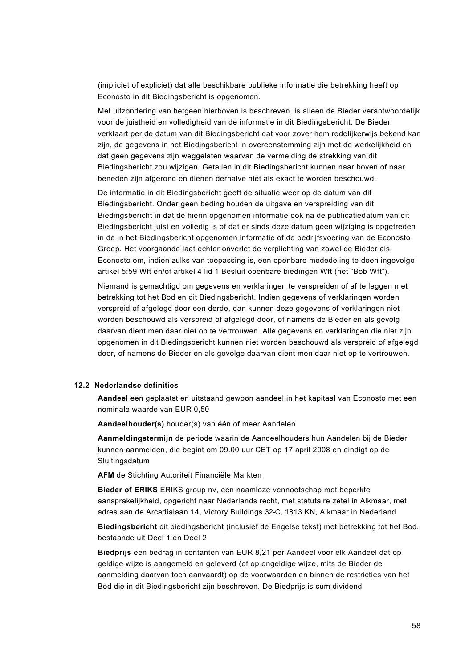(impliciet of expliciet) dat alle beschikbare publieke informatie die betrekking heeft op Econosto in dit Biedingsbericht is opgenomen.

Met uitzondering van hetgeen hierboven is beschreven, is alleen de Bieder verantwoordelijk voor de juistheid en volledigheid van de informatie in dit Biedingsbericht. De Bieder verklaart per de datum van dit Biedingsbericht dat voor zover hem redelijkerwijs bekend kan zijn, de gegevens in het Biedingsbericht in overeenstemming zijn met de werkelijkheid en dat geen gegevens zijn weggelaten waarvan de vermelding de strekking van dit Biedingsbericht zou wijzigen. Getallen in dit Biedingsbericht kunnen naar boven of naar beneden zijn afgerond en dienen derhalve niet als exact te worden beschouwd.

De informatie in dit Biedingsbericht geeft de situatie weer op de datum van dit Biedingsbericht. Onder geen beding houden de uitgave en verspreiding van dit Biedingsbericht in dat de hierin opgenomen informatie ook na de publicatiedatum van dit Biedingsbericht juist en volledig is of dat er sinds deze datum geen wijziging is opgetreden in de in het Biedingsbericht opgenomen informatie of de bedrijfsvoering van de Econosto Groep. Het voorgaande laat echter onverlet de verplichting van zowel de Bieder als Econosto om, indien zulks van toepassing is, een openbare mededeling te doen ingevolge artikel 5:59 Wft en/of artikel 4 lid 1 Besluit openbare biedingen Wft (het "Bob Wft").

Niemand is gemachtigd om gegevens en verklaringen te verspreiden of af te leggen met betrekking tot het Bod en dit Biedingsbericht. Indien gegevens of verklaringen worden verspreid of afgelegd door een derde, dan kunnen deze gegevens of verklaringen niet worden beschouwd als verspreid of afgelegd door, of namens de Bieder en als gevolg daarvan dient men daar niet op te vertrouwen. Alle gegevens en verklaringen die niet zijn opgenomen in dit Biedingsbericht kunnen niet worden beschouwd als verspreid of afgelegd door, of namens de Bieder en als gevolge daarvan dient men daar niet op te vertrouwen.

### **12.2 Nederlandse definities**

**Aandeel** een geplaatst en uitstaand gewoon aandeel in het kapitaal van Econosto met een nominale waarde van EUR 0,50

**Aandeelhouder(s)** houder(s) van één of meer Aandelen

**Aanmeldingstermijn** de periode waarin de Aandeelhouders hun Aandelen bij de Bieder kunnen aanmelden, die begint om 09.00 uur CET op 17 april 2008 en eindigt op de Sluitingsdatum

**AFM** de Stichting Autoriteit Financiële Markten

**Bieder of ERIKS** ERIKS group nv, een naamloze vennootschap met beperkte aansprakelijkheid, opgericht naar Nederlands recht, met statutaire zetel in Alkmaar, met adres aan de Arcadialaan 14, Victory Buildings 32-C, 1813 KN, Alkmaar in Nederland

**Biedingsbericht** dit biedingsbericht (inclusief de Engelse tekst) met betrekking tot het Bod, bestaande uit Deel 1 en Deel 2

**Biedprijs** een bedrag in contanten van EUR 8,21 per Aandeel voor elk Aandeel dat op geldige wijze is aangemeld en geleverd (of op ongeldige wijze, mits de Bieder de aanmelding daarvan toch aanvaardt) op de voorwaarden en binnen de restricties van het Bod die in dit Biedingsbericht zijn beschreven. De Biedprijs is cum dividend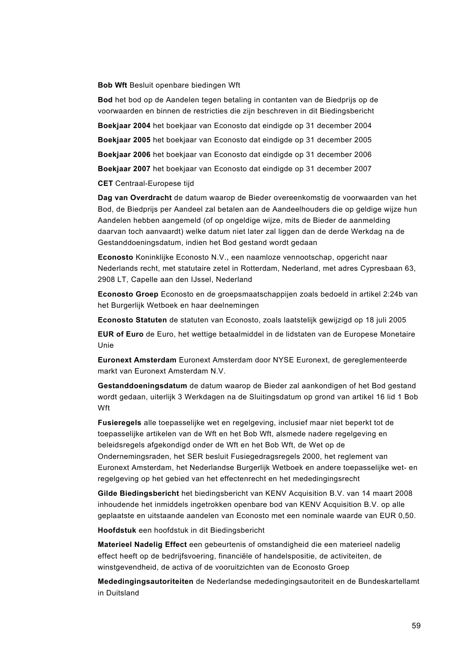#### **Bob Wft** Besluit openbare biedingen Wft

**Bod** het bod op de Aandelen tegen betaling in contanten van de Biedprijs op de voorwaarden en binnen de restricties die zijn beschreven in dit Biedingsbericht

**Boekjaar 2004** het boekjaar van Econosto dat eindigde op 31 december 2004

**Boekjaar 2005** het boekjaar van Econosto dat eindigde op 31 december 2005

**Boekjaar 2006** het boekjaar van Econosto dat eindigde op 31 december 2006

**Boekjaar 2007** het boekjaar van Econosto dat eindigde op 31 december 2007

### **CET** Centraal-Europese tijd

**Dag van Overdracht** de datum waarop de Bieder overeenkomstig de voorwaarden van het Bod, de Biedprijs per Aandeel zal betalen aan de Aandeelhouders die op geldige wijze hun Aandelen hebben aangemeld (of op ongeldige wijze, mits de Bieder de aanmelding daarvan toch aanvaardt) welke datum niet later zal liggen dan de derde Werkdag na de Gestanddoeningsdatum, indien het Bod gestand wordt gedaan

**Econosto** Koninklijke Econosto N.V., een naamloze vennootschap, opgericht naar Nederlands recht, met statutaire zetel in Rotterdam, Nederland, met adres Cypresbaan 63, 2908 LT, Capelle aan den IJssel, Nederland

**Econosto Groep** Econosto en de groepsmaatschappijen zoals bedoeld in artikel 2:24b van het Burgerlijk Wetboek en haar deelnemingen

**Econosto Statuten** de statuten van Econosto, zoals laatstelijk gewijzigd op 18 juli 2005

**EUR of Euro** de Euro, het wettige betaalmiddel in de lidstaten van de Europese Monetaire Unie

**Euronext Amsterdam** Euronext Amsterdam door NYSE Euronext, de gereglementeerde markt van Euronext Amsterdam N.V.

**Gestanddoeningsdatum** de datum waarop de Bieder zal aankondigen of het Bod gestand wordt gedaan, uiterlijk 3 Werkdagen na de Sluitingsdatum op grond van artikel 16 lid 1 Bob Wft

**Fusieregels** alle toepasselijke wet en regelgeving, inclusief maar niet beperkt tot de toepasselijke artikelen van de Wft en het Bob Wft, alsmede nadere regelgeving en beleidsregels afgekondigd onder de Wft en het Bob Wft, de Wet op de Ondernemingsraden, het SER besluit Fusiegedragsregels 2000, het reglement van Euronext Amsterdam, het Nederlandse Burgerlijk Wetboek en andere toepasselijke wet- en regelgeving op het gebied van het effectenrecht en het mededingingsrecht

**Gilde Biedingsbericht** het biedingsbericht van KENV Acquisition B.V. van 14 maart 2008 inhoudende het inmiddels ingetrokken openbare bod van KENV Acquisition B.V. op alle geplaatste en uitstaande aandelen van Econosto met een nominale waarde van EUR 0,50.

**Hoofdstuk** een hoofdstuk in dit Biedingsbericht

**Materieel Nadelig Effect** een gebeurtenis of omstandigheid die een materieel nadelig effect heeft op de bedrijfsvoering, financiële of handelspositie, de activiteiten, de winstgevendheid, de activa of de vooruitzichten van de Econosto Groep

**Mededingingsautoriteiten** de Nederlandse mededingingsautoriteit en de Bundeskartellamt in Duitsland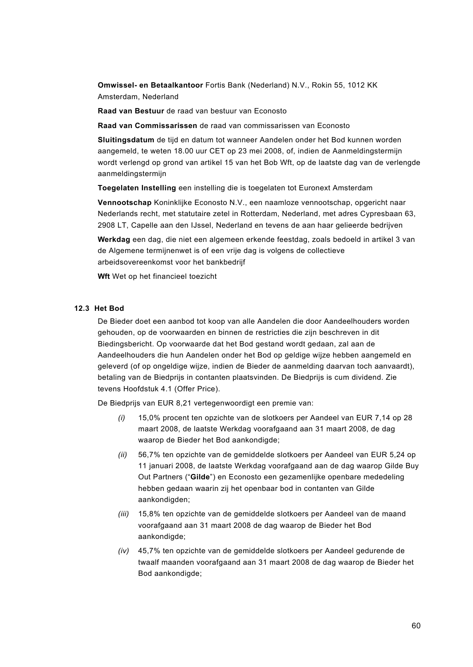**Omwissel- en Betaalkantoor** Fortis Bank (Nederland) N.V., Rokin 55, 1012 KK Amsterdam, Nederland

**Raad van Bestuur** de raad van bestuur van Econosto

**Raad van Commissarissen** de raad van commissarissen van Econosto

**Sluitingsdatum** de tijd en datum tot wanneer Aandelen onder het Bod kunnen worden aangemeld, te weten 18.00 uur CET op 23 mei 2008, of, indien de Aanmeldingstermijn wordt verlengd op grond van artikel 15 van het Bob Wft, op de laatste dag van de verlengde aanmeldingstermijn

**Toegelaten Instelling** een instelling die is toegelaten tot Euronext Amsterdam

**Vennootschap** Koninklijke Econosto N.V., een naamloze vennootschap, opgericht naar Nederlands recht, met statutaire zetel in Rotterdam, Nederland, met adres Cypresbaan 63, 2908 LT, Capelle aan den IJssel, Nederland en tevens de aan haar gelieerde bedrijven

**Werkdag** een dag, die niet een algemeen erkende feestdag, zoals bedoeld in artikel 3 van de Algemene termijnenwet is of een vrije dag is volgens de collectieve arbeidsovereenkomst voor het bankbedrijf

**Wft** Wet op het financieel toezicht

#### **12.3 Het Bod**

De Bieder doet een aanbod tot koop van alle Aandelen die door Aandeelhouders worden gehouden, op de voorwaarden en binnen de restricties die zijn beschreven in dit Biedingsbericht. Op voorwaarde dat het Bod gestand wordt gedaan, zal aan de Aandeelhouders die hun Aandelen onder het Bod op geldige wijze hebben aangemeld en geleverd (of op ongeldige wijze, indien de Bieder de aanmelding daarvan toch aanvaardt), betaling van de Biedprijs in contanten plaatsvinden. De Biedprijs is cum dividend. Zie tevens Hoofdstuk 4.1 (Offer Price).

De Biedprijs van EUR 8,21 vertegenwoordigt een premie van:

- *(i)* 15,0% procent ten opzichte van de slotkoers per Aandeel van EUR 7,14 op 28 maart 2008, de laatste Werkdag voorafgaand aan 31 maart 2008, de dag waarop de Bieder het Bod aankondigde;
- *(ii)* 56,7% ten opzichte van de gemiddelde slotkoers per Aandeel van EUR 5,24 op 11 januari 2008, de laatste Werkdag voorafgaand aan de dag waarop Gilde Buy Out Partners ("**Gilde**") en Econosto een gezamenlijke openbare mededeling hebben gedaan waarin zij het openbaar bod in contanten van Gilde aankondigden;
- *(iii)* 15,8% ten opzichte van de gemiddelde slotkoers per Aandeel van de maand voorafgaand aan 31 maart 2008 de dag waarop de Bieder het Bod aankondigde;
- *(iv)* 45,7% ten opzichte van de gemiddelde slotkoers per Aandeel gedurende de twaalf maanden voorafgaand aan 31 maart 2008 de dag waarop de Bieder het Bod aankondigde;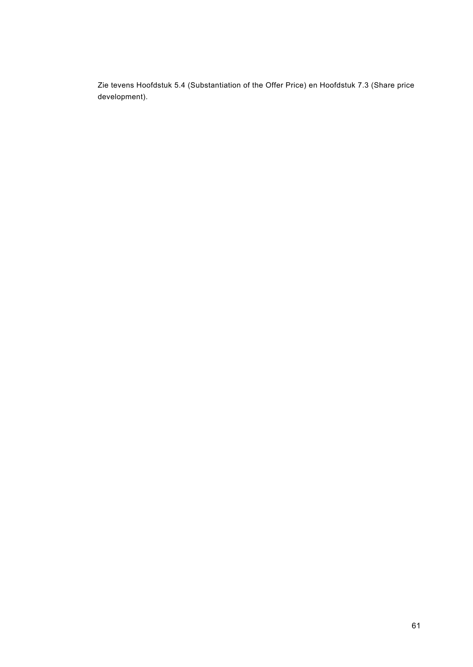Zie tevens Hoofdstuk 5.4 (Substantiation of the Offer Price) en Hoofdstuk 7.3 (Share price development).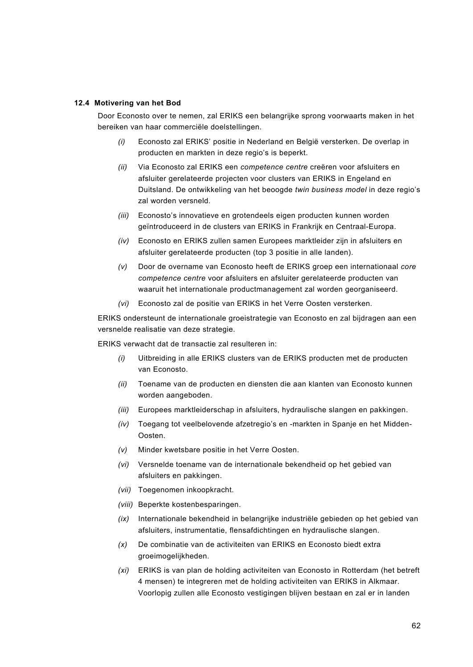### **12.4 Motivering van het Bod**

Door Econosto over te nemen, zal ERIKS een belangrijke sprong voorwaarts maken in het bereiken van haar commerciële doelstellingen.

- *(i)* Econosto zal ERIKS' positie in Nederland en België versterken. De overlap in producten en markten in deze regio's is beperkt.
- *(ii)* Via Econosto zal ERIKS een *competence centre* creëren voor afsluiters en afsluiter gerelateerde projecten voor clusters van ERIKS in Engeland en Duitsland. De ontwikkeling van het beoogde *twin business model* in deze regio's zal worden versneld.
- *(iii)* Econosto's innovatieve en grotendeels eigen producten kunnen worden geïntroduceerd in de clusters van ERIKS in Frankrijk en Centraal-Europa.
- *(iv)* Econosto en ERIKS zullen samen Europees marktleider zijn in afsluiters en afsluiter gerelateerde producten (top 3 positie in alle landen).
- *(v)* Door de overname van Econosto heeft de ERIKS groep een internationaal *core competence centre* voor afsluiters en afsluiter gerelateerde producten van waaruit het internationale productmanagement zal worden georganiseerd.
- *(vi)* Econosto zal de positie van ERIKS in het Verre Oosten versterken.

ERIKS ondersteunt de internationale groeistrategie van Econosto en zal bijdragen aan een versnelde realisatie van deze strategie.

ERIKS verwacht dat de transactie zal resulteren in:

- *(i)* Uitbreiding in alle ERIKS clusters van de ERIKS producten met de producten van Econosto.
- *(ii)* Toename van de producten en diensten die aan klanten van Econosto kunnen worden aangeboden.
- *(iii)* Europees marktleiderschap in afsluiters, hydraulische slangen en pakkingen.
- *(iv)* Toegang tot veelbelovende afzetregio's en -markten in Spanje en het Midden-Oosten.
- *(v)* Minder kwetsbare positie in het Verre Oosten.
- *(vi)* Versnelde toename van de internationale bekendheid op het gebied van afsluiters en pakkingen.
- *(vii)* Toegenomen inkoopkracht.
- *(viii)* Beperkte kostenbesparingen.
- *(ix)* Internationale bekendheid in belangrijke industriële gebieden op het gebied van afsluiters, instrumentatie, flensafdichtingen en hydraulische slangen.
- *(x)* De combinatie van de activiteiten van ERIKS en Econosto biedt extra groeimogelijkheden.
- *(xi)* ERIKS is van plan de holding activiteiten van Econosto in Rotterdam (het betreft 4 mensen) te integreren met de holding activiteiten van ERIKS in Alkmaar. Voorlopig zullen alle Econosto vestigingen blijven bestaan en zal er in landen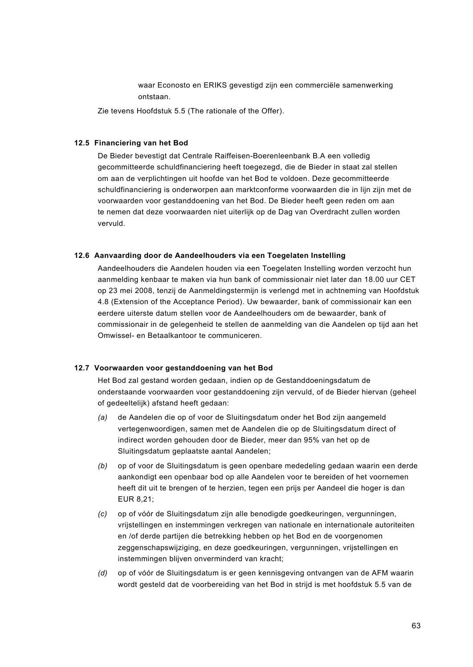waar Econosto en ERIKS gevestigd zijn een commerciële samenwerking ontstaan.

Zie tevens Hoofdstuk 5.5 (The rationale of the Offer).

### **12.5 Financiering van het Bod**

De Bieder bevestigt dat Centrale Raiffeisen-Boerenleenbank B.A een volledig gecommitteerde schuldfinanciering heeft toegezegd, die de Bieder in staat zal stellen om aan de verplichtingen uit hoofde van het Bod te voldoen. Deze gecommitteerde schuldfinanciering is onderworpen aan marktconforme voorwaarden die in lijn zijn met de voorwaarden voor gestanddoening van het Bod. De Bieder heeft geen reden om aan te nemen dat deze voorwaarden niet uiterlijk op de Dag van Overdracht zullen worden vervuld.

#### **12.6 Aanvaarding door de Aandeelhouders via een Toegelaten Instelling**

Aandeelhouders die Aandelen houden via een Toegelaten Instelling worden verzocht hun aanmelding kenbaar te maken via hun bank of commissionair niet later dan 18.00 uur CET op 23 mei 2008, tenzij de Aanmeldingstermijn is verlengd met in achtneming van Hoofdstuk 4.8 (Extension of the Acceptance Period). Uw bewaarder, bank of commissionair kan een eerdere uiterste datum stellen voor de Aandeelhouders om de bewaarder, bank of commissionair in de gelegenheid te stellen de aanmelding van die Aandelen op tijd aan het Omwissel- en Betaalkantoor te communiceren.

### **12.7 Voorwaarden voor gestanddoening van het Bod**

Het Bod zal gestand worden gedaan, indien op de Gestanddoeningsdatum de onderstaande voorwaarden voor gestanddoening zijn vervuld, of de Bieder hiervan (geheel of gedeeltelijk) afstand heeft gedaan:

- *(a)* de Aandelen die op of voor de Sluitingsdatum onder het Bod zijn aangemeld vertegenwoordigen, samen met de Aandelen die op de Sluitingsdatum direct of indirect worden gehouden door de Bieder, meer dan 95% van het op de Sluitingsdatum geplaatste aantal Aandelen;
- *(b)* op of voor de Sluitingsdatum is geen openbare mededeling gedaan waarin een derde aankondigt een openbaar bod op alle Aandelen voor te bereiden of het voornemen heeft dit uit te brengen of te herzien, tegen een prijs per Aandeel die hoger is dan EUR 8,21;
- *(c)* op of vóór de Sluitingsdatum zijn alle benodigde goedkeuringen, vergunningen, vrijstellingen en instemmingen verkregen van nationale en internationale autoriteiten en /of derde partijen die betrekking hebben op het Bod en de voorgenomen zeggenschapswijziging, en deze goedkeuringen, vergunningen, vrijstellingen en instemmingen blijven onverminderd van kracht;
- *(d)* op of vóór de Sluitingsdatum is er geen kennisgeving ontvangen van de AFM waarin wordt gesteld dat de voorbereiding van het Bod in strijd is met hoofdstuk 5.5 van de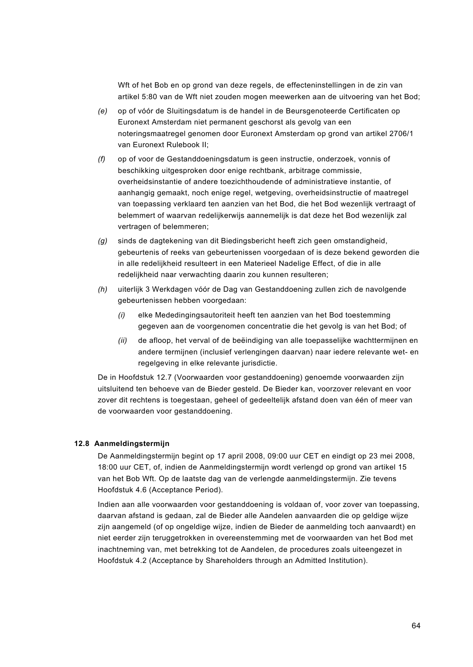Wft of het Bob en op grond van deze regels, de effecteninstellingen in de zin van artikel 5:80 van de Wft niet zouden mogen meewerken aan de uitvoering van het Bod;

- *(e)* op of vóór de Sluitingsdatum is de handel in de Beursgenoteerde Certificaten op Euronext Amsterdam niet permanent geschorst als gevolg van een noteringsmaatregel genomen door Euronext Amsterdam op grond van artikel 2706/1 van Euronext Rulebook II;
- *(f)* op of voor de Gestanddoeningsdatum is geen instructie, onderzoek, vonnis of beschikking uitgesproken door enige rechtbank, arbitrage commissie, overheidsinstantie of andere toezichthoudende of administratieve instantie, of aanhangig gemaakt, noch enige regel, wetgeving, overheidsinstructie of maatregel van toepassing verklaard ten aanzien van het Bod, die het Bod wezenlijk vertraagt of belemmert of waarvan redelijkerwijs aannemelijk is dat deze het Bod wezenlijk zal vertragen of belemmeren;
- *(g)* sinds de dagtekening van dit Biedingsbericht heeft zich geen omstandigheid, gebeurtenis of reeks van gebeurtenissen voorgedaan of is deze bekend geworden die in alle redelijkheid resulteert in een Materieel Nadelige Effect, of die in alle redelijkheid naar verwachting daarin zou kunnen resulteren;
- *(h)* uiterlijk 3 Werkdagen vóór de Dag van Gestanddoening zullen zich de navolgende gebeurtenissen hebben voorgedaan:
	- *(i)* elke Mededingingsautoriteit heeft ten aanzien van het Bod toestemming gegeven aan de voorgenomen concentratie die het gevolg is van het Bod; of
	- *(ii)* de afloop, het verval of de beëindiging van alle toepasselijke wachttermijnen en andere termijnen (inclusief verlengingen daarvan) naar iedere relevante wet- en regelgeving in elke relevante jurisdictie.

De in Hoofdstuk 12.7 (Voorwaarden voor gestanddoening) genoemde voorwaarden zijn uitsluitend ten behoeve van de Bieder gesteld. De Bieder kan, voorzover relevant en voor zover dit rechtens is toegestaan, geheel of gedeeltelijk afstand doen van één of meer van de voorwaarden voor gestanddoening.

## **12.8 Aanmeldingstermijn**

De Aanmeldingstermijn begint op 17 april 2008, 09:00 uur CET en eindigt op 23 mei 2008, 18:00 uur CET, of, indien de Aanmeldingstermijn wordt verlengd op grond van artikel 15 van het Bob Wft. Op de laatste dag van de verlengde aanmeldingstermijn. Zie tevens Hoofdstuk 4.6 (Acceptance Period).

Indien aan alle voorwaarden voor gestanddoening is voldaan of, voor zover van toepassing, daarvan afstand is gedaan, zal de Bieder alle Aandelen aanvaarden die op geldige wijze zijn aangemeld (of op ongeldige wijze, indien de Bieder de aanmelding toch aanvaardt) en niet eerder zijn teruggetrokken in overeenstemming met de voorwaarden van het Bod met inachtneming van, met betrekking tot de Aandelen, de procedures zoals uiteengezet in Hoofdstuk 4.2 (Acceptance by Shareholders through an Admitted Institution).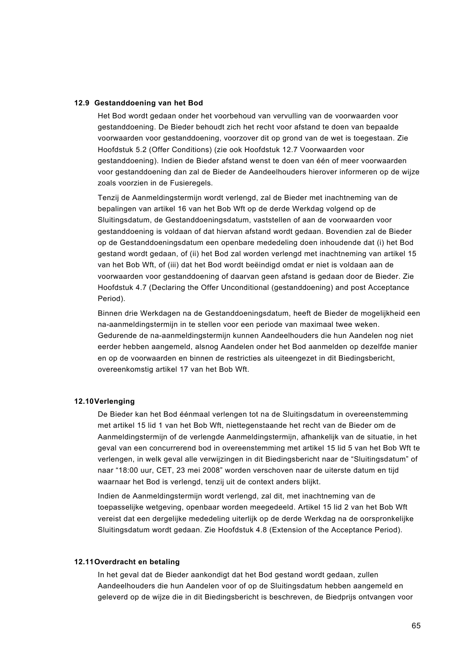#### **12.9 Gestanddoening van het Bod**

Het Bod wordt gedaan onder het voorbehoud van vervulling van de voorwaarden voor gestanddoening. De Bieder behoudt zich het recht voor afstand te doen van bepaalde voorwaarden voor gestanddoening, voorzover dit op grond van de wet is toegestaan. Zie Hoofdstuk 5.2 (Offer Conditions) (zie ook Hoofdstuk 12.7 Voorwaarden voor gestanddoening). Indien de Bieder afstand wenst te doen van één of meer voorwaarden voor gestanddoening dan zal de Bieder de Aandeelhouders hierover informeren op de wijze zoals voorzien in de Fusieregels.

Tenzij de Aanmeldingstermijn wordt verlengd, zal de Bieder met inachtneming van de bepalingen van artikel 16 van het Bob Wft op de derde Werkdag volgend op de Sluitingsdatum, de Gestanddoeningsdatum, vaststellen of aan de voorwaarden voor gestanddoening is voldaan of dat hiervan afstand wordt gedaan. Bovendien zal de Bieder op de Gestanddoeningsdatum een openbare mededeling doen inhoudende dat (i) het Bod gestand wordt gedaan, of (ii) het Bod zal worden verlengd met inachtneming van artikel 15 van het Bob Wft, of (iii) dat het Bod wordt beëindigd omdat er niet is voldaan aan de voorwaarden voor gestanddoening of daarvan geen afstand is gedaan door de Bieder. Zie Hoofdstuk 4.7 (Declaring the Offer Unconditional (gestanddoening) and post Acceptance Period).

Binnen drie Werkdagen na de Gestanddoeningsdatum, heeft de Bieder de mogelijkheid een na-aanmeldingstermijn in te stellen voor een periode van maximaal twee weken. Gedurende de na-aanmeldingstermijn kunnen Aandeelhouders die hun Aandelen nog niet eerder hebben aangemeld, alsnog Aandelen onder het Bod aanmelden op dezelfde manier en op de voorwaarden en binnen de restricties als uiteengezet in dit Biedingsbericht, overeenkomstig artikel 17 van het Bob Wft.

#### **12.10Verlenging**

De Bieder kan het Bod éénmaal verlengen tot na de Sluitingsdatum in overeenstemming met artikel 15 lid 1 van het Bob Wft, niettegenstaande het recht van de Bieder om de Aanmeldingstermijn of de verlengde Aanmeldingstermijn, afhankelijk van de situatie, in het geval van een concurrerend bod in overeenstemming met artikel 15 lid 5 van het Bob Wft te verlengen, in welk geval alle verwijzingen in dit Biedingsbericht naar de "Sluitingsdatum" of naar "18:00 uur, CET, 23 mei 2008" worden verschoven naar de uiterste datum en tijd waarnaar het Bod is verlengd, tenzij uit de context anders blijkt.

Indien de Aanmeldingstermijn wordt verlengd, zal dit, met inachtneming van de toepasselijke wetgeving, openbaar worden meegedeeld. Artikel 15 lid 2 van het Bob Wft vereist dat een dergelijke mededeling uiterlijk op de derde Werkdag na de oorspronkelijke Sluitingsdatum wordt gedaan. Zie Hoofdstuk 4.8 (Extension of the Acceptance Period).

#### **12.11Overdracht en betaling**

In het geval dat de Bieder aankondigt dat het Bod gestand wordt gedaan, zullen Aandeelhouders die hun Aandelen voor of op de Sluitingsdatum hebben aangemeld en geleverd op de wijze die in dit Biedingsbericht is beschreven, de Biedprijs ontvangen voor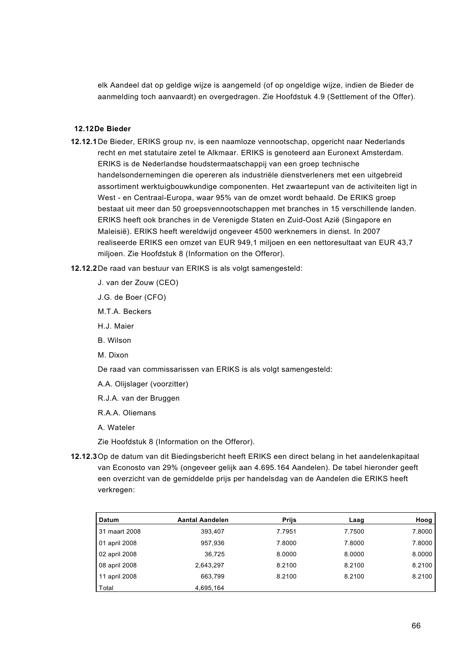elk Aandeel dat op geldige wijze is aangemeld (of op ongeldige wijze, indien de Bieder de aanmelding toch aanvaardt) en overgedragen. Zie Hoofdstuk 4.9 (Settlement of the Offer).

#### **12.12De Bieder**

- **12.12.1**De Bieder, ERIKS group nv, is een naamloze vennootschap, opgericht naar Nederlands recht en met statutaire zetel te Alkmaar. ERIKS is genoteerd aan Euronext Amsterdam. ERIKS is de Nederlandse houdstermaatschappij van een groep technische handelsondernemingen die opereren als industriële dienstverleners met een uitgebreid assortiment werktuigbouwkundige componenten. Het zwaartepunt van de activiteiten ligt in West - en Centraal-Europa, waar 95% van de omzet wordt behaald. De ERIKS groep bestaat uit meer dan 50 groepsvennootschappen met branches in 15 verschillende landen. ERIKS heeft ook branches in de Verenigde Staten en Zuid-Oost Azië (Singapore en Maleisië). ERIKS heeft wereldwijd ongeveer 4500 werknemers in dienst. In 2007 realiseerde ERIKS een omzet van EUR 949,1 miljoen en een nettoresultaat van EUR 43,7 miljoen. Zie Hoofdstuk 8 (Information on the Offeror).
- **12.12.2**De raad van bestuur van ERIKS is als volgt samengesteld:
	- J. van der Zouw (CEO)
	- J.G. de Boer (CFO)
	- M.T.A. Beckers
	- H.J. Maier
	- B. Wilson
	- M. Dixon

De raad van commissarissen van ERIKS is als volgt samengesteld:

- A.A. Olijslager (voorzitter)
- R.J.A. van der Bruggen
- R.A.A. Oliemans

A. Wateler

Zie Hoofdstuk 8 (Information on the Offeror).

**12.12.3**Op de datum van dit Biedingsbericht heeft ERIKS een direct belang in het aandelenkapitaal van Econosto van 29% (ongeveer gelijk aan 4.695.164 Aandelen). De tabel hieronder geeft een overzicht van de gemiddelde prijs per handelsdag van de Aandelen die ERIKS heeft verkregen:

| <b>Datum</b>  | <b>Aantal Aandelen</b> | <b>Prijs</b> | Laag   | Hoog   |
|---------------|------------------------|--------------|--------|--------|
| 31 maart 2008 | 393,407                | 7.7951       | 7.7500 | 7.8000 |
| 01 april 2008 | 957,936                | 7.8000       | 7.8000 | 7.8000 |
| 02 april 2008 | 36.725                 | 8.0000       | 8.0000 | 8.0000 |
| 08 april 2008 | 2,643,297              | 8.2100       | 8.2100 | 8.2100 |
| 11 april 2008 | 663,799                | 8.2100       | 8.2100 | 8.2100 |
| Total         | 4,695,164              |              |        |        |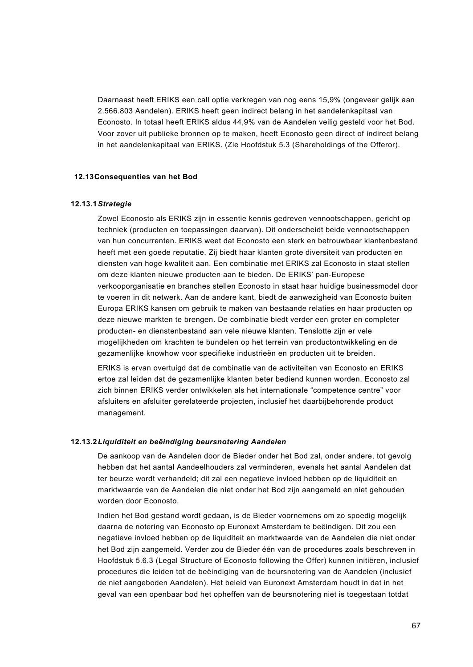Daarnaast heeft ERIKS een call optie verkregen van nog eens 15,9% (ongeveer gelijk aan 2.566.803 Aandelen). ERIKS heeft geen indirect belang in het aandelenkapitaal van Econosto. In totaal heeft ERIKS aldus 44,9% van de Aandelen veilig gesteld voor het Bod. Voor zover uit publieke bronnen op te maken, heeft Econosto geen direct of indirect belang in het aandelenkapitaal van ERIKS. (Zie Hoofdstuk 5.3 (Shareholdings of the Offeror).

### **12.13Consequenties van het Bod**

#### **12.13.1***Strategie*

Zowel Econosto als ERIKS zijn in essentie kennis gedreven vennootschappen, gericht op techniek (producten en toepassingen daarvan). Dit onderscheidt beide vennootschappen van hun concurrenten. ERIKS weet dat Econosto een sterk en betrouwbaar klantenbestand heeft met een goede reputatie. Zij biedt haar klanten grote diversiteit van producten en diensten van hoge kwaliteit aan. Een combinatie met ERIKS zal Econosto in staat stellen om deze klanten nieuwe producten aan te bieden. De ERIKS' pan-Europese verkooporganisatie en branches stellen Econosto in staat haar huidige businessmodel door te voeren in dit netwerk. Aan de andere kant, biedt de aanwezigheid van Econosto buiten Europa ERIKS kansen om gebruik te maken van bestaande relaties en haar producten op deze nieuwe markten te brengen. De combinatie biedt verder een groter en completer producten- en dienstenbestand aan vele nieuwe klanten. Tenslotte zijn er vele mogelijkheden om krachten te bundelen op het terrein van productontwikkeling en de gezamenlijke knowhow voor specifieke industrieën en producten uit te breiden.

ERIKS is ervan overtuigd dat de combinatie van de activiteiten van Econosto en ERIKS ertoe zal leiden dat de gezamenlijke klanten beter bediend kunnen worden. Econosto zal zich binnen ERIKS verder ontwikkelen als het internationale "competence centre" voor afsluiters en afsluiter gerelateerde projecten, inclusief het daarbijbehorende product management.

#### **12.13.2***Liquiditeit en beëindiging beursnotering Aandelen*

De aankoop van de Aandelen door de Bieder onder het Bod zal, onder andere, tot gevolg hebben dat het aantal Aandeelhouders zal verminderen, evenals het aantal Aandelen dat ter beurze wordt verhandeld; dit zal een negatieve invloed hebben op de liquiditeit en marktwaarde van de Aandelen die niet onder het Bod zijn aangemeld en niet gehouden worden door Econosto.

Indien het Bod gestand wordt gedaan, is de Bieder voornemens om zo spoedig mogelijk daarna de notering van Econosto op Euronext Amsterdam te beëindigen. Dit zou een negatieve invloed hebben op de liquiditeit en marktwaarde van de Aandelen die niet onder het Bod zijn aangemeld. Verder zou de Bieder één van de procedures zoals beschreven in Hoofdstuk 5.6.3 (Legal Structure of Econosto following the Offer) kunnen initiëren, inclusief procedures die leiden tot de beëindiging van de beursnotering van de Aandelen (inclusief de niet aangeboden Aandelen). Het beleid van Euronext Amsterdam houdt in dat in het geval van een openbaar bod het opheffen van de beursnotering niet is toegestaan totdat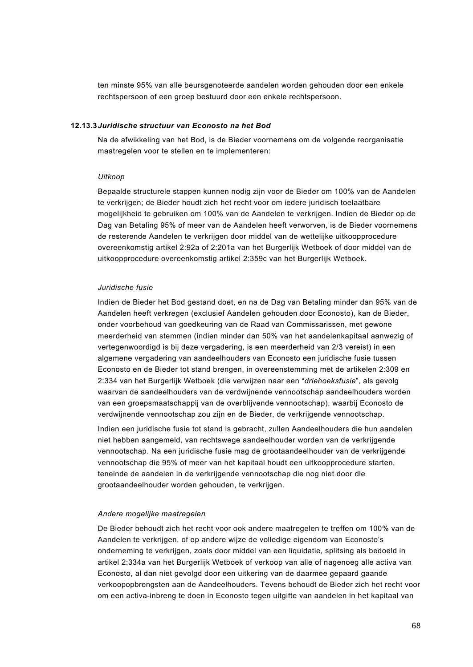ten minste 95% van alle beursgenoteerde aandelen worden gehouden door een enkele rechtspersoon of een groep bestuurd door een enkele rechtspersoon.

#### **12.13.3***Juridische structuur van Econosto na het Bod*

Na de afwikkeling van het Bod, is de Bieder voornemens om de volgende reorganisatie maatregelen voor te stellen en te implementeren:

#### *Uitkoop*

Bepaalde structurele stappen kunnen nodig zijn voor de Bieder om 100% van de Aandelen te verkrijgen; de Bieder houdt zich het recht voor om iedere juridisch toelaatbare mogelijkheid te gebruiken om 100% van de Aandelen te verkrijgen. Indien de Bieder op de Dag van Betaling 95% of meer van de Aandelen heeft verworven, is de Bieder voornemens de resterende Aandelen te verkrijgen door middel van de wettelijke uitkoopprocedure overeenkomstig artikel 2:92a of 2:201a van het Burgerlijk Wetboek of door middel van de uitkoopprocedure overeenkomstig artikel 2:359c van het Burgerlijk Wetboek.

#### *Juridische fusie*

Indien de Bieder het Bod gestand doet, en na de Dag van Betaling minder dan 95% van de Aandelen heeft verkregen (exclusief Aandelen gehouden door Econosto), kan de Bieder, onder voorbehoud van goedkeuring van de Raad van Commissarissen, met gewone meerderheid van stemmen (indien minder dan 50% van het aandelenkapitaal aanwezig of vertegenwoordigd is bij deze vergadering, is een meerderheid van 2/3 vereist) in een algemene vergadering van aandeelhouders van Econosto een juridische fusie tussen Econosto en de Bieder tot stand brengen, in overeenstemming met de artikelen 2:309 en 2:334 van het Burgerlijk Wetboek (die verwijzen naar een "*driehoeksfusie*", als gevolg waarvan de aandeelhouders van de verdwijnende vennootschap aandeelhouders worden van een groepsmaatschappij van de overblijvende vennootschap), waarbij Econosto de verdwijnende vennootschap zou zijn en de Bieder, de verkrijgende vennootschap.

Indien een juridische fusie tot stand is gebracht, zullen Aandeelhouders die hun aandelen niet hebben aangemeld, van rechtswege aandeelhouder worden van de verkrijgende vennootschap. Na een juridische fusie mag de grootaandeelhouder van de verkrijgende vennootschap die 95% of meer van het kapitaal houdt een uitkoopprocedure starten, teneinde de aandelen in de verkrijgende vennootschap die nog niet door die grootaandeelhouder worden gehouden, te verkrijgen.

#### *Andere mogelijke maatregelen*

De Bieder behoudt zich het recht voor ook andere maatregelen te treffen om 100% van de Aandelen te verkrijgen, of op andere wijze de volledige eigendom van Econosto's onderneming te verkrijgen, zoals door middel van een liquidatie, splitsing als bedoeld in artikel 2:334a van het Burgerlijk Wetboek of verkoop van alle of nagenoeg alle activa van Econosto, al dan niet gevolgd door een uitkering van de daarmee gepaard gaande verkoopopbrengsten aan de Aandeelhouders. Tevens behoudt de Bieder zich het recht voor om een activa-inbreng te doen in Econosto tegen uitgifte van aandelen in het kapitaal van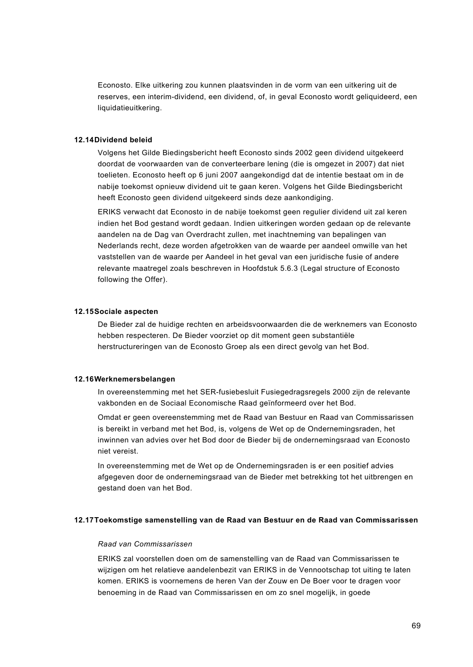Econosto. Elke uitkering zou kunnen plaatsvinden in de vorm van een uitkering uit de reserves, een interim-dividend, een dividend, of, in geval Econosto wordt geliquideerd, een liquidatieuitkering.

#### **12.14Dividend beleid**

Volgens het Gilde Biedingsbericht heeft Econosto sinds 2002 geen dividend uitgekeerd doordat de voorwaarden van de converteerbare lening (die is omgezet in 2007) dat niet toelieten. Econosto heeft op 6 juni 2007 aangekondigd dat de intentie bestaat om in de nabije toekomst opnieuw dividend uit te gaan keren. Volgens het Gilde Biedingsbericht heeft Econosto geen dividend uitgekeerd sinds deze aankondiging.

ERIKS verwacht dat Econosto in de nabije toekomst geen regulier dividend uit zal keren indien het Bod gestand wordt gedaan. Indien uitkeringen worden gedaan op de relevante aandelen na de Dag van Overdracht zullen, met inachtneming van bepalingen van Nederlands recht, deze worden afgetrokken van de waarde per aandeel omwille van het vaststellen van de waarde per Aandeel in het geval van een juridische fusie of andere relevante maatregel zoals beschreven in Hoofdstuk 5.6.3 (Legal structure of Econosto following the Offer).

### **12.15Sociale aspecten**

De Bieder zal de huidige rechten en arbeidsvoorwaarden die de werknemers van Econosto hebben respecteren. De Bieder voorziet op dit moment geen substantiële herstructureringen van de Econosto Groep als een direct gevolg van het Bod.

#### **12.16Werknemersbelangen**

In overeenstemming met het SER-fusiebesluit Fusiegedragsregels 2000 zijn de relevante vakbonden en de Sociaal Economische Raad geïnformeerd over het Bod.

Omdat er geen overeenstemming met de Raad van Bestuur en Raad van Commissarissen is bereikt in verband met het Bod, is, volgens de Wet op de Ondernemingsraden, het inwinnen van advies over het Bod door de Bieder bij de ondernemingsraad van Econosto niet vereist.

In overeenstemming met de Wet op de Ondernemingsraden is er een positief advies afgegeven door de ondernemingsraad van de Bieder met betrekking tot het uitbrengen en gestand doen van het Bod.

### **12.17Toekomstige samenstelling van de Raad van Bestuur en de Raad van Commissarissen**

#### *Raad van Commissarissen*

ERIKS zal voorstellen doen om de samenstelling van de Raad van Commissarissen te wijzigen om het relatieve aandelenbezit van ERIKS in de Vennootschap tot uiting te laten komen. ERIKS is voornemens de heren Van der Zouw en De Boer voor te dragen voor benoeming in de Raad van Commissarissen en om zo snel mogelijk, in goede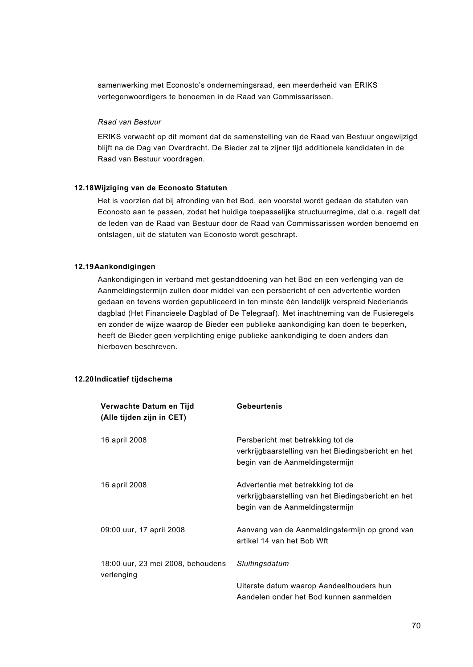samenwerking met Econosto's ondernemingsraad, een meerderheid van ERIKS vertegenwoordigers te benoemen in de Raad van Commissarissen.

#### *Raad van Bestuur*

ERIKS verwacht op dit moment dat de samenstelling van de Raad van Bestuur ongewijzigd blijft na de Dag van Overdracht. De Bieder zal te zijner tijd additionele kandidaten in de Raad van Bestuur voordragen.

### **12.18Wijziging van de Econosto Statuten**

Het is voorzien dat bij afronding van het Bod, een voorstel wordt gedaan de statuten van Econosto aan te passen, zodat het huidige toepasselijke structuurregime, dat o.a. regelt dat de leden van de Raad van Bestuur door de Raad van Commissarissen worden benoemd en ontslagen, uit de statuten van Econosto wordt geschrapt.

### **12.19Aankondigingen**

Aankondigingen in verband met gestanddoening van het Bod en een verlenging van de Aanmeldingstermijn zullen door middel van een persbericht of een advertentie worden gedaan en tevens worden gepubliceerd in ten minste één landelijk verspreid Nederlands dagblad (Het Financieele Dagblad of De Telegraaf). Met inachtneming van de Fusieregels en zonder de wijze waarop de Bieder een publieke aankondiging kan doen te beperken, heeft de Bieder geen verplichting enige publieke aankondiging te doen anders dan hierboven beschreven.

#### **12.20Indicatief tijdschema**

| Verwachte Datum en Tijd<br>(Alle tijden zijn in CET) | <b>Gebeurtenis</b>                                                                                                          |
|------------------------------------------------------|-----------------------------------------------------------------------------------------------------------------------------|
| 16 april 2008                                        | Persbericht met betrekking tot de<br>verkrijgbaarstelling van het Biedingsbericht en het<br>begin van de Aanmeldingstermijn |
| 16 april 2008                                        | Advertentie met betrekking tot de<br>verkrijgbaarstelling van het Biedingsbericht en het<br>begin van de Aanmeldingstermijn |
| 09:00 uur, 17 april 2008                             | Aanvang van de Aanmeldingstermijn op grond van<br>artikel 14 van het Bob Wft                                                |
| 18:00 uur, 23 mei 2008, behoudens<br>verlenging      | Sluitingsdatum                                                                                                              |
|                                                      | Uiterste datum waarop Aandeelhouders hun<br>Aandelen onder het Bod kunnen aanmelden                                         |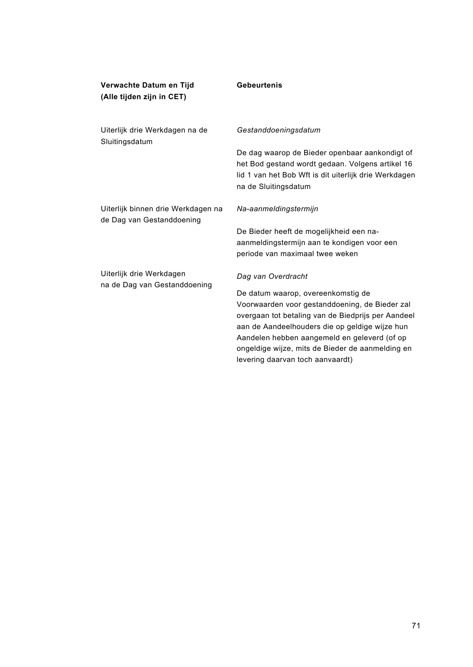| Verwachte Datum en Tijd<br>(Alle tijden zijn in CET)            | <b>Gebeurtenis</b>                                                                                                                                                                                                                                                                                                                   |
|-----------------------------------------------------------------|--------------------------------------------------------------------------------------------------------------------------------------------------------------------------------------------------------------------------------------------------------------------------------------------------------------------------------------|
| Uiterlijk drie Werkdagen na de<br>Sluitingsdatum                | Gestanddoeningsdatum                                                                                                                                                                                                                                                                                                                 |
|                                                                 | De dag waarop de Bieder openbaar aankondigt of<br>het Bod gestand wordt gedaan. Volgens artikel 16<br>lid 1 van het Bob Wft is dit uiterlijk drie Werkdagen<br>na de Sluitingsdatum                                                                                                                                                  |
| Uiterlijk binnen drie Werkdagen na<br>de Dag van Gestanddoening | Na-aanmeldingstermijn                                                                                                                                                                                                                                                                                                                |
|                                                                 | De Bieder heeft de mogelijkheid een na-<br>aanmeldingstermijn aan te kondigen voor een<br>periode van maximaal twee weken                                                                                                                                                                                                            |
| Uiterlijk drie Werkdagen<br>na de Dag van Gestanddoening        | Dag van Overdracht                                                                                                                                                                                                                                                                                                                   |
|                                                                 | De datum waarop, overeenkomstig de<br>Voorwaarden voor gestanddoening, de Bieder zal<br>overgaan tot betaling van de Biedprijs per Aandeel<br>aan de Aandeelhouders die op geldige wijze hun<br>Aandelen hebben aangemeld en geleverd (of op<br>ongeldige wijze, mits de Bieder de aanmelding en<br>levering daarvan toch aanvaardt) |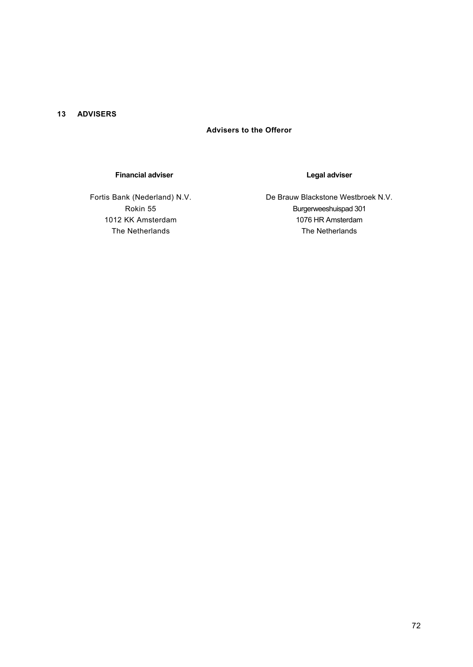### **13 ADVISERS**

# **Advisers to the Offeror**

## **Financial adviser**

Fortis Bank (Nederland) N.V. Rokin 55 1012 KK Amsterdam The Netherlands

### **Legal adviser**

De Brauw Blackstone Westbroek N.V. Burgerweeshuispad 301 1076 HR Amsterdam The Netherlands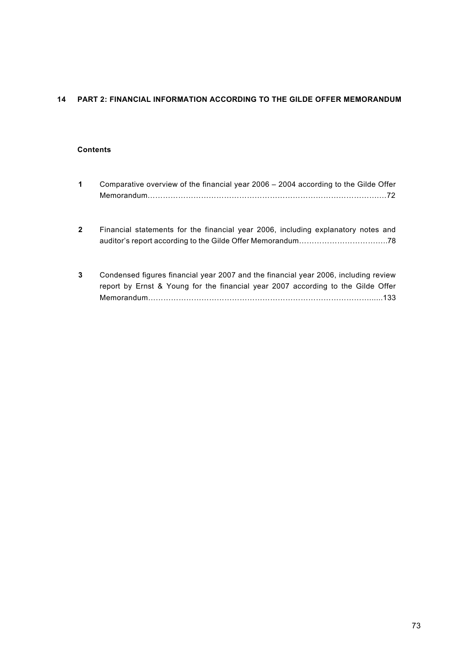# **14 PART 2: FINANCIAL INFORMATION ACCORDING TO THE GILDE OFFER MEMORANDUM**

## **Contents**

| 1            | Comparative overview of the financial year 2006 – 2004 according to the Gilde Offer                                                                                     |
|--------------|-------------------------------------------------------------------------------------------------------------------------------------------------------------------------|
| $\mathbf{2}$ | Financial statements for the financial year 2006, including explanatory notes and                                                                                       |
| 3            | Condensed figures financial year 2007 and the financial year 2006, including review<br>report by Ernst & Young for the financial year 2007 according to the Gilde Offer |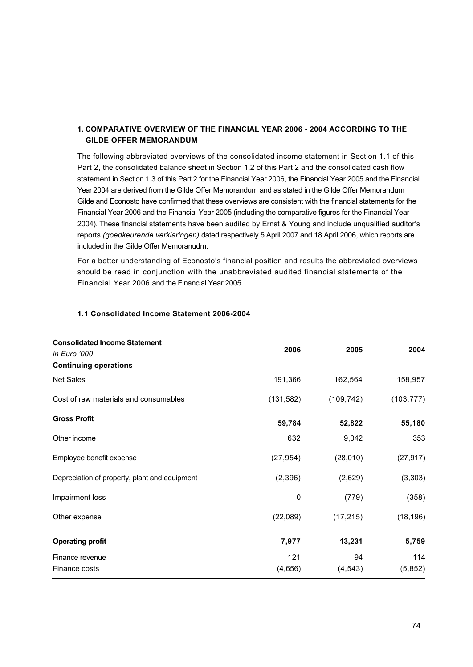## **1. COMPARATIVE OVERVIEW OF THE FINANCIAL YEAR 2006 - 2004 ACCORDING TO THE GILDE OFFER MEMORANDUM**

The following abbreviated overviews of the consolidated income statement in Section 1.1 of this Part 2, the consolidated balance sheet in Section 1.2 of this Part 2 and the consolidated cash flow statement in Section 1.3 of this Part 2 for the Financial Year 2006, the Financial Year 2005 and the Financial Year 2004 are derived from the Gilde Offer Memorandum and as stated in the Gilde Offer Memorandum Gilde and Econosto have confirmed that these overviews are consistent with the financial statements for the Financial Year 2006 and the Financial Year 2005 (including the comparative figures for the Financial Year 2004). These financial statements have been audited by Ernst & Young and include unqualified auditor's reports *(goedkeurende verklaringen)* dated respectively 5 April 2007 and 18 April 2006, which reports are included in the Gilde Offer Memoranudm.

For a better understanding of Econosto's financial position and results the abbreviated overviews should be read in conjunction with the unabbreviated audited financial statements of the Financial Year 2006 and the Financial Year 2005.

| <b>Consolidated Income Statement</b>          |            |            |            |
|-----------------------------------------------|------------|------------|------------|
| in Euro '000                                  | 2006       | 2005       | 2004       |
| <b>Continuing operations</b>                  |            |            |            |
| <b>Net Sales</b>                              | 191,366    | 162,564    | 158,957    |
| Cost of raw materials and consumables         | (131, 582) | (109, 742) | (103, 777) |
| <b>Gross Profit</b>                           | 59,784     | 52,822     | 55,180     |
| Other income                                  | 632        | 9,042      | 353        |
| Employee benefit expense                      | (27, 954)  | (28,010)   | (27, 917)  |
| Depreciation of property, plant and equipment | (2,396)    | (2,629)    | (3, 303)   |
| Impairment loss                               | 0          | (779)      | (358)      |
| Other expense                                 | (22,089)   | (17, 215)  | (18, 196)  |
| <b>Operating profit</b>                       | 7,977      | 13,231     | 5,759      |
| Finance revenue                               | 121        | 94         | 114        |
| Finance costs                                 | (4,656)    | (4, 543)   | (5,852)    |

## **1.1 Consolidated Income Statement 2006-2004**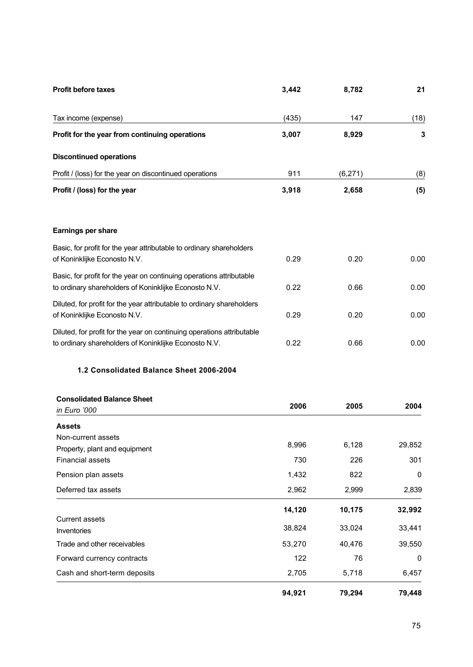| <b>Profit before taxes</b>                                                                                                      | 3,442 | 8,782    | 21   |
|---------------------------------------------------------------------------------------------------------------------------------|-------|----------|------|
| Tax income (expense)                                                                                                            | (435) | 147      | (18) |
| Profit for the year from continuing operations                                                                                  | 3,007 | 8,929    | 3    |
| <b>Discontinued operations</b>                                                                                                  |       |          |      |
| Profit / (loss) for the year on discontinued operations                                                                         | 911   | (6, 271) | (8)  |
| Profit / (loss) for the year                                                                                                    | 3,918 | 2,658    | (5)  |
|                                                                                                                                 |       |          |      |
| Earnings per share                                                                                                              |       |          |      |
| Basic, for profit for the year attributable to ordinary shareholders<br>of Koninklijke Econosto N.V.                            | 0.29  | 0.20     | 0.00 |
| Basic, for profit for the year on continuing operations attributable<br>to ordinary shareholders of Koninklijke Econosto N.V.   | 0.22  | 0.66     | 0.00 |
| Diluted, for profit for the year attributable to ordinary shareholders<br>of Koninklijke Econosto N.V.                          | 0.29  | 0.20     | 0.00 |
| Diluted, for profit for the year on continuing operations attributable<br>to ordinary shareholders of Koninklijke Econosto N.V. | 0.22  | 0.66     | 0.00 |

## **1.2 Consolidated Balance Sheet 2006-2004**

| <b>Consolidated Balance Sheet</b>                        |        |        |              |
|----------------------------------------------------------|--------|--------|--------------|
| in Euro '000                                             | 2006   | 2005   | 2004         |
| <b>Assets</b>                                            |        |        |              |
| Non-current assets                                       | 8,996  | 6,128  | 29,852       |
| Property, plant and equipment<br><b>Financial assets</b> | 730    | 226    | 301          |
| Pension plan assets                                      | 1,432  | 822    | 0            |
| Deferred tax assets                                      | 2,962  | 2,999  | 2,839        |
|                                                          | 14,120 | 10,175 | 32,992       |
| <b>Current assets</b><br>Inventories                     | 38,824 | 33,024 | 33,441       |
| Trade and other receivables                              | 53,270 | 40,476 | 39,550       |
| Forward currency contracts                               | 122    | 76     | $\mathbf{0}$ |
| Cash and short-term deposits                             | 2,705  | 5,718  | 6,457        |
|                                                          | 94,921 | 79,294 | 79,448       |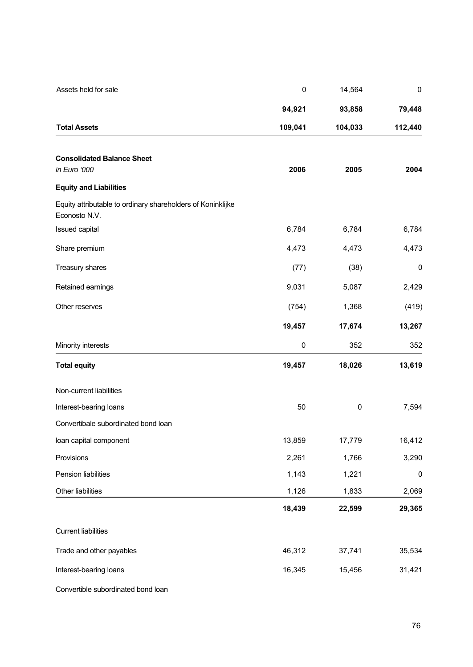| Assets held for sale                                                         | $\pmb{0}$ | 14,564    | $\pmb{0}$   |  |
|------------------------------------------------------------------------------|-----------|-----------|-------------|--|
|                                                                              | 94,921    | 93,858    | 79,448      |  |
| <b>Total Assets</b>                                                          | 109,041   | 104,033   | 112,440     |  |
| <b>Consolidated Balance Sheet</b><br>in Euro '000                            | 2006      | 2005      | 2004        |  |
| <b>Equity and Liabilities</b>                                                |           |           |             |  |
| Equity attributable to ordinary shareholders of Koninklijke<br>Econosto N.V. |           |           |             |  |
| Issued capital                                                               | 6,784     | 6,784     | 6,784       |  |
| Share premium                                                                | 4,473     | 4,473     | 4,473       |  |
| Treasury shares                                                              | (77)      | (38)      | $\mathbf 0$ |  |
| Retained earnings                                                            | 9,031     | 5,087     | 2,429       |  |
| Other reserves                                                               | (754)     | 1,368     | (419)       |  |
|                                                                              | 19,457    | 17,674    | 13,267      |  |
| Minority interests                                                           | 0         | 352       | 352         |  |
| <b>Total equity</b>                                                          | 19,457    | 18,026    | 13,619      |  |
| Non-current liabilities                                                      |           |           |             |  |
| Interest-bearing loans                                                       | 50        | $\pmb{0}$ | 7,594       |  |
| Convertibale subordinated bond loan                                          |           |           |             |  |
| loan capital component                                                       | 13,859    | 17,779    | 16,412      |  |
| Provisions                                                                   | 2,261     | 1,766     | 3,290       |  |
| Pension liabilities                                                          | 1,143     | 1,221     | 0           |  |
| Other liabilities                                                            | 1,126     | 1,833     | 2,069       |  |
|                                                                              | 18,439    | 22,599    | 29,365      |  |
| <b>Current liabilities</b>                                                   |           |           |             |  |
| Trade and other payables                                                     | 46,312    | 37,741    | 35,534      |  |
| Interest-bearing loans                                                       | 16,345    | 15,456    | 31,421      |  |
|                                                                              |           |           |             |  |

Convertible subordinated bond loan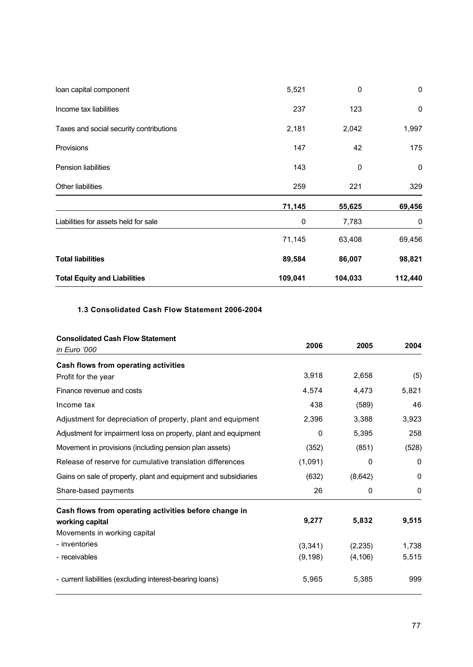| <b>Total Equity and Liabilities</b>     | 109,041 | 104,033 | 112,440     |
|-----------------------------------------|---------|---------|-------------|
| <b>Total liabilities</b>                | 89,584  | 86,007  | 98,821      |
|                                         | 71,145  | 63,408  | 69,456      |
| Liabilities for assets held for sale    | 0       | 7,783   | 0           |
|                                         | 71,145  | 55,625  | 69,456      |
| <b>Other liabilities</b>                | 259     | 221     | 329         |
| <b>Pension liabilities</b>              | 143     | 0       | $\mathbf 0$ |
| Provisions                              | 147     | 42      | 175         |
| Taxes and social security contributions | 2,181   | 2,042   | 1,997       |
| Income tax liabilities                  | 237     | 123     | $\mathbf 0$ |
| loan capital component                  | 5,521   | 0       | $\mathbf 0$ |

## **1.3 Consolidated Cash Flow Statement 2006-2004**

| <b>Consolidated Cash Flow Statement</b><br>in Euro '000         | 2006     | 2005     | 2004  |
|-----------------------------------------------------------------|----------|----------|-------|
| Cash flows from operating activities                            |          |          |       |
| Profit for the year                                             | 3,918    | 2,658    | (5)   |
| Finance revenue and costs                                       | 4,574    | 4,473    | 5,821 |
| Income tax                                                      | 438      | (589)    | 46    |
| Adjustment for depreciation of property, plant and equipment    | 2,396    | 3,388    | 3,923 |
| Adjustment for impairment loss on property, plant and equipment | 0        | 5,395    | 258   |
| Movement in provisions (including pension plan assets)          | (352)    | (851)    | (528) |
| Release of reserve for cumulative translation differences       | (1,091)  | 0        | 0     |
| Gains on sale of property, plant and equipment and subsidiaries | (632)    | (8,642)  | 0     |
| Share-based payments                                            | 26       | 0        | 0     |
| Cash flows from operating activities before change in           |          |          |       |
| working capital                                                 | 9,277    | 5,832    | 9,515 |
| Movements in working capital                                    |          |          |       |
| - inventories                                                   | (3, 341) | (2,235)  | 1,738 |
| - receivables                                                   | (9, 198) | (4, 106) | 5,515 |
| - current liabilities (excluding interest-bearing loans)        | 5,965    | 5,385    | 999   |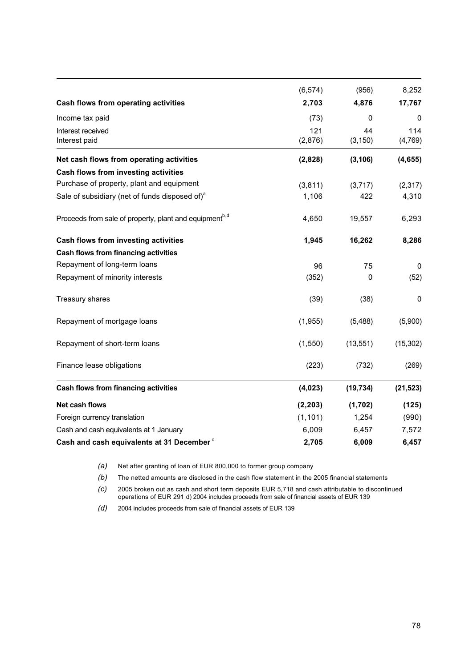|                                                                    | (6, 574)       | (956)          | 8,252          |
|--------------------------------------------------------------------|----------------|----------------|----------------|
| Cash flows from operating activities                               | 2,703          | 4,876          | 17,767         |
| Income tax paid                                                    | (73)           | 0              | 0              |
| Interest received<br>Interest paid                                 | 121<br>(2,876) | 44<br>(3, 150) | 114<br>(4,769) |
| Net cash flows from operating activities                           | (2,828)        | (3, 106)       | (4, 655)       |
| Cash flows from investing activities                               |                |                |                |
| Purchase of property, plant and equipment                          | (3,811)        | (3,717)        | (2, 317)       |
| Sale of subsidiary (net of funds disposed of) <sup>a</sup>         | 1,106          | 422            | 4,310          |
| Proceeds from sale of property, plant and equipment <sup>b,d</sup> | 4,650          | 19,557         | 6,293          |
| Cash flows from investing activities                               | 1,945          | 16,262         | 8,286          |
| Cash flows from financing activities                               |                |                |                |
| Repayment of long-term loans                                       | 96             | 75             | $\mathbf 0$    |
| Repayment of minority interests                                    | (352)          | 0              | (52)           |
| Treasury shares                                                    | (39)           | (38)           | 0              |
| Repayment of mortgage loans                                        | (1,955)        | (5,488)        | (5,900)        |
| Repayment of short-term loans                                      | (1, 550)       | (13, 551)      | (15, 302)      |
| Finance lease obligations                                          | (223)          | (732)          | (269)          |
| Cash flows from financing activities                               | (4,023)        | (19, 734)      | (21, 523)      |
| Net cash flows                                                     | (2, 203)       | (1,702)        | (125)          |
| Foreign currency translation                                       | (1, 101)       | 1,254          | (990)          |
| Cash and cash equivalents at 1 January                             | 6,009          | 6,457          | 7,572          |
| Cash and cash equivalents at 31 December <sup>c</sup>              | 2,705          | 6,009          | 6,457          |

*(a)* Net after granting of loan of EUR 800,000 to former group company

*(b)* The netted amounts are disclosed in the cash flow statement in the 2005 financial statements

*(c)* 2005 broken out as cash and short term deposits EUR 5,718 and cash attributable to discontinued operations of EUR 291 d) 2004 includes proceeds from sale of financial assets of EUR 139

*(d)* 2004 includes proceeds from sale of financial assets of EUR 139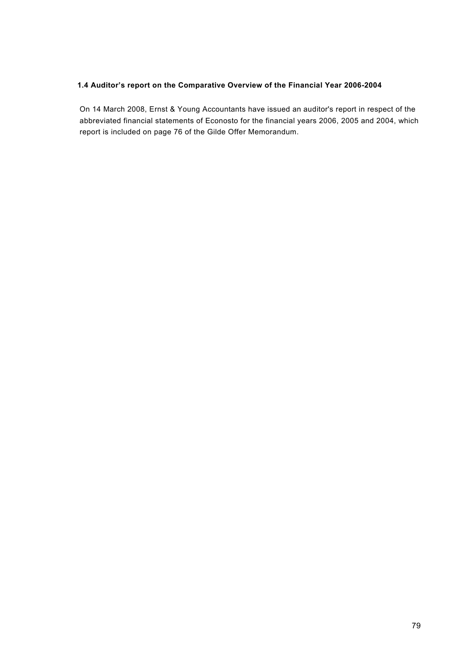## **1.4 Auditor's report on the Comparative Overview of the Financial Year 2006-2004**

On 14 March 2008, Ernst & Young Accountants have issued an auditor's report in respect of the abbreviated financial statements of Econosto for the financial years 2006, 2005 and 2004, which report is included on page 76 of the Gilde Offer Memorandum.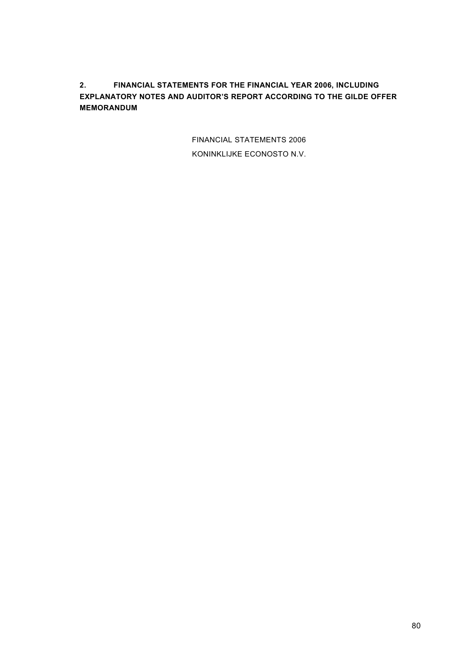**2. FINANCIAL STATEMENTS FOR THE FINANCIAL YEAR 2006, INCLUDING EXPLANATORY NOTES AND AUDITOR'S REPORT ACCORDING TO THE GILDE OFFER MEMORANDUM**

> FINANCIAL STATEMENTS 2006 KONINKLIJKE ECONOSTO N.V.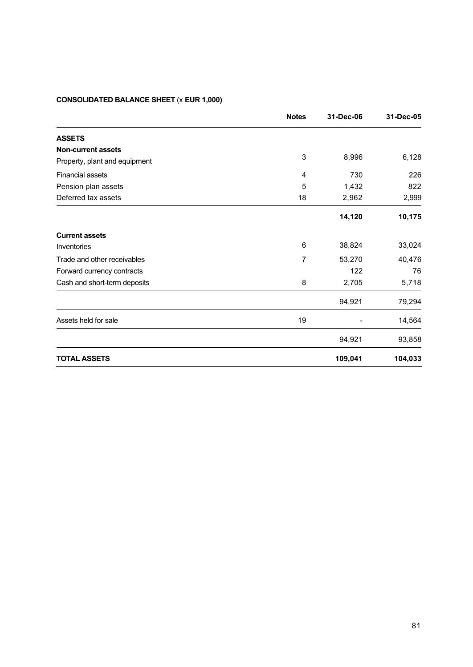# **CONSOLIDATED BALANCE SHEET** (x **EUR 1,000)**

|                               | <b>Notes</b> | 31-Dec-06 | 31-Dec-05 |
|-------------------------------|--------------|-----------|-----------|
| <b>ASSETS</b>                 |              |           |           |
| <b>Non-current assets</b>     |              |           |           |
| Property, plant and equipment | 3            | 8,996     | 6,128     |
| <b>Financial assets</b>       | 4            | 730       | 226       |
| Pension plan assets           | 5            | 1,432     | 822       |
| Deferred tax assets           | 18           | 2,962     | 2,999     |
|                               |              | 14,120    | 10,175    |
| <b>Current assets</b>         |              |           |           |
| Inventories                   | 6            | 38,824    | 33,024    |
| Trade and other receivables   | 7            | 53,270    | 40,476    |
| Forward currency contracts    |              | 122       | 76        |
| Cash and short-term deposits  | 8            | 2,705     | 5,718     |
|                               |              | 94,921    | 79,294    |
| Assets held for sale          | 19           |           | 14,564    |
|                               |              | 94,921    | 93,858    |
| <b>TOTAL ASSETS</b>           |              | 109,041   | 104,033   |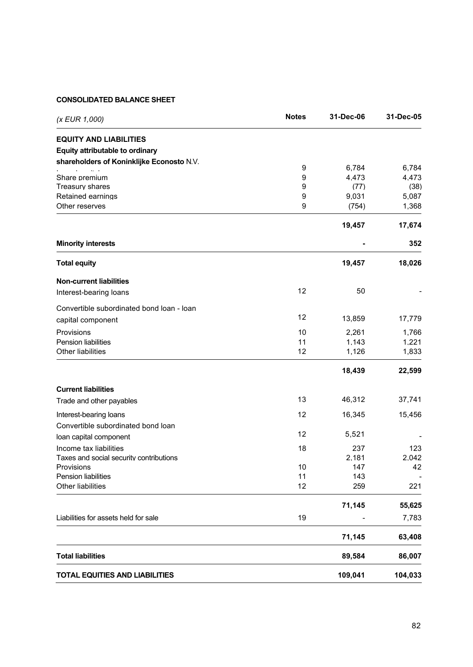## **CONSOLIDATED BALANCE SHEET**

| (x EUR 1,000)                               | <b>Notes</b> | 31-Dec-06     | 31-Dec-05     |
|---------------------------------------------|--------------|---------------|---------------|
| <b>EQUITY AND LIABILITIES</b>               |              |               |               |
| Equity attributable to ordinary             |              |               |               |
| shareholders of Koninklijke Econosto N.V.   |              |               |               |
|                                             | 9            | 6,784         | 6.784         |
| Share premium                               | 9            | 4.473         | 4.473         |
| <b>Treasury shares</b><br>Retained earnings | 9<br>9       | (77)<br>9.031 | (38)<br>5.087 |
| Other reserves                              | 9            | (754)         | 1,368         |
|                                             |              | 19,457        | 17,674        |
| <b>Minority interests</b>                   |              |               | 352           |
| <b>Total equity</b>                         |              | 19,457        | 18,026        |
| <b>Non-current liabilities</b>              |              |               |               |
| Interest-bearing loans                      | 12           | 50            |               |
| Convertible subordinated bond loan - loan   |              |               |               |
| capital component                           | 12           | 13,859        | 17,779        |
| Provisions                                  | 10           | 2.261         | 1,766         |
| Pension liabilities                         | 11           | 1,143         | 1,221         |
| Other liabilities                           | 12           | 1,126         | 1,833         |
|                                             |              | 18,439        | 22,599        |
| <b>Current liabilities</b>                  |              |               |               |
| Trade and other payables                    | 13           | 46,312        | 37,741        |
| Interest-bearing loans                      | 12           | 16,345        | 15,456        |
| Convertible subordinated bond loan          |              |               |               |
| loan capital component                      | 12           | 5,521         |               |
| Income tax liabilities                      | 18           | 237           | 123           |
| Taxes and social security contributions     |              | 2,181         | 2,042         |
| Provisions                                  | 10           | 147           | 42            |
| Pension liabilities                         | 11           | 143           |               |
| Other liabilities                           | 12           | 259           | 221           |
|                                             |              | 71,145        | 55,625        |
| Liabilities for assets held for sale        | 19           |               | 7,783         |
|                                             |              | 71,145        | 63,408        |
| <b>Total liabilities</b>                    |              | 89,584        | 86,007        |
| <b>TOTAL EQUITIES AND LIABILITIES</b>       |              | 109,041       | 104,033       |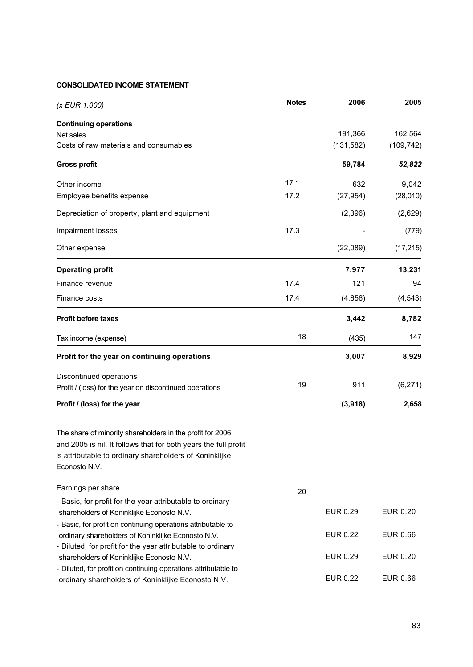## **CONSOLIDATED INCOME STATEMENT**

| (x EUR 1,000)                                                                                                                                                                                            | <b>Notes</b> | 2006            | 2005       |
|----------------------------------------------------------------------------------------------------------------------------------------------------------------------------------------------------------|--------------|-----------------|------------|
| <b>Continuing operations</b>                                                                                                                                                                             |              |                 |            |
| Net sales                                                                                                                                                                                                |              | 191,366         | 162,564    |
| Costs of raw materials and consumables                                                                                                                                                                   |              | (131, 582)      | (109, 742) |
| <b>Gross profit</b>                                                                                                                                                                                      |              | 59,784          | 52,822     |
| Other income                                                                                                                                                                                             | 17.1         | 632             | 9,042      |
| Employee benefits expense                                                                                                                                                                                | 17.2         | (27, 954)       | (28,010)   |
| Depreciation of property, plant and equipment                                                                                                                                                            |              | (2, 396)        | (2,629)    |
| Impairment losses                                                                                                                                                                                        | 17.3         |                 | (779)      |
| Other expense                                                                                                                                                                                            |              | (22,089)        | (17, 215)  |
| <b>Operating profit</b>                                                                                                                                                                                  |              | 7,977           | 13,231     |
| Finance revenue                                                                                                                                                                                          | 17.4         | 121             | 94         |
| Finance costs                                                                                                                                                                                            | 17.4         | (4,656)         | (4, 543)   |
| <b>Profit before taxes</b>                                                                                                                                                                               |              | 3,442           | 8,782      |
| Tax income (expense)                                                                                                                                                                                     | 18           | (435)           | 147        |
| Profit for the year on continuing operations                                                                                                                                                             |              | 3,007           | 8,929      |
| Discontinued operations                                                                                                                                                                                  |              |                 |            |
| Profit / (loss) for the year on discontinued operations                                                                                                                                                  | 19           | 911             | (6,271)    |
| Profit / (loss) for the year                                                                                                                                                                             |              | (3,918)         | 2,658      |
| The share of minority shareholders in the profit for 2006<br>and 2005 is nil. It follows that for both years the full profit<br>is attributable to ordinary shareholders of Koninklijke<br>Econosto N.V. |              |                 |            |
| Earnings per share                                                                                                                                                                                       | 20           |                 |            |
| - Basic, for profit for the year attributable to ordinary                                                                                                                                                |              |                 |            |
| shareholders of Koninklijke Econosto N.V.                                                                                                                                                                |              | EUR 0.29        | EUR 0.20   |
| - Basic, for profit on continuing operations attributable to<br>ordinary shareholders of Koninklijke Econosto N.V.<br>- Diluted, for profit for the year attributable to ordinary                        |              | EUR 0.22        | EUR 0.66   |
| shareholders of Koninklijke Econosto N.V.<br>- Diluted, for profit on continuing operations attributable to                                                                                              |              | EUR 0.29        | EUR 0.20   |
| ordinary shareholders of Koninklijke Econosto N.V.                                                                                                                                                       |              | <b>EUR 0.22</b> | EUR 0.66   |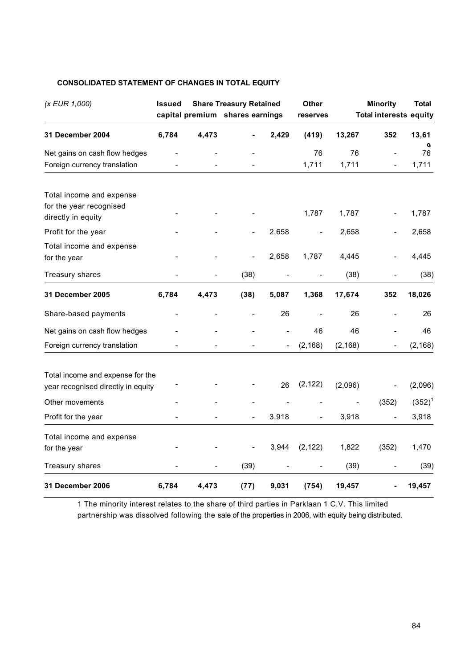| (x EUR 1,000)                                                             | <b>Issued</b> |       | <b>Share Treasury Retained</b><br>capital premium shares earnings |       | Other<br>reserves |          | <b>Minority</b><br><b>Total interests equity</b> | <b>Total</b> |
|---------------------------------------------------------------------------|---------------|-------|-------------------------------------------------------------------|-------|-------------------|----------|--------------------------------------------------|--------------|
|                                                                           |               |       |                                                                   |       |                   |          |                                                  |              |
| 31 December 2004                                                          | 6,784         | 4,473 |                                                                   | 2,429 | (419)             | 13,267   | 352                                              | 13,61<br>a   |
| Net gains on cash flow hedges                                             |               |       |                                                                   |       | 76                | 76       |                                                  | 76           |
| Foreign currency translation                                              |               |       |                                                                   |       | 1,711             | 1,711    |                                                  | 1,711        |
| Total income and expense<br>for the year recognised<br>directly in equity |               |       |                                                                   |       | 1,787             | 1,787    |                                                  | 1,787        |
| Profit for the year                                                       |               |       |                                                                   | 2,658 |                   | 2,658    |                                                  | 2,658        |
| Total income and expense<br>for the year                                  |               |       | $\overline{a}$                                                    | 2,658 | 1,787             | 4,445    |                                                  | 4,445        |
| <b>Treasury shares</b>                                                    |               |       | (38)                                                              |       |                   | (38)     |                                                  | (38)         |
| 31 December 2005                                                          | 6,784         | 4,473 | (38)                                                              | 5,087 | 1,368             | 17,674   | 352                                              | 18,026       |
| Share-based payments                                                      |               |       |                                                                   | 26    |                   | 26       |                                                  | 26           |
| Net gains on cash flow hedges                                             |               |       |                                                                   |       | 46                | 46       |                                                  | 46           |
| Foreign currency translation                                              |               |       |                                                                   |       | (2, 168)          | (2, 168) |                                                  | (2, 168)     |
| Total income and expense for the<br>year recognised directly in equity    |               |       |                                                                   | 26    | (2, 122)          | (2,096)  |                                                  | (2,096)      |
| Other movements                                                           |               |       |                                                                   |       |                   |          | (352)                                            | $(352)^{1}$  |
| Profit for the year                                                       |               |       |                                                                   | 3,918 |                   | 3,918    |                                                  | 3,918        |
| Total income and expense<br>for the year                                  |               |       |                                                                   | 3,944 | (2, 122)          | 1,822    | (352)                                            | 1,470        |
| Treasury shares                                                           |               |       | (39)                                                              |       |                   | (39)     |                                                  | (39)         |
| <b>31 December 2006</b>                                                   | 6,784         | 4,473 | (77)                                                              | 9,031 | (754)             | 19,457   |                                                  | 19,457       |

## **CONSOLIDATED STATEMENT OF CHANGES IN TOTAL EQUITY**

1 The minority interest relates to the share of third parties in Parklaan 1 C.V. This limited partnership was dissolved following the sale of the properties in 2006, with equity being distributed.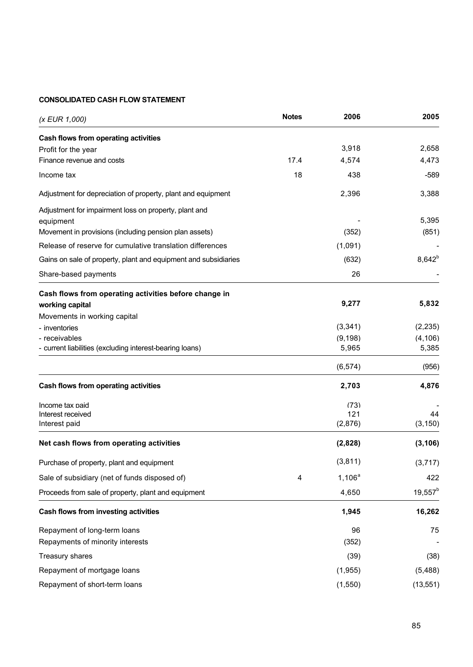# **CONSOLIDATED CASH FLOW STATEMENT**

| (x EUR 1,000)                                                       | <b>Notes</b> | 2006      | 2005        |
|---------------------------------------------------------------------|--------------|-----------|-------------|
| Cash flows from operating activities                                |              |           |             |
| Profit for the year                                                 |              | 3,918     | 2,658       |
| Finance revenue and costs                                           | 17.4         | 4,574     | 4,473       |
| Income tax                                                          | 18           | 438       | $-589$      |
| Adjustment for depreciation of property, plant and equipment        |              | 2,396     | 3,388       |
| Adjustment for impairment loss on property, plant and               |              |           | 5,395       |
| equipment<br>Movement in provisions (including pension plan assets) |              | (352)     | (851)       |
|                                                                     |              |           |             |
| Release of reserve for cumulative translation differences           |              | (1,091)   |             |
| Gains on sale of property, plant and equipment and subsidiaries     |              | (632)     | $8,642^{b}$ |
| Share-based payments                                                |              | 26        |             |
| Cash flows from operating activities before change in               |              |           |             |
| working capital                                                     |              | 9,277     | 5,832       |
| Movements in working capital                                        |              |           |             |
| - inventories                                                       |              | (3, 341)  | (2, 235)    |
| - receivables                                                       |              | (9, 198)  | (4, 106)    |
| - current liabilities (excluding interest-bearing loans)            |              | 5,965     | 5,385       |
|                                                                     |              | (6, 574)  | (956)       |
| Cash flows from operating activities                                |              | 2,703     | 4,876       |
| Income tax paid                                                     |              | (73)      |             |
| Interest received                                                   |              | 121       | 44          |
| Interest paid                                                       |              | (2,876)   | (3, 150)    |
| Net cash flows from operating activities                            |              | (2,828)   | (3, 106)    |
| Purchase of property, plant and equipment                           |              | (3,811)   | (3,717)     |
| Sale of subsidiary (net of funds disposed of)                       | 4            | $1,106^a$ | 422         |
| Proceeds from sale of property, plant and equipment                 |              | 4,650     | $19,557^b$  |
| Cash flows from investing activities                                |              | 1,945     | 16,262      |
| Repayment of long-term loans                                        |              | 96        | 75          |
| Repayments of minority interests                                    |              | (352)     |             |
| Treasury shares                                                     |              | (39)      | (38)        |
| Repayment of mortgage loans                                         |              | (1, 955)  | (5, 488)    |
| Repayment of short-term loans                                       |              | (1, 550)  | (13, 551)   |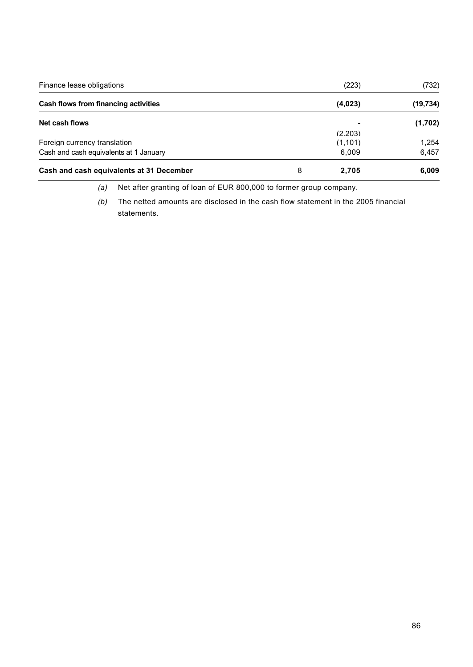| Finance lease obligations                |   | (223)   | (732)     |
|------------------------------------------|---|---------|-----------|
| Cash flows from financing activities     |   | (4,023) | (19, 734) |
| Net cash flows                           |   |         | (1,702)   |
|                                          |   | (2.203) |           |
| Foreign currency translation             |   | (1,101) | 1.254     |
| Cash and cash equivalents at 1 January   |   | 6,009   | 6,457     |
| Cash and cash equivalents at 31 December | 8 | 2.705   | 6,009     |

*(a)* Net after granting of loan of EUR 800,000 to former group company.

*(b)* The netted amounts are disclosed in the cash flow statement in the 2005 financial statements.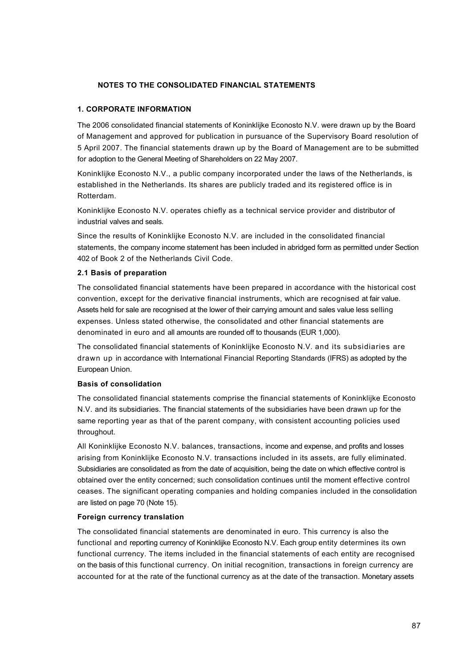## **NOTES TO THE CONSOLIDATED FINANCIAL STATEMENTS**

## **1. CORPORATE INFORMATION**

The 2006 consolidated financial statements of Koninklijke Econosto N.V. were drawn up by the Board of Management and approved for publication in pursuance of the Supervisory Board resolution of 5 April 2007. The financial statements drawn up by the Board of Management are to be submitted for adoption to the General Meeting of Shareholders on 22 May 2007.

Koninklijke Econosto N.V., a public company incorporated under the laws of the Netherlands, is established in the Netherlands. Its shares are publicly traded and its registered office is in Rotterdam.

Koninklijke Econosto N.V. operates chiefly as a technical service provider and distributor of industrial valves and seals.

Since the results of Koninklijke Econosto N.V. are included in the consolidated financial statements, the company income statement has been included in abridged form as permitted under Section 402 of Book 2 of the Netherlands Civil Code.

### **2.1 Basis of preparation**

The consolidated financial statements have been prepared in accordance with the historical cost convention, except for the derivative financial instruments, which are recognised at fair value. Assets held for sale are recognised at the lower of their carrying amount and sales value less selling expenses. Unless stated otherwise, the consolidated and other financial statements are denominated in euro and all amounts are rounded off to thousands (EUR 1,000).

The consolidated financial statements of Koninklijke Econosto N.V. and its subsidiaries are drawn up in accordance with International Financial Reporting Standards (IFRS) as adopted by the European Union.

## **Basis of consolidation**

The consolidated financial statements comprise the financial statements of Koninklijke Econosto N.V. and its subsidiaries. The financial statements of the subsidiaries have been drawn up for the same reporting year as that of the parent company, with consistent accounting policies used throughout.

All Koninklijke Econosto N.V. balances, transactions, income and expense, and profits and losses arising from Koninklijke Econosto N.V. transactions included in its assets, are fully eliminated. Subsidiaries are consolidated as from the date of acquisition, being the date on which effective control is obtained over the entity concerned; such consolidation continues until the moment effective control ceases. The significant operating companies and holding companies included in the consolidation are listed on page 70 (Note 15).

### **Foreign currency translation**

The consolidated financial statements are denominated in euro. This currency is also the functional and reporting currency of Koninklijke Econosto N.V. Each group entity determines its own functional currency. The items included in the financial statements of each entity are recognised on the basis of this functional currency. On initial recognition, transactions in foreign currency are accounted for at the rate of the functional currency as at the date of the transaction. Monetary assets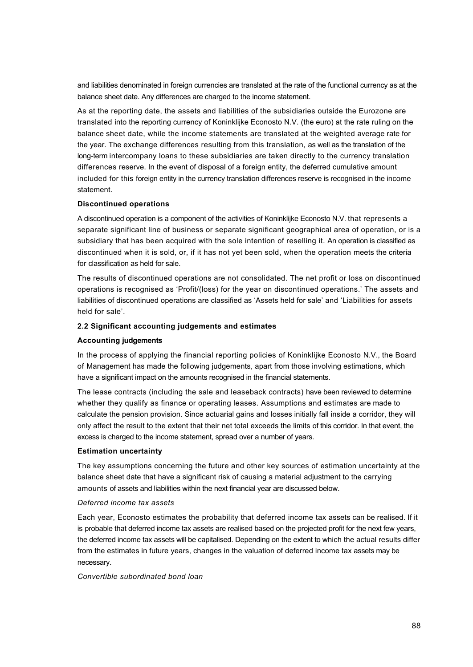and liabilities denominated in foreign currencies are translated at the rate of the functional currency as at the balance sheet date. Any differences are charged to the income statement.

As at the reporting date, the assets and liabilities of the subsidiaries outside the Eurozone are translated into the reporting currency of Koninklijke Econosto N.V. (the euro) at the rate ruling on the balance sheet date, while the income statements are translated at the weighted average rate for the year. The exchange differences resulting from this translation, as well as the translation of the long-term intercompany loans to these subsidiaries are taken directly to the currency translation differences reserve. In the event of disposal of a foreign entity, the deferred cumulative amount included for this foreign entity in the currency translation differences reserve is recognised in the income statement.

### **Discontinued operations**

A discontinued operation is a component of the activities of Koninklijke Econosto N.V. that represents a separate significant line of business or separate significant geographical area of operation, or is a subsidiary that has been acquired with the sole intention of reselling it. An operation is classified as discontinued when it is sold, or, if it has not yet been sold, when the operation meets the criteria for classification as held for sale.

The results of discontinued operations are not consolidated. The net profit or loss on discontinued operations is recognised as 'Profit/(loss) for the year on discontinued operations.' The assets and liabilities of discontinued operations are classified as 'Assets held for sale' and 'Liabilities for assets held for sale'.

### **2.2 Significant accounting judgements and estimates**

## **Accounting judgements**

In the process of applying the financial reporting policies of Koninklijke Econosto N.V., the Board of Management has made the following judgements, apart from those involving estimations, which have a significant impact on the amounts recognised in the financial statements.

The lease contracts (including the sale and leaseback contracts) have been reviewed to determine whether they qualify as finance or operating leases. Assumptions and estimates are made to calculate the pension provision. Since actuarial gains and losses initially fall inside a corridor, they will only affect the result to the extent that their net total exceeds the limits of this corridor. In that event, the excess is charged to the income statement, spread over a number of years.

#### **Estimation uncertainty**

The key assumptions concerning the future and other key sources of estimation uncertainty at the balance sheet date that have a significant risk of causing a material adjustment to the carrying amounts of assets and liabilities within the next financial year are discussed below.

#### *Deferred income tax assets*

Each year, Econosto estimates the probability that deferred income tax assets can be realised. If it is probable that deferred income tax assets are realised based on the projected profit for the next few years, the deferred income tax assets will be capitalised. Depending on the extent to which the actual results differ from the estimates in future years, changes in the valuation of deferred income tax assets may be necessary.

*Convertible subordinated bond loan*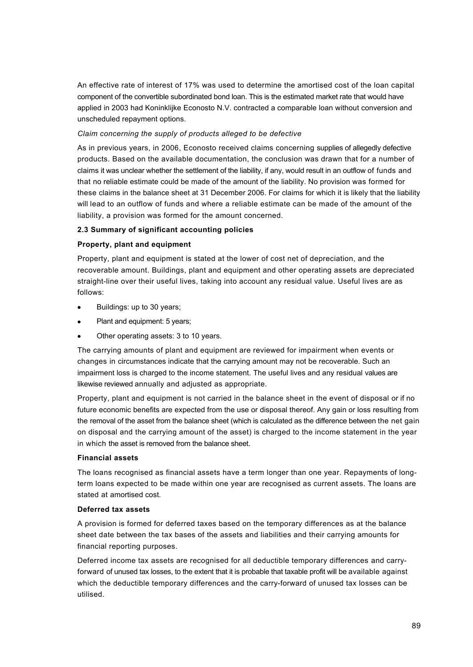An effective rate of interest of 17% was used to determine the amortised cost of the loan capital component of the convertible subordinated bond loan. This is the estimated market rate that would have applied in 2003 had Koninklijke Econosto N.V. contracted a comparable loan without conversion and unscheduled repayment options.

## *Claim concerning the supply of products alleged to be defective*

As in previous years, in 2006, Econosto received claims concerning supplies of allegedly defective products. Based on the available documentation, the conclusion was drawn that for a number of claims it was unclear whether the settlement of the liability, if any, would result in an outflow of funds and that no reliable estimate could be made of the amount of the liability. No provision was formed for these claims in the balance sheet at 31 December 2006. For claims for which it is likely that the liability will lead to an outflow of funds and where a reliable estimate can be made of the amount of the liability, a provision was formed for the amount concerned.

## **2.3 Summary of significant accounting policies**

## **Property, plant and equipment**

Property, plant and equipment is stated at the lower of cost net of depreciation, and the recoverable amount. Buildings, plant and equipment and other operating assets are depreciated straight-line over their useful lives, taking into account any residual value. Useful lives are as follows:

- Buildings: up to 30 years;
- Plant and equipment: 5 years;
- Other operating assets: 3 to 10 years.

The carrying amounts of plant and equipment are reviewed for impairment when events or changes in circumstances indicate that the carrying amount may not be recoverable. Such an impairment loss is charged to the income statement. The useful lives and any residual values are likewise reviewed annually and adjusted as appropriate.

Property, plant and equipment is not carried in the balance sheet in the event of disposal or if no future economic benefits are expected from the use or disposal thereof. Any gain or loss resulting from the removal of the asset from the balance sheet (which is calculated as the difference between the net gain on disposal and the carrying amount of the asset) is charged to the income statement in the year in which the asset is removed from the balance sheet.

## **Financial assets**

The loans recognised as financial assets have a term longer than one year. Repayments of longterm loans expected to be made within one year are recognised as current assets. The loans are stated at amortised cost.

## **Deferred tax assets**

A provision is formed for deferred taxes based on the temporary differences as at the balance sheet date between the tax bases of the assets and liabilities and their carrying amounts for financial reporting purposes.

Deferred income tax assets are recognised for all deductible temporary differences and carryforward of unused tax losses, to the extent that it is probable that taxable profit will be available against which the deductible temporary differences and the carry-forward of unused tax losses can be utilised.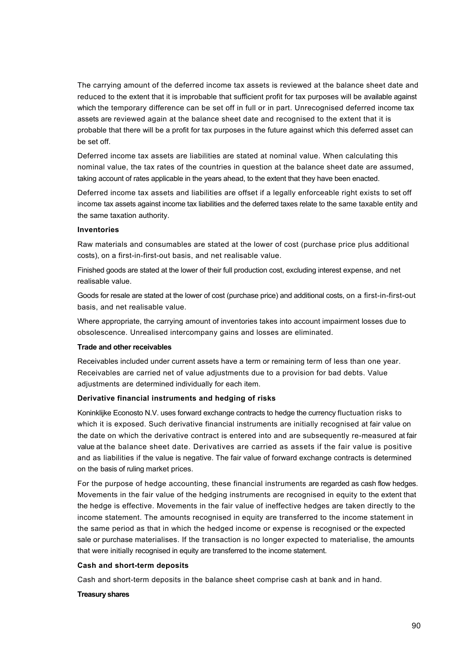The carrying amount of the deferred income tax assets is reviewed at the balance sheet date and reduced to the extent that it is improbable that sufficient profit for tax purposes will be available against which the temporary difference can be set off in full or in part. Unrecognised deferred income tax assets are reviewed again at the balance sheet date and recognised to the extent that it is probable that there will be a profit for tax purposes in the future against which this deferred asset can be set off.

Deferred income tax assets are liabilities are stated at nominal value. When calculating this nominal value, the tax rates of the countries in question at the balance sheet date are assumed, taking account of rates applicable in the years ahead, to the extent that they have been enacted.

Deferred income tax assets and liabilities are offset if a legally enforceable right exists to set off income tax assets against income tax liabilities and the deferred taxes relate to the same taxable entity and the same taxation authority.

## **Inventories**

Raw materials and consumables are stated at the lower of cost (purchase price plus additional costs), on a first-in-first-out basis, and net realisable value.

Finished goods are stated at the lower of their full production cost, excluding interest expense, and net realisable value.

Goods for resale are stated at the lower of cost (purchase price) and additional costs, on a first-in-first-out basis, and net realisable value.

Where appropriate, the carrying amount of inventories takes into account impairment losses due to obsolescence. Unrealised intercompany gains and losses are eliminated.

#### **Trade and other receivables**

Receivables included under current assets have a term or remaining term of less than one year. Receivables are carried net of value adjustments due to a provision for bad debts. Value adjustments are determined individually for each item.

### **Derivative financial instruments and hedging of risks**

Koninklijke Econosto N.V. uses forward exchange contracts to hedge the currency fluctuation risks to which it is exposed. Such derivative financial instruments are initially recognised at fair value on the date on which the derivative contract is entered into and are subsequently re-measured at fair value at the balance sheet date. Derivatives are carried as assets if the fair value is positive and as liabilities if the value is negative. The fair value of forward exchange contracts is determined on the basis of ruling market prices.

For the purpose of hedge accounting, these financial instruments are regarded as cash flow hedges. Movements in the fair value of the hedging instruments are recognised in equity to the extent that the hedge is effective. Movements in the fair value of ineffective hedges are taken directly to the income statement. The amounts recognised in equity are transferred to the income statement in the same period as that in which the hedged income or expense is recognised or the expected sale or purchase materialises. If the transaction is no longer expected to materialise, the amounts that were initially recognised in equity are transferred to the income statement.

#### **Cash and short-term deposits**

Cash and short-term deposits in the balance sheet comprise cash at bank and in hand.

#### **Treasury shares**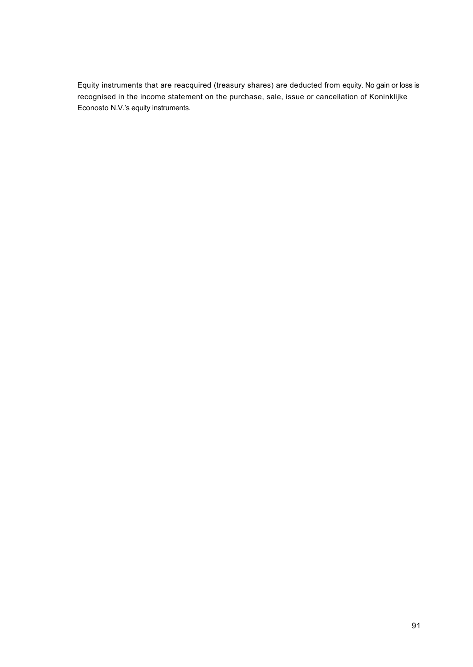Equity instruments that are reacquired (treasury shares) are deducted from equity. No gain or loss is recognised in the income statement on the purchase, sale, issue or cancellation of Koninklijke Econosto N.V.'s equity instruments.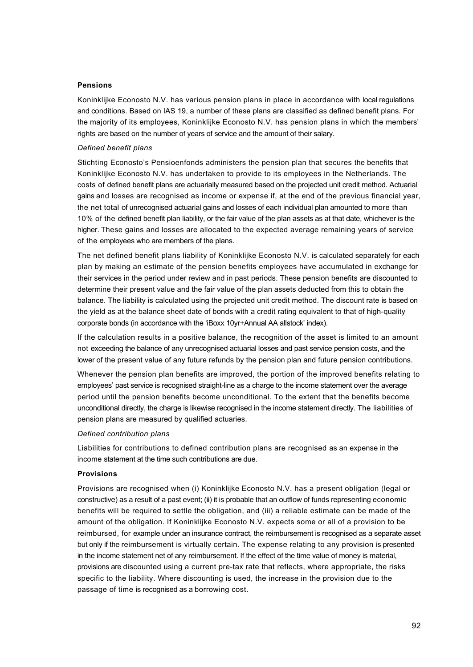#### **Pensions**

Koninklijke Econosto N.V. has various pension plans in place in accordance with local regulations and conditions. Based on IAS 19, a number of these plans are classified as defined benefit plans. For the majority of its employees, Koninklijke Econosto N.V. has pension plans in which the members' rights are based on the number of years of service and the amount of their salary.

### *Defined benefit plans*

Stichting Econosto's Pensioenfonds administers the pension plan that secures the benefits that Koninklijke Econosto N.V. has undertaken to provide to its employees in the Netherlands. The costs of defined benefit plans are actuarially measured based on the projected unit credit method. Actuarial gains and losses are recognised as income or expense if, at the end of the previous financial year, the net total of unrecognised actuarial gains and losses of each individual plan amounted to more than 10% of the defined benefit plan liability, or the fair value of the plan assets as at that date, whichever is the higher. These gains and losses are allocated to the expected average remaining years of service of the employees who are members of the plans.

The net defined benefit plans liability of Koninklijke Econosto N.V. is calculated separately for each plan by making an estimate of the pension benefits employees have accumulated in exchange for their services in the period under review and in past periods. These pension benefits are discounted to determine their present value and the fair value of the plan assets deducted from this to obtain the balance. The liability is calculated using the projected unit credit method. The discount rate is based on the yield as at the balance sheet date of bonds with a credit rating equivalent to that of high-quality corporate bonds (in accordance with the 'iBoxx 10yr+Annual AA allstock' index).

If the calculation results in a positive balance, the recognition of the asset is limited to an amount not exceeding the balance of any unrecognised actuarial losses and past service pension costs, and the lower of the present value of any future refunds by the pension plan and future pension contributions.

Whenever the pension plan benefits are improved, the portion of the improved benefits relating to employees' past service is recognised straight-line as a charge to the income statement over the average period until the pension benefits become unconditional. To the extent that the benefits become unconditional directly, the charge is likewise recognised in the income statement directly. The liabilities of pension plans are measured by qualified actuaries.

#### *Defined contribution plans*

Liabilities for contributions to defined contribution plans are recognised as an expense in the income statement at the time such contributions are due.

#### **Provisions**

Provisions are recognised when (i) Koninklijke Econosto N.V. has a present obligation (legal or constructive) as a result of a past event; (ii) it is probable that an outflow of funds representing economic benefits will be required to settle the obligation, and (iii) a reliable estimate can be made of the amount of the obligation. If Koninklijke Econosto N.V. expects some or all of a provision to be reimbursed, for example under an insurance contract, the reimbursement is recognised as a separate asset but only if the reimbursement is virtually certain. The expense relating to any provision is presented in the income statement net of any reimbursement. If the effect of the time value of money is material, provisions are discounted using a current pre-tax rate that reflects, where appropriate, the risks specific to the liability. Where discounting is used, the increase in the provision due to the passage of time is recognised as a borrowing cost.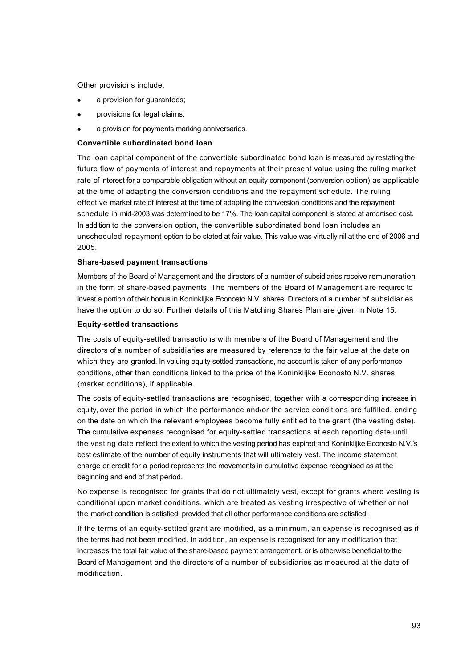Other provisions include:

- a provision for quarantees;
- provisions for legal claims;
- a provision for payments marking anniversaries.

#### **Convertible subordinated bond loan**

The loan capital component of the convertible subordinated bond loan is measured by restating the future flow of payments of interest and repayments at their present value using the ruling market rate of interest for a comparable obligation without an equity component (conversion option) as applicable at the time of adapting the conversion conditions and the repayment schedule. The ruling effective market rate of interest at the time of adapting the conversion conditions and the repayment schedule in mid-2003 was determined to be 17%. The loan capital component is stated at amortised cost. In addition to the conversion option, the convertible subordinated bond loan includes an unscheduled repayment option to be stated at fair value. This value was virtually nil at the end of 2006 and 2005.

## **Share-based payment transactions**

Members of the Board of Management and the directors of a number of subsidiaries receive remuneration in the form of share-based payments. The members of the Board of Management are required to invest a portion of their bonus in Koninklijke Econosto N.V. shares. Directors of a number of subsidiaries have the option to do so. Further details of this Matching Shares Plan are given in Note 15.

#### **Equity-settled transactions**

The costs of equity-settled transactions with members of the Board of Management and the directors of a number of subsidiaries are measured by reference to the fair value at the date on which they are granted. In valuing equity-settled transactions, no account is taken of any performance conditions, other than conditions linked to the price of the Koninklijke Econosto N.V. shares (market conditions), if applicable.

The costs of equity-settled transactions are recognised, together with a corresponding increase in equity, over the period in which the performance and/or the service conditions are fulfilled, ending on the date on which the relevant employees become fully entitled to the grant (the vesting date). The cumulative expenses recognised for equity-settled transactions at each reporting date until the vesting date reflect the extent to which the vesting period has expired and Koninklijke Econosto N.V.'s best estimate of the number of equity instruments that will ultimately vest. The income statement charge or credit for a period represents the movements in cumulative expense recognised as at the beginning and end of that period.

No expense is recognised for grants that do not ultimately vest, except for grants where vesting is conditional upon market conditions, which are treated as vesting irrespective of whether or not the market condition is satisfied, provided that all other performance conditions are satisfied.

If the terms of an equity-settled grant are modified, as a minimum, an expense is recognised as if the terms had not been modified. In addition, an expense is recognised for any modification that increases the total fair value of the share-based payment arrangement, or is otherwise beneficial to the Board of Management and the directors of a number of subsidiaries as measured at the date of modification.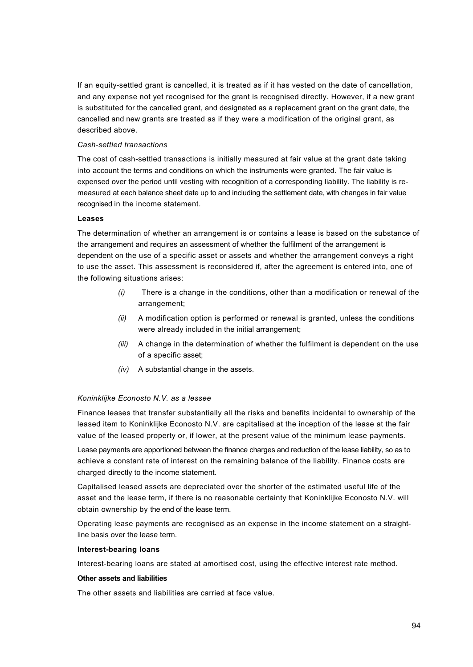If an equity-settled grant is cancelled, it is treated as if it has vested on the date of cancellation, and any expense not yet recognised for the grant is recognised directly. However, if a new grant is substituted for the cancelled grant, and designated as a replacement grant on the grant date, the cancelled and new grants are treated as if they were a modification of the original grant, as described above.

## *Cash-settled transactions*

The cost of cash-settled transactions is initially measured at fair value at the grant date taking into account the terms and conditions on which the instruments were granted. The fair value is expensed over the period until vesting with recognition of a corresponding liability. The liability is remeasured at each balance sheet date up to and including the settlement date, with changes in fair value recognised in the income statement.

## **Leases**

The determination of whether an arrangement is or contains a lease is based on the substance of the arrangement and requires an assessment of whether the fulfilment of the arrangement is dependent on the use of a specific asset or assets and whether the arrangement conveys a right to use the asset. This assessment is reconsidered if, after the agreement is entered into, one of the following situations arises:

- *(i)* There is a change in the conditions, other than a modification or renewal of the arrangement;
- *(ii)* A modification option is performed or renewal is granted, unless the conditions were already included in the initial arrangement;
- *(iii)* A change in the determination of whether the fulfilment is dependent on the use of a specific asset;
- *(iv)* A substantial change in the assets.

## *Koninklijke Econosto N.V. as a lessee*

Finance leases that transfer substantially all the risks and benefits incidental to ownership of the leased item to Koninklijke Econosto N.V. are capitalised at the inception of the lease at the fair value of the leased property or, if lower, at the present value of the minimum lease payments.

Lease payments are apportioned between the finance charges and reduction of the lease liability, so as to achieve a constant rate of interest on the remaining balance of the liability. Finance costs are charged directly to the income statement.

Capitalised leased assets are depreciated over the shorter of the estimated useful life of the asset and the lease term, if there is no reasonable certainty that Koninklijke Econosto N.V. will obtain ownership by the end of the lease term.

Operating lease payments are recognised as an expense in the income statement on a straightline basis over the lease term.

### **Interest-bearing loans**

Interest-bearing loans are stated at amortised cost, using the effective interest rate method.

### **Other assets and liabilities**

The other assets and liabilities are carried at face value.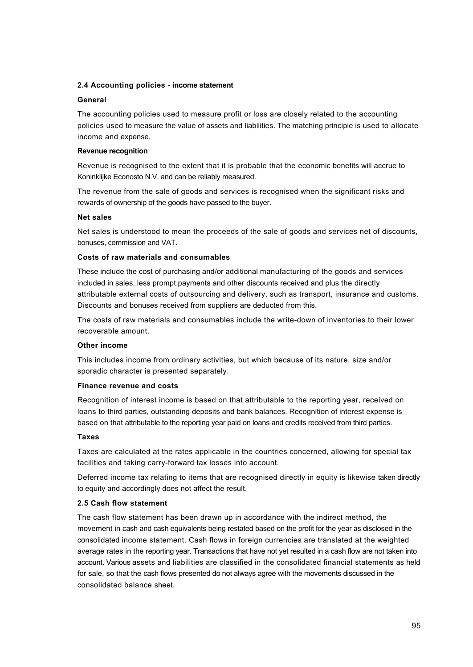## **2.4 Accounting policies - income statement**

## **General**

The accounting policies used to measure profit or loss are closely related to the accounting policies used to measure the value of assets and liabilities. The matching principle is used to allocate income and expense.

## **Revenue recognition**

Revenue is recognised to the extent that it is probable that the economic benefits will accrue to Koninklijke Econosto N.V. and can be reliably measured.

The revenue from the sale of goods and services is recognised when the significant risks and rewards of ownership of the goods have passed to the buyer.

## **Net sales**

Net sales is understood to mean the proceeds of the sale of goods and services net of discounts, bonuses, commission and VAT.

## **Costs of raw materials and consumables**

These include the cost of purchasing and/or additional manufacturing of the goods and services included in sales, less prompt payments and other discounts received and plus the directly attributable external costs of outsourcing and delivery, such as transport, insurance and customs. Discounts and bonuses received from suppliers are deducted from this.

The costs of raw materials and consumables include the write-down of inventories to their lower recoverable amount.

## **Other income**

This includes income from ordinary activities, but which because of its nature, size and/or sporadic character is presented separately.

### **Finance revenue and costs**

Recognition of interest income is based on that attributable to the reporting year, received on loans to third parties, outstanding deposits and bank balances. Recognition of interest expense is based on that attributable to the reporting year paid on loans and credits received from third parties.

## **Taxes**

Taxes are calculated at the rates applicable in the countries concerned, allowing for special tax facilities and taking carry-forward tax losses into account.

Deferred income tax relating to items that are recognised directly in equity is likewise taken directly to equity and accordingly does not affect the result.

## **2.5 Cash flow statement**

The cash flow statement has been drawn up in accordance with the indirect method, the movement in cash and cash equivalents being restated based on the profit for the year as disclosed in the consolidated income statement. Cash flows in foreign currencies are translated at the weighted average rates in the reporting year. Transactions that have not yet resulted in a cash flow are not taken into account. Various assets and liabilities are classified in the consolidated financial statements as held for sale, so that the cash flows presented do not always agree with the movements discussed in the consolidated balance sheet.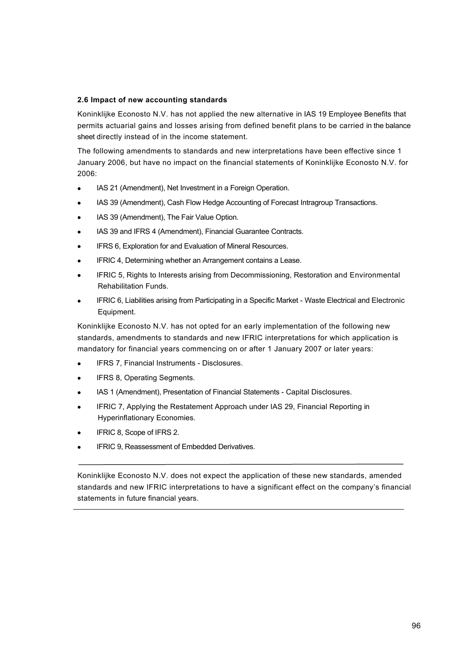## **2.6 Impact of new accounting standards**

Koninklijke Econosto N.V. has not applied the new alternative in IAS 19 Employee Benefits that permits actuarial gains and losses arising from defined benefit plans to be carried in the balance sheet directly instead of in the income statement.

The following amendments to standards and new interpretations have been effective since 1 January 2006, but have no impact on the financial statements of Koninklijke Econosto N.V. for 2006:

- IAS 21 (Amendment), Net Investment in a Foreign Operation.
- · IAS 39 (Amendment), Cash Flow Hedge Accounting of Forecast Intragroup Transactions.
- IAS 39 (Amendment), The Fair Value Option.
- IAS 39 and IFRS 4 (Amendment), Financial Guarantee Contracts.
- IFRS 6, Exploration for and Evaluation of Mineral Resources.
- IFRIC 4, Determining whether an Arrangement contains a Lease.
- IFRIC 5, Rights to Interests arising from Decommissioning, Restoration and Environmental Rehabilitation Funds.
- IFRIC 6, Liabilities arising from Participating in a Specific Market Waste Electrical and Electronic Equipment.

Koninklijke Econosto N.V. has not opted for an early implementation of the following new standards, amendments to standards and new IFRIC interpretations for which application is mandatory for financial years commencing on or after 1 January 2007 or later years:

- · IFRS 7, Financial Instruments Disclosures.
- IFRS 8, Operating Segments.
- IAS 1 (Amendment), Presentation of Financial Statements Capital Disclosures.
- IFRIC 7, Applying the Restatement Approach under IAS 29, Financial Reporting in Hyperinflationary Economies.
- IFRIC 8, Scope of IFRS 2.
- IFRIC 9, Reassessment of Embedded Derivatives.

Koninklijke Econosto N.V. does not expect the application of these new standards, amended standards and new IFRIC interpretations to have a significant effect on the company's financial statements in future financial years.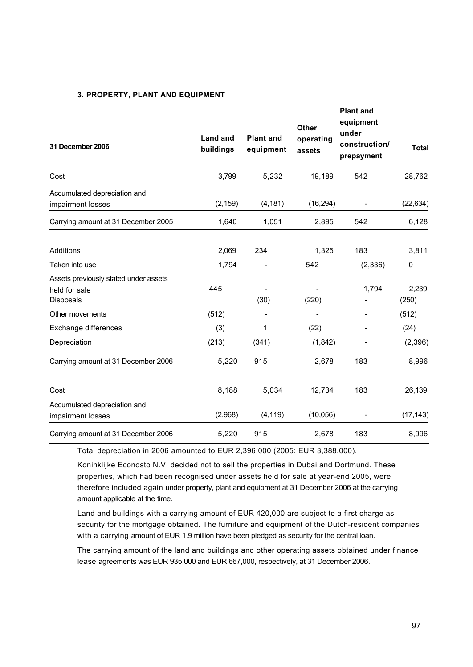## **3. PROPERTY, PLANT AND EQUIPMENT**

| 31 December 2006                                                    | Land and<br>buildings | <b>Plant and</b><br>equipment | <b>Other</b><br>operating<br>assets | <b>Plant and</b><br>equipment<br>under<br>construction/<br>prepayment | <b>Total</b>   |
|---------------------------------------------------------------------|-----------------------|-------------------------------|-------------------------------------|-----------------------------------------------------------------------|----------------|
| Cost                                                                | 3,799                 | 5,232                         | 19,189                              | 542                                                                   | 28,762         |
| Accumulated depreciation and<br>impairment losses                   | (2, 159)              | (4, 181)                      | (16, 294)                           |                                                                       | (22, 634)      |
| Carrying amount at 31 December 2005                                 | 1,640                 | 1,051                         | 2,895                               | 542                                                                   | 6,128          |
| Additions                                                           | 2,069                 | 234                           | 1,325                               | 183                                                                   | 3,811          |
| Taken into use                                                      | 1,794                 |                               | 542                                 | (2, 336)                                                              | 0              |
| Assets previously stated under assets<br>held for sale<br>Disposals | 445                   | (30)                          | (220)                               | 1,794                                                                 | 2,239<br>(250) |
| Other movements                                                     | (512)                 |                               |                                     |                                                                       | (512)          |
| Exchange differences                                                | (3)                   | 1                             | (22)                                |                                                                       | (24)           |
| Depreciation                                                        | (213)                 | (341)                         | (1,842)                             | $\overline{\phantom{a}}$                                              | (2,396)        |
| Carrying amount at 31 December 2006                                 | 5,220                 | 915                           | 2,678                               | 183                                                                   | 8,996          |
| Cost                                                                | 8,188                 | 5,034                         | 12,734                              | 183                                                                   | 26,139         |
| Accumulated depreciation and<br>impairment losses                   | (2,968)               | (4, 119)                      | (10,056)                            |                                                                       | (17, 143)      |
| Carrying amount at 31 December 2006                                 | 5,220                 | 915                           | 2,678                               | 183                                                                   | 8,996          |

Total depreciation in 2006 amounted to EUR 2,396,000 (2005: EUR 3,388,000).

Koninklijke Econosto N.V. decided not to sell the properties in Dubai and Dortmund. These properties, which had been recognised under assets held for sale at year-end 2005, were therefore included again under property, plant and equipment at 31 December 2006 at the carrying amount applicable at the time.

Land and buildings with a carrying amount of EUR 420,000 are subject to a first charge as security for the mortgage obtained. The furniture and equipment of the Dutch-resident companies with a carrying amount of EUR 1.9 million have been pledged as security for the central loan.

The carrying amount of the land and buildings and other operating assets obtained under finance lease agreements was EUR 935,000 and EUR 667,000, respectively, at 31 December 2006.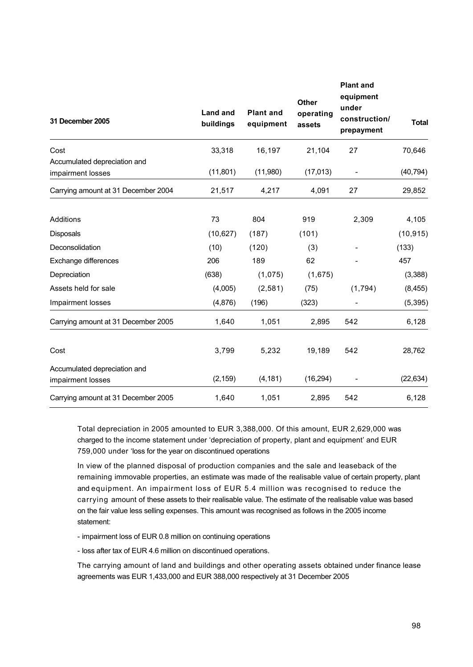| 31 December 2005                    | <b>Land and</b><br>buildings | <b>Plant and</b><br>equipment | <b>Other</b><br>operating<br>assets | <b>Plant and</b><br>equipment<br>under<br>construction/<br>prepayment | <b>Total</b> |
|-------------------------------------|------------------------------|-------------------------------|-------------------------------------|-----------------------------------------------------------------------|--------------|
| Cost                                | 33,318                       | 16,197                        | 21,104                              | 27                                                                    | 70,646       |
| Accumulated depreciation and        |                              |                               |                                     |                                                                       |              |
| impairment losses                   | (11, 801)                    | (11,980)                      | (17, 013)                           |                                                                       | (40, 794)    |
| Carrying amount at 31 December 2004 | 21,517                       | 4,217                         | 4,091                               | 27                                                                    | 29,852       |
| Additions                           | 73                           | 804                           | 919                                 | 2,309                                                                 | 4,105        |
| Disposals                           | (10, 627)                    | (187)                         | (101)                               |                                                                       | (10, 915)    |
| Deconsolidation                     | (10)                         | (120)                         | (3)                                 |                                                                       | (133)        |
| Exchange differences                | 206                          | 189                           | 62                                  |                                                                       | 457          |
| Depreciation                        | (638)                        | (1,075)                       | (1,675)                             |                                                                       | (3,388)      |
| Assets held for sale                | (4,005)                      | (2,581)                       | (75)                                | (1,794)                                                               | (8, 455)     |
| Impairment losses                   | (4,876)                      | (196)                         | (323)                               |                                                                       | (5, 395)     |
| Carrying amount at 31 December 2005 | 1,640                        | 1,051                         | 2,895                               | 542                                                                   | 6,128        |
| Cost                                | 3,799                        | 5,232                         | 19,189                              | 542                                                                   | 28,762       |
| Accumulated depreciation and        |                              |                               |                                     |                                                                       |              |
| impairment losses                   | (2, 159)                     | (4, 181)                      | (16, 294)                           |                                                                       | (22, 634)    |
| Carrying amount at 31 December 2005 | 1,640                        | 1,051                         | 2,895                               | 542                                                                   | 6,128        |

Total depreciation in 2005 amounted to EUR 3,388,000. Of this amount, EUR 2,629,000 was charged to the income statement under 'depreciation of property, plant and equipment' and EUR 759,000 under 'loss for the year on discontinued operations

In view of the planned disposal of production companies and the sale and leaseback of the remaining immovable properties, an estimate was made of the realisable value of certain property, plant and equipment. An impairment loss of EUR 5.4 million was recognised to reduce the carrying amount of these assets to their realisable value. The estimate of the realisable value was based on the fair value less selling expenses. This amount was recognised as follows in the 2005 income statement:

- impairment loss of EUR 0.8 million on continuing operations

- loss after tax of EUR 4.6 million on discontinued operations.

The carrying amount of land and buildings and other operating assets obtained under finance lease agreements was EUR 1,433,000 and EUR 388,000 respectively at 31 December 2005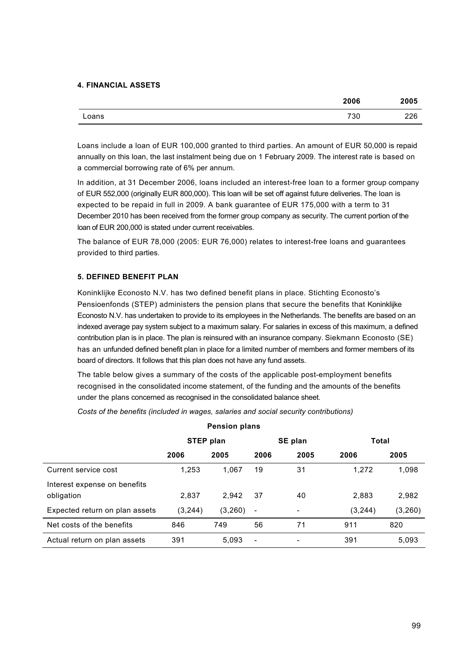## **4. FINANCIAL ASSETS**

|       | 2006 | 2005 |
|-------|------|------|
| Loans | 730  | 226  |

Loans include a loan of EUR 100,000 granted to third parties. An amount of EUR 50,000 is repaid annually on this loan, the last instalment being due on 1 February 2009. The interest rate is based on a commercial borrowing rate of 6% per annum.

In addition, at 31 December 2006, loans included an interest-free loan to a former group company of EUR 552,000 (originally EUR 800,000). This loan will be set off against future deliveries. The loan is expected to be repaid in full in 2009. A bank guarantee of EUR 175,000 with a term to 31 December 2010 has been received from the former group company as security. The current portion of the loan of EUR 200,000 is stated under current receivables.

The balance of EUR 78,000 (2005: EUR 76,000) relates to interest-free loans and guarantees provided to third parties.

## **5. DEFINED BENEFIT PLAN**

Koninklijke Econosto N.V. has two defined benefit plans in place. Stichting Econosto's Pensioenfonds (STEP) administers the pension plans that secure the benefits that Koninklijke Econosto N.V. has undertaken to provide to its employees in the Netherlands. The benefits are based on an indexed average pay system subject to a maximum salary. For salaries in excess of this maximum, a defined contribution plan is in place. The plan is reinsured with an insurance company. Siekmann Econosto (SE) has an unfunded defined benefit plan in place for a limited number of members and former members of its board of directors. It follows that this plan does not have any fund assets.

The table below gives a summary of the costs of the applicable post-employment benefits recognised in the consolidated income statement, of the funding and the amounts of the benefits under the plans concerned as recognised in the consolidated balance sheet.

*Costs of the benefits (included in wages, salaries and social security contributions)*

| <b>Pension plans</b>                       |                  |         |                          |                          |          |         |  |
|--------------------------------------------|------------------|---------|--------------------------|--------------------------|----------|---------|--|
|                                            | <b>STEP plan</b> |         |                          | SE plan                  | Total    |         |  |
|                                            | 2006             | 2005    | 2006                     | 2005                     | 2006     | 2005    |  |
| Current service cost                       | 1.253            | 1.067   | 19                       | 31                       | 1.272    | 1,098   |  |
| Interest expense on benefits<br>obligation | 2,837            | 2.942   | 37                       | 40                       | 2,883    | 2,982   |  |
| Expected return on plan assets             | (3, 244)         | (3,260) | $\overline{\phantom{a}}$ | $\overline{\phantom{a}}$ | (3, 244) | (3,260) |  |
| Net costs of the benefits                  | 846              | 749     | 56                       | 71                       | 911      | 820     |  |
| Actual return on plan assets               | 391              | 5,093   | $\overline{\phantom{a}}$ |                          | 391      | 5,093   |  |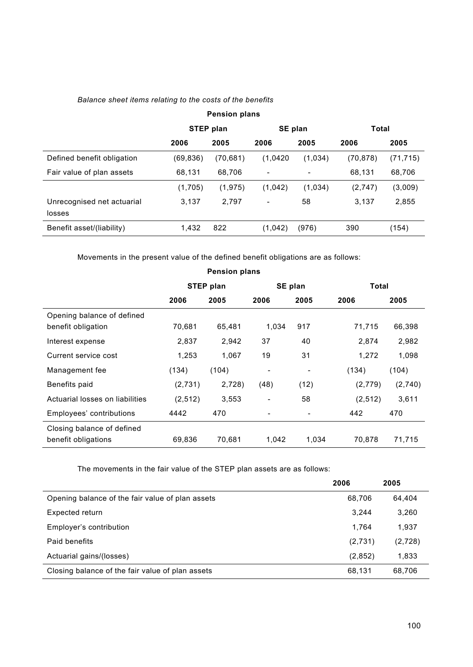## *Balance sheet items relating to the costs of the benefits*

| <b>Pension plans</b>                 |           |           |          |         |          |           |  |
|--------------------------------------|-----------|-----------|----------|---------|----------|-----------|--|
|                                      |           | STEP plan |          | SE plan |          | Total     |  |
|                                      | 2006      | 2005      | 2006     | 2005    | 2006     | 2005      |  |
| Defined benefit obligation           | (69, 836) | (70, 681) | (1,0420) | (1,034) | (70,878) | (71, 715) |  |
| Fair value of plan assets            | 68,131    | 68,706    | ۰        | -       | 68,131   | 68,706    |  |
|                                      | (1,705)   | (1, 975)  | (1,042)  | (1,034) | (2,747)  | (3,009)   |  |
| Unrecognised net actuarial<br>losses | 3,137     | 2,797     | -        | 58      | 3,137    | 2,855     |  |
| Benefit asset/(liability)            | 1,432     | 822       | (1,042)  | (976)   | 390      | (154)     |  |

Movements in the present value of the defined benefit obligations are as follows:

| <b>Pension plans</b>                              |          |                  |                          |         |          |         |
|---------------------------------------------------|----------|------------------|--------------------------|---------|----------|---------|
|                                                   |          | <b>STEP plan</b> |                          | SE plan | Total    |         |
|                                                   | 2006     | 2005             | 2006                     | 2005    | 2006     | 2005    |
| Opening balance of defined<br>benefit obligation  | 70,681   | 65,481           | 1,034                    | 917     | 71,715   | 66,398  |
| Interest expense                                  | 2,837    | 2,942            | 37                       | 40      | 2,874    | 2,982   |
| Current service cost                              | 1,253    | 1,067            | 19                       | 31      | 1,272    | 1,098   |
| Management fee                                    | (134)    | (104)            | ٠                        | -       | (134)    | (104)   |
| Benefits paid                                     | (2,731)  | 2,728)           | (48)                     | (12)    | (2,779)  | (2,740) |
| Actuarial losses on liabilities                   | (2, 512) | 3,553            | $\overline{\phantom{a}}$ | 58      | (2, 512) | 3,611   |
| Employees' contributions                          | 4442     | 470              |                          |         | 442      | 470     |
| Closing balance of defined<br>benefit obligations | 69,836   | 70,681           | 1,042                    | 1,034   | 70.878   | 71,715  |

The movements in the fair value of the STEP plan assets are as follows:

|                                                  | 2006    | 2005    |
|--------------------------------------------------|---------|---------|
| Opening balance of the fair value of plan assets | 68.706  | 64.404  |
| Expected return                                  | 3.244   | 3,260   |
| Employer's contribution                          | 1.764   | 1,937   |
| Paid benefits                                    | (2,731) | (2,728) |
| Actuarial gains/(losses)                         | (2,852) | 1,833   |
| Closing balance of the fair value of plan assets | 68.131  | 68,706  |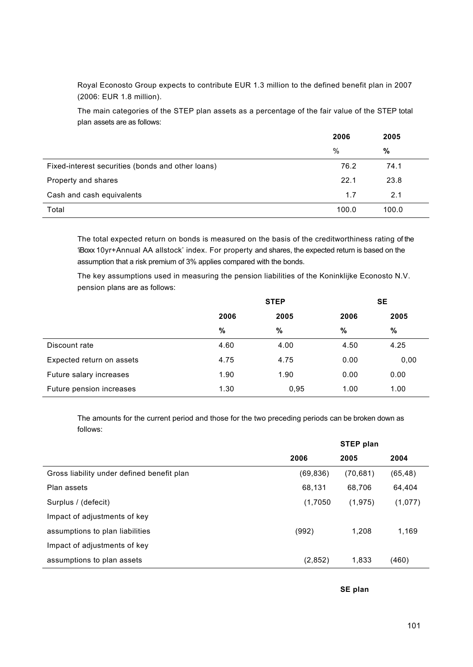Royal Econosto Group expects to contribute EUR 1.3 million to the defined benefit plan in 2007 (2006: EUR 1.8 million).

The main categories of the STEP plan assets as a percentage of the fair value of the STEP total plan assets are as follows:

|                                                   | 2006  | 2005  |
|---------------------------------------------------|-------|-------|
|                                                   | $\%$  | %     |
| Fixed-interest securities (bonds and other loans) | 76.2  | 74.1  |
| Property and shares                               | 22.1  | 23.8  |
| Cash and cash equivalents                         | 1.7   | 2.1   |
| Total                                             | 100.0 | 100.0 |

The total expected return on bonds is measured on the basis of the creditworthiness rating of the 'iBoxx 10yr+Annual AA allstock' index. For property and shares, the expected return is based on the assumption that a risk premium of 3% applies compared with the bonds.

The key assumptions used in measuring the pension liabilities of the Koninklijke Econosto N.V. pension plans are as follows:

|                           |              | <b>STEP</b> |      | <b>SE</b> |  |  |
|---------------------------|--------------|-------------|------|-----------|--|--|
|                           | 2005<br>2006 |             | 2006 | 2005      |  |  |
|                           | %            | %           | %    | %         |  |  |
| Discount rate             | 4.60         | 4.00        | 4.50 | 4.25      |  |  |
| Expected return on assets | 4.75         | 4.75        | 0.00 | 0,00      |  |  |
| Future salary increases   | 1.90         | 1.90        | 0.00 | 0.00      |  |  |
| Future pension increases  | 1.30         | 0,95        | 1.00 | 1.00      |  |  |

The amounts for the current period and those for the two preceding periods can be broken down as follows:

|                                            | STEP plan |           |          |
|--------------------------------------------|-----------|-----------|----------|
|                                            | 2006      | 2005      | 2004     |
| Gross liability under defined benefit plan | (69, 836) | (70, 681) | (65, 48) |
| Plan assets                                | 68,131    | 68.706    | 64,404   |
| Surplus / (defecit)                        | (1,7050)  | (1,975)   | (1,077)  |
| Impact of adjustments of key               |           |           |          |
| assumptions to plan liabilities            | (992)     | 1.208     | 1,169    |
| Impact of adjustments of key               |           |           |          |
| assumptions to plan assets                 | (2,852)   | 1,833     | (460)    |

**SE plan**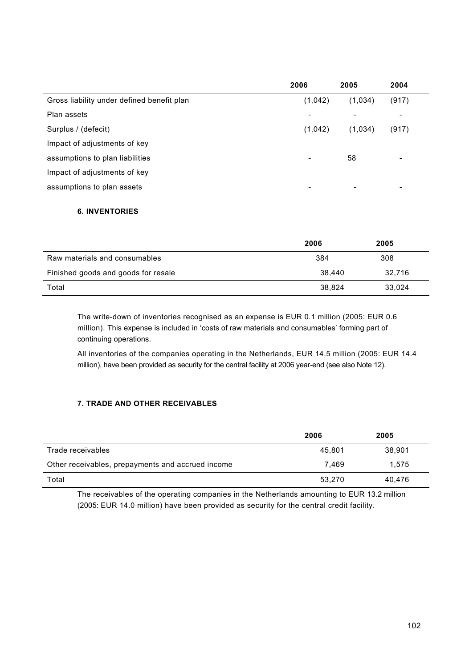|                                            | 2006    | 2005                     | 2004                     |  |
|--------------------------------------------|---------|--------------------------|--------------------------|--|
| Gross liability under defined benefit plan | (1,042) | (1,034)                  | (917)                    |  |
| Plan assets                                | ٠       | -                        | $\overline{\phantom{a}}$ |  |
| Surplus / (defecit)                        | (1,042) | (1,034)                  | (917)                    |  |
| Impact of adjustments of key               |         |                          |                          |  |
| assumptions to plan liabilities            | ٠       | 58                       | $\overline{\phantom{a}}$ |  |
| Impact of adjustments of key               |         |                          |                          |  |
| assumptions to plan assets                 | ٠       | $\overline{\phantom{0}}$ | $\overline{\phantom{a}}$ |  |

## **6. INVENTORIES**

|                                     | 2006   | 2005   |
|-------------------------------------|--------|--------|
| Raw materials and consumables       | 384    | 308    |
| Finished goods and goods for resale | 38.440 | 32.716 |
| Total                               | 38.824 | 33,024 |

The write-down of inventories recognised as an expense is EUR 0.1 million (2005: EUR 0.6 million). This expense is included in 'costs of raw materials and consumables' forming part of continuing operations.

All inventories of the companies operating in the Netherlands, EUR 14.5 million (2005: EUR 14.4 million), have been provided as security for the central facility at 2006 year-end (see also Note 12).

## **7. TRADE AND OTHER RECEIVABLES**

|                                                   | 2006   | 2005   |
|---------------------------------------------------|--------|--------|
| Trade receivables                                 | 45.801 | 38,901 |
| Other receivables, prepayments and accrued income | 7.469  | 1.575  |
| Total                                             | 53.270 | 40.476 |

The receivables of the operating companies in the Netherlands amounting to EUR 13.2 million (2005: EUR 14.0 million) have been provided as security for the central credit facility.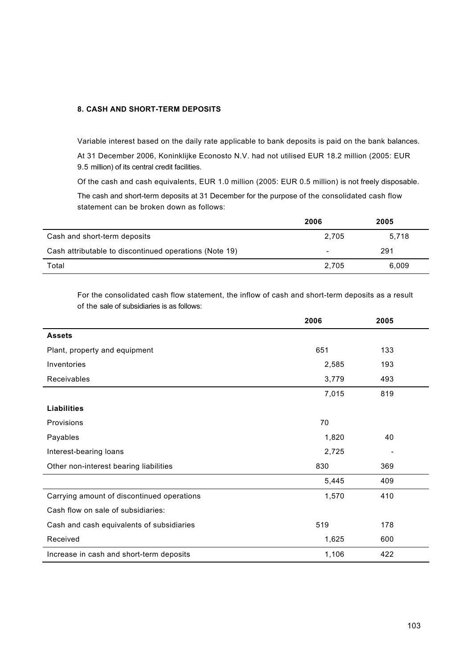## **8. CASH AND SHORT-TERM DEPOSITS**

Variable interest based on the daily rate applicable to bank deposits is paid on the bank balances. At 31 December 2006, Koninklijke Econosto N.V. had not utilised EUR 18.2 million (2005: EUR 9.5 million) of its central credit facilities.

Of the cash and cash equivalents, EUR 1.0 million (2005: EUR 0.5 million) is not freely disposable.

The cash and short-term deposits at 31 December for the purpose of the consolidated cash flow statement can be broken down as follows:

|                                                        | 2006                     | 2005  |
|--------------------------------------------------------|--------------------------|-------|
| Cash and short-term deposits                           | 2.705                    | 5.718 |
| Cash attributable to discontinued operations (Note 19) | $\overline{\phantom{0}}$ | 291   |
| Total                                                  | 2.705                    | 6,009 |

For the consolidated cash flow statement, the inflow of cash and short-term deposits as a result of the sale of subsidiaries is as follows:

|                                            | 2006  | 2005 |  |
|--------------------------------------------|-------|------|--|
| <b>Assets</b>                              |       |      |  |
| Plant, property and equipment              | 651   | 133  |  |
| Inventories                                | 2,585 | 193  |  |
| Receivables                                | 3,779 | 493  |  |
|                                            | 7,015 | 819  |  |
| <b>Liabilities</b>                         |       |      |  |
| Provisions                                 | 70    |      |  |
| Payables                                   | 1,820 | 40   |  |
| Interest-bearing loans                     | 2,725 |      |  |
| Other non-interest bearing liabilities     | 830   | 369  |  |
|                                            | 5,445 | 409  |  |
| Carrying amount of discontinued operations | 1,570 | 410  |  |
| Cash flow on sale of subsidiaries:         |       |      |  |
| Cash and cash equivalents of subsidiaries  | 519   | 178  |  |
| Received                                   | 1,625 | 600  |  |
| Increase in cash and short-term deposits   | 1,106 | 422  |  |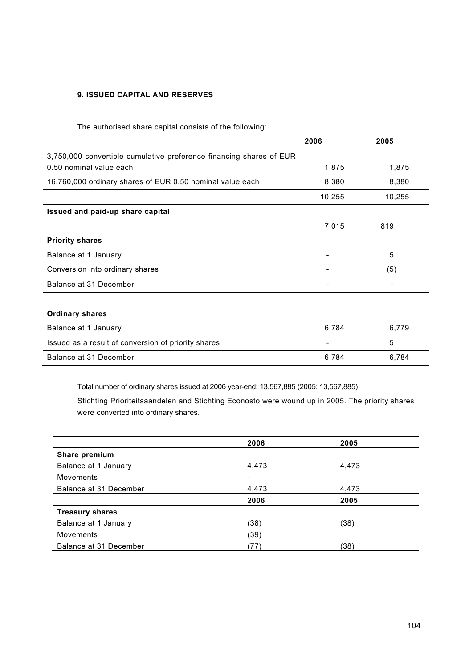## **9. ISSUED CAPITAL AND RESERVES**

The authorised share capital consists of the following:

|                                                                     | 2006   | 2005   |
|---------------------------------------------------------------------|--------|--------|
| 3,750,000 convertible cumulative preference financing shares of EUR |        |        |
| 0.50 nominal value each                                             | 1,875  | 1,875  |
| 16,760,000 ordinary shares of EUR 0.50 nominal value each           | 8,380  | 8,380  |
|                                                                     | 10,255 | 10,255 |
| Issued and paid-up share capital                                    |        |        |
|                                                                     | 7,015  | 819    |
| <b>Priority shares</b>                                              |        |        |
| Balance at 1 January                                                |        | 5      |
| Conversion into ordinary shares                                     |        | (5)    |
| Balance at 31 December                                              |        |        |
|                                                                     |        |        |
| <b>Ordinary shares</b>                                              |        |        |
| Balance at 1 January                                                | 6,784  | 6,779  |
| Issued as a result of conversion of priority shares                 |        | 5      |
| Balance at 31 December                                              | 6,784  | 6,784  |

Total number of ordinary shares issued at 2006 year-end: 13,567,885 (2005: 13,567,885)

Stichting Prioriteitsaandelen and Stichting Econosto were wound up in 2005. The priority shares were converted into ordinary shares.

|                        | 2006  | 2005  |  |
|------------------------|-------|-------|--|
| Share premium          |       |       |  |
| Balance at 1 January   | 4,473 | 4,473 |  |
| Movements              | -     |       |  |
| Balance at 31 December | 4.473 | 4,473 |  |
|                        | 2006  | 2005  |  |
| <b>Treasury shares</b> |       |       |  |
| Balance at 1 January   | (38)  | (38)  |  |
| <b>Movements</b>       | (39)  |       |  |
| Balance at 31 December | (77)  | (38)  |  |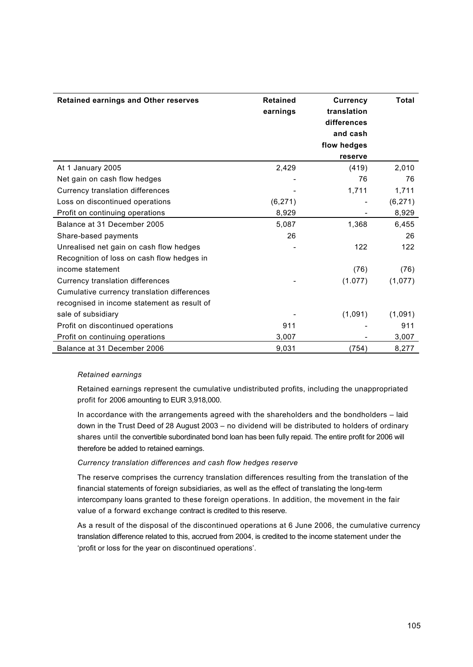| <b>Retained earnings and Other reserves</b> | <b>Retained</b><br>earnings | <b>Currency</b><br>translation<br>differences<br>and cash<br>flow hedges<br>reserve | <b>Total</b> |
|---------------------------------------------|-----------------------------|-------------------------------------------------------------------------------------|--------------|
| At 1 January 2005                           | 2,429                       | (419)                                                                               | 2,010        |
| Net gain on cash flow hedges                |                             | 76                                                                                  | 76           |
| Currency translation differences            |                             | 1,711                                                                               | 1,711        |
| Loss on discontinued operations             | (6, 271)                    |                                                                                     | (6, 271)     |
| Profit on continuing operations             | 8,929                       |                                                                                     | 8,929        |
| Balance at 31 December 2005                 | 5,087                       | 1,368                                                                               | 6,455        |
| Share-based payments                        | 26                          |                                                                                     | 26           |
| Unrealised net gain on cash flow hedges     |                             | 122                                                                                 | 122          |
| Recognition of loss on cash flow hedges in  |                             |                                                                                     |              |
| income statement                            |                             | (76)                                                                                | (76)         |
| Currency translation differences            |                             | (1.077)                                                                             | (1,077)      |
| Cumulative currency translation differences |                             |                                                                                     |              |
| recognised in income statement as result of |                             |                                                                                     |              |
| sale of subsidiary                          |                             | (1,091)                                                                             | (1,091)      |
| Profit on discontinued operations           | 911                         |                                                                                     | 911          |
| Profit on continuing operations             | 3,007                       |                                                                                     | 3,007        |
| Balance at 31 December 2006                 | 9,031                       | (754)                                                                               | 8,277        |

### *Retained earnings*

Retained earnings represent the cumulative undistributed profits, including the unappropriated profit for 2006 amounting to EUR 3,918,000.

In accordance with the arrangements agreed with the shareholders and the bondholders – laid down in the Trust Deed of 28 August 2003 – no dividend will be distributed to holders of ordinary shares until the convertible subordinated bond loan has been fully repaid. The entire profit for 2006 will therefore be added to retained earnings.

### *Currency translation differences and cash flow hedges reserve*

The reserve comprises the currency translation differences resulting from the translation of the financial statements of foreign subsidiaries, as well as the effect of translating the long-term intercompany loans granted to these foreign operations. In addition, the movement in the fair value of a forward exchange contract is credited to this reserve.

As a result of the disposal of the discontinued operations at 6 June 2006, the cumulative currency translation difference related to this, accrued from 2004, is credited to the income statement under the 'profit or loss for the year on discontinued operations'.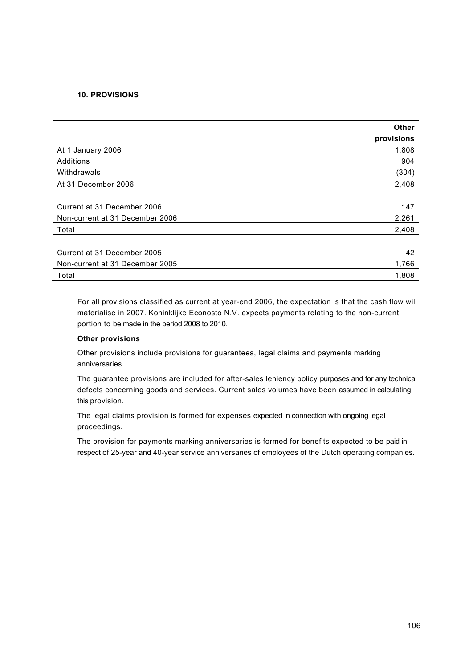## **10. PROVISIONS**

|                                 | <b>Other</b><br>provisions |
|---------------------------------|----------------------------|
| At 1 January 2006               | 1,808                      |
| Additions                       | 904                        |
| Withdrawals                     | (304)                      |
| At 31 December 2006             | 2,408                      |
|                                 |                            |
| Current at 31 December 2006     | 147                        |
| Non-current at 31 December 2006 | 2,261                      |
| Total                           | 2,408                      |
|                                 |                            |
| Current at 31 December 2005     | 42                         |
| Non-current at 31 December 2005 | 1,766                      |
| Total                           | 1,808                      |

For all provisions classified as current at year-end 2006, the expectation is that the cash flow will materialise in 2007. Koninklijke Econosto N.V. expects payments relating to the non-current portion to be made in the period 2008 to 2010.

## **Other provisions**

Other provisions include provisions for guarantees, legal claims and payments marking anniversaries.

The guarantee provisions are included for after-sales leniency policy purposes and for any technical defects concerning goods and services. Current sales volumes have been assumed in calculating this provision.

The legal claims provision is formed for expenses expected in connection with ongoing legal proceedings.

The provision for payments marking anniversaries is formed for benefits expected to be paid in respect of 25-year and 40-year service anniversaries of employees of the Dutch operating companies.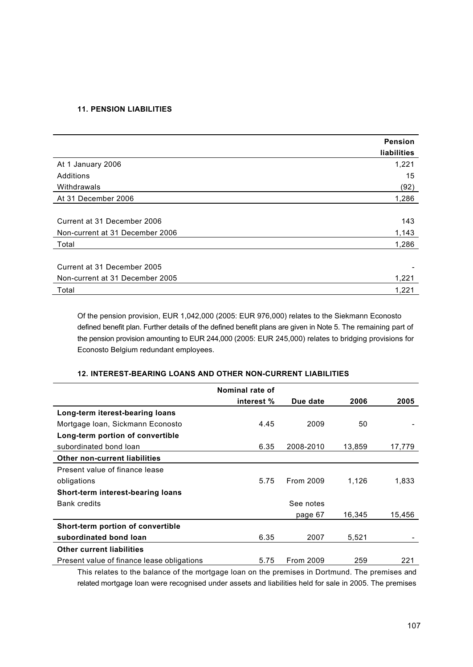## **11. PENSION LIABILITIES**

|                                 | <b>Pension</b> |
|---------------------------------|----------------|
|                                 | liabilities    |
| At 1 January 2006               | 1,221          |
| Additions                       | 15             |
| Withdrawals                     | (92)           |
| At 31 December 2006             | 1,286          |
|                                 |                |
| Current at 31 December 2006     | 143            |
| Non-current at 31 December 2006 | 1,143          |
| Total                           | 1,286          |
|                                 |                |
| Current at 31 December 2005     |                |
| Non-current at 31 December 2005 | 1,221          |
| Total                           | 1,221          |

Of the pension provision, EUR 1,042,000 (2005: EUR 976,000) relates to the Siekmann Econosto defined benefit plan. Further details of the defined benefit plans are given in Note 5. The remaining part of the pension provision amounting to EUR 244,000 (2005: EUR 245,000) relates to bridging provisions for Econosto Belgium redundant employees.

## **12. INTEREST-BEARING LOANS AND OTHER NON-CURRENT LIABILITIES**

|                                            | Nominal rate of |           |        |        |
|--------------------------------------------|-----------------|-----------|--------|--------|
|                                            | interest %      | Due date  | 2006   | 2005   |
| Long-term iterest-bearing loans            |                 |           |        |        |
| Mortgage Ioan, Sickmann Econosto           | 4.45            | 2009      | 50     |        |
| Long-term portion of convertible           |                 |           |        |        |
| subordinated bond loan                     | 6.35            | 2008-2010 | 13,859 | 17,779 |
| <b>Other non-current liabilities</b>       |                 |           |        |        |
| Present value of finance lease             |                 |           |        |        |
| obligations                                | 5.75            | From 2009 | 1,126  | 1,833  |
| Short-term interest-bearing loans          |                 |           |        |        |
| <b>Bank credits</b>                        |                 | See notes |        |        |
|                                            |                 | page 67   | 16,345 | 15,456 |
| Short-term portion of convertible          |                 |           |        |        |
| subordinated bond loan                     | 6.35            | 2007      | 5,521  |        |
| <b>Other current liabilities</b>           |                 |           |        |        |
| Present value of finance lease obligations | 5.75            | From 2009 | 259    | 221    |

This relates to the balance of the mortgage loan on the premises in Dortmund. The premises and related mortgage loan were recognised under assets and liabilities held for sale in 2005. The premises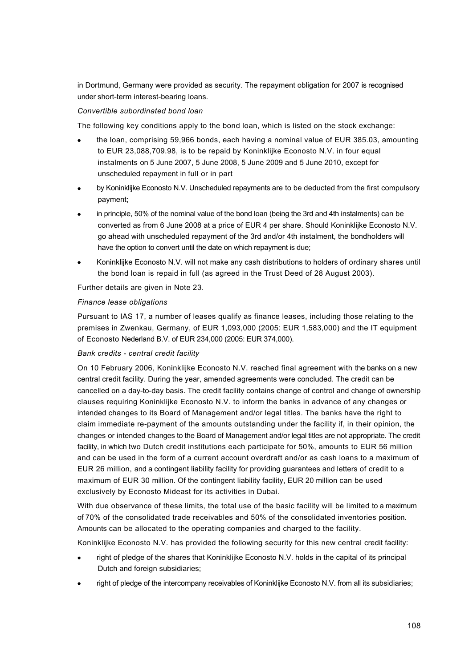in Dortmund, Germany were provided as security. The repayment obligation for 2007 is recognised under short-term interest-bearing loans.

## *Convertible subordinated bond loan*

The following key conditions apply to the bond loan, which is listed on the stock exchange:

- · the loan, comprising 59,966 bonds, each having a nominal value of EUR 385.03, amounting to EUR 23,088,709.98, is to be repaid by Koninklijke Econosto N.V. in four equal instalments on 5 June 2007, 5 June 2008, 5 June 2009 and 5 June 2010, except for unscheduled repayment in full or in part
- by Koninklijke Econosto N.V. Unscheduled repayments are to be deducted from the first compulsory payment;
- in principle, 50% of the nominal value of the bond loan (being the 3rd and 4th instalments) can be converted as from 6 June 2008 at a price of EUR 4 per share. Should Koninklijke Econosto N.V. go ahead with unscheduled repayment of the 3rd and/or 4th instalment, the bondholders will have the option to convert until the date on which repayment is due;
- · Koninklijke Econosto N.V. will not make any cash distributions to holders of ordinary shares until the bond loan is repaid in full (as agreed in the Trust Deed of 28 August 2003).

Further details are given in Note 23.

## *Finance lease obligations*

Pursuant to IAS 17, a number of leases qualify as finance leases, including those relating to the premises in Zwenkau, Germany, of EUR 1,093,000 (2005: EUR 1,583,000) and the IT equipment of Econosto Nederland B.V. of EUR 234,000 (2005: EUR 374,000).

## *Bank credits - central credit facility*

On 10 February 2006, Koninklijke Econosto N.V. reached final agreement with the banks on a new central credit facility. During the year, amended agreements were concluded. The credit can be cancelled on a day-to-day basis. The credit facility contains change of control and change of ownership clauses requiring Koninklijke Econosto N.V. to inform the banks in advance of any changes or intended changes to its Board of Management and/or legal titles. The banks have the right to claim immediate re-payment of the amounts outstanding under the facility if, in their opinion, the changes or intended changes to the Board of Management and/or legal titles are not appropriate. The credit facility, in which two Dutch credit institutions each participate for 50%, amounts to EUR 56 million and can be used in the form of a current account overdraft and/or as cash loans to a maximum of EUR 26 million, and a contingent liability facility for providing guarantees and letters of credit to a maximum of EUR 30 million. Of the contingent liability facility, EUR 20 million can be used exclusively by Econosto Mideast for its activities in Dubai.

With due observance of these limits, the total use of the basic facility will be limited to a maximum of 70% of the consolidated trade receivables and 50% of the consolidated inventories position. Amounts can be allocated to the operating companies and charged to the facility.

Koninklijke Econosto N.V. has provided the following security for this new central credit facility:

- right of pledge of the shares that Koninklijke Econosto N.V. holds in the capital of its principal Dutch and foreign subsidiaries;
- right of pledge of the intercompany receivables of Koninklijke Econosto N.V. from all its subsidiaries;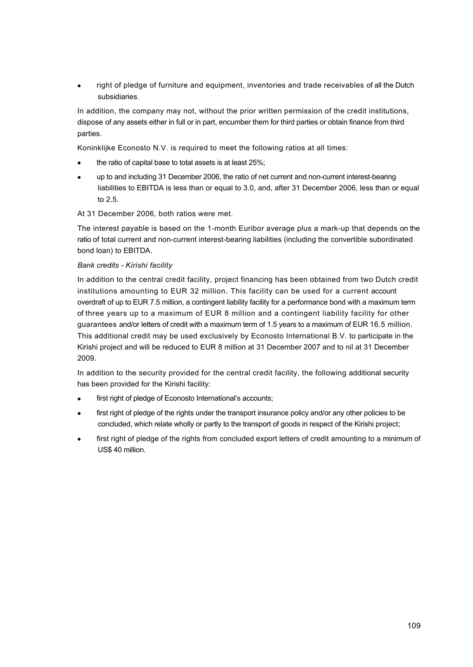right of pledge of furniture and equipment, inventories and trade receivables of all the Dutch subsidiaries.

In addition, the company may not, without the prior written permission of the credit institutions, dispose of any assets either in full or in part, encumber them for third parties or obtain finance from third parties.

Koninklijke Econosto N.V. is required to meet the following ratios at all times:

- the ratio of capital base to total assets is at least 25%;
- · up to and including 31 December 2006, the ratio of net current and non-current interest-bearing liabilities to EBITDA is less than or equal to 3.0, and, after 31 December 2006, less than or equal to 2.5.
- At 31 December 2006, both ratios were met.

The interest payable is based on the 1-month Euribor average plus a mark-up that depends on the ratio of total current and non-current interest-bearing liabilities (including the convertible subordinated bond loan) to EBITDA.

## *Bank credits - Kirishi facility*

In addition to the central credit facility, project financing has been obtained from two Dutch credit institutions amounting to EUR 32 million. This facility can be used for a current account overdraft of up to EUR 7.5 million, a contingent liability facility for a performance bond with a maximum term of three years up to a maximum of EUR 8 million and a contingent liability facility for other guarantees and/or letters of credit with a maximum term of 1.5 years to a maximum of EUR 16.5 million. This additional credit may be used exclusively by Econosto International B.V. to participate in the Kirishi project and will be reduced to EUR 8 million at 31 December 2007 and to nil at 31 December 2009.

In addition to the security provided for the central credit facility, the following additional security has been provided for the Kirishi facility:

- first right of pledge of Econosto International's accounts;
- first right of pledge of the rights under the transport insurance policy and/or any other policies to be concluded, which relate wholly or partly to the transport of goods in respect of the Kirishi project;
- first right of pledge of the rights from concluded export letters of credit amounting to a minimum of US\$ 40 million.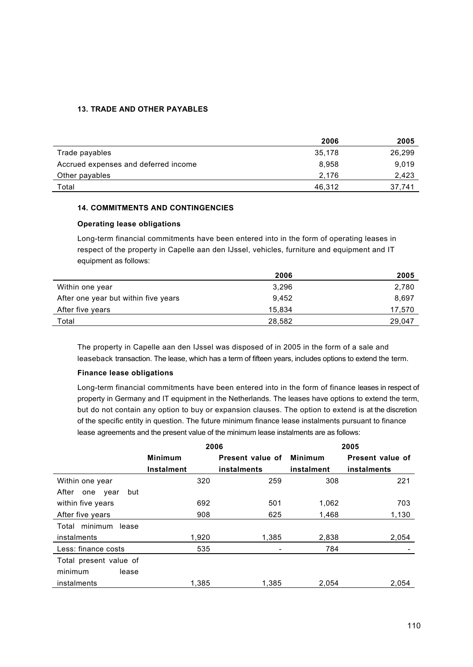## **13. TRADE AND OTHER PAYABLES**

|                                      | 2006   | 2005   |
|--------------------------------------|--------|--------|
| Trade payables                       | 35,178 | 26,299 |
| Accrued expenses and deferred income | 8,958  | 9.019  |
| Other payables                       | 2.176  | 2,423  |
| Total                                | 46.312 | 37,741 |

## **14. COMMITMENTS AND CONTINGENCIES**

## **Operating lease obligations**

Long-term financial commitments have been entered into in the form of operating leases in respect of the property in Capelle aan den IJssel, vehicles, furniture and equipment and IT equipment as follows:

|                                      | 2006   | 2005   |
|--------------------------------------|--------|--------|
| Within one year                      | 3.296  | 2,780  |
| After one year but within five years | 9.452  | 8.697  |
| After five years                     | 15,834 | 17,570 |
| Total                                | 28.582 | 29.047 |

The property in Capelle aan den IJssel was disposed of in 2005 in the form of a sale and leaseback transaction. The lease, which has a term of fifteen years, includes options to extend the term.

## **Finance lease obligations**

Long-term financial commitments have been entered into in the form of finance leases in respect of property in Germany and IT equipment in the Netherlands. The leases have options to extend the term, but do not contain any option to buy or expansion clauses. The option to extend is at the discretion of the specific entity in question. The future minimum finance lease instalments pursuant to finance lease agreements and the present value of the minimum lease instalments are as follows:

|                             |                   | 2006             | 2005           |                  |  |
|-----------------------------|-------------------|------------------|----------------|------------------|--|
|                             | <b>Minimum</b>    | Present value of | <b>Minimum</b> | Present value of |  |
|                             | <b>Instalment</b> | instalments      | instalment     | instalments      |  |
| Within one year             | 320               | 259              | 308            | 221              |  |
| After<br>but<br>one<br>vear |                   |                  |                |                  |  |
| within five years           | 692               | 501              | 1,062          | 703              |  |
| After five years            | 908               | 625              | 1,468          | 1,130            |  |
| Total minimum<br>lease      |                   |                  |                |                  |  |
| instalments                 | 1,920             | 1,385            | 2,838          | 2,054            |  |
| Less: finance costs         | 535               |                  | 784            |                  |  |
| Total present value of      |                   |                  |                |                  |  |
| minimum<br>lease            |                   |                  |                |                  |  |
| instalments                 | 1.385             | 1.385            | 2.054          | 2.054            |  |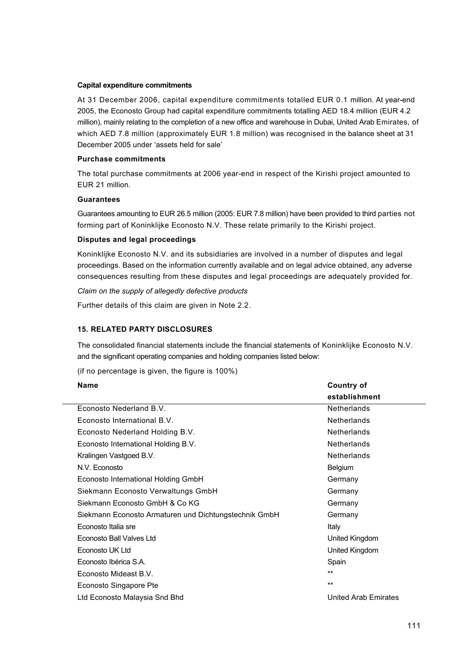#### **Capital expenditure commitments**

At 31 December 2006, capital expenditure commitments totalled EUR 0.1 million. At year-end 2005, the Econosto Group had capital expenditure commitments totalling AED 18.4 million (EUR 4.2 million), mainly relating to the completion of a new office and warehouse in Dubai, United Arab Emirates, of which AED 7.8 million (approximately EUR 1.8 million) was recognised in the balance sheet at 31 December 2005 under 'assets held for sale'

## **Purchase commitments**

The total purchase commitments at 2006 year-end in respect of the Kirishi project amounted to EUR 21 million.

## **Guarantees**

Guarantees amounting to EUR 26.5 million (2005: EUR 7.8 million) have been provided to third parties not forming part of Koninklijke Econosto N.V. These relate primarily to the Kirishi project.

## **Disputes and legal proceedings**

Koninklijke Econosto N.V. and its subsidiaries are involved in a number of disputes and legal proceedings. Based on the information currently available and on legal advice obtained, any adverse consequences resulting from these disputes and legal proceedings are adequately provided for.

*Claim on the supply of allegedly defective products*

Further details of this claim are given in Note 2.2.

# **15. RELATED PARTY DISCLOSURES**

The consolidated financial statements include the financial statements of Koninklijke Econosto N.V. and the significant operating companies and holding companies listed below:

(if no percentage is given, the figure is 100%)

# **Name Country of establishment** Econosto Nederland B.V. Netherlands Econosto International B.V. Netherlands Econosto Nederland Holding B.V. Netherlands Econosto International Holding B.V. Netherlands Kralingen Vastgoed B.V. Netherlands and the U.S. Netherlands and the U.S. Netherlands N.V. Econosto Belgium Econosto International Holding GmbH Germany Siekmann Econosto Verwaltungs GmbH Germany Siekmann Econosto GmbH & Co KG Germany Germany Siekmann Econosto Armaturen und Dichtungstechnik GmbH Germany Econosto Italia sre Econosto Ball Valves Ltd United Kingdom Econosto UK Ltd **United Kingdom** United Kingdom Econosto Ibérica S.A. Spain et al. et al. et al. et al. et al. et al. et al. et al. et al. et al. et al. et al. et al. et al. et al. et al. et al. et al. et al. et al. et al. et al. et al. et al. et al. et al. et al. et al Econosto Mideast B.V. Econosto Singapore Pte Ltd Econosto Malaysia Snd Bhd United Arab Emirates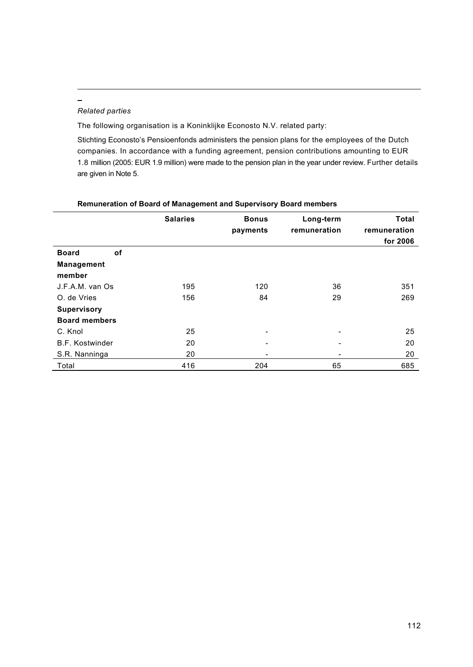# *Related parties*

 $\overline{a}$ 

The following organisation is a Koninklijke Econosto N.V. related party:

Stichting Econosto's Pensioenfonds administers the pension plans for the employees of the Dutch companies. In accordance with a funding agreement, pension contributions amounting to EUR 1.8 million (2005: EUR 1.9 million) were made to the pension plan in the year under review. Further details are given in Note 5.

|                           | <b>Salaries</b> | <b>Bonus</b><br>payments | Long-term<br>remuneration | <b>Total</b><br>remuneration<br>for 2006 |
|---------------------------|-----------------|--------------------------|---------------------------|------------------------------------------|
| <b>Board</b><br><b>of</b> |                 |                          |                           |                                          |
| <b>Management</b>         |                 |                          |                           |                                          |
| member                    |                 |                          |                           |                                          |
| J.F.A.M. van Os           | 195             | 120                      | 36                        | 351                                      |
| O. de Vries               | 156             | 84                       | 29                        | 269                                      |
| <b>Supervisory</b>        |                 |                          |                           |                                          |
| <b>Board members</b>      |                 |                          |                           |                                          |
| C. Knol                   | 25              |                          | ۰                         | 25                                       |
| <b>B.F. Kostwinder</b>    | 20              | $\overline{\phantom{0}}$ | ٠                         | 20                                       |
| S.R. Nanninga             | 20              | ۰                        | ٠                         | 20                                       |
| Total                     | 416             | 204                      | 65                        | 685                                      |

## **Remuneration of Board of Management and Supervisory Board members**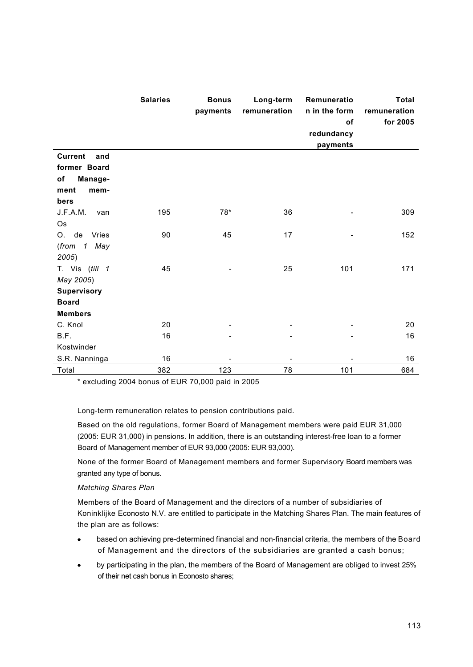|                                                                                | <b>Salaries</b> | <b>Bonus</b><br>payments | Long-term<br>remuneration | Remuneratio<br>n in the form<br>of<br>redundancy<br>payments | <b>Total</b><br>remuneration<br>for 2005 |
|--------------------------------------------------------------------------------|-----------------|--------------------------|---------------------------|--------------------------------------------------------------|------------------------------------------|
| <b>Current</b><br>and<br>former Board<br>of<br>Manage-<br>ment<br>mem-<br>bers |                 |                          |                           |                                                              |                                          |
| J.F.A.M.<br>van<br>Os                                                          | 195             | $78*$                    | 36                        |                                                              | 309                                      |
| de<br>Vries<br>O.<br>(from 1 May<br>2005)                                      | 90              | 45                       | 17                        |                                                              | 152                                      |
| T. Vis (till 1<br>May 2005)<br><b>Supervisory</b><br><b>Board</b>              | 45              |                          | 25                        | 101                                                          | 171                                      |
| <b>Members</b>                                                                 | 20              |                          |                           |                                                              |                                          |
| C. Knol<br>B.F.<br>Kostwinder<br>S.R. Nanninga                                 | 16<br>16        |                          |                           |                                                              | 20<br>16<br>16                           |
| Total                                                                          | 382             | 123                      | 78                        | 101                                                          | 684                                      |

\* excluding 2004 bonus of EUR 70,000 paid in 2005

Long-term remuneration relates to pension contributions paid.

Based on the old regulations, former Board of Management members were paid EUR 31,000 (2005: EUR 31,000) in pensions. In addition, there is an outstanding interest-free loan to a former Board of Management member of EUR 93,000 (2005: EUR 93,000).

None of the former Board of Management members and former Supervisory Board members was granted any type of bonus.

# *Matching Shares Plan*

Members of the Board of Management and the directors of a number of subsidiaries of Koninklijke Econosto N.V. are entitled to participate in the Matching Shares Plan. The main features of the plan are as follows:

- · based on achieving pre-determined financial and non-financial criteria, the members of the Board of Management and the directors of the subsidiaries are granted a cash bonus;
- · by participating in the plan, the members of the Board of Management are obliged to invest 25% of their net cash bonus in Econosto shares;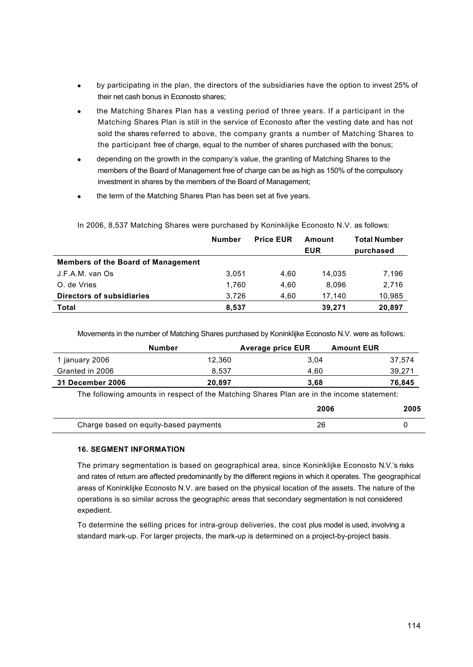- by participating in the plan, the directors of the subsidiaries have the option to invest 25% of their net cash bonus in Econosto shares;
- · the Matching Shares Plan has a vesting period of three years. If a participant in the Matching Shares Plan is still in the service of Econosto after the vesting date and has not sold the shares referred to above, the company grants a number of Matching Shares to the participant free of charge, equal to the number of shares purchased with the bonus;
- depending on the growth in the company's value, the granting of Matching Shares to the members of the Board of Management free of charge can be as high as 150% of the compulsory investment in shares by the members of the Board of Management;
- the term of the Matching Shares Plan has been set at five years.

|                                    | <b>Number</b> | <b>Price EUR</b> | Amount     | <b>Total Number</b> |
|------------------------------------|---------------|------------------|------------|---------------------|
|                                    |               |                  | <b>EUR</b> | purchased           |
| Members of the Board of Management |               |                  |            |                     |
| J.F.A.M. van Os                    | 3.051         | 4.60             | 14.035     | 7,196               |
| O. de Vries                        | 1.760         | 4.60             | 8.096      | 2,716               |
| Directors of subsidiaries          | 3.726         | 4.60             | 17.140     | 10,985              |
| Total                              | 8,537         |                  | 39,271     | 20,897              |

In 2006, 8,537 Matching Shares were purchased by Koninklijke Econosto N.V. as follows:

Movements in the number of Matching Shares purchased by Koninklijke Econosto N.V. were as follows:

|                         | Number | <b>Average price EUR</b> | <b>Amount EUR</b> |        |
|-------------------------|--------|--------------------------|-------------------|--------|
| 1 january 2006          | 12.360 | 3.04                     |                   | 37.574 |
| Granted in 2006         | 8.537  | 4.60                     |                   | 39,271 |
| <b>31 December 2006</b> | 20.897 | 3.68                     |                   | 76,845 |

The following amounts in respect of the Matching Shares Plan are in the income statement:

|                                       | 2006 | 2005 |
|---------------------------------------|------|------|
| Charge based on equity-based payments | 26   |      |

# **16. SEGMENT INFORMATION**

The primary segmentation is based on geographical area, since Koninklijke Econosto N.V.'s risks and rates of return are affected predominantly by the different regions in which it operates. The geographical areas of Koninklijke Econosto N.V. are based on the physical location of the assets. The nature of the operations is so similar across the geographic areas that secondary segmentation is not considered expedient.

To determine the selling prices for intra-group deliveries, the cost plus model is used, involving a standard mark-up. For larger projects, the mark-up is determined on a project-by-project basis.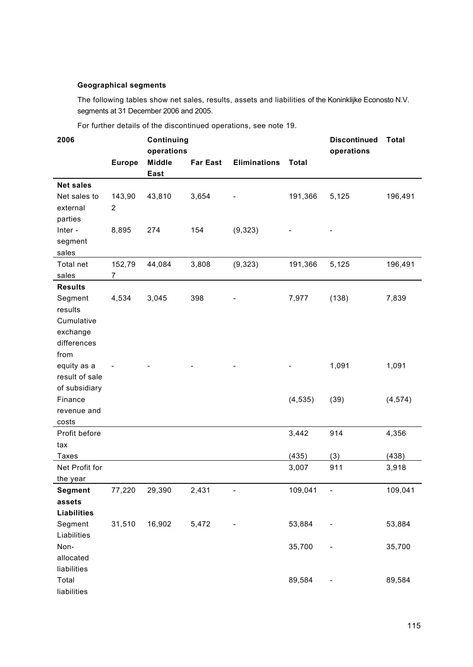## **Geographical segments**

The following tables show net sales, results, assets and liabilities of the Koninklijke Econosto N.V. segments at 31 December 2006 and 2005.

| 2006                                                                          |                          | Continuing<br>operations |                 |                     |              | <b>Discontinued</b><br>operations | <b>Total</b> |
|-------------------------------------------------------------------------------|--------------------------|--------------------------|-----------------|---------------------|--------------|-----------------------------------|--------------|
|                                                                               | <b>Europe</b>            | <b>Middle</b><br>East    | <b>Far East</b> | <b>Eliminations</b> | <b>Total</b> |                                   |              |
| <b>Net sales</b>                                                              |                          |                          |                 |                     |              |                                   |              |
| Net sales to<br>external                                                      | 143,90<br>2              | 43,810                   | 3,654           |                     | 191,366      | 5,125                             | 196,491      |
| parties<br>Inter -<br>segment<br>sales                                        | 8,895                    | 274                      | 154             | (9,323)             |              |                                   |              |
| Total net<br>sales                                                            | 152,79<br>$\overline{7}$ | 44,084                   | 3,808           | (9, 323)            | 191,366      | 5,125                             | 196,491      |
| <b>Results</b><br>Segment<br>results<br>Cumulative<br>exchange<br>differences | 4,534                    | 3,045                    | 398             |                     | 7,977        | (138)                             | 7,839        |
| from<br>equity as a<br>result of sale<br>of subsidiary                        |                          |                          |                 |                     |              | 1,091                             | 1,091        |
| Finance<br>revenue and<br>costs                                               |                          |                          |                 |                     | (4, 535)     | (39)                              | (4, 574)     |
| Profit before<br>tax                                                          |                          |                          |                 |                     | 3,442        | 914                               | 4,356        |
| <b>Taxes</b>                                                                  |                          |                          |                 |                     | (435)        | (3)                               | (438)        |
| Net Profit for<br>the year                                                    |                          |                          |                 |                     | 3,007        | 911                               | 3,918        |
| Segment<br>assets<br><b>Liabilities</b>                                       | 77,220                   | 29,390                   | 2,431           |                     | 109,041      | $\overline{\phantom{a}}$          | 109,041      |
| Segment<br>Liabilities                                                        | 31,510                   | 16,902                   | 5,472           |                     | 53,884       |                                   | 53,884       |
| Non-<br>allocated<br>liabilities                                              |                          |                          |                 |                     | 35,700       |                                   | 35,700       |
| Total<br>liabilities                                                          |                          |                          |                 |                     | 89,584       |                                   | 89,584       |

For further details of the discontinued operations, see note 19.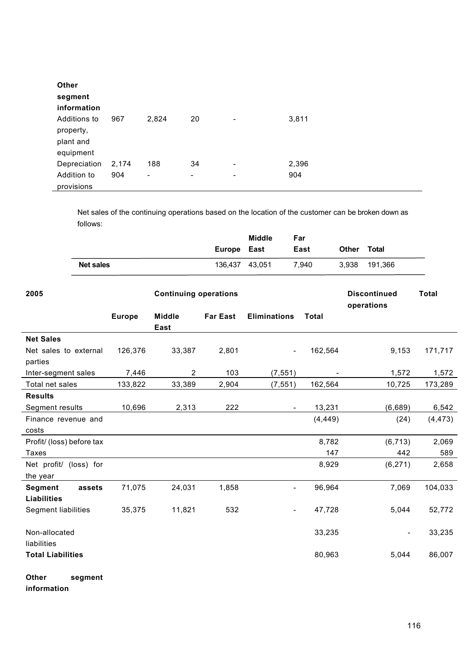| Other<br>segment<br>information                     |       |       |                          |   |       |
|-----------------------------------------------------|-------|-------|--------------------------|---|-------|
| Additions to<br>property,<br>plant and<br>equipment | 967   | 2,824 | 20                       | ۰ | 3,811 |
| Depreciation                                        | 2,174 | 188   | 34                       | ۰ | 2,396 |
| Addition to<br>provisions                           | 904   | -     | $\overline{\phantom{a}}$ | ۰ | 904   |

Net sales of the continuing operations based on the location of the customer can be broken down as follows:

|                  | Europe East    | <b>Middle</b> | Far<br>East | <b>Other</b> | <b>Total</b> |
|------------------|----------------|---------------|-------------|--------------|--------------|
| <b>Net sales</b> | 136.437 43.051 |               | 7.940       | 3.938        | 191.366      |

| 2005                                           |               | <b>Continuing operations</b> |                 |                          |          | <b>Discontinued</b><br>operations | <b>Total</b> |
|------------------------------------------------|---------------|------------------------------|-----------------|--------------------------|----------|-----------------------------------|--------------|
|                                                | <b>Europe</b> | <b>Middle</b><br>East        | <b>Far East</b> | <b>Eliminations</b>      | Total    |                                   |              |
| <b>Net Sales</b>                               |               |                              |                 |                          |          |                                   |              |
| Net sales to external                          | 126,376       | 33,387                       | 2,801           | $\overline{\phantom{a}}$ | 162,564  | 9,153                             | 171,717      |
| parties                                        |               |                              |                 |                          |          |                                   |              |
| Inter-segment sales                            | 7,446         | $\overline{2}$               | 103             | (7, 551)                 |          | 1,572                             | 1,572        |
| Total net sales                                | 133,822       | 33,389                       | 2,904           | (7, 551)                 | 162,564  | 10,725                            | 173,289      |
| <b>Results</b>                                 |               |                              |                 |                          |          |                                   |              |
| Segment results                                | 10,696        | 2,313                        | 222             |                          | 13,231   | (6,689)                           | 6,542        |
| Finance revenue and                            |               |                              |                 |                          | (4, 449) | (24)                              | (4, 473)     |
| costs                                          |               |                              |                 |                          |          |                                   |              |
| Profit/ (loss) before tax                      |               |                              |                 |                          | 8,782    | (6, 713)                          | 2,069        |
| <b>Taxes</b>                                   |               |                              |                 |                          | 147      | 442                               | 589          |
| Net profit/ (loss) for<br>the year             |               |                              |                 |                          | 8,929    | (6, 271)                          | 2,658        |
| <b>Segment</b><br>assets<br><b>Liabilities</b> | 71,075        | 24,031                       | 1,858           |                          | 96,964   | 7,069                             | 104,033      |
| Segment liabilities                            | 35,375        | 11,821                       | 532             |                          | 47,728   | 5,044                             | 52,772       |
| Non-allocated<br>liabilities                   |               |                              |                 |                          | 33,235   | ÷,                                | 33,235       |
| <b>Total Liabilities</b>                       |               |                              |                 |                          | 80,963   | 5,044                             | 86,007       |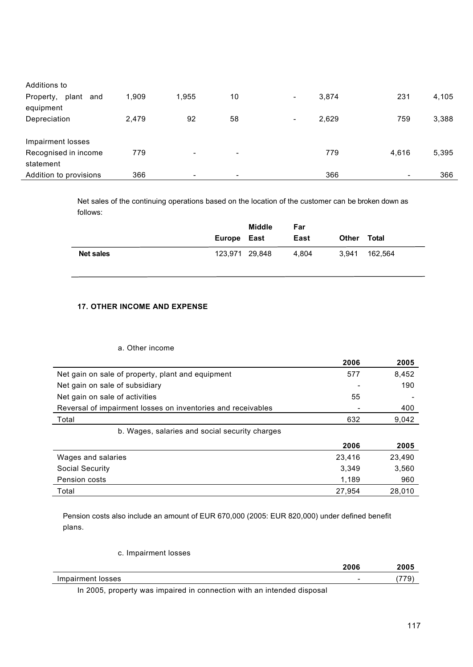| Additions to              |       |       |                          |                                   |                          |       |
|---------------------------|-------|-------|--------------------------|-----------------------------------|--------------------------|-------|
| plant<br>Property,<br>and | 1,909 | 1.955 | 10                       | 3.874<br>$\overline{\phantom{a}}$ | 231                      | 4,105 |
| equipment                 |       |       |                          |                                   |                          |       |
| Depreciation              | 2,479 | 92    | 58                       | 2,629<br>$\overline{\phantom{0}}$ | 759                      | 3,388 |
|                           |       |       |                          |                                   |                          |       |
| Impairment losses         |       |       |                          |                                   |                          |       |
| Recognised in income      | 779   | ٠     | $\overline{\phantom{a}}$ | 779                               | 4,616                    | 5,395 |
| statement                 |       |       |                          |                                   |                          |       |
| Addition to provisions    | 366   | ۰     | -                        | 366                               | $\overline{\phantom{0}}$ | 366   |

Net sales of the continuing operations based on the location of the customer can be broken down as follows:

|                  | Europe East    | Middle | Far<br>East |                | Total   |  |
|------------------|----------------|--------|-------------|----------------|---------|--|
| <b>Net sales</b> | 123,971 29,848 |        | 4.804       | Other<br>3.941 | 162.564 |  |

# **17. OTHER INCOME AND EXPENSE**

# a. Other income

|                                                              | 2006   | 2005   |
|--------------------------------------------------------------|--------|--------|
| Net gain on sale of property, plant and equipment            | 577    | 8,452  |
| Net gain on sale of subsidiary                               |        | 190    |
| Net gain on sale of activities                               | 55     |        |
| Reversal of impairment losses on inventories and receivables |        | 400    |
| Total                                                        | 632    | 9,042  |
| b. Wages, salaries and social security charges               |        |        |
|                                                              | 2006   | 2005   |
| Wages and salaries                                           | 23.416 | 23.490 |
| <b>Social Security</b>                                       | 3,349  | 3,560  |
| Pension costs                                                | 1,189  | 960    |
| Total                                                        | 27.954 | 28.010 |

Pension costs also include an amount of EUR 670,000 (2005: EUR 820,000) under defined benefit plans.

c. Impairment losses

|                   | 2006                     | 2005       |
|-------------------|--------------------------|------------|
| Impairment losses | $\overline{\phantom{a}}$ | ---<br>. . |

In 2005, property was impaired in connection with an intended disposal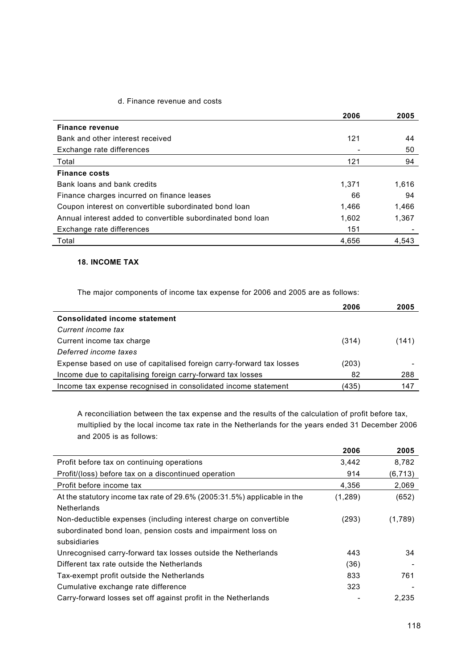# d. Finance revenue and costs

|                                                             | 2006  | 2005  |
|-------------------------------------------------------------|-------|-------|
| Finance revenue                                             |       |       |
| Bank and other interest received                            | 121   | 44    |
| Exchange rate differences                                   |       | 50    |
| Total                                                       | 121   | 94    |
| <b>Finance costs</b>                                        |       |       |
| Bank loans and bank credits                                 | 1.371 | 1,616 |
| Finance charges incurred on finance leases                  | 66    | 94    |
| Coupon interest on convertible subordinated bond loan       | 1,466 | 1,466 |
| Annual interest added to convertible subordinated bond loan | 1,602 | 1.367 |
| Exchange rate differences                                   | 151   |       |
| Total                                                       | 4,656 | 4.543 |

# **18. INCOME TAX**

The major components of income tax expense for 2006 and 2005 are as follows:

|                                                                      | 2006  | 2005  |
|----------------------------------------------------------------------|-------|-------|
| <b>Consolidated income statement</b>                                 |       |       |
| Current income tax                                                   |       |       |
| Current income tax charge                                            | (314) | (141) |
| Deferred income taxes                                                |       |       |
| Expense based on use of capitalised foreign carry-forward tax losses | (203) |       |
| Income due to capitalising foreign carry-forward tax losses          | 82    | 288   |
| Income tax expense recognised in consolidated income statement       | (435) | 147   |

A reconciliation between the tax expense and the results of the calculation of profit before tax, multiplied by the local income tax rate in the Netherlands for the years ended 31 December 2006 and 2005 is as follows:

|                                                                          | 2006     | 2005     |
|--------------------------------------------------------------------------|----------|----------|
| Profit before tax on continuing operations                               | 3,442    | 8,782    |
| Profit/(loss) before tax on a discontinued operation                     | 914      | (6, 713) |
| Profit before income tax                                                 | 4,356    | 2,069    |
| At the statutory income tax rate of 29.6% (2005:31.5%) applicable in the | (1, 289) | (652)    |
| <b>Netherlands</b>                                                       |          |          |
| Non-deductible expenses (including interest charge on convertible        | (293)    | (1,789)  |
| subordinated bond loan, pension costs and impairment loss on             |          |          |
| subsidiaries                                                             |          |          |
| Unrecognised carry-forward tax losses outside the Netherlands            | 443      | 34       |
| Different tax rate outside the Netherlands                               | (36)     |          |
| Tax-exempt profit outside the Netherlands                                | 833      | 761      |
| Cumulative exchange rate difference                                      | 323      |          |
| Carry-forward losses set off against profit in the Netherlands           |          | 2.235    |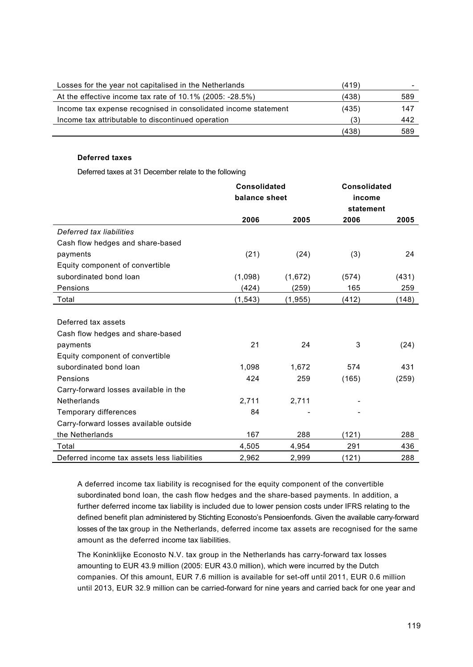| Losses for the year not capitalised in the Netherlands         | (419) |     |
|----------------------------------------------------------------|-------|-----|
| At the effective income tax rate of 10.1% (2005: -28.5%)       | (438) | 589 |
| Income tax expense recognised in consolidated income statement | (435) | 147 |
| Income tax attributable to discontinued operation              | (3)   | 442 |
|                                                                | (438) | 589 |

## **Deferred taxes**

Deferred taxes at 31 December relate to the following

|                                             | <b>Consolidated</b> |          | <b>Consolidated</b> |       |
|---------------------------------------------|---------------------|----------|---------------------|-------|
|                                             | balance sheet       |          | income              |       |
|                                             |                     |          | statement           |       |
|                                             | 2006                | 2005     | 2006                | 2005  |
| Deferred tax liabilities                    |                     |          |                     |       |
| Cash flow hedges and share-based            |                     |          |                     |       |
| payments                                    | (21)                | (24)     | (3)                 | 24    |
| Equity component of convertible             |                     |          |                     |       |
| subordinated bond loan                      | (1,098)             | (1,672)  | (574)               | (431) |
| Pensions                                    | (424)               | (259)    | 165                 | 259   |
| Total                                       | (1, 543)            | (1, 955) | (412)               | (148) |
|                                             |                     |          |                     |       |
| Deferred tax assets                         |                     |          |                     |       |
| Cash flow hedges and share-based            |                     |          |                     |       |
| payments                                    | 21                  | 24       | 3                   | (24)  |
| Equity component of convertible             |                     |          |                     |       |
| subordinated bond loan                      | 1,098               | 1,672    | 574                 | 431   |
| Pensions                                    | 424                 | 259      | (165)               | (259) |
| Carry-forward losses available in the       |                     |          |                     |       |
| <b>Netherlands</b>                          | 2,711               | 2,711    |                     |       |
| Temporary differences                       | 84                  |          |                     |       |
| Carry-forward losses available outside      |                     |          |                     |       |
| the Netherlands                             | 167                 | 288      | (121)               | 288   |
| Total                                       | 4,505               | 4,954    | 291                 | 436   |
| Deferred income tax assets less liabilities | 2,962               | 2,999    | (121)               | 288   |

A deferred income tax liability is recognised for the equity component of the convertible subordinated bond loan, the cash flow hedges and the share-based payments. In addition, a further deferred income tax liability is included due to lower pension costs under IFRS relating to the defined benefit plan administered by Stichting Econosto's Pensioenfonds. Given the available carry-forward losses of the tax group in the Netherlands, deferred income tax assets are recognised for the same amount as the deferred income tax liabilities.

The Koninklijke Econosto N.V. tax group in the Netherlands has carry-forward tax losses amounting to EUR 43.9 million (2005: EUR 43.0 million), which were incurred by the Dutch companies. Of this amount, EUR 7.6 million is available for set-off until 2011, EUR 0.6 million until 2013, EUR 32.9 million can be carried-forward for nine years and carried back for one year and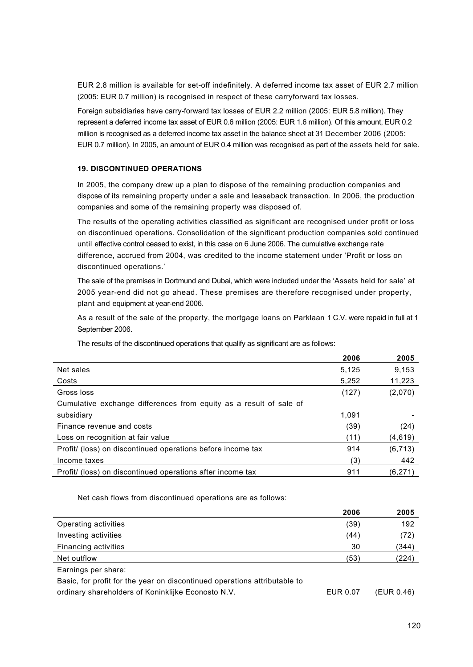EUR 2.8 million is available for set-off indefinitely. A deferred income tax asset of EUR 2.7 million (2005: EUR 0.7 million) is recognised in respect of these carryforward tax losses.

Foreign subsidiaries have carry-forward tax losses of EUR 2.2 million (2005: EUR 5.8 million). They represent a deferred income tax asset of EUR 0.6 million (2005: EUR 1.6 million). Of this amount, EUR 0.2 million is recognised as a deferred income tax asset in the balance sheet at 31 December 2006 (2005: EUR 0.7 million). In 2005, an amount of EUR 0.4 million was recognised as part of the assets held for sale.

# **19. DISCONTINUED OPERATIONS**

In 2005, the company drew up a plan to dispose of the remaining production companies and dispose of its remaining property under a sale and leaseback transaction. In 2006, the production companies and some of the remaining property was disposed of.

The results of the operating activities classified as significant are recognised under profit or loss on discontinued operations. Consolidation of the significant production companies sold continued until effective control ceased to exist, in this case on 6 June 2006. The cumulative exchange rate difference, accrued from 2004, was credited to the income statement under 'Profit or loss on discontinued operations.'

The sale of the premises in Dortmund and Dubai, which were included under the 'Assets held for sale' at 2005 year-end did not go ahead. These premises are therefore recognised under property, plant and equipment at year-end 2006.

As a result of the sale of the property, the mortgage loans on Parklaan 1 C.V. were repaid in full at 1 September 2006.

|                                                                    | 2006  | 2005     |
|--------------------------------------------------------------------|-------|----------|
| Net sales                                                          | 5,125 | 9,153    |
| Costs                                                              | 5,252 | 11,223   |
| Gross loss                                                         | (127) | (2,070)  |
| Cumulative exchange differences from equity as a result of sale of |       |          |
| subsidiary                                                         | 1.091 |          |
| Finance revenue and costs                                          | (39)  | (24)     |
| Loss on recognition at fair value                                  | (11)  | (4,619)  |
| Profit/ (loss) on discontinued operations before income tax        | 914   | (6, 713) |
| Income taxes                                                       | (3)   | 442      |
| Profit/ (loss) on discontinued operations after income tax         | 911   | (6, 271) |

The results of the discontinued operations that qualify as significant are as follows:

Net cash flows from discontinued operations are as follows:

|                                                                           | 2006     | 2005       |
|---------------------------------------------------------------------------|----------|------------|
| Operating activities                                                      | (39)     | 192        |
| Investing activities                                                      | (44)     | (72)       |
| Financing activities                                                      | 30       | (344)      |
| Net outflow                                                               | (53)     | (224)      |
| Earnings per share:                                                       |          |            |
| Basic, for profit for the year on discontinued operations attributable to |          |            |
| ordinary shareholders of Koninklijke Econosto N.V.                        | EUR 0.07 | (EUR 0.46) |
|                                                                           |          |            |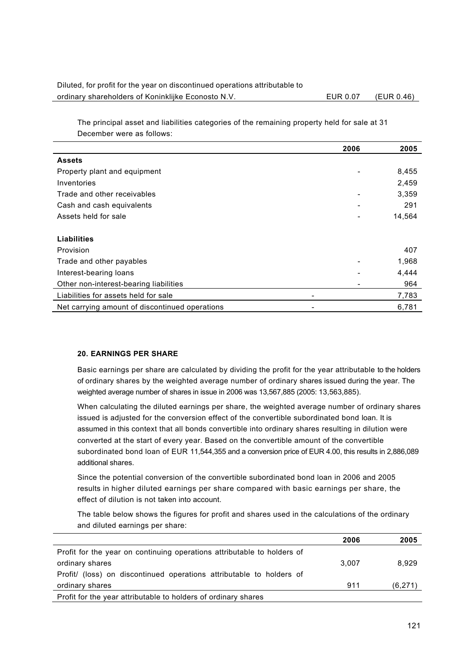# Diluted, for profit for the year on discontinued operations attributable to ordinary shareholders of Koninklijke Econosto N.V. EUR 0.07 (EUR 0.46)

The principal asset and liabilities categories of the remaining property held for sale at 31 December were as follows:

|                                                | 2006 | 2005   |
|------------------------------------------------|------|--------|
| <b>Assets</b>                                  |      |        |
| Property plant and equipment                   |      | 8,455  |
| Inventories                                    |      | 2,459  |
| Trade and other receivables                    |      | 3,359  |
| Cash and cash equivalents                      |      | 291    |
| Assets held for sale                           |      | 14,564 |
|                                                |      |        |
| Liabilities                                    |      |        |
| Provision                                      |      | 407    |
| Trade and other payables                       |      | 1,968  |
| Interest-bearing loans                         |      | 4,444  |
| Other non-interest-bearing liabilities         |      | 964    |
| Liabilities for assets held for sale           | -    | 7,783  |
| Net carrying amount of discontinued operations | ۰    | 6,781  |

# **20. EARNINGS PER SHARE**

Basic earnings per share are calculated by dividing the profit for the year attributable to the holders of ordinary shares by the weighted average number of ordinary shares issued during the year. The weighted average number of shares in issue in 2006 was 13,567,885 (2005: 13,563,885).

When calculating the diluted earnings per share, the weighted average number of ordinary shares issued is adjusted for the conversion effect of the convertible subordinated bond loan. It is assumed in this context that all bonds convertible into ordinary shares resulting in dilution were converted at the start of every year. Based on the convertible amount of the convertible subordinated bond loan of EUR 11,544,355 and a conversion price of EUR 4.00, this results in 2,886,089 additional shares.

Since the potential conversion of the convertible subordinated bond loan in 2006 and 2005 results in higher diluted earnings per share compared with basic earnings per share, the effect of dilution is not taken into account.

The table below shows the figures for profit and shares used in the calculations of the ordinary and diluted earnings per share:

|                                                                         | 2006  | 2005    |
|-------------------------------------------------------------------------|-------|---------|
| Profit for the year on continuing operations attributable to holders of |       |         |
| ordinary shares                                                         | 3.007 | 8.929   |
| Profit/ (loss) on discontinued operations attributable to holders of    |       |         |
| ordinary shares                                                         | 911   | (6,271) |
| Profit for the year attributable to holders of ordinary shares          |       |         |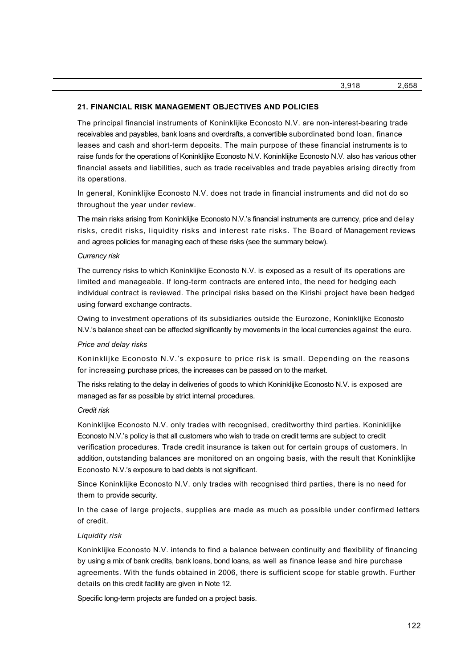## **21. FINANCIAL RISK MANAGEMENT OBJECTIVES AND POLICIES**

The principal financial instruments of Koninklijke Econosto N.V. are non-interest-bearing trade receivables and payables, bank loans and overdrafts, a convertible subordinated bond loan, finance leases and cash and short-term deposits. The main purpose of these financial instruments is to raise funds for the operations of Koninklijke Econosto N.V. Koninklijke Econosto N.V. also has various other financial assets and liabilities, such as trade receivables and trade payables arising directly from its operations.

In general, Koninklijke Econosto N.V. does not trade in financial instruments and did not do so throughout the year under review.

The main risks arising from Koninklijke Econosto N.V.'s financial instruments are currency, price and delay risks, credit risks, liquidity risks and interest rate risks. The Board of Management reviews and agrees policies for managing each of these risks (see the summary below).

## *Currency risk*

The currency risks to which Koninklijke Econosto N.V. is exposed as a result of its operations are limited and manageable. If long-term contracts are entered into, the need for hedging each individual contract is reviewed. The principal risks based on the Kirishi project have been hedged using forward exchange contracts.

Owing to investment operations of its subsidiaries outside the Eurozone, Koninklijke Econosto N.V.'s balance sheet can be affected significantly by movements in the local currencies against the euro.

#### *Price and delay risks*

Koninklijke Econosto N.V.'s exposure to price risk is small. Depending on the reasons for increasing purchase prices, the increases can be passed on to the market.

The risks relating to the delay in deliveries of goods to which Koninklijke Econosto N.V. is exposed are managed as far as possible by strict internal procedures.

#### *Credit risk*

Koninklijke Econosto N.V. only trades with recognised, creditworthy third parties. Koninklijke Econosto N.V.'s policy is that all customers who wish to trade on credit terms are subject to credit verification procedures. Trade credit insurance is taken out for certain groups of customers. In addition, outstanding balances are monitored on an ongoing basis, with the result that Koninklijke Econosto N.V.'s exposure to bad debts is not significant.

Since Koninklijke Econosto N.V. only trades with recognised third parties, there is no need for them to provide security.

In the case of large projects, supplies are made as much as possible under confirmed letters of credit.

#### *Liquidity risk*

Koninklijke Econosto N.V. intends to find a balance between continuity and flexibility of financing by using a mix of bank credits, bank loans, bond loans, as well as finance lease and hire purchase agreements. With the funds obtained in 2006, there is sufficient scope for stable growth. Further details on this credit facility are given in Note 12.

Specific long-term projects are funded on a project basis.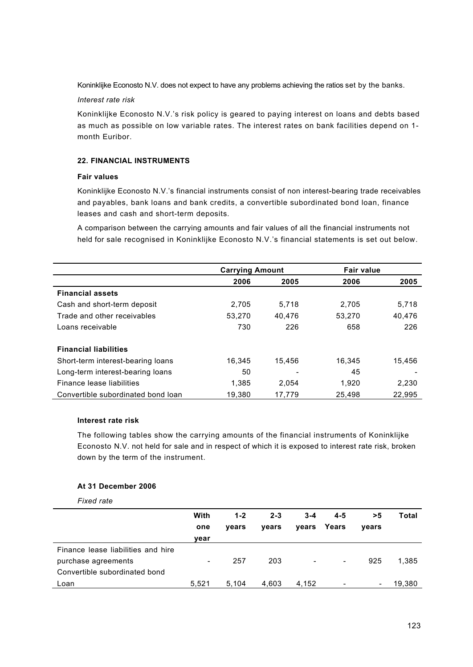Koninklijke Econosto N.V. does not expect to have any problems achieving the ratios set by the banks.

## *Interest rate risk*

Koninklijke Econosto N.V.'s risk policy is geared to paying interest on loans and debts based as much as possible on low variable rates. The interest rates on bank facilities depend on 1 month Euribor.

# **22. FINANCIAL INSTRUMENTS**

# **Fair values**

Koninklijke Econosto N.V.'s financial instruments consist of non interest-bearing trade receivables and payables, bank loans and bank credits, a convertible subordinated bond loan, finance leases and cash and short-term deposits.

A comparison between the carrying amounts and fair values of all the financial instruments not held for sale recognised in Koninklijke Econosto N.V.'s financial statements is set out below.

|                                    | <b>Carrying Amount</b> |                          | <b>Fair value</b> |        |
|------------------------------------|------------------------|--------------------------|-------------------|--------|
|                                    | 2006                   | 2005                     | 2006              | 2005   |
| <b>Financial assets</b>            |                        |                          |                   |        |
| Cash and short-term deposit        | 2.705                  | 5,718                    | 2,705             | 5,718  |
| Trade and other receivables        | 53.270                 | 40.476                   | 53.270            | 40.476 |
| Loans receivable                   | 730                    | 226                      | 658               | 226    |
| <b>Financial liabilities</b>       |                        |                          |                   |        |
| Short-term interest-bearing loans  | 16.345                 | 15.456                   | 16.345            | 15.456 |
| Long-term interest-bearing loans   | 50                     | $\overline{\phantom{0}}$ | 45                |        |
| Finance lease liabilities          | 1,385                  | 2,054                    | 1,920             | 2,230  |
| Convertible subordinated bond loan | 19,380                 | 17.779                   | 25.498            | 22,995 |

# **Interest rate risk**

The following tables show the carrying amounts of the financial instruments of Koninklijke Econosto N.V. not held for sale and in respect of which it is exposed to interest rate risk, broken down by the term of the instrument.

# **At 31 December 2006**

*Fixed rate*

|                                    | With                     | $1 - 2$ | $2 - 3$ | $3 - 4$                  | $4 - 5$                  | >5    | Total  |
|------------------------------------|--------------------------|---------|---------|--------------------------|--------------------------|-------|--------|
|                                    | one                      | vears   | years   |                          | vears Years              | vears |        |
|                                    | vear                     |         |         |                          |                          |       |        |
| Finance lease liabilities and hire |                          |         |         |                          |                          |       |        |
| purchase agreements                | $\overline{\phantom{a}}$ | 257     | 203     | $\overline{\phantom{a}}$ | $\overline{\phantom{a}}$ | 925   | 1,385  |
| Convertible subordinated bond      |                          |         |         |                          |                          |       |        |
| Loan                               | 5.521                    | 5.104   | 4.603   | 4.152                    |                          | -     | 19,380 |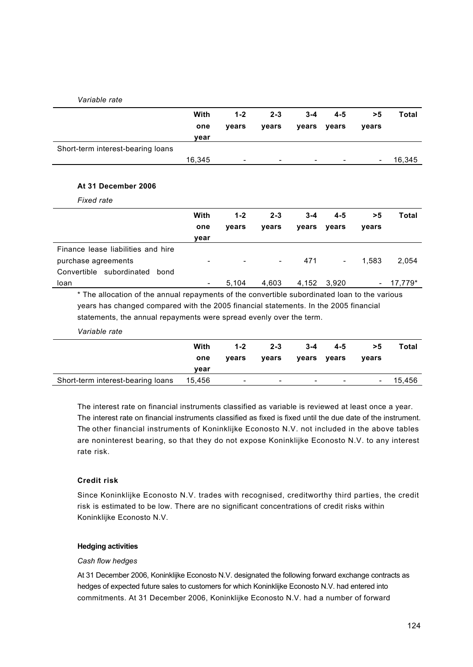| Variable rate                                                                                                                                                                                                                                                |        |         |         |         |         |       |         |
|--------------------------------------------------------------------------------------------------------------------------------------------------------------------------------------------------------------------------------------------------------------|--------|---------|---------|---------|---------|-------|---------|
|                                                                                                                                                                                                                                                              | With   | $1 - 2$ | $2 - 3$ | $3 - 4$ | $4 - 5$ | >5    | Total   |
|                                                                                                                                                                                                                                                              | one    | years   | years   | years   | years   | years |         |
|                                                                                                                                                                                                                                                              | year   |         |         |         |         |       |         |
| Short-term interest-bearing loans                                                                                                                                                                                                                            |        |         |         |         |         |       |         |
|                                                                                                                                                                                                                                                              | 16,345 |         |         |         |         |       | 16,345  |
| At 31 December 2006                                                                                                                                                                                                                                          |        |         |         |         |         |       |         |
| Fixed rate                                                                                                                                                                                                                                                   |        |         |         |         |         |       |         |
|                                                                                                                                                                                                                                                              | With   | $1 - 2$ | $2 - 3$ | $3 - 4$ | $4 - 5$ | >5    | Total   |
|                                                                                                                                                                                                                                                              | one    | years   | years   | years   | years   | years |         |
|                                                                                                                                                                                                                                                              | year   |         |         |         |         |       |         |
| Finance lease liabilities and hire                                                                                                                                                                                                                           |        |         |         |         |         |       |         |
| purchase agreements                                                                                                                                                                                                                                          |        |         |         | 471     |         | 1,583 | 2,054   |
| Convertible subordinated<br>bond                                                                                                                                                                                                                             |        |         |         |         |         |       |         |
| loan                                                                                                                                                                                                                                                         |        | 5,104   | 4,603   | 4,152   | 3,920   |       | 17,779* |
| * The allocation of the annual repayments of the convertible subordinated loan to the various<br>years has changed compared with the 2005 financial statements. In the 2005 financial<br>statements, the annual repayments were spread evenly over the term. |        |         |         |         |         |       |         |
| Variable rate                                                                                                                                                                                                                                                |        |         |         |         |         |       |         |
|                                                                                                                                                                                                                                                              | With   | $1 - 2$ | $2 - 3$ | $3 - 4$ | $4 - 5$ | >5    | Total   |
|                                                                                                                                                                                                                                                              | one    | years   | years   | years   | years   | years |         |
|                                                                                                                                                                                                                                                              | vear   |         |         |         |         |       |         |
| Short-term interest-bearing loans                                                                                                                                                                                                                            | 15,456 |         |         |         |         |       | 15,456  |

The interest rate on financial instruments classified as variable is reviewed at least once a year. The interest rate on financial instruments classified as fixed is fixed until the due date of the instrument. The other financial instruments of Koninklijke Econosto N.V. not included in the above tables are noninterest bearing, so that they do not expose Koninklijke Econosto N.V. to any interest rate risk.

# **Credit risk**

Since Koninklijke Econosto N.V. trades with recognised, creditworthy third parties, the credit risk is estimated to be low. There are no significant concentrations of credit risks within Koninklijke Econosto N.V.

## **Hedging activities**

## *Cash flow hedges*

At 31 December 2006, Koninklijke Econosto N.V. designated the following forward exchange contracts as hedges of expected future sales to customers for which Koninklijke Econosto N.V. had entered into commitments. At 31 December 2006, Koninklijke Econosto N.V. had a number of forward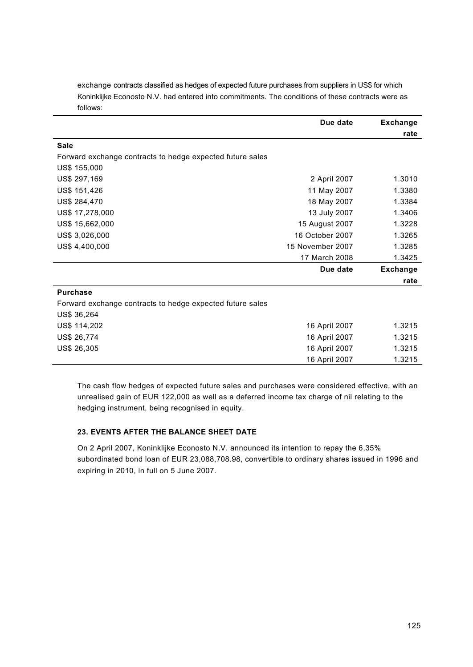|                                                           | Due date        | <b>Exchange</b> |
|-----------------------------------------------------------|-----------------|-----------------|
|                                                           |                 | rate            |
| <b>Sale</b>                                               |                 |                 |
| Forward exchange contracts to hedge expected future sales |                 |                 |
| US\$ 155,000                                              |                 |                 |
| US\$ 297,169                                              | 2 April 2007    | 1.3010          |
| US\$ 151,426                                              | 11 May 2007     | 1.3380          |
| US\$ 284,470                                              | 18 May 2007     | 1.3384          |
| US\$ 17,278,000                                           | 13 July 2007    | 1.3406          |
| US\$ 15,662,000                                           | 15 August 2007  | 1.3228          |
| US\$ 3,026,000                                            | 16 October 2007 | 1.3265          |
| US\$ 4,400,000<br>15 November 2007                        |                 | 1.3285          |
|                                                           | 17 March 2008   | 1.3425          |
|                                                           | Due date        | <b>Exchange</b> |
|                                                           |                 | rate            |
| <b>Purchase</b>                                           |                 |                 |
| Forward exchange contracts to hedge expected future sales |                 |                 |
| US\$ 36,264                                               |                 |                 |
| US\$ 114,202                                              | 16 April 2007   | 1.3215          |
| US\$ 26,774                                               | 16 April 2007   | 1.3215          |
| US\$ 26,305                                               | 16 April 2007   | 1.3215          |
|                                                           | 16 April 2007   | 1.3215          |

exchange contracts classified as hedges of expected future purchases from suppliers in US\$ for which Koninklijke Econosto N.V. had entered into commitments. The conditions of these contracts were as follows:

The cash flow hedges of expected future sales and purchases were considered effective, with an unrealised gain of EUR 122,000 as well as a deferred income tax charge of nil relating to the hedging instrument, being recognised in equity.

# **23. EVENTS AFTER THE BALANCE SHEET DATE**

On 2 April 2007, Koninklijke Econosto N.V. announced its intention to repay the 6,35% subordinated bond loan of EUR 23,088,708.98, convertible to ordinary shares issued in 1996 and expiring in 2010, in full on 5 June 2007.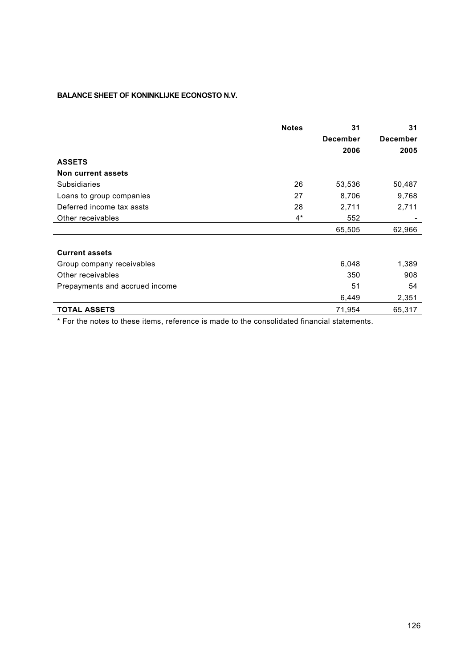# **BALANCE SHEET OF KONINKLIJKE ECONOSTO N.V.**

|                                | <b>Notes</b> | 31              | 31              |
|--------------------------------|--------------|-----------------|-----------------|
|                                |              | <b>December</b> | <b>December</b> |
|                                |              | 2006            | 2005            |
| <b>ASSETS</b>                  |              |                 |                 |
| Non current assets             |              |                 |                 |
| <b>Subsidiaries</b>            | 26           | 53,536          | 50,487          |
| Loans to group companies       | 27           | 8,706           | 9,768           |
| Deferred income tax assts      | 28           | 2,711           | 2,711           |
| Other receivables              | $4^*$        | 552             |                 |
|                                |              | 65,505          | 62,966          |
| <b>Current assets</b>          |              |                 |                 |
| Group company receivables      |              | 6,048           | 1,389           |
| Other receivables              |              | 350             | 908             |
| Prepayments and accrued income |              | 51              | 54              |
|                                |              | 6,449           | 2,351           |
| <b>TOTAL ASSETS</b>            |              | 71,954          | 65,317          |

\* For the notes to these items, reference is made to the consolidated financial statements.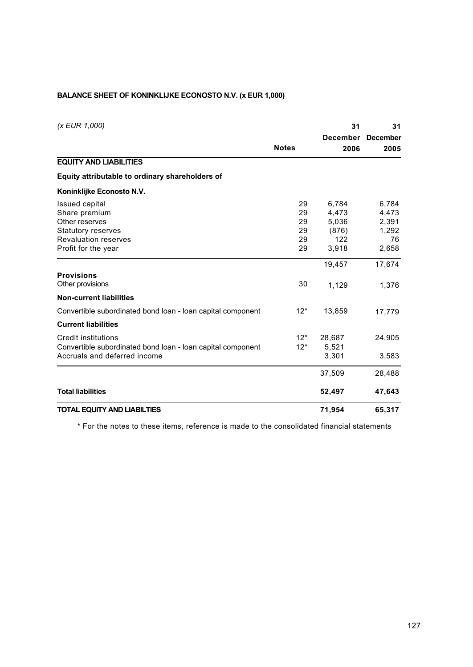# **BALANCE SHEET OF KONINKLIJKE ECONOSTO N.V. (x EUR 1,000)**

| (x EUR 1,000)                                               |              | 31              | 31              |
|-------------------------------------------------------------|--------------|-----------------|-----------------|
|                                                             |              | <b>December</b> | <b>December</b> |
|                                                             | <b>Notes</b> | 2006            | 2005            |
| <b>EQUITY AND LIABILITIES</b>                               |              |                 |                 |
| Equity attributable to ordinary shareholders of             |              |                 |                 |
| Koninklijke Econosto N.V.                                   |              |                 |                 |
| Issued capital                                              | 29           | 6,784           | 6,784           |
| Share premium                                               | 29           | 4,473           | 4,473           |
| Other reserves                                              | 29           | 5,036           | 2,391           |
| <b>Statutory reserves</b>                                   | 29           | (876)           | 1,292           |
| <b>Revaluation reserves</b>                                 | 29           | 122             | 76              |
| Profit for the year                                         | 29           | 3,918           | 2,658           |
|                                                             |              | 19,457          | 17,674          |
| <b>Provisions</b>                                           |              |                 |                 |
| Other provisions                                            | 30           | 1,129           | 1,376           |
| <b>Non-current liabilities</b>                              |              |                 |                 |
| Convertible subordinated bond loan - loan capital component | $12*$        | 13,859          | 17,779          |
| <b>Current liabilities</b>                                  |              |                 |                 |
| Credit institutions                                         | $12*$        | 28,687          | 24,905          |
| Convertible subordinated bond loan - Ioan capital component | $12*$        | 5,521           |                 |
| Accruals and deferred income                                |              | 3,301           | 3,583           |
|                                                             |              | 37,509          | 28,488          |
| <b>Total liabilities</b>                                    |              | 52,497          | 47,643          |
| <b>TOTAL EQUITY AND LIABILTIES</b>                          |              | 71,954          | 65,317          |

\* For the notes to these items, reference is made to the consolidated financial statements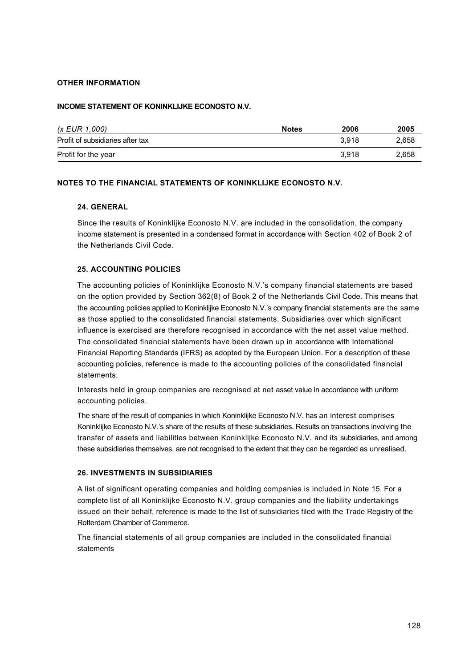# **OTHER INFORMATION**

## **INCOME STATEMENT OF KONINKLIJKE ECONOSTO N.V.**

| (x EUR 1,000)                    | <b>Notes</b> | 2006  | 2005  |
|----------------------------------|--------------|-------|-------|
| Profit of subsidiaries after tax |              | 3.918 | 2,658 |
| Profit for the year              |              | 3.918 | 2,658 |

# **NOTES TO THE FINANCIAL STATEMENTS OF KONINKLIJKE ECONOSTO N.V.**

## **24. GENERAL**

Since the results of Koninklijke Econosto N.V. are included in the consolidation, the company income statement is presented in a condensed format in accordance with Section 402 of Book 2 of the Netherlands Civil Code.

## **25. ACCOUNTING POLICIES**

The accounting policies of Koninklijke Econosto N.V.'s company financial statements are based on the option provided by Section 362(8) of Book 2 of the Netherlands Civil Code. This means that the accounting policies applied to Koninklijke Econosto N.V.'s company financial statements are the same as those applied to the consolidated financial statements. Subsidiaries over which significant influence is exercised are therefore recognised in accordance with the net asset value method. The consolidated financial statements have been drawn up in accordance with International Financial Reporting Standards (IFRS) as adopted by the European Union. For a description of these accounting policies, reference is made to the accounting policies of the consolidated financial statements.

Interests held in group companies are recognised at net asset value in accordance with uniform accounting policies.

The share of the result of companies in which Koninklijke Econosto N.V. has an interest comprises Koninklijke Econosto N.V.'s share of the results of these subsidiaries. Results on transactions involving the transfer of assets and liabilities between Koninklijke Econosto N.V. and its subsidiaries, and among these subsidiaries themselves, are not recognised to the extent that they can be regarded as unrealised.

## **26. INVESTMENTS IN SUBSIDIARIES**

A list of significant operating companies and holding companies is included in Note 15. For a complete list of all Koninklijke Econosto N.V. group companies and the liability undertakings issued on their behalf, reference is made to the list of subsidiaries filed with the Trade Registry of the Rotterdam Chamber of Commerce.

The financial statements of all group companies are included in the consolidated financial statements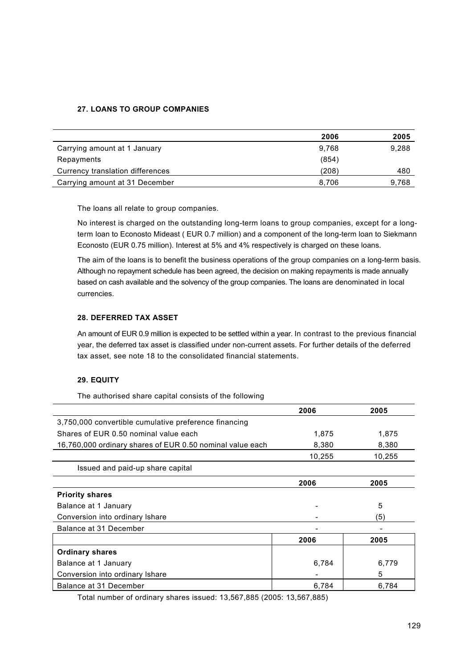# **27. LOANS TO GROUP COMPANIES**

|                                  | 2006  | 2005  |
|----------------------------------|-------|-------|
| Carrying amount at 1 January     | 9.768 | 9,288 |
| Repayments                       | (854) |       |
| Currency translation differences | (208) | 480   |
| Carrying amount at 31 December   | 8.706 | 9,768 |

The loans all relate to group companies.

No interest is charged on the outstanding long-term loans to group companies, except for a longterm loan to Econosto Mideast ( EUR 0.7 million) and a component of the long-term loan to Siekmann Econosto (EUR 0.75 million). Interest at 5% and 4% respectively is charged on these loans.

The aim of the loans is to benefit the business operations of the group companies on a long-term basis. Although no repayment schedule has been agreed, the decision on making repayments is made annually based on cash available and the solvency of the group companies. The loans are denominated in local currencies.

# **28. DEFERRED TAX ASSET**

An amount of EUR 0.9 million is expected to be settled within a year. In contrast to the previous financial year, the deferred tax asset is classified under non-current assets. For further details of the deferred tax asset, see note 18 to the consolidated financial statements.

# **29. EQUITY**

The authorised share capital consists of the following

|                                                           | 2006   | 2005   |
|-----------------------------------------------------------|--------|--------|
| 3,750,000 convertible cumulative preference financing     |        |        |
| Shares of EUR 0.50 nominal value each                     | 1,875  | 1,875  |
| 16,760,000 ordinary shares of EUR 0.50 nominal value each | 8,380  | 8,380  |
|                                                           | 10,255 | 10,255 |
| Issued and paid-up share capital                          |        |        |
|                                                           | 2006   | 2005   |
| <b>Priority shares</b>                                    |        |        |
| Balance at 1 January                                      |        | 5      |
| Conversion into ordinary Ishare                           |        | (5)    |
| Balance at 31 December                                    |        |        |
|                                                           | 2006   | 2005   |
| <b>Ordinary shares</b>                                    |        |        |
| Balance at 1 January                                      | 6,784  | 6,779  |
| Conversion into ordinary Ishare                           |        | 5      |
| Balance at 31 December                                    | 6,784  | 6,784  |

Total number of ordinary shares issued: 13,567,885 (2005: 13,567,885)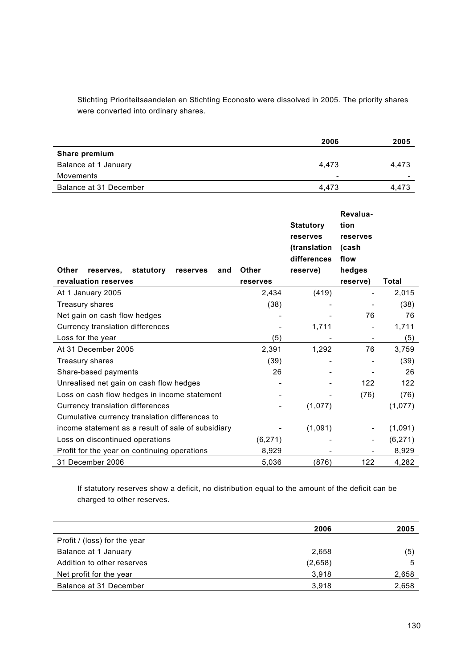Stichting Prioriteitsaandelen en Stichting Econosto were dissolved in 2005. The priority shares were converted into ordinary shares.

|                        | 2006                     | 2005                     |
|------------------------|--------------------------|--------------------------|
| Share premium          |                          |                          |
| Balance at 1 January   | 4.473                    | 4.473                    |
| Movements              | $\overline{\phantom{0}}$ | $\overline{\phantom{0}}$ |
| Balance at 31 December | 4.473                    | 4.473                    |
|                        |                          |                          |

|                                                    |              | <b>Statutory</b><br>reserves | Revalua-<br>tion<br>reserves |              |
|----------------------------------------------------|--------------|------------------------------|------------------------------|--------------|
|                                                    |              | (translation<br>differences  | (cash<br>flow                |              |
| Other<br>statutory<br>reserves,<br>reserves<br>and | <b>Other</b> | reserve)                     | hedges                       |              |
| revaluation reserves                               | reserves     |                              | reserve)                     | <b>Total</b> |
| At 1 January 2005                                  | 2,434        | (419)                        |                              | 2,015        |
| Treasury shares                                    | (38)         |                              |                              | (38)         |
| Net gain on cash flow hedges                       |              |                              | 76                           | 76           |
| Currency translation differences                   |              | 1,711                        |                              | 1,711        |
| Loss for the year                                  | (5)          |                              |                              | (5)          |
| At 31 December 2005                                | 2,391        | 1,292                        | 76                           | 3,759        |
| Treasury shares                                    | (39)         |                              |                              | (39)         |
| Share-based payments                               | 26           |                              |                              | 26           |
| Unrealised net gain on cash flow hedges            |              |                              | 122                          | 122          |
| Loss on cash flow hedges in income statement       |              |                              | (76)                         | (76)         |
| Currency translation differences                   |              | (1,077)                      |                              | (1,077)      |
| Cumulative currency translation differences to     |              |                              |                              |              |
| income statement as a result of sale of subsidiary |              | (1,091)                      |                              | (1,091)      |
| Loss on discontinued operations                    | (6, 271)     |                              |                              | (6, 271)     |
| Profit for the year on continuing operations       | 8,929        |                              |                              | 8,929        |
| 31 December 2006                                   | 5,036        | (876)                        | 122                          | 4,282        |

If statutory reserves show a deficit, no distribution equal to the amount of the deficit can be charged to other reserves.

|                              | 2006    | 2005  |
|------------------------------|---------|-------|
| Profit / (loss) for the year |         |       |
| Balance at 1 January         | 2,658   | (5)   |
| Addition to other reserves   | (2,658) | 5     |
| Net profit for the year      | 3,918   | 2,658 |
| Balance at 31 December       | 3,918   | 2,658 |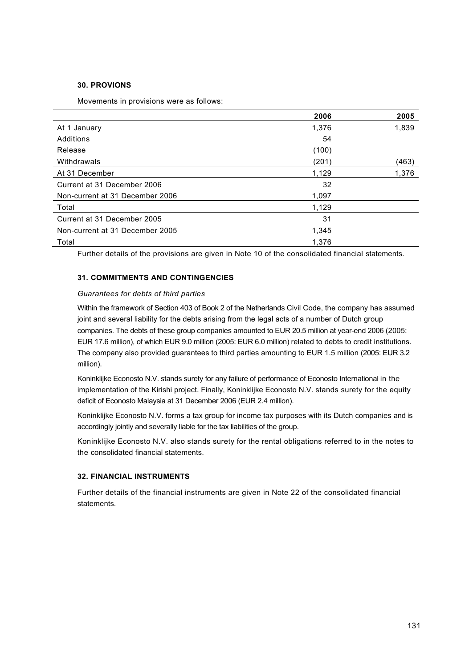## **30. PROVIONS**

Movements in provisions were as follows:

|                                 | 2006  | 2005  |
|---------------------------------|-------|-------|
| At 1 January                    | 1,376 | 1,839 |
| Additions                       | 54    |       |
| Release                         | (100) |       |
| Withdrawals                     | (201) | (463) |
| At 31 December                  | 1,129 | 1,376 |
| Current at 31 December 2006     | 32    |       |
| Non-current at 31 December 2006 | 1,097 |       |
| Total                           | 1,129 |       |
| Current at 31 December 2005     | 31    |       |
| Non-current at 31 December 2005 | 1,345 |       |
| Total                           | 1,376 |       |

Further details of the provisions are given in Note 10 of the consolidated financial statements.

# **31. COMMITMENTS AND CONTINGENCIES**

## *Guarantees for debts of third parties*

Within the framework of Section 403 of Book 2 of the Netherlands Civil Code, the company has assumed joint and several liability for the debts arising from the legal acts of a number of Dutch group companies. The debts of these group companies amounted to EUR 20.5 million at year-end 2006 (2005: EUR 17.6 million), of which EUR 9.0 million (2005: EUR 6.0 million) related to debts to credit institutions. The company also provided guarantees to third parties amounting to EUR 1.5 million (2005: EUR 3.2 million).

Koninklijke Econosto N.V. stands surety for any failure of performance of Econosto International in the implementation of the Kirishi project. Finally, Koninklijke Econosto N.V. stands surety for the equity deficit of Econosto Malaysia at 31 December 2006 (EUR 2.4 million).

Koninklijke Econosto N.V. forms a tax group for income tax purposes with its Dutch companies and is accordingly jointly and severally liable for the tax liabilities of the group.

Koninklijke Econosto N.V. also stands surety for the rental obligations referred to in the notes to the consolidated financial statements.

## **32. FINANCIAL INSTRUMENTS**

Further details of the financial instruments are given in Note 22 of the consolidated financial statements.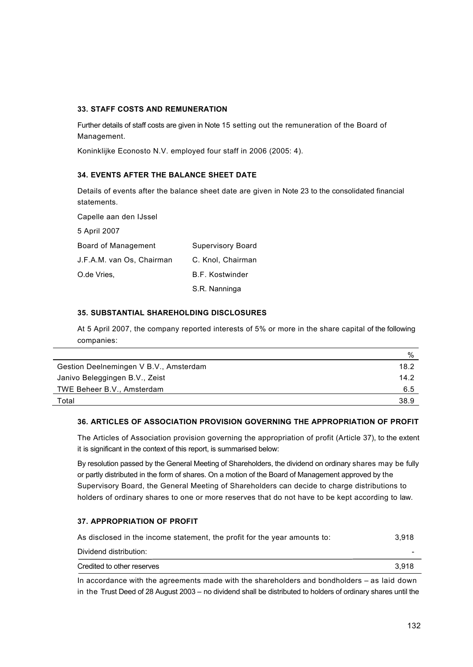# **33. STAFF COSTS AND REMUNERATION**

Further details of staff costs are given in Note 15 setting out the remuneration of the Board of Management.

Koninklijke Econosto N.V. employed four staff in 2006 (2005: 4).

# **34. EVENTS AFTER THE BALANCE SHEET DATE**

Details of events after the balance sheet date are given in Note 23 to the consolidated financial statements.

Capelle aan den IJssel 5 April 2007 Board of Management Supervisory Board J.F.A.M. van Os, Chairman C. Knol, Chairman O.de Vries, S.C. E. H. E. Kostwinder S.R. Nanninga

## **35. SUBSTANTIAL SHAREHOLDING DISCLOSURES**

At 5 April 2007, the company reported interests of 5% or more in the share capital of the following companies:

|                                        | %    |
|----------------------------------------|------|
| Gestion Deelnemingen V B.V., Amsterdam | 18.2 |
| Janivo Beleggingen B.V., Zeist         | 14.2 |
| TWE Beheer B.V., Amsterdam             | 6.5  |
| Total                                  | 38.9 |

# **36. ARTICLES OF ASSOCIATION PROVISION GOVERNING THE APPROPRIATION OF PROFIT**

The Articles of Association provision governing the appropriation of profit (Article 37), to the extent it is significant in the context of this report, is summarised below:

By resolution passed by the General Meeting of Shareholders, the dividend on ordinary shares may be fully or partly distributed in the form of shares. On a motion of the Board of Management approved by the Supervisory Board, the General Meeting of Shareholders can decide to charge distributions to holders of ordinary shares to one or more reserves that do not have to be kept according to law.

# **37. APPROPRIATION OF PROFIT**

| As disclosed in the income statement, the profit for the year amounts to: | 3.918 |
|---------------------------------------------------------------------------|-------|
| Dividend distribution:                                                    | -     |
| Credited to other reserves                                                | 3.918 |

In accordance with the agreements made with the shareholders and bondholders – as laid down in the Trust Deed of 28 August 2003 – no dividend shall be distributed to holders of ordinary shares until the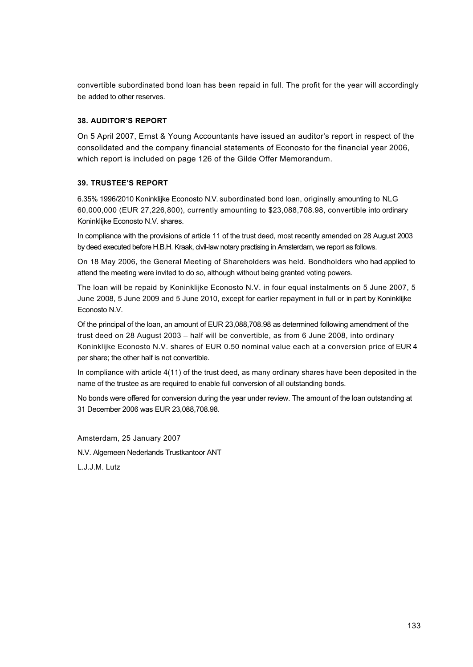convertible subordinated bond loan has been repaid in full. The profit for the year will accordingly be added to other reserves.

# **38. AUDITOR'S REPORT**

On 5 April 2007, Ernst & Young Accountants have issued an auditor's report in respect of the consolidated and the company financial statements of Econosto for the financial year 2006, which report is included on page 126 of the Gilde Offer Memorandum.

# **39. TRUSTEE'S REPORT**

6.35% 1996/2010 Koninklijke Econosto N.V. subordinated bond loan, originally amounting to NLG 60,000,000 (EUR 27,226,800), currently amounting to \$23,088,708.98, convertible into ordinary Koninklijke Econosto N.V. shares.

In compliance with the provisions of article 11 of the trust deed, most recently amended on 28 August 2003 by deed executed before H.B.H. Kraak, civil-law notary practising in Amsterdam, we report as follows.

On 18 May 2006, the General Meeting of Shareholders was held. Bondholders who had applied to attend the meeting were invited to do so, although without being granted voting powers.

The loan will be repaid by Koninklijke Econosto N.V. in four equal instalments on 5 June 2007, 5 June 2008, 5 June 2009 and 5 June 2010, except for earlier repayment in full or in part by Koninklijke Econosto N.V.

Of the principal of the loan, an amount of EUR 23,088,708.98 as determined following amendment of the trust deed on 28 August 2003 – half will be convertible, as from 6 June 2008, into ordinary Koninklijke Econosto N.V. shares of EUR 0.50 nominal value each at a conversion price of EUR 4 per share; the other half is not convertible.

In compliance with article 4(11) of the trust deed, as many ordinary shares have been deposited in the name of the trustee as are required to enable full conversion of all outstanding bonds.

No bonds were offered for conversion during the year under review. The amount of the loan outstanding at 31 December 2006 was EUR 23,088,708.98.

Amsterdam, 25 January 2007 N.V. Algemeen Nederlands Trustkantoor ANT L.J.J.M. Lutz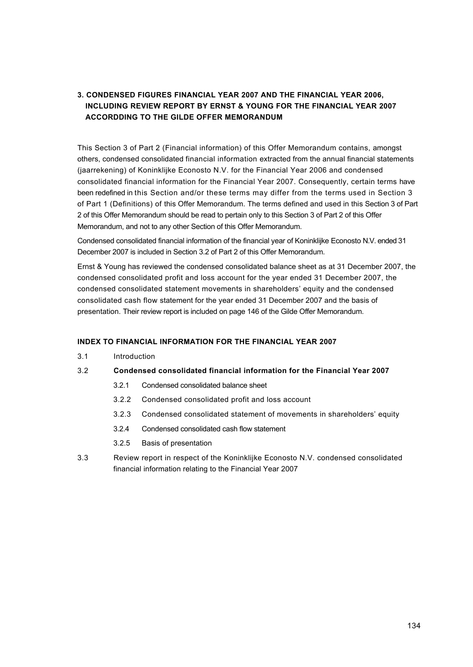# **3. CONDENSED FIGURES FINANCIAL YEAR 2007 AND THE FINANCIAL YEAR 2006, INCLUDING REVIEW REPORT BY ERNST & YOUNG FOR THE FINANCIAL YEAR 2007 ACCORDDING TO THE GILDE OFFER MEMORANDUM**

This Section 3 of Part 2 (Financial information) of this Offer Memorandum contains, amongst others, condensed consolidated financial information extracted from the annual financial statements (jaarrekening) of Koninklijke Econosto N.V. for the Financial Year 2006 and condensed consolidated financial information for the Financial Year 2007. Consequently, certain terms have been redefined in this Section and/or these terms may differ from the terms used in Section 3 of Part 1 (Definitions) of this Offer Memorandum. The terms defined and used in this Section 3 of Part 2 of this Offer Memorandum should be read to pertain only to this Section 3 of Part 2 of this Offer Memorandum, and not to any other Section of this Offer Memorandum.

Condensed consolidated financial information of the financial year of Koninklijke Econosto N.V. ended 31 December 2007 is included in Section 3.2 of Part 2 of this Offer Memorandum.

Ernst & Young has reviewed the condensed consolidated balance sheet as at 31 December 2007, the condensed consolidated profit and loss account for the year ended 31 December 2007, the condensed consolidated statement movements in shareholders' equity and the condensed consolidated cash flow statement for the year ended 31 December 2007 and the basis of presentation. Their review report is included on page 146 of the Gilde Offer Memorandum.

## **INDEX TO FINANCIAL INFORMATION FOR THE FINANCIAL YEAR 2007**

3.1 Introduction

## 3.2 **Condensed consolidated financial information for the Financial Year 2007**

- 3.2.1 Condensed consolidated balance sheet
- 3.2.2 Condensed consolidated profit and loss account
- 3.2.3 Condensed consolidated statement of movements in shareholders' equity
- 3.2.4 Condensed consolidated cash flow statement
- 3.2.5 Basis of presentation
- 3.3 Review report in respect of the Koninklijke Econosto N.V. condensed consolidated financial information relating to the Financial Year 2007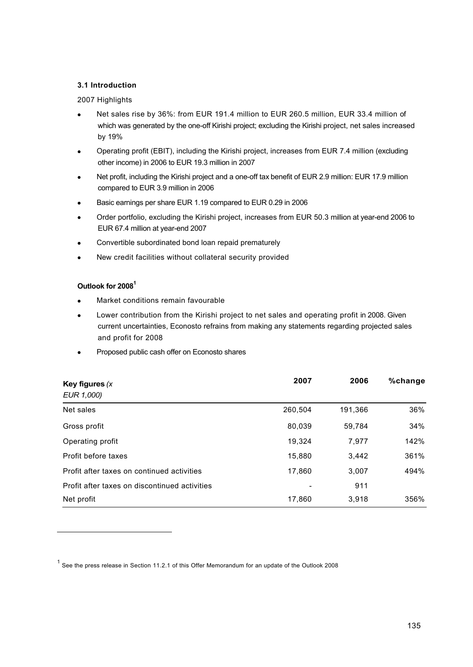## **3.1 Introduction**

## 2007 Highlights

- Net sales rise by 36%: from EUR 191.4 million to EUR 260.5 million, EUR 33.4 million of which was generated by the one-off Kirishi project; excluding the Kirishi project, net sales increased by 19%
- · Operating profit (EBIT), including the Kirishi project, increases from EUR 7.4 million (excluding other income) in 2006 to EUR 19.3 million in 2007
- Net profit, including the Kirishi project and a one-off tax benefit of EUR 2.9 million: EUR 17.9 million compared to EUR 3.9 million in 2006
- · Basic earnings per share EUR 1.19 compared to EUR 0.29 in 2006
- · Order portfolio, excluding the Kirishi project, increases from EUR 50.3 million at year-end 2006 to EUR 67.4 million at year-end 2007
- Convertible subordinated bond loan repaid prematurely
- New credit facilities without collateral security provided

# **Outlook for 2008<sup>1</sup>**

- Market conditions remain favourable
- Lower contribution from the Kirishi project to net sales and operating profit in 2008. Given current uncertainties, Econosto refrains from making any statements regarding projected sales and profit for 2008
- Proposed public cash offer on Econosto shares

| Key figures $(x)$                             | 2007    | 2006    | %change |
|-----------------------------------------------|---------|---------|---------|
| EUR 1,000)                                    |         |         |         |
| Net sales                                     | 260,504 | 191,366 | 36%     |
| Gross profit                                  | 80,039  | 59,784  | 34%     |
| Operating profit                              | 19,324  | 7,977   | 142%    |
| Profit before taxes                           | 15,880  | 3,442   | 361%    |
| Profit after taxes on continued activities    | 17,860  | 3,007   | 494%    |
| Profit after taxes on discontinued activities |         | 911     |         |
| Net profit                                    | 17,860  | 3,918   | 356%    |

<sup>&</sup>lt;sup>1</sup> See the press release in Section 11.2.1 of this Offer Memorandum for an update of the Outlook 2008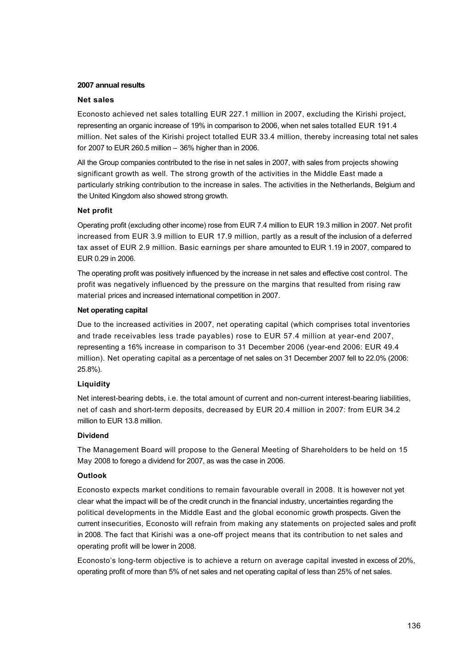#### **2007 annual results**

#### **Net sales**

Econosto achieved net sales totalling EUR 227.1 million in 2007, excluding the Kirishi project, representing an organic increase of 19% in comparison to 2006, when net sales totalled EUR 191.4 million. Net sales of the Kirishi project totalled EUR 33.4 million, thereby increasing total net sales for 2007 to EUR 260.5 million – 36% higher than in 2006.

All the Group companies contributed to the rise in net sales in 2007, with sales from projects showing significant growth as well. The strong growth of the activities in the Middle East made a particularly striking contribution to the increase in sales. The activities in the Netherlands, Belgium and the United Kingdom also showed strong growth.

## **Net profit**

Operating profit (excluding other income) rose from EUR 7.4 million to EUR 19.3 million in 2007. Net profit increased from EUR 3.9 million to EUR 17.9 million, partly as a result of the inclusion of a deferred tax asset of EUR 2.9 million. Basic earnings per share amounted to EUR 1.19 in 2007, compared to EUR 0.29 in 2006.

The operating profit was positively influenced by the increase in net sales and effective cost control. The profit was negatively influenced by the pressure on the margins that resulted from rising raw material prices and increased international competition in 2007.

## **Net operating capital**

Due to the increased activities in 2007, net operating capital (which comprises total inventories and trade receivables less trade payables) rose to EUR 57.4 million at year-end 2007, representing a 16% increase in comparison to 31 December 2006 (year-end 2006: EUR 49.4 million). Net operating capital as a percentage of net sales on 31 December 2007 fell to 22.0% (2006: 25.8%).

# **Liquidity**

Net interest-bearing debts, i.e. the total amount of current and non-current interest-bearing liabilities, net of cash and short-term deposits, decreased by EUR 20.4 million in 2007: from EUR 34.2 million to EUR 13.8 million.

## **Dividend**

The Management Board will propose to the General Meeting of Shareholders to be held on 15 May 2008 to forego a dividend for 2007, as was the case in 2006.

## **Outlook**

Econosto expects market conditions to remain favourable overall in 2008. It is however not yet clear what the impact will be of the credit crunch in the financial industry, uncertainties regarding the political developments in the Middle East and the global economic growth prospects. Given the current insecurities, Econosto will refrain from making any statements on projected sales and profit in 2008. The fact that Kirishi was a one-off project means that its contribution to net sales and operating profit will be lower in 2008.

Econosto's long-term objective is to achieve a return on average capital invested in excess of 20%, operating profit of more than 5% of net sales and net operating capital of less than 25% of net sales.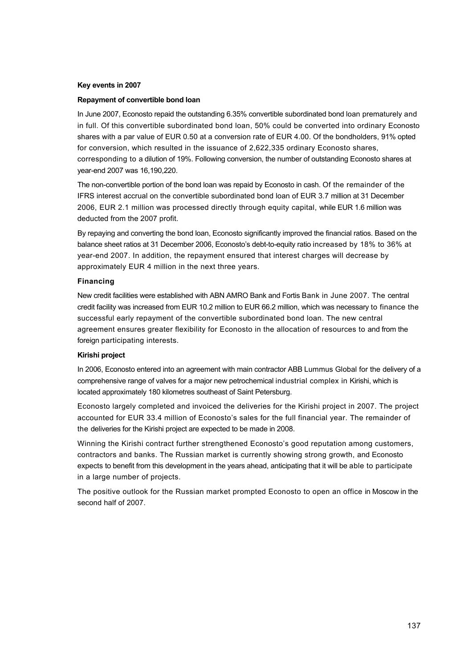#### **Key events in 2007**

#### **Repayment of convertible bond loan**

In June 2007, Econosto repaid the outstanding 6.35% convertible subordinated bond loan prematurely and in full. Of this convertible subordinated bond loan, 50% could be converted into ordinary Econosto shares with a par value of EUR 0.50 at a conversion rate of EUR 4.00. Of the bondholders, 91% opted for conversion, which resulted in the issuance of 2,622,335 ordinary Econosto shares, corresponding to a dilution of 19%. Following conversion, the number of outstanding Econosto shares at year-end 2007 was 16,190,220.

The non-convertible portion of the bond loan was repaid by Econosto in cash. Of the remainder of the IFRS interest accrual on the convertible subordinated bond loan of EUR 3.7 million at 31 December 2006, EUR 2.1 million was processed directly through equity capital, while EUR 1.6 million was deducted from the 2007 profit.

By repaying and converting the bond loan, Econosto significantly improved the financial ratios. Based on the balance sheet ratios at 31 December 2006, Econosto's debt-to-equity ratio increased by 18% to 36% at year-end 2007. In addition, the repayment ensured that interest charges will decrease by approximately EUR 4 million in the next three years.

## **Financing**

New credit facilities were established with ABN AMRO Bank and Fortis Bank in June 2007. The central credit facility was increased from EUR 10.2 million to EUR 66.2 million, which was necessary to finance the successful early repayment of the convertible subordinated bond loan. The new central agreement ensures greater flexibility for Econosto in the allocation of resources to and from the foreign participating interests.

## **Kirishi project**

In 2006, Econosto entered into an agreement with main contractor ABB Lummus Global for the delivery of a comprehensive range of valves for a major new petrochemical industrial complex in Kirishi, which is located approximately 180 kilometres southeast of Saint Petersburg.

Econosto largely completed and invoiced the deliveries for the Kirishi project in 2007. The project accounted for EUR 33.4 million of Econosto's sales for the full financial year. The remainder of the deliveries for the Kirishi project are expected to be made in 2008.

Winning the Kirishi contract further strengthened Econosto's good reputation among customers, contractors and banks. The Russian market is currently showing strong growth, and Econosto expects to benefit from this development in the years ahead, anticipating that it will be able to participate in a large number of projects.

The positive outlook for the Russian market prompted Econosto to open an office in Moscow in the second half of 2007.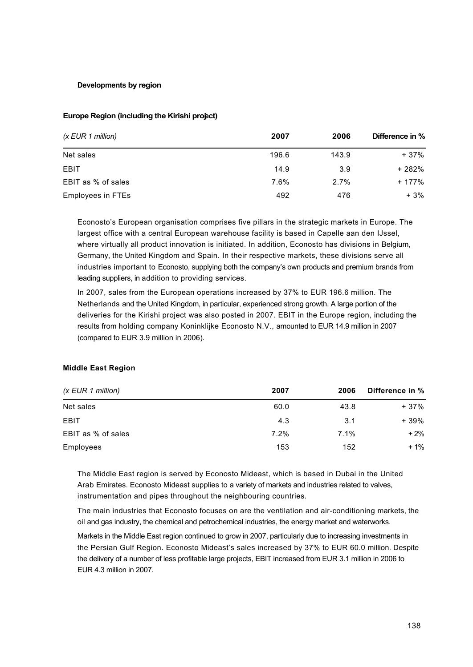## **Developments by region**

## **Europe Region (including the Kirishi project)**

| $(x$ EUR 1 million)      | 2007  | 2006  | Difference in % |
|--------------------------|-------|-------|-----------------|
| Net sales                | 196.6 | 143.9 | + 37%           |
| <b>EBIT</b>              | 14.9  | 3.9   | + 282%          |
| EBIT as % of sales       | 7.6%  | 2.7%  | + 177%          |
| <b>Employees in FTEs</b> | 492   | 476   | + 3%            |

Econosto's European organisation comprises five pillars in the strategic markets in Europe. The largest office with a central European warehouse facility is based in Capelle aan den IJssel, where virtually all product innovation is initiated. In addition, Econosto has divisions in Belgium, Germany, the United Kingdom and Spain. In their respective markets, these divisions serve all industries important to Econosto, supplying both the company's own products and premium brands from leading suppliers, in addition to providing services.

In 2007, sales from the European operations increased by 37% to EUR 196.6 million. The Netherlands and the United Kingdom, in particular, experienced strong growth. A large portion of the deliveries for the Kirishi project was also posted in 2007. EBIT in the Europe region, including the results from holding company Koninklijke Econosto N.V., amounted to EUR 14.9 million in 2007 (compared to EUR 3.9 million in 2006).

# **Middle East Region**

| (x EUR 1 million)  | 2007 | 2006 | Difference in % |
|--------------------|------|------|-----------------|
| Net sales          | 60.0 | 43.8 | + 37%           |
| <b>EBIT</b>        | 4.3  | 3.1  | $+39%$          |
| EBIT as % of sales | 7.2% | 7.1% | $+2%$           |
| Employees          | 153  | 152  | $+1%$           |

The Middle East region is served by Econosto Mideast, which is based in Dubai in the United Arab Emirates. Econosto Mideast supplies to a variety of markets and industries related to valves, instrumentation and pipes throughout the neighbouring countries.

The main industries that Econosto focuses on are the ventilation and air-conditioning markets, the oil and gas industry, the chemical and petrochemical industries, the energy market and waterworks.

Markets in the Middle East region continued to grow in 2007, particularly due to increasing investments in the Persian Gulf Region. Econosto Mideast's sales increased by 37% to EUR 60.0 million. Despite the delivery of a number of less profitable large projects, EBIT increased from EUR 3.1 million in 2006 to EUR 4.3 million in 2007.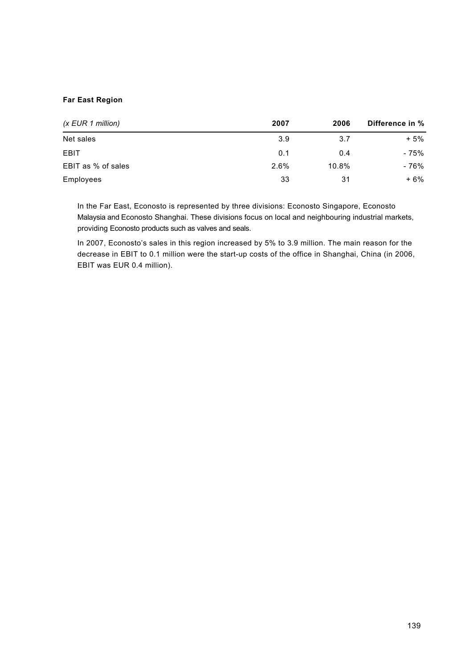# **Far East Region**

| (x EUR 1 million)  | 2007 | 2006  | Difference in % |
|--------------------|------|-------|-----------------|
| Net sales          | 3.9  | 3.7   | + 5%            |
| <b>EBIT</b>        | 0.1  | 0.4   | - 75%           |
| EBIT as % of sales | 2.6% | 10.8% | - 76%           |
| Employees          | 33   | 31    | $+6%$           |

In the Far East, Econosto is represented by three divisions: Econosto Singapore, Econosto Malaysia and Econosto Shanghai. These divisions focus on local and neighbouring industrial markets, providing Econosto products such as valves and seals.

In 2007, Econosto's sales in this region increased by 5% to 3.9 million. The main reason for the decrease in EBIT to 0.1 million were the start-up costs of the office in Shanghai, China (in 2006, EBIT was EUR 0.4 million).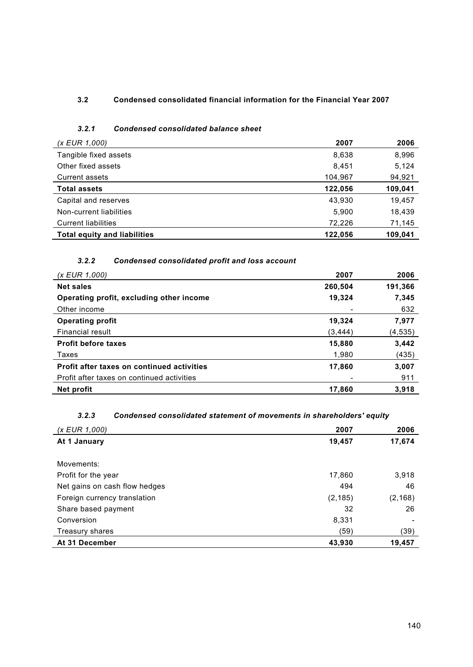# **3.2 Condensed consolidated financial information for the Financial Year 2007**

# *3.2.1 Condensed consolidated balance sheet*

| (x EUR 1,000)                       | 2007    | 2006    |
|-------------------------------------|---------|---------|
| Tangible fixed assets               | 8,638   | 8,996   |
| Other fixed assets                  | 8,451   | 5,124   |
| <b>Current assets</b>               | 104,967 | 94,921  |
| <b>Total assets</b>                 | 122,056 | 109,041 |
| Capital and reserves                | 43,930  | 19,457  |
| Non-current liabilities             | 5.900   | 18,439  |
| <b>Current liabilities</b>          | 72.226  | 71,145  |
| <b>Total equity and liabilities</b> | 122.056 | 109.041 |

# *3.2.2 Condensed consolidated profit and loss account*

| (x EUR 1,000)                              | 2007    | 2006    |
|--------------------------------------------|---------|---------|
| <b>Net sales</b>                           | 260,504 | 191,366 |
| Operating profit, excluding other income   | 19,324  | 7,345   |
| Other income                               |         | 632     |
| <b>Operating profit</b>                    | 19.324  | 7,977   |
| Financial result                           | (3,444) | (4,535) |
| <b>Profit before taxes</b>                 | 15,880  | 3,442   |
| Taxes                                      | 1,980   | (435)   |
| Profit after taxes on continued activities | 17,860  | 3,007   |
| Profit after taxes on continued activities |         | 911     |
| Net profit                                 | 17.860  | 3,918   |

# *3.2.3 Condensed consolidated statement of movements in shareholders' equity*

| (x EUR 1,000)                 | 2007     | 2006     |
|-------------------------------|----------|----------|
| At 1 January                  | 19,457   | 17,674   |
|                               |          |          |
| Movements:                    |          |          |
| Profit for the year           | 17,860   | 3,918    |
| Net gains on cash flow hedges | 494      | 46       |
| Foreign currency translation  | (2, 185) | (2, 168) |
| Share based payment           | 32       | 26       |
| Conversion                    | 8,331    |          |
| Treasury shares               | (59)     | (39)     |
| At 31 December                | 43,930   | 19,457   |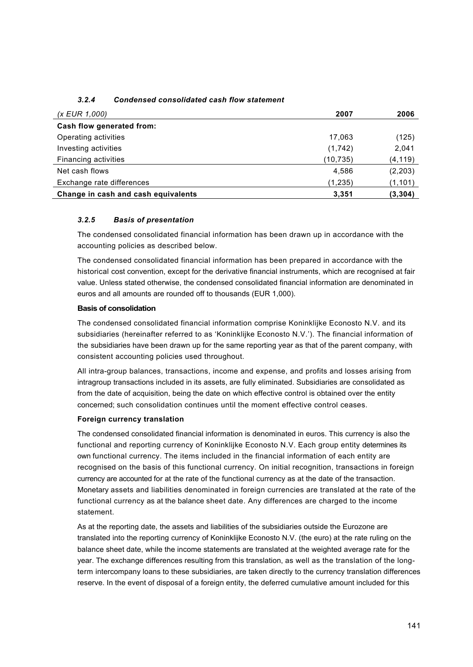| (x EUR 1,000)                       | 2007      | 2006     |
|-------------------------------------|-----------|----------|
| Cash flow generated from:           |           |          |
| Operating activities                | 17,063    | (125)    |
| Investing activities                | (1, 742)  | 2,041    |
| Financing activities                | (10, 735) | (4, 119) |
| Net cash flows                      | 4,586     | (2, 203) |
| Exchange rate differences           | (1,235)   | (1, 101) |
| Change in cash and cash equivalents | 3,351     | (3, 304) |

# *3.2.4 Condensed consolidated cash flow statement*

# *3.2.5 Basis of presentation*

The condensed consolidated financial information has been drawn up in accordance with the accounting policies as described below.

The condensed consolidated financial information has been prepared in accordance with the historical cost convention, except for the derivative financial instruments, which are recognised at fair value. Unless stated otherwise, the condensed consolidated financial information are denominated in euros and all amounts are rounded off to thousands (EUR 1,000).

## **Basis of consolidation**

The condensed consolidated financial information comprise Koninklijke Econosto N.V. and its subsidiaries (hereinafter referred to as 'Koninklijke Econosto N.V.'). The financial information of the subsidiaries have been drawn up for the same reporting year as that of the parent company, with consistent accounting policies used throughout.

All intra-group balances, transactions, income and expense, and profits and losses arising from intragroup transactions included in its assets, are fully eliminated. Subsidiaries are consolidated as from the date of acquisition, being the date on which effective control is obtained over the entity concerned; such consolidation continues until the moment effective control ceases.

## **Foreign currency translation**

The condensed consolidated financial information is denominated in euros. This currency is also the functional and reporting currency of Koninklijke Econosto N.V. Each group entity determines its own functional currency. The items included in the financial information of each entity are recognised on the basis of this functional currency. On initial recognition, transactions in foreign currency are accounted for at the rate of the functional currency as at the date of the transaction. Monetary assets and liabilities denominated in foreign currencies are translated at the rate of the functional currency as at the balance sheet date. Any differences are charged to the income statement.

As at the reporting date, the assets and liabilities of the subsidiaries outside the Eurozone are translated into the reporting currency of Koninklijke Econosto N.V. (the euro) at the rate ruling on the balance sheet date, while the income statements are translated at the weighted average rate for the year. The exchange differences resulting from this translation, as well as the translation of the longterm intercompany loans to these subsidiaries, are taken directly to the currency translation differences reserve. In the event of disposal of a foreign entity, the deferred cumulative amount included for this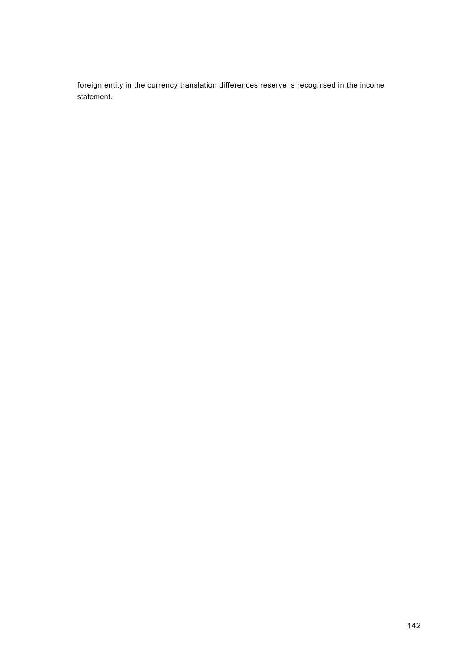foreign entity in the currency translation differences reserve is recognised in the income statement.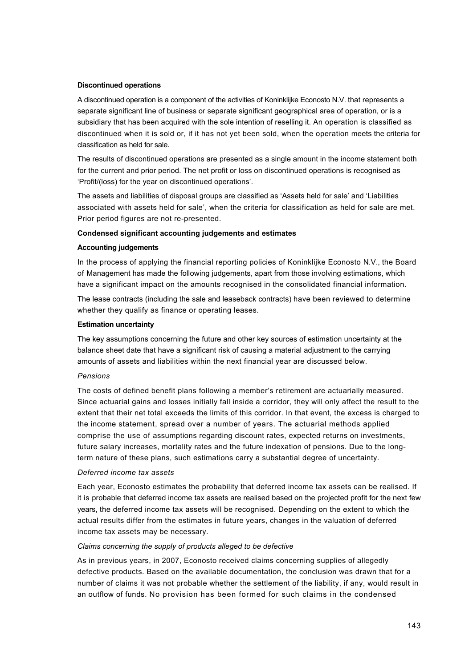#### **Discontinued operations**

A discontinued operation is a component of the activities of Koninklijke Econosto N.V. that represents a separate significant line of business or separate significant geographical area of operation, or is a subsidiary that has been acquired with the sole intention of reselling it. An operation is classified as discontinued when it is sold or, if it has not yet been sold, when the operation meets the criteria for classification as held for sale.

The results of discontinued operations are presented as a single amount in the income statement both for the current and prior period. The net profit or loss on discontinued operations is recognised as 'Profit/(loss) for the year on discontinued operations'.

The assets and liabilities of disposal groups are classified as 'Assets held for sale' and 'Liabilities associated with assets held for sale', when the criteria for classification as held for sale are met. Prior period figures are not re-presented.

#### **Condensed significant accounting judgements and estimates**

## **Accounting judgements**

In the process of applying the financial reporting policies of Koninklijke Econosto N.V., the Board of Management has made the following judgements, apart from those involving estimations, which have a significant impact on the amounts recognised in the consolidated financial information.

The lease contracts (including the sale and leaseback contracts) have been reviewed to determine whether they qualify as finance or operating leases.

#### **Estimation uncertainty**

The key assumptions concerning the future and other key sources of estimation uncertainty at the balance sheet date that have a significant risk of causing a material adjustment to the carrying amounts of assets and liabilities within the next financial year are discussed below.

#### *Pensions*

The costs of defined benefit plans following a member's retirement are actuarially measured. Since actuarial gains and losses initially fall inside a corridor, they will only affect the result to the extent that their net total exceeds the limits of this corridor. In that event, the excess is charged to the income statement, spread over a number of years. The actuarial methods applied comprise the use of assumptions regarding discount rates, expected returns on investments, future salary increases, mortality rates and the future indexation of pensions. Due to the longterm nature of these plans, such estimations carry a substantial degree of uncertainty.

#### *Deferred income tax assets*

Each year, Econosto estimates the probability that deferred income tax assets can be realised. If it is probable that deferred income tax assets are realised based on the projected profit for the next few years, the deferred income tax assets will be recognised. Depending on the extent to which the actual results differ from the estimates in future years, changes in the valuation of deferred income tax assets may be necessary.

## *Claims concerning the supply of products alleged to be defective*

As in previous years, in 2007, Econosto received claims concerning supplies of allegedly defective products. Based on the available documentation, the conclusion was drawn that for a number of claims it was not probable whether the settlement of the liability, if any, would result in an outflow of funds. No provision has been formed for such claims in the condensed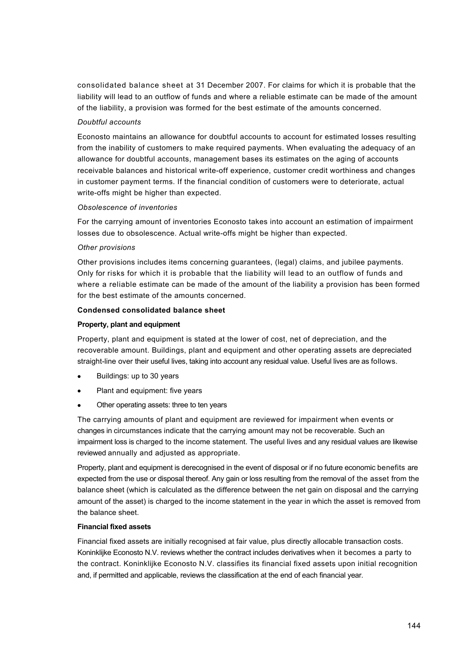consolidated balance sheet at 31 December 2007. For claims for which it is probable that the liability will lead to an outflow of funds and where a reliable estimate can be made of the amount of the liability, a provision was formed for the best estimate of the amounts concerned.

## *Doubtful accounts*

Econosto maintains an allowance for doubtful accounts to account for estimated losses resulting from the inability of customers to make required payments. When evaluating the adequacy of an allowance for doubtful accounts, management bases its estimates on the aging of accounts receivable balances and historical write-off experience, customer credit worthiness and changes in customer payment terms. If the financial condition of customers were to deteriorate, actual write-offs might be higher than expected.

## *Obsolescence of inventories*

For the carrying amount of inventories Econosto takes into account an estimation of impairment losses due to obsolescence. Actual write-offs might be higher than expected.

## *Other provisions*

Other provisions includes items concerning guarantees, (legal) claims, and jubilee payments. Only for risks for which it is probable that the liability will lead to an outflow of funds and where a reliable estimate can be made of the amount of the liability a provision has been formed for the best estimate of the amounts concerned.

## **Condensed consolidated balance sheet**

## **Property, plant and equipment**

Property, plant and equipment is stated at the lower of cost, net of depreciation, and the recoverable amount. Buildings, plant and equipment and other operating assets are depreciated straight-line over their useful lives, taking into account any residual value. Useful lives are as follows.

- Buildings: up to 30 years
- Plant and equipment: five years
- Other operating assets: three to ten years

The carrying amounts of plant and equipment are reviewed for impairment when events or changes in circumstances indicate that the carrying amount may not be recoverable. Such an impairment loss is charged to the income statement. The useful lives and any residual values are likewise reviewed annually and adjusted as appropriate.

Property, plant and equipment is derecognised in the event of disposal or if no future economic benefits are expected from the use or disposal thereof. Any gain or loss resulting from the removal of the asset from the balance sheet (which is calculated as the difference between the net gain on disposal and the carrying amount of the asset) is charged to the income statement in the year in which the asset is removed from the balance sheet.

# **Financial fixed assets**

Financial fixed assets are initially recognised at fair value, plus directly allocable transaction costs. Koninklijke Econosto N.V. reviews whether the contract includes derivatives when it becomes a party to the contract. Koninklijke Econosto N.V. classifies its financial fixed assets upon initial recognition and, if permitted and applicable, reviews the classification at the end of each financial year.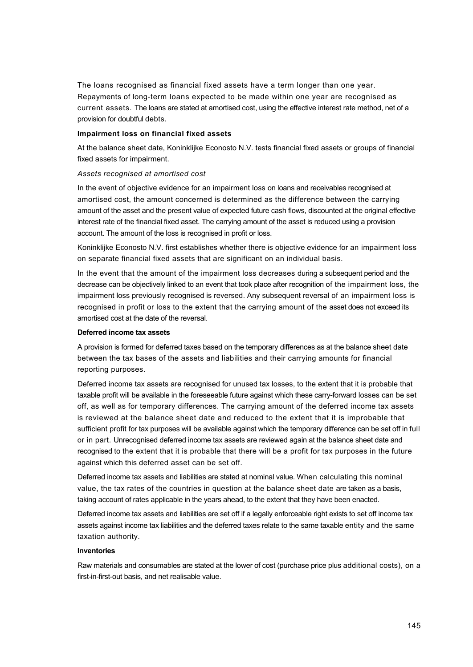The loans recognised as financial fixed assets have a term longer than one year. Repayments of long-term loans expected to be made within one year are recognised as current assets. The loans are stated at amortised cost, using the effective interest rate method, net of a provision for doubtful debts.

## **Impairment loss on financial fixed assets**

At the balance sheet date, Koninklijke Econosto N.V. tests financial fixed assets or groups of financial fixed assets for impairment.

#### *Assets recognised at amortised cost*

In the event of objective evidence for an impairment loss on loans and receivables recognised at amortised cost, the amount concerned is determined as the difference between the carrying amount of the asset and the present value of expected future cash flows, discounted at the original effective interest rate of the financial fixed asset. The carrying amount of the asset is reduced using a provision account. The amount of the loss is recognised in profit or loss.

Koninklijke Econosto N.V. first establishes whether there is objective evidence for an impairment loss on separate financial fixed assets that are significant on an individual basis.

In the event that the amount of the impairment loss decreases during a subsequent period and the decrease can be objectively linked to an event that took place after recognition of the impairment loss, the impairment loss previously recognised is reversed. Any subsequent reversal of an impairment loss is recognised in profit or loss to the extent that the carrying amount of the asset does not exceed its amortised cost at the date of the reversal.

#### **Deferred income tax assets**

A provision is formed for deferred taxes based on the temporary differences as at the balance sheet date between the tax bases of the assets and liabilities and their carrying amounts for financial reporting purposes.

Deferred income tax assets are recognised for unused tax losses, to the extent that it is probable that taxable profit will be available in the foreseeable future against which these carry-forward losses can be set off, as well as for temporary differences. The carrying amount of the deferred income tax assets is reviewed at the balance sheet date and reduced to the extent that it is improbable that sufficient profit for tax purposes will be available against which the temporary difference can be set off in full or in part. Unrecognised deferred income tax assets are reviewed again at the balance sheet date and recognised to the extent that it is probable that there will be a profit for tax purposes in the future against which this deferred asset can be set off.

Deferred income tax assets and liabilities are stated at nominal value. When calculating this nominal value, the tax rates of the countries in question at the balance sheet date are taken as a basis, taking account of rates applicable in the years ahead, to the extent that they have been enacted.

Deferred income tax assets and liabilities are set off if a legally enforceable right exists to set off income tax assets against income tax liabilities and the deferred taxes relate to the same taxable entity and the same taxation authority.

#### **Inventories**

Raw materials and consumables are stated at the lower of cost (purchase price plus additional costs), on a first-in-first-out basis, and net realisable value.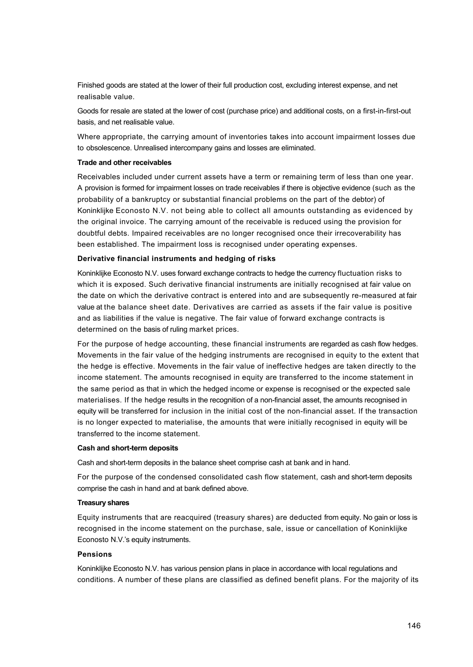Finished goods are stated at the lower of their full production cost, excluding interest expense, and net realisable value.

Goods for resale are stated at the lower of cost (purchase price) and additional costs, on a first-in-first-out basis, and net realisable value.

Where appropriate, the carrying amount of inventories takes into account impairment losses due to obsolescence. Unrealised intercompany gains and losses are eliminated.

#### **Trade and other receivables**

Receivables included under current assets have a term or remaining term of less than one year. A provision is formed for impairment losses on trade receivables if there is objective evidence (such as the probability of a bankruptcy or substantial financial problems on the part of the debtor) of Koninklijke Econosto N.V. not being able to collect all amounts outstanding as evidenced by the original invoice. The carrying amount of the receivable is reduced using the provision for doubtful debts. Impaired receivables are no longer recognised once their irrecoverability has been established. The impairment loss is recognised under operating expenses.

#### **Derivative financial instruments and hedging of risks**

Koninklijke Econosto N.V. uses forward exchange contracts to hedge the currency fluctuation risks to which it is exposed. Such derivative financial instruments are initially recognised at fair value on the date on which the derivative contract is entered into and are subsequently re-measured at fair value at the balance sheet date. Derivatives are carried as assets if the fair value is positive and as liabilities if the value is negative. The fair value of forward exchange contracts is determined on the basis of ruling market prices.

For the purpose of hedge accounting, these financial instruments are regarded as cash flow hedges. Movements in the fair value of the hedging instruments are recognised in equity to the extent that the hedge is effective. Movements in the fair value of ineffective hedges are taken directly to the income statement. The amounts recognised in equity are transferred to the income statement in the same period as that in which the hedged income or expense is recognised or the expected sale materialises. If the hedge results in the recognition of a non-financial asset, the amounts recognised in equity will be transferred for inclusion in the initial cost of the non-financial asset. If the transaction is no longer expected to materialise, the amounts that were initially recognised in equity will be transferred to the income statement.

#### **Cash and short-term deposits**

Cash and short-term deposits in the balance sheet comprise cash at bank and in hand.

For the purpose of the condensed consolidated cash flow statement, cash and short-term deposits comprise the cash in hand and at bank defined above.

# **Treasury shares**

Equity instruments that are reacquired (treasury shares) are deducted from equity. No gain or loss is recognised in the income statement on the purchase, sale, issue or cancellation of Koninklijke Econosto N.V.'s equity instruments.

# **Pensions**

Koninklijke Econosto N.V. has various pension plans in place in accordance with local regulations and conditions. A number of these plans are classified as defined benefit plans. For the majority of its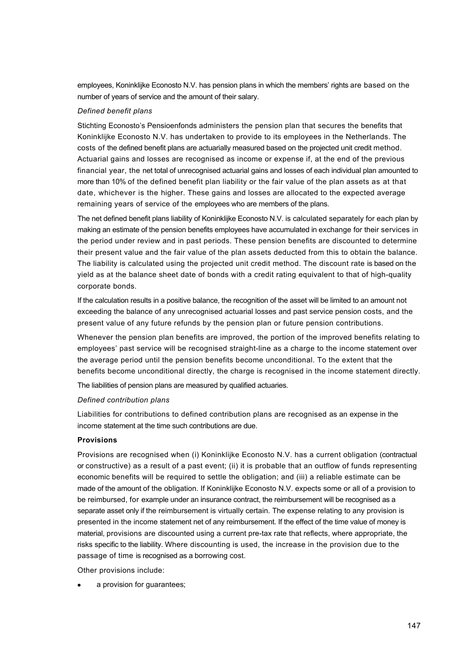employees, Koninklijke Econosto N.V. has pension plans in which the members' rights are based on the number of years of service and the amount of their salary.

#### *Defined benefit plans*

Stichting Econosto's Pensioenfonds administers the pension plan that secures the benefits that Koninklijke Econosto N.V. has undertaken to provide to its employees in the Netherlands. The costs of the defined benefit plans are actuarially measured based on the projected unit credit method. Actuarial gains and losses are recognised as income or expense if, at the end of the previous financial year, the net total of unrecognised actuarial gains and losses of each individual plan amounted to more than 10% of the defined benefit plan liability or the fair value of the plan assets as at that date, whichever is the higher. These gains and losses are allocated to the expected average remaining years of service of the employees who are members of the plans.

The net defined benefit plans liability of Koninklijke Econosto N.V. is calculated separately for each plan by making an estimate of the pension benefits employees have accumulated in exchange for their services in the period under review and in past periods. These pension benefits are discounted to determine their present value and the fair value of the plan assets deducted from this to obtain the balance. The liability is calculated using the projected unit credit method. The discount rate is based on the yield as at the balance sheet date of bonds with a credit rating equivalent to that of high-quality corporate bonds.

If the calculation results in a positive balance, the recognition of the asset will be limited to an amount not exceeding the balance of any unrecognised actuarial losses and past service pension costs, and the present value of any future refunds by the pension plan or future pension contributions.

Whenever the pension plan benefits are improved, the portion of the improved benefits relating to employees' past service will be recognised straight-line as a charge to the income statement over the average period until the pension benefits become unconditional. To the extent that the benefits become unconditional directly, the charge is recognised in the income statement directly.

The liabilities of pension plans are measured by qualified actuaries.

## *Defined contribution plans*

Liabilities for contributions to defined contribution plans are recognised as an expense in the income statement at the time such contributions are due.

## **Provisions**

Provisions are recognised when (i) Koninklijke Econosto N.V. has a current obligation (contractual or constructive) as a result of a past event; (ii) it is probable that an outflow of funds representing economic benefits will be required to settle the obligation; and (iii) a reliable estimate can be made of the amount of the obligation. If Koninklijke Econosto N.V. expects some or all of a provision to be reimbursed, for example under an insurance contract, the reimbursement will be recognised as a separate asset only if the reimbursement is virtually certain. The expense relating to any provision is presented in the income statement net of any reimbursement. If the effect of the time value of money is material, provisions are discounted using a current pre-tax rate that reflects, where appropriate, the risks specific to the liability. Where discounting is used, the increase in the provision due to the passage of time is recognised as a borrowing cost.

Other provisions include:

a provision for guarantees;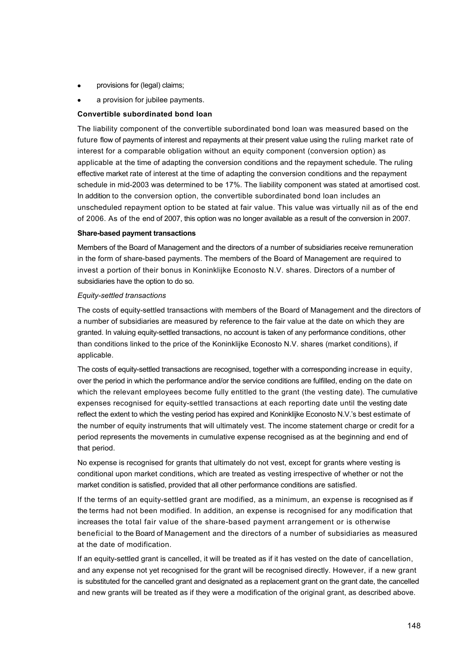- provisions for (legal) claims;
- a provision for jubilee payments.

# **Convertible subordinated bond loan**

The liability component of the convertible subordinated bond loan was measured based on the future flow of payments of interest and repayments at their present value using the ruling market rate of interest for a comparable obligation without an equity component (conversion option) as applicable at the time of adapting the conversion conditions and the repayment schedule. The ruling effective market rate of interest at the time of adapting the conversion conditions and the repayment schedule in mid-2003 was determined to be 17%. The liability component was stated at amortised cost. In addition to the conversion option, the convertible subordinated bond loan includes an unscheduled repayment option to be stated at fair value. This value was virtually nil as of the end of 2006. As of the end of 2007, this option was no longer available as a result of the conversion in 2007.

## **Share-based payment transactions**

Members of the Board of Management and the directors of a number of subsidiaries receive remuneration in the form of share-based payments. The members of the Board of Management are required to invest a portion of their bonus in Koninklijke Econosto N.V. shares. Directors of a number of subsidiaries have the option to do so.

## *Equity-settled transactions*

The costs of equity-settled transactions with members of the Board of Management and the directors of a number of subsidiaries are measured by reference to the fair value at the date on which they are granted. In valuing equity-settled transactions, no account is taken of any performance conditions, other than conditions linked to the price of the Koninklijke Econosto N.V. shares (market conditions), if applicable.

The costs of equity-settled transactions are recognised, together with a corresponding increase in equity, over the period in which the performance and/or the service conditions are fulfilled, ending on the date on which the relevant employees become fully entitled to the grant (the vesting date). The cumulative expenses recognised for equity-settled transactions at each reporting date until the vesting date reflect the extent to which the vesting period has expired and Koninklijke Econosto N.V.'s best estimate of the number of equity instruments that will ultimately vest. The income statement charge or credit for a period represents the movements in cumulative expense recognised as at the beginning and end of that period.

No expense is recognised for grants that ultimately do not vest, except for grants where vesting is conditional upon market conditions, which are treated as vesting irrespective of whether or not the market condition is satisfied, provided that all other performance conditions are satisfied.

If the terms of an equity-settled grant are modified, as a minimum, an expense is recognised as if the terms had not been modified. In addition, an expense is recognised for any modification that increases the total fair value of the share-based payment arrangement or is otherwise beneficial to the Board of Management and the directors of a number of subsidiaries as measured at the date of modification.

If an equity-settled grant is cancelled, it will be treated as if it has vested on the date of cancellation, and any expense not yet recognised for the grant will be recognised directly. However, if a new grant is substituted for the cancelled grant and designated as a replacement grant on the grant date, the cancelled and new grants will be treated as if they were a modification of the original grant, as described above.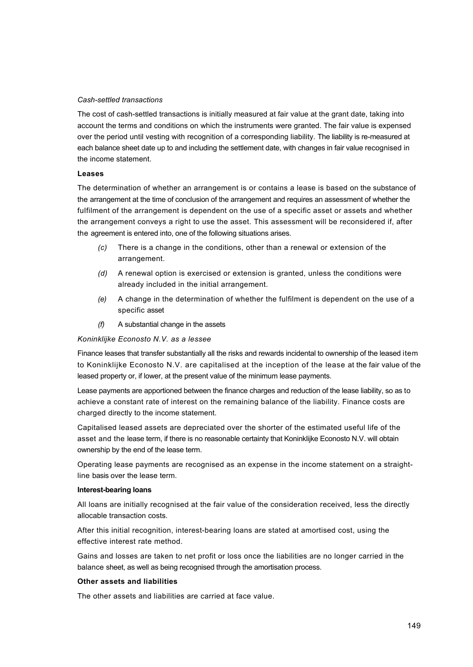## *Cash-settled transactions*

The cost of cash-settled transactions is initially measured at fair value at the grant date, taking into account the terms and conditions on which the instruments were granted. The fair value is expensed over the period until vesting with recognition of a corresponding liability. The liability is re-measured at each balance sheet date up to and including the settlement date, with changes in fair value recognised in the income statement.

#### **Leases**

The determination of whether an arrangement is or contains a lease is based on the substance of the arrangement at the time of conclusion of the arrangement and requires an assessment of whether the fulfilment of the arrangement is dependent on the use of a specific asset or assets and whether the arrangement conveys a right to use the asset. This assessment will be reconsidered if, after the agreement is entered into, one of the following situations arises.

- *(c)* There is a change in the conditions, other than a renewal or extension of the arrangement.
- *(d)* A renewal option is exercised or extension is granted, unless the conditions were already included in the initial arrangement.
- *(e)* A change in the determination of whether the fulfilment is dependent on the use of a specific asset
- *(f)* A substantial change in the assets

# *Koninklijke Econosto N.V. as a lessee*

Finance leases that transfer substantially all the risks and rewards incidental to ownership of the leased item to Koninklijke Econosto N.V. are capitalised at the inception of the lease at the fair value of the leased property or, if lower, at the present value of the minimum lease payments.

Lease payments are apportioned between the finance charges and reduction of the lease liability, so as to achieve a constant rate of interest on the remaining balance of the liability. Finance costs are charged directly to the income statement.

Capitalised leased assets are depreciated over the shorter of the estimated useful life of the asset and the lease term, if there is no reasonable certainty that Koninklijke Econosto N.V. will obtain ownership by the end of the lease term.

Operating lease payments are recognised as an expense in the income statement on a straightline basis over the lease term.

## **Interest-bearing loans**

All loans are initially recognised at the fair value of the consideration received, less the directly allocable transaction costs.

After this initial recognition, interest-bearing loans are stated at amortised cost, using the effective interest rate method.

Gains and losses are taken to net profit or loss once the liabilities are no longer carried in the balance sheet, as well as being recognised through the amortisation process.

## **Other assets and liabilities**

The other assets and liabilities are carried at face value.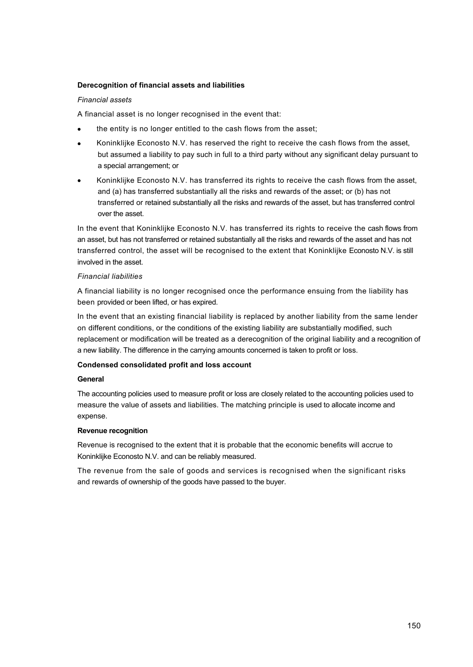# **Derecognition of financial assets and liabilities**

# *Financial assets*

A financial asset is no longer recognised in the event that:

- the entity is no longer entitled to the cash flows from the asset;
- · Koninklijke Econosto N.V. has reserved the right to receive the cash flows from the asset, but assumed a liability to pay such in full to a third party without any significant delay pursuant to a special arrangement; or
- · Koninklijke Econosto N.V. has transferred its rights to receive the cash flows from the asset, and (a) has transferred substantially all the risks and rewards of the asset; or (b) has not transferred or retained substantially all the risks and rewards of the asset, but has transferred control over the asset.

In the event that Koninklijke Econosto N.V. has transferred its rights to receive the cash flows from an asset, but has not transferred or retained substantially all the risks and rewards of the asset and has not transferred control, the asset will be recognised to the extent that Koninklijke Econosto N.V. is still involved in the asset.

# *Financial liabilities*

A financial liability is no longer recognised once the performance ensuing from the liability has been provided or been lifted, or has expired.

In the event that an existing financial liability is replaced by another liability from the same lender on different conditions, or the conditions of the existing liability are substantially modified, such replacement or modification will be treated as a derecognition of the original liability and a recognition of a new liability. The difference in the carrying amounts concerned is taken to profit or loss.

## **Condensed consolidated profit and loss account**

## **General**

The accounting policies used to measure profit or loss are closely related to the accounting policies used to measure the value of assets and liabilities. The matching principle is used to allocate income and expense.

## **Revenue recognition**

Revenue is recognised to the extent that it is probable that the economic benefits will accrue to Koninklijke Econosto N.V. and can be reliably measured.

The revenue from the sale of goods and services is recognised when the significant risks and rewards of ownership of the goods have passed to the buyer.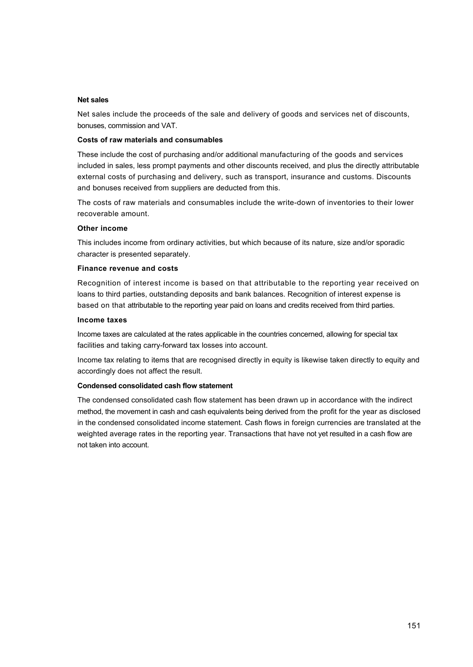#### **Net sales**

Net sales include the proceeds of the sale and delivery of goods and services net of discounts, bonuses, commission and VAT.

#### **Costs of raw materials and consumables**

These include the cost of purchasing and/or additional manufacturing of the goods and services included in sales, less prompt payments and other discounts received, and plus the directly attributable external costs of purchasing and delivery, such as transport, insurance and customs. Discounts and bonuses received from suppliers are deducted from this.

The costs of raw materials and consumables include the write-down of inventories to their lower recoverable amount.

#### **Other income**

This includes income from ordinary activities, but which because of its nature, size and/or sporadic character is presented separately.

#### **Finance revenue and costs**

Recognition of interest income is based on that attributable to the reporting year received on loans to third parties, outstanding deposits and bank balances. Recognition of interest expense is based on that attributable to the reporting year paid on loans and credits received from third parties.

#### **Income taxes**

Income taxes are calculated at the rates applicable in the countries concerned, allowing for special tax facilities and taking carry-forward tax losses into account.

Income tax relating to items that are recognised directly in equity is likewise taken directly to equity and accordingly does not affect the result.

## **Condensed consolidated cash flow statement**

The condensed consolidated cash flow statement has been drawn up in accordance with the indirect method, the movement in cash and cash equivalents being derived from the profit for the year as disclosed in the condensed consolidated income statement. Cash flows in foreign currencies are translated at the weighted average rates in the reporting year. Transactions that have not yet resulted in a cash flow are not taken into account.